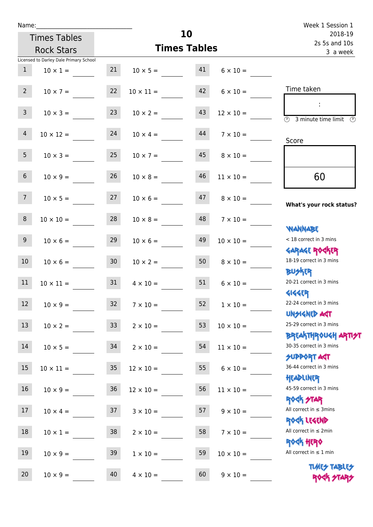| Name:           |                                        |                 |                       | 10                       |                  | Week 1 Session 1                                                            |
|-----------------|----------------------------------------|-----------------|-----------------------|--------------------------|------------------|-----------------------------------------------------------------------------|
|                 | <b>Times Tables</b>                    |                 |                       | 2018-19<br>2s 5s and 10s |                  |                                                                             |
|                 | <b>Rock Stars</b>                      |                 | <b>Times Tables</b>   | 3 a week                 |                  |                                                                             |
|                 | Licensed to Darley Dale Primary School |                 |                       |                          |                  |                                                                             |
| 1               | $10 \times 1 =$                        |                 | 21 $10 \times 5 =$ 41 |                          | $6 \times 10 =$  |                                                                             |
| $2^{\circ}$     | $10 \times 7 =$                        | 22              | $10 \times 11 =$      | 42                       | $6 \times 10 =$  | Time taken                                                                  |
| 3 <sup>7</sup>  | $10 \times 3 =$                        | 23              | $10 \times 2 =$       | 43                       | $12 \times 10 =$ | 3 minute time limit                                                         |
| $\overline{4}$  | $10 \times 12 =$                       | 24              | $10 \times 4 =$       | 44                       | $7 \times 10 =$  | Score                                                                       |
| 5 <sub>1</sub>  | $10 \times 3 =$                        | 25              | $10 \times 7 =$       | 45                       | $8 \times 10 =$  |                                                                             |
| 6 <sup>1</sup>  | $10 \times 9 =$                        | 26              | $10 \times 8 =$       | 46                       | $11 \times 10 =$ | 60                                                                          |
| 7 <sup>7</sup>  | $10 \times 5 =$                        | 27              | $10 \times 6 =$       | 47                       | $8 \times 10 =$  | What's your rock status?                                                    |
| 8               | $10 \times 10 =$                       | 28              | $10 \times 8 =$       | 48                       | $7 \times 10 =$  |                                                                             |
| 9 <sub>o</sub>  | $10 \times 6 =$                        | 29              | $10 \times 6 =$       | 49                       | $10 \times 10 =$ | <b>NANNABE</b><br>< 18 correct in 3 mins<br><b>GARAGE ROGKER</b>            |
| 10 <sup>°</sup> | $10 \times 6 =$                        | 30              | $10 \times 2 =$       | 50                       | $8 \times 10 =$  | 18-19 correct in 3 mins                                                     |
| 11              | $10 \times 11 =$                       | 31              | $4 \times 10 =$       | 51                       | $6 \times 10 =$  | <b>BU外界</b><br>20-21 correct in 3 mins<br><b>4144EP</b>                     |
| $12\,$          | $10 \times 9 =$                        | 32              | $7 \times 10 =$       | 52                       | $1\times10=$     | 22-24 correct in 3 mins<br><b>UNSIGNED AGT</b>                              |
| 13              | $10 \times 2 =$                        | 33 <sup>°</sup> | $2 \times 10 =$       | 53                       | $10 \times 10 =$ | 25-29 correct in 3 mins                                                     |
| 14              | $10 \times 5 =$                        | 34              | $2 \times 10 =$       | 54                       | $11 \times 10 =$ | <b>BREAKTHROUGH ARTIST</b><br>30-35 correct in 3 mins<br><b>SUPPORT AGT</b> |
| 15              | $10 \times 11 =$                       | 35              | $12 \times 10 =$      | 55                       | $6 \times 10 =$  | 36-44 correct in 3 mins                                                     |
| 16              | $10 \times 9 =$                        | $36\phantom{.}$ | $12 \times 10 =$      | 56                       | $11 \times 10 =$ | HEADLINER<br>45-59 correct in 3 mins<br><b>ROCK STAR</b>                    |
| 17              | $10 \times 4 =$                        | 37              | $3 \times 10 =$       | 57                       | $9 \times 10 =$  | All correct in $\leq$ 3mins                                                 |
| 18              | $10 \times 1 =$                        | 38              | $2 \times 10 =$       | 58                       | $7 \times 10 =$  | ROCK LEGEND<br>All correct in $\leq 2$ min                                  |
| 19              | $10 \times 9 =$                        | 39              | $1 \times 10 =$       | 59                       | $10 \times 10 =$ | <b>ROCK HERO</b><br>All correct in $\leq 1$ min                             |
| 20              | $10 \times 9 =$                        | 40              | $4 \times 10 =$       | 60                       | $9 \times 10 =$  | <b>TUARS TABLES</b><br>ROCK STARS                                           |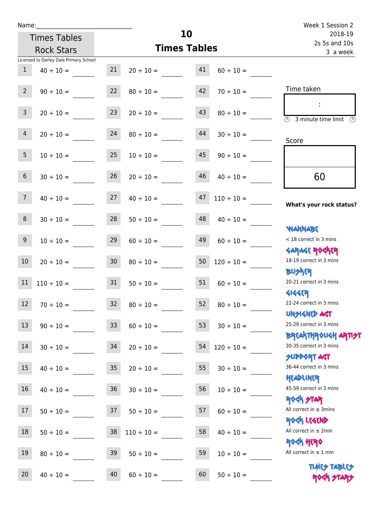| Name:           |                                        |                  |                      |                          |                 | Week 1 Session 2                                                  |
|-----------------|----------------------------------------|------------------|----------------------|--------------------------|-----------------|-------------------------------------------------------------------|
|                 | <b>Times Tables</b>                    |                  | 10                   | 2018-19<br>2s 5s and 10s |                 |                                                                   |
|                 | <b>Rock Stars</b>                      |                  | <b>Times Tables</b>  | 3 a week                 |                 |                                                                   |
|                 | Licensed to Darley Dale Primary School |                  |                      |                          |                 |                                                                   |
| $\mathbf{1}$    | $40 \div 10 =$                         | 21               | $20 \div 10 =$       | 41                       | $60 \div 10 =$  |                                                                   |
| $2^{\circ}$     | $90 \div 10 =$                         | 22               | $80 \div 10 =$       | 42                       | $70 \div 10 =$  | Time taken                                                        |
| 3 <sup>7</sup>  | $20 \div 10 =$                         | 23               | $20 \div 10 =$       | 43                       | $80 \div 10 =$  | $\overline{\textcircled{1}}$ 3 minute time limit<br>$\mathcal{O}$ |
| $\overline{4}$  | $20 \div 10 =$                         | 24               | $80 \div 10 =$       | 44                       | $30 \div 10 =$  | Score                                                             |
| 5 <sub>1</sub>  | $10 \div 10 =$                         | 25               | $10 \div 10 =$       | 45                       | $90 \div 10 =$  |                                                                   |
| 6               | $30 \div 10 =$                         | 26               | $20 \div 10 =$       | 46                       | $40 \div 10 =$  | 60                                                                |
| $\overline{7}$  | $40 \div 10 =$                         | 27               | $40 \div 10 =$       | 47                       | $110 \div 10 =$ | What's your rock status?                                          |
| 8               | $30 \div 10 =$                         |                  | $28 \t 50 \div 10 =$ | 48                       | $40 \div 10 =$  | <b>JARNARY</b>                                                    |
| 9 <sub>o</sub>  | $10 \div 10 =$                         | 29               | $60 \div 10 =$       | 49                       | $60 \div 10 =$  | < 18 correct in 3 mins<br><b>GARAGE ROCKER</b>                    |
| 10 <sup>°</sup> | $20 \div 10 =$                         | 30 <sup>7</sup>  | $80 \div 10 =$       | 50                       | $120 \div 10 =$ | 18-19 correct in 3 mins<br><b>BUSKER</b>                          |
| 11              | $110 \div 10 = 31$                     |                  | $50 \div 10 =$       | 51                       | $60 \div 10 =$  | 20-21 correct in 3 mins<br><b>4144ER</b>                          |
| 12              | $70 \div 10 =$                         | 32               | $80 \div 10 =$       | 52                       | $80 \div 10 =$  | 22-24 correct in 3 mins<br><b>UNSIGNED AST</b>                    |
| 13              | $90 \div 10 =$                         | 33               | $60 \div 10 =$       | 53                       | $30 \div 10 =$  | 25-29 correct in 3 mins<br><b>BREAKTHROUGH ARTH</b>               |
| 14              | $30 \div 10 =$                         | 34               | $20 \div 10 =$       | 54                       | $120 \div 10 =$ | 30-35 correct in 3 mins<br><b>SUPPORT AGT</b>                     |
| 15              | $40 \div 10 =$                         | $35\phantom{.0}$ | $20 \div 10 =$       | 55                       | $30 \div 10 =$  | 36-44 correct in 3 mins<br>HEADLINER                              |
| 16              | $40 \div 10 =$                         | $36\,$           | $30 \div 10 =$       | 56                       | $10 \div 10 =$  | 45-59 correct in 3 mins<br><b>ROCK STAR</b>                       |
| 17              | $50 \div 10 =$                         | 37               | $50 \div 10 =$       | 57                       | $60 \div 10 =$  | All correct in $\leq$ 3mins<br>ROCK LEGEND                        |
| 18              | $50 \div 10 =$                         | 38               | $110 \div 10 =$      | 58                       | $40 \div 10 =$  | All correct in $\leq 2$ min<br>ROCK HERO                          |
| 19              | $80 \div 10 =$                         | 39               | $50 \div 10 =$       | 59                       | $10 \div 10 =$  | All correct in $\leq 1$ min                                       |
| 20              | $40 \div 10 =$                         | 40               | $60 \div 10 =$       | 60                       | $50 \div 10 =$  | <b>TUARS TABLES</b><br>ROCK STARS                                 |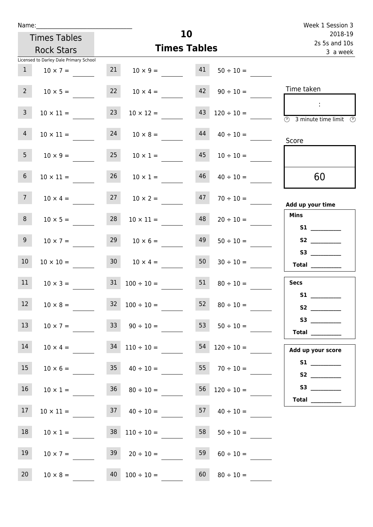| Name:           |                                                      |    |                       | 10                       |                                      | Week 1 Session 3                        |
|-----------------|------------------------------------------------------|----|-----------------------|--------------------------|--------------------------------------|-----------------------------------------|
|                 | <b>Times Tables</b>                                  |    |                       | 2018-19<br>2s 5s and 10s |                                      |                                         |
|                 | <b>Rock Stars</b>                                    |    | <b>Times Tables</b>   | 3 a week                 |                                      |                                         |
|                 | Licensed to Darley Dale Primary School               |    |                       |                          |                                      |                                         |
| 1               | $10 \times 7 =$                                      | 21 | $10 \times 9 =$       | 41                       | $50 \div 10 =$                       |                                         |
| $2^{\circ}$     | $10 \times 5 =$                                      |    |                       |                          | 22 $10 \times 4 = 42$ $90 \div 10 =$ | Time taken                              |
| 3 <sup>7</sup>  | $10 \times 11 =$                                     | 23 | $10 \times 12 =$      | 43                       | $120 \div 10 =$                      | $\sim$ 1.<br>3 minute time limit<br>-09 |
| 4 <sup>1</sup>  | $10 \times 11 =$                                     | 24 | $10 \times 8 =$       | 44                       | $40 \div 10 =$                       | Score                                   |
| 5 <sub>1</sub>  | $10 \times 9 = 25$                                   |    | $10 \times 1 =$       | 45                       | $10 \div 10 =$                       |                                         |
| 6 <sup>1</sup>  | $10 \times 11 =$                                     | 26 | $10 \times 1 =$       | 46                       | $40 \div 10 =$                       | 60                                      |
| 7 <sup>7</sup>  | $10 \times 4 =$                                      | 27 | $10 \times 2 =$       | 47                       | $70 \div 10 =$                       | Add up your time                        |
| 8               | $10 \times 5 =$                                      | 28 | $10 \times 11 =$      | 48                       | $20 \div 10 =$                       | <b>Mins</b>                             |
| 9 <sub>o</sub>  | $10 \times 7 =$                                      |    | $29 \t 10 \times 6 =$ | 49                       | $50 \div 10 =$                       | S2                                      |
| 10 <sup>°</sup> | $10 \times 10 =$                                     |    | $30 \t 10 \times 4 =$ | 50                       | $30 \div 10 =$                       | Total $\_\_$                            |
| 11              | $10 \times 3 =$                                      | 31 | $100 \div 10 =$       | 51                       | $80 \div 10 =$                       | <b>Secs</b><br>S1                       |
| 12 <sup>2</sup> | $10 \times 8 =$                                      |    | $32 \t100 \div 10 =$  | 52                       | $80 \div 10 =$                       |                                         |
| 13              | $10 \times 7 = 33$ $90 \div 10 =$                    |    |                       |                          | 53 $50 \div 10 =$                    | Total $\_\_$                            |
| 14              | $10 \times 4 = 34 \quad 110 \div 10 =$               |    |                       |                          | $54$ 120 ÷ 10 =                      | Add up your score                       |
| 15              | $10 \times 6 =$                                      |    | $35 \t 40 \div 10 =$  |                          | $55 \t 70 \div 10 =$                 |                                         |
| 16              | $10 \times 1 =$                                      |    | $36 \t 80 \div 10 =$  | 56                       | $120 \div 10 =$                      | Total _________                         |
| 17              | $10 \times 11 =$ 37 $40 \div 10 =$ 57 $40 \div 10 =$ |    |                       |                          |                                      |                                         |
| 18              | $10 \times 1 =$                                      |    | $38$ $110 \div 10 =$  | 58                       | $50 \div 10 =$                       |                                         |
| 19              | $10 \times 7 =$                                      |    | $39 \t 20 \div 10 =$  | 59                       | $60 \div 10 =$                       |                                         |
| 20 <sub>2</sub> | $10 \times 8 =$ 40 $100 \div 10 =$ 60                |    |                       |                          | $80 \div 10 =$                       |                                         |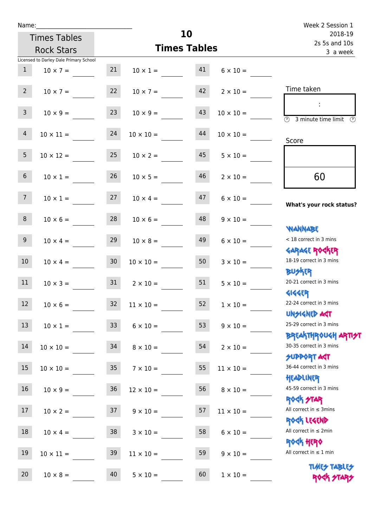| Name:           |                                        |    |                     |          |                  | Week 2 Session 1                                                 |
|-----------------|----------------------------------------|----|---------------------|----------|------------------|------------------------------------------------------------------|
|                 | <b>Times Tables</b>                    |    |                     | 10       |                  | 2018-19<br>2s 5s and 10s                                         |
|                 | <b>Rock Stars</b>                      |    | <b>Times Tables</b> | 3 a week |                  |                                                                  |
|                 | Licensed to Darley Dale Primary School |    |                     |          |                  |                                                                  |
| 1               | $10 \times 7 =$                        | 21 | $10 \times 1 = 41$  |          | $6 \times 10 =$  |                                                                  |
| $2^{\circ}$     | $10 \times 7 =$                        | 22 | $10 \times 7 =$     | 42       | $2 \times 10 =$  | Time taken                                                       |
| 3 <sup>7</sup>  | $10 \times 9 =$                        | 23 | $10 \times 9 =$     | 43       | $10 \times 10 =$ | $\circled{2}$ 3 minute time limit $\circled{2}$                  |
| $\overline{4}$  | $10 \times 11 =$                       | 24 | $10 \times 10 =$    | 44       | $10 \times 10 =$ | Score                                                            |
| 5 <sup>5</sup>  | $10 \times 12 =$                       | 25 | $10 \times 2 =$     | 45       | $5 \times 10 =$  |                                                                  |
| $6\overline{6}$ | $10 \times 1 =$                        | 26 | $10 \times 5 =$     | 46       | $2 \times 10 =$  | 60                                                               |
| 7 <sup>7</sup>  | $10 \times 1 = 27$                     |    | $10 \times 4 =$     | 47       | $6 \times 10 =$  | What's your rock status?                                         |
| 8 <sup>1</sup>  | $10 \times 6 =$                        | 28 | $10 \times 6 =$     | 48       | $9 \times 10 =$  | <b>NANNABE</b>                                                   |
| 9 <sub>o</sub>  | $10 \times 4 =$                        | 29 | $10 \times 8 =$     | 49       | $6 \times 10 =$  | < 18 correct in 3 mins                                           |
| 10 <sup>°</sup> | $10 \times 4 =$                        | 30 | $10 \times 10 =$    | 50       | $3 \times 10 =$  | <b>GARAGE ROGKER</b><br>18-19 correct in 3 mins                  |
| 11              | $10 \times 3 =$                        | 31 | $2 \times 10 =$     | 51       | $5 \times 10 =$  | <b>BU外界</b><br>20-21 correct in 3 mins<br><b>4144EP</b>          |
| 12 <sup>7</sup> | $10 \times 6 =$                        | 32 | $11 \times 10 =$    | 52       | $1\times10=$     | 22-24 correct in 3 mins<br><b>UNSIGNED AGT</b>                   |
| 13              | $10 \times 1 =$                        | 33 | $6 \times 10 =$     | 53       | $9 \times 10 =$  | 25-29 correct in 3 mins                                          |
| 14              | $10 \times 10 =$                       | 34 | $8 \times 10 =$     | 54       | $2 \times 10 =$  | <b>BREAKTHROUGH ARTI<del>S</del>T</b><br>30-35 correct in 3 mins |
| 15              | $10 \times 10 =$                       | 35 | $7 \times 10 =$     | 55       | $11 \times 10 =$ | <b>SUPPORT AGT</b><br>36-44 correct in 3 mins                    |
| 16              | $10 \times 9 =$                        | 36 | $12 \times 10 =$    | 56       | $8 \times 10 =$  | HEADLINER<br>45-59 correct in 3 mins                             |
| 17              | $10 \times 2 =$                        | 37 | $9 \times 10 =$     | 57       | $11 \times 10 =$ | <b>ROCK STAR</b><br>All correct in $\leq$ 3mins                  |
| 18              | $10 \times 4 =$                        | 38 | $3 \times 10 =$     | 58       | $6 \times 10 =$  | ROCK LEGEND<br>All correct in $\leq 2$ min                       |
| 19              | $10 \times 11 =$                       | 39 | $11 \times 10 =$    | 59       | $9 \times 10 =$  | <b>ROCK HERO</b><br>All correct in $\leq 1$ min                  |
| 20              | $10 \times 8 =$                        | 40 | $5 \times 10 =$     | 60       | $1 \times 10 =$  | <b>TUARS TABLES</b><br>ROCK STARS                                |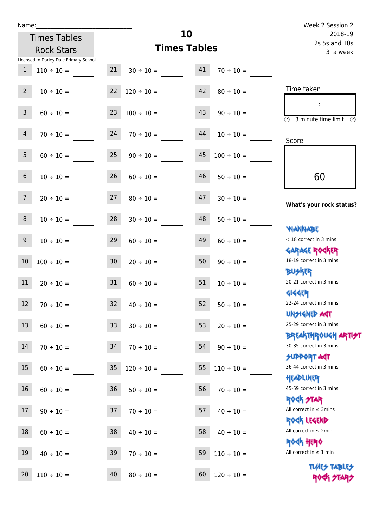| Name:          |                                        |                 |                                          | 10                       |                 | Week 2 Session 2                                                              |
|----------------|----------------------------------------|-----------------|------------------------------------------|--------------------------|-----------------|-------------------------------------------------------------------------------|
|                | <b>Times Tables</b>                    |                 |                                          | 2018-19<br>2s 5s and 10s |                 |                                                                               |
|                | <b>Rock Stars</b>                      |                 | <b>Times Tables</b>                      | 3 a week                 |                 |                                                                               |
|                | Licensed to Darley Dale Primary School |                 |                                          |                          |                 |                                                                               |
| $\mathbf{1}$   | $110 \div 10 =$                        |                 | $21 \t 30 \div 10 =$                     | 41                       | $70 \div 10 =$  |                                                                               |
| $2^{\circ}$    | $10 \div 10 =$                         |                 | $22 \t 120 \div 10 = 42 \t 80 \div 10 =$ |                          |                 | Time taken                                                                    |
| $\mathbf{3}$   | $60 \div 10 =$                         |                 | $23 \t100 \div 10 =$                     | 43                       | $90 \div 10 =$  | $\overline{\textcircled{2}}$ 3 minute time limit $\overline{\textcircled{2}}$ |
| $\overline{4}$ | $70 \div 10 =$                         |                 | $24$ $70 \div 10 =$                      | 44                       | $10 \div 10 =$  | Score                                                                         |
| 5 <sub>1</sub> | $60 \div 10 =$ 25                      |                 | $90 \div 10 =$                           | 45                       | $100 \div 10 =$ |                                                                               |
| 6 <sup>1</sup> | $10 \div 10 =$                         | 26              | $60 \div 10 =$                           | 46                       | $50 \div 10 =$  | 60                                                                            |
| 7 <sup>7</sup> | $20 \div 10 =$                         | 27              | $80 \div 10 =$                           | 47                       | $30 \div 10 =$  | What's your rock status?                                                      |
| 8              |                                        |                 | $10 \div 10 = 28$ $30 \div 10 = 48$      |                          | $50 \div 10 =$  | <b>NANNABE</b>                                                                |
| 9              | $10 \div 10 =$                         | 29              | $60 \div 10 =$                           | 49                       | $60 \div 10 =$  | < 18 correct in 3 mins<br><b>GARAGE ROCKER</b>                                |
| 10             | $100 \div 10 =$                        | 30 <sup>1</sup> | $20 \div 10 =$                           | 50                       | $90 \div 10 =$  | 18-19 correct in 3 mins<br><b>BUSKER</b>                                      |
| 11             | $20 \div 10 =$                         | 31              | $60 \div 10 =$                           | 51                       | $10 \div 10 =$  | 20-21 correct in 3 mins<br><b>4144ER</b>                                      |
| 12             | $70 \div 10 =$                         | 32              | $40 \div 10 =$                           | 52                       | $50 \div 10 =$  | 22-24 correct in 3 mins<br><b>UNSIGNED AST</b>                                |
| 13             | $60 \div 10 =$                         | 33 <sup>°</sup> | $30 \div 10 =$                           | 53                       | $20 \div 10 =$  | 25-29 correct in 3 mins<br><b>BREAKTHROUGH ARTH</b>                           |
| 14             | $70 \div 10 =$                         | 34              | $70 \div 10 =$                           | 54                       | $90 \div 10 =$  | 30-35 correct in 3 mins<br><b>SUPPORT AGT</b>                                 |
| 15             | $60 \div 10 =$                         | $35\,$          | $120 \div 10 =$                          | 55                       | $110 \div 10 =$ | 36-44 correct in 3 mins<br>HEADLINER                                          |
| 16             | $60 \div 10 =$                         | 36              | $50 \div 10 =$                           | 56                       | $70 \div 10 =$  | 45-59 correct in 3 mins<br><b>ROCK STAR</b>                                   |
| 17             | $90 \div 10 =$                         | 37              | $70 \div 10 =$                           | 57                       | $40 \div 10 =$  | All correct in $\leq$ 3mins<br>ROCK LEGEND                                    |
| 18             | $60 \div 10 =$                         | 38              | $40 \div 10 =$                           | 58                       | $40 \div 10 =$  | All correct in $\leq 2$ min<br><b>ROCK HERO</b>                               |
| 19             | $40 \div 10 =$                         | 39              | $70 \div 10 =$                           | 59                       | $110 \div 10 =$ | All correct in $\leq 1$ min                                                   |
| 20             | $110 \div 10 =$                        | 40              | $80 \div 10 =$                           | 60                       | $120 \div 10 =$ | <b>TUARS TABLES</b><br>ROCK STARS                                             |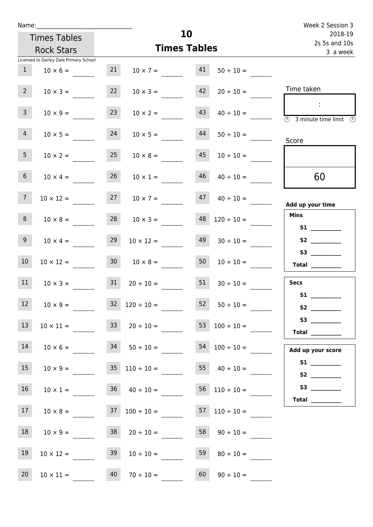| Name:           |                                        |                     |                                    |    | Week 2 Session 3             |                                      |
|-----------------|----------------------------------------|---------------------|------------------------------------|----|------------------------------|--------------------------------------|
|                 | <b>Times Tables</b>                    |                     |                                    | 10 |                              | 2018-19                              |
|                 | <b>Rock Stars</b>                      | <b>Times Tables</b> |                                    |    | 2s 5s and 10s<br>3 a week    |                                      |
|                 | Licensed to Darley Dale Primary School |                     |                                    |    |                              |                                      |
| 1               | $10 \times 6 =$                        | 21                  | $10 \times 7 =$                    | 41 | $50 \div 10 =$               |                                      |
| $2^{\circ}$     | $10 \times 3 =$                        | 22                  | $10 \times 3 =$                    |    | $42 \overline{20 \div 10} =$ | Time taken                           |
| 3 <sup>7</sup>  | $10 \times 9 =$                        | 23                  | $10 \times 2 =$                    | 43 | $40 \div 10 =$               | 3 minute time limit<br>$\mathcal{O}$ |
| $\overline{4}$  | $10 \times 5 =$                        | 24                  | $10 \times 5 =$                    | 44 | $50 \div 10 =$               | Score                                |
| 5 <sub>5</sub>  | $10 \times 2 = 25$                     |                     | $10 \times 8 =$                    | 45 | $10 \div 10 =$               |                                      |
| 6 <sup>1</sup>  | $10 \times 4 =$                        | 26                  | $10 \times 1 =$                    | 46 | $40 \div 10 =$               | 60                                   |
| $7\overline{ }$ | $10 \times 12 =$                       | 27                  | $10 \times 7 =$                    | 47 | $40 \div 10 =$               | Add up your time                     |
| 8 <sup>1</sup>  |                                        |                     | $10 \times 8 = 28$ $10 \times 3 =$ | 48 | $120 \div 10 =$              | <b>Mins</b><br><b>S1</b>             |
| 9 <sub>o</sub>  | $10 \times 4 =$                        | 29                  | $10 \times 12 =$                   | 49 | $30 \div 10 =$               | S2                                   |
| 10 <sup>°</sup> | $10 \times 12 =$                       | 30                  | $10 \times 8 =$                    | 50 | $10 \div 10 =$               | S3<br>Total $\qquad$                 |
| 11              | $10 \times 3 =$                        | 31                  | $20 \div 10 =$                     | 51 | $30 \div 10 =$               | <b>Secs</b>                          |
| 12 <sup>2</sup> | $10 \times 9 =$                        |                     | $32 \quad 120 \div 10 =$           |    | $52 \t 50 \div 10 =$         | <b>S1</b>                            |
| 13              |                                        |                     | $10 \times 11 =$ $33 \div 10 =$    |    | $100 \div 10 =$              | Total                                |
| 14              |                                        |                     | $10 \times 6 = 34$ $50 \div 10 =$  |    | $54 \quad 100 \div 10 =$     | Add up your score                    |
| 15              | $10 \times 9 =$                        |                     | $35 \quad 110 \div 10 =$           |    | 55 $40 \div 10 =$            |                                      |
| 16              | $10 \times 1 =$                        |                     | $36 \t 40 \div 10 =$               |    | $56 \quad 110 \div 10 =$     |                                      |
| 17              |                                        |                     | $10 \times 8 =$ 37 $100 \div 10 =$ |    | $57 \quad 110 \div 10 =$     |                                      |
| 18              | $10 \times 9 =$                        |                     | $38$ $20 \div 10 =$                |    | $58 \t 90 \div 10 =$         |                                      |
| 19              | $10 \times 12 =$                       | 39                  | $10 \div 10 =$                     | 59 | $80 \div 10 =$               |                                      |

20  $10 \times 11 =$  40  $70 \div 10 =$  60  $90 \div 10 =$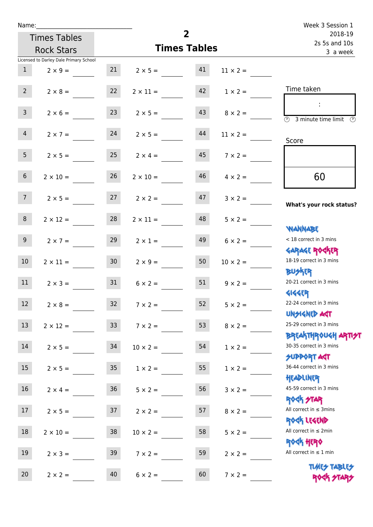| Name:            |                                        |                 | Week 3 Session 1     |                          |                 |                                                                  |
|------------------|----------------------------------------|-----------------|----------------------|--------------------------|-----------------|------------------------------------------------------------------|
|                  | <b>Times Tables</b>                    |                 |                      | 2018-19<br>2s 5s and 10s |                 |                                                                  |
|                  | <b>Rock Stars</b>                      |                 | <b>Times Tables</b>  | 3 a week                 |                 |                                                                  |
|                  | Licensed to Darley Dale Primary School |                 |                      |                          |                 |                                                                  |
| 1                | $2 \times 9 =$                         |                 | $21 \t 2 \times 5 =$ | 41                       | $11 \times 2 =$ |                                                                  |
| 2                | $2 \times 8 =$                         | 22              | $2 \times 11 =$      |                          | $1 \times 2 =$  | Time taken                                                       |
| 3 <sup>7</sup>   | $2 \times 6 =$                         | 23              | $2 \times 5 =$       | 43                       | $8 \times 2 =$  | $\overline{\textcircled{2}}$ 3 minute time limit<br>O)           |
| $\overline{4}$   | $2 \times 7 = 24$                      |                 | $2 \times 5 =$       | 44                       | $11 \times 2 =$ | Score                                                            |
| 5 <sup>1</sup>   | $2 \times 5 = 25$                      |                 | $2 \times 4 =$       | 45                       | $7 \times 2 =$  |                                                                  |
| 6 <sup>1</sup>   | $2 \times 10 =$                        | 26              | $2 \times 10 =$      | 46                       | $4 \times 2 =$  | 60                                                               |
| 7 <sup>7</sup>   | $2 \times 5 = 27$                      |                 | $2 \times 2 =$       | 47                       | $3 \times 2 =$  | What's your rock status?                                         |
| 8                | $2 \times 12 =$                        | 28              | $2 \times 11 =$      | 48                       | $5 \times 2 =$  | <b>WANNABE</b>                                                   |
| 9 <sub>o</sub>   | $2 \times 7 =$                         | 29              | $2 \times 1 =$       | 49                       | $6 \times 2 =$  | < 18 correct in 3 mins<br><b>GARAGE ROCKER</b>                   |
| 10 <sup>°</sup>  | $2 \times 11 =$                        | 30 <sub>o</sub> | $2 \times 9 =$       | 50                       | $10 \times 2 =$ | 18-19 correct in 3 mins<br><b>BUSKER</b>                         |
| 11               | $2 \times 3 = 31$                      |                 | $6 \times 2 =$       | 51                       | $9 \times 2 =$  | 20-21 correct in 3 mins<br><b>4144EP</b>                         |
| 12               | $2 \times 8 =$                         | 32              | $7 \times 2 =$       | 52                       | $5 \times 2 =$  | 22-24 correct in 3 mins<br><b>UNSIGNED AST</b>                   |
| 13               | $2 \times 12 =$                        | 33 <sup>°</sup> | $7 \times 2 =$       | 53                       | $8 \times 2 =$  | 25-29 correct in 3 mins<br><b>BREAKTHROUGH ARTI<del>S</del>T</b> |
| 14               | $2 \times 5 =$                         | 34              | $10 \times 2 =$      | 54                       | $1 \times 2 =$  | 30-35 correct in 3 mins<br><b>SUPPORT AGT</b>                    |
| 15 <sub>15</sub> | $2 \times 5 =$                         | 35 <sub>o</sub> | $1 \times 2 =$       | 55                       | $1 \times 2 =$  | 36-44 correct in 3 mins<br>HEADLINER                             |
| 16               | $2 \times 4 =$                         | $36\,$          | $5 \times 2 =$       | 56                       | $3 \times 2 =$  | 45-59 correct in 3 mins<br>ROCK STAR                             |
| 17               | $2 \times 5 =$                         | 37              | $2 \times 2 =$       | 57                       | $8 \times 2 =$  | All correct in $\leq$ 3mins<br>ROCK LEGEND                       |
| $18\,$           | $2 \times 10 =$                        | $38\,$          | $10 \times 2 =$      | 58                       | $5 \times 2 =$  | All correct in $\leq 2$ min                                      |
| 19               | $2 \times 3 =$                         | 39              | $7 \times 2 =$       | 59                       | $2 \times 2 =$  | ROCK HERO<br>All correct in $\leq 1$ min                         |
| 20               | $2 \times 2 =$                         | 40              | $6 \times 2 =$       | 60                       | $7 \times 2 =$  | <b>TUARS TABLES</b><br>ROCK STARS                                |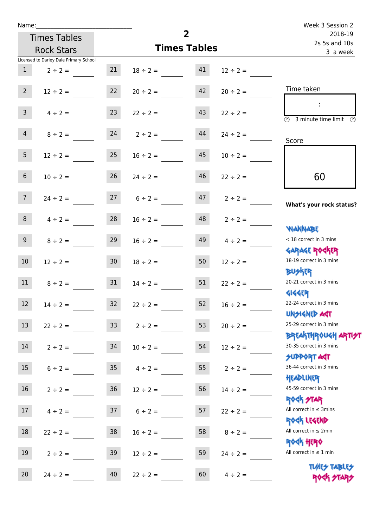| Name:           |                                        |                 |                     | Week 3 Session 2         |                   |                                                                    |
|-----------------|----------------------------------------|-----------------|---------------------|--------------------------|-------------------|--------------------------------------------------------------------|
|                 | <b>Times Tables</b>                    |                 | $\overline{2}$      | 2018-19<br>2s 5s and 10s |                   |                                                                    |
|                 | <b>Rock Stars</b>                      |                 | <b>Times Tables</b> | 3 a week                 |                   |                                                                    |
|                 | Licensed to Darley Dale Primary School |                 |                     |                          |                   |                                                                    |
| $\mathbf{1}$    | $2 \div 2 =$                           | 21              | $18 \div 2 =$       | 41                       | $12 \div 2 =$     |                                                                    |
| $2^{\circ}$     | $12 \div 2 =$                          | 22              | $20 \div 2 =$       | 42                       | $20 \div 2 =$     | Time taken                                                         |
| 3 <sup>7</sup>  | $4 \div 2 =$                           | 23              | $22 \div 2 =$       | 43                       | $22 \div 2 =$     | $\overline{\textcircled{2}}$ 3 minute time limit $\textcircled{2}$ |
| $\overline{4}$  | $8 \div 2 =$                           | 24              | $2 \div 2 =$        | 44                       | $24 \div 2 =$     | Score                                                              |
| 5 <sub>1</sub>  | $12 \div 2 = 25$                       |                 | $16 \div 2 =$       | 45                       | $10 \div 2 =$     |                                                                    |
| 6 <sup>1</sup>  | $10 \div 2 =$                          | 26              | $24 \div 2 =$       | 46                       | $22 \div 2 =$     | 60                                                                 |
| 7 <sup>7</sup>  | $24 \div 2 =$                          |                 | $27 \t 6 \div 2 =$  | 47                       | $2 \div 2 =$      | What's your rock status?                                           |
| 8 <sup>1</sup>  | $4 \div 2 =$                           | 28              | $16 \div 2 =$       |                          | $48$ $2 \div 2 =$ | <b>YIANNABE</b>                                                    |
| 9 <sub>o</sub>  | $8 \div 2 =$                           | 29              | $16 \div 2 =$       | 49                       | $4 \div 2 =$      | < 18 correct in 3 mins                                             |
| 10 <sup>°</sup> | $12 \div 2 =$                          | 30 <sub>o</sub> | $18 \div 2 =$       | 50                       | $12 \div 2 =$     | <b>GARAGE ROCKER</b><br>18-19 correct in 3 mins<br><b>BUSKER</b>   |
| 11              | $8 \div 2 =$                           | 31              | $14 \div 2 =$       | 51                       | $22 \div 2 =$     | 20-21 correct in 3 mins<br><b>4144EP</b>                           |
| 12              | $14 \div 2 =$                          | 32              | $22 \div 2 =$       | 52                       | $16 \div 2 =$     | 22-24 correct in 3 mins<br><b>UNSIGNED AST</b>                     |
| 13              | $22 \div 2 =$                          | 33              | $2 \div 2 =$        | 53                       | $20 \div 2 =$     | 25-29 correct in 3 mins<br><b>BREAKTHROUGH ART!</b>                |
| 14              | $2 \div 2 =$                           | 34              | $10 \div 2 =$       | 54                       | $12 \div 2 =$     | 30-35 correct in 3 mins<br><b>SUPPORT AGT</b>                      |
| 15              | $6 \div 2 =$                           | $35\,$          | $4 \div 2 =$        | 55                       | $2 \div 2 =$      | 36-44 correct in 3 mins<br>HEADLINER                               |
| 16              | $2 \div 2 =$                           | $36\,$          | $12 \div 2 =$       | 56                       | $14 \div 2 =$     | 45-59 correct in 3 mins<br><b>ROCK STAR</b>                        |
| 17              | $4 \div 2 =$                           | 37              | $6 \div 2 =$        | 57                       | $22 \div 2 =$     | All correct in $\leq$ 3mins<br>ROCK LEGEND                         |
| 18              | $22 \div 2 =$                          | 38              | $16 \div 2 =$       | 58                       | $8 \div 2 =$      | All correct in $\leq 2$ min<br><b>ROCK HERO</b>                    |
| 19              | $2 \div 2 =$                           | 39              | $12 \div 2 =$       | 59                       | $24 \div 2 =$     | All correct in $\leq 1$ min                                        |
| 20              | $24 \div 2 =$                          | 40              | $22 \div 2 =$       | 60                       | $4 \div 2 =$      | <b>TUARS TABLES</b><br>ROCK STARS                                  |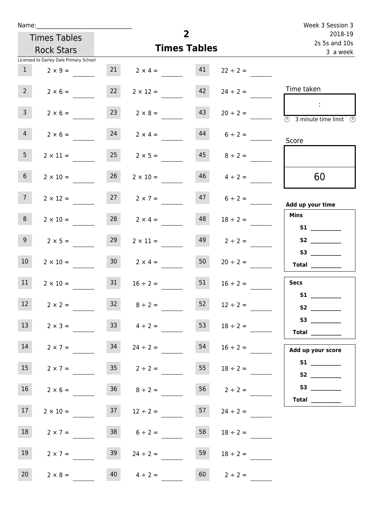| Name:           |                                        |    |                      |                     |                    | Week 3 Session 3                                                                      |
|-----------------|----------------------------------------|----|----------------------|---------------------|--------------------|---------------------------------------------------------------------------------------|
|                 | <b>Times Tables</b>                    |    |                      | $\overline{2}$      |                    | 2018-19<br>2s 5s and 10s                                                              |
|                 | <b>Rock Stars</b>                      |    |                      | <b>Times Tables</b> |                    | 3 a week                                                                              |
|                 | Licensed to Darley Dale Primary School |    |                      |                     |                    |                                                                                       |
| 1               | $2 \times 9 =$                         |    | 21 $2 \times 4 =$ 41 |                     | $22 \div 2 =$      |                                                                                       |
| $2^{\circ}$     | $2 \times 6 =$                         | 22 | $2 \times 12 =$      | 42                  | $24 \div 2 =$      | Time taken                                                                            |
| 3 <sup>7</sup>  | $2 \times 6 =$                         | 23 | $2 \times 8 =$       | 43                  | $20 \div 2 =$      | - 11<br>$\overline{\textcircled{2}}$ 3 minute time limit $\overline{\textcircled{2}}$ |
| $\overline{4}$  | $2 \times 6 =$                         | 24 | $2 \times 4 =$       |                     | $44$ 6 ÷ 2 =       | Score                                                                                 |
| 5 <sub>1</sub>  | $2 \times 11 =$                        | 25 | $2 \times 5 =$       |                     | $45 \t 8 \div 2 =$ |                                                                                       |
| 6 <sub>1</sub>  | $2 \times 10 =$                        | 26 | $2 \times 10 =$      |                     | $46$ $4 \div 2 =$  | 60                                                                                    |
| 7 <sup>7</sup>  | $2 \times 12 =$                        |    | $27 \t 2 \times 7 =$ |                     | $47$ $6 \div 2 =$  | Add up your time                                                                      |
| 8 <sub>1</sub>  | $2 \times 10 =$                        |    | $28$ $2 \times 4 =$  | 48                  | $18 \div 2 =$      | <b>Mins</b>                                                                           |
| 9               | $2 \times 5 =$                         | 29 | $2 \times 11 =$      | 49                  | $2 \div 2 =$       | S2                                                                                    |
| 10 <sup>°</sup> | $2 \times 10 =$                        |    | $30 \t 2 \times 4 =$ | 50                  | $20 \div 2 =$      | Total $\_\_$                                                                          |
| 11              | $2 \times 10 =$                        | 31 | $16 \div 2 =$        | 51                  | $16 \div 2 =$      | <b>Secs</b>                                                                           |
| 12              | $2 \times 2 =$                         | 32 | $8 \div 2 =$         | 52                  | $12 \div 2 =$      | S1                                                                                    |
| 13              | $2 \times 3 =$                         |    | $33 \t 4 \div 2 =$   | 53                  | $18 \div 2 =$      | S3<br>Total $\qquad$                                                                  |
| 14              | $2 \times 7 =$                         | 34 | $24 \div 2 =$        | 54                  | $16 \div 2 =$      | Add up your score                                                                     |
| 15              | $2 \times 7 =$                         |    | $35 \t2 \div 2 =$    | 55                  | $18 \div 2 =$      |                                                                                       |
| 16              | $2 \times 6 =$                         |    | $36 \t 8 \div 2 =$   |                     | $56 \t 2 \div 2 =$ |                                                                                       |
| 17              | $2 \times 10 =$                        |    | $37 \t 12 \div 2 =$  |                     | $57 \t24 \div 2 =$ |                                                                                       |
| 18              | $2 \times 7 =$                         |    | $38$ $6 \div 2 =$    | 58                  | $18 \div 2 =$      |                                                                                       |
| 19              | $2 \times 7 =$                         | 39 | $24 \div 2 =$        | 59                  | $18 \div 2 =$      |                                                                                       |
| 20 <sub>2</sub> | $2 \times 8 =$                         | 40 | $4 \div 2 =$         | 60                  | $2 \div 2 =$       |                                                                                       |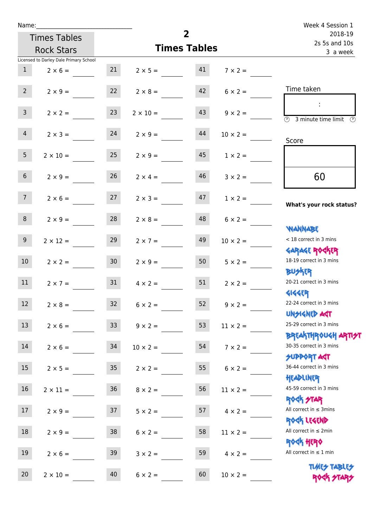| Name:           |                                        |                 |                      | $\overline{2}$           |                 | Week 4 Session 1                                                 |
|-----------------|----------------------------------------|-----------------|----------------------|--------------------------|-----------------|------------------------------------------------------------------|
|                 | <b>Times Tables</b>                    |                 |                      | 2018-19<br>2s 5s and 10s |                 |                                                                  |
|                 | <b>Rock Stars</b>                      |                 | <b>Times Tables</b>  | 3 a week                 |                 |                                                                  |
|                 | Licensed to Darley Dale Primary School |                 |                      |                          |                 |                                                                  |
| 1               | $2 \times 6 =$                         |                 | 21 $2 \times 5 =$ 41 |                          | $7 \times 2 =$  |                                                                  |
| $2^{\circ}$     | $2 \times 9 =$                         | 22              | $2 \times 8 =$       | 42                       | $6 \times 2 =$  | Time taken                                                       |
| 3 <sup>7</sup>  | $2 \times 2 =$                         | 23              | $2 \times 10 =$      | 43                       | $9 \times 2 =$  | (1)<br>3 minute time limit<br>(V)                                |
| $\overline{4}$  | $2 \times 3 =$                         | 24              | $2 \times 9 =$       | 44                       | $10 \times 2 =$ | Score                                                            |
| 5 <sub>1</sub>  | $2 \times 10 =$                        | 25              | $2 \times 9 =$       | 45                       | $1 \times 2 =$  |                                                                  |
| 6 <sup>1</sup>  | $2 \times 9 =$                         | 26              | $2 \times 4 =$       | 46                       | $3 \times 2 =$  | 60                                                               |
| 7 <sup>7</sup>  | $2 \times 6 =$                         | 27              | $2 \times 3 =$       | 47                       | $1 \times 2 =$  | What's your rock status?                                         |
| 8               | $2 \times 9 =$                         | 28              | $2 \times 8 =$       | 48                       | $6 \times 2 =$  | <b>NANNABE</b>                                                   |
| 9 <sub>o</sub>  | $2 \times 12 =$                        | 29              | $2 \times 7 =$       | 49                       | $10 \times 2 =$ | < 18 correct in 3 mins                                           |
| 10 <sup>1</sup> | $2 \times 2 =$                         | 30 <sub>o</sub> | $2 \times 9 =$       | 50 <sup>7</sup>          | $5 \times 2 =$  | <b>GARAGE ROGKER</b><br>18-19 correct in 3 mins<br>BU外四          |
| 11              | $2 \times 7 = 31$                      |                 | $4 \times 2 =$       | 51                       | $2 \times 2 =$  | 20-21 correct in 3 mins<br><b>4144ER</b>                         |
| 12              | $2 \times 8 =$                         | 32              | $6 \times 2 =$       | 52                       | $9 \times 2 =$  | 22-24 correct in 3 mins<br><b>UNSIGNED AGT</b>                   |
| 13              | $2 \times 6 =$                         | 33 <sup>°</sup> | $9 \times 2 =$       | 53                       | $11 \times 2 =$ | 25-29 correct in 3 mins<br><b>BREAKTHROUGH ARTI<del>S</del>T</b> |
| 14              | $2 \times 6 =$                         | 34              | $10 \times 2 =$      | 54                       | $7 \times 2 =$  | 30-35 correct in 3 mins<br><b>SUPPORT AGT</b>                    |
| 15              | $2 \times 5 =$                         | 35              | $2 \times 2 =$       | 55                       | $6 \times 2 =$  | 36-44 correct in 3 mins<br>HEADLINER                             |
| 16              | $2 \times 11 =$                        | 36              | $8 \times 2 =$       | 56                       | $11 \times 2 =$ | 45-59 correct in 3 mins<br><b>ROCK STAR</b>                      |
| 17              | $2 \times 9 =$                         | 37              | $5 \times 2 =$       | 57                       | $4 \times 2 =$  | All correct in $\leq$ 3mins<br>ROCK LEGEND                       |
| 18              | $2 \times 9 =$                         | 38              | $6 \times 2 =$       | 58                       | $11 \times 2 =$ | All correct in $\leq 2$ min<br><b>ROCK HERO</b>                  |
| 19              | $2 \times 6 =$                         | 39              | $3 \times 2 =$       | 59                       | $4 \times 2 =$  | All correct in $\leq 1$ min                                      |
| 20              | $2 \times 10 =$                        | 40              | $6 \times 2 =$       | 60                       | $10 \times 2 =$ | <b>TUARS TABLES</b><br>ROCK STARS                                |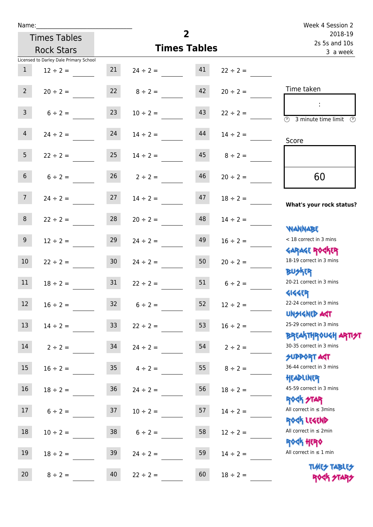| Name:           |                                        |                  |                     | Week 4 Session 2 |               |                                                                    |
|-----------------|----------------------------------------|------------------|---------------------|------------------|---------------|--------------------------------------------------------------------|
|                 | <b>Times Tables</b>                    |                  |                     | $\overline{2}$   |               | 2018-19<br>2s 5s and 10s                                           |
|                 | <b>Rock Stars</b>                      |                  | <b>Times Tables</b> | 3 a week         |               |                                                                    |
|                 | Licensed to Darley Dale Primary School |                  |                     |                  |               |                                                                    |
| 1               | $12 \div 2 =$                          | 21               | $24 \div 2 =$       | 41               | $22 \div 2 =$ |                                                                    |
| $2^{\circ}$     | $20 \div 2 =$                          |                  | $22 \t 8 \div 2 =$  | 42               | $20 \div 2 =$ | Time taken                                                         |
| 3 <sup>7</sup>  | $6 \div 2 =$                           | 23               | $10 \div 2 =$       | 43               | $22 \div 2 =$ | $\overline{\textcircled{2}}$ 3 minute time limit $\textcircled{2}$ |
| $\overline{4}$  | $24 \div 2 =$                          | 24               | $14 \div 2 =$       | 44               | $14 \div 2 =$ | Score                                                              |
| 5 <sub>1</sub>  | $22 \div 2 = 25$                       |                  | $14 \div 2 =$       | 45               | $8 \div 2 =$  |                                                                    |
| 6 <sup>1</sup>  | $6 \div 2 =$                           | 26               | $2 \div 2 =$        | 46               | $20 \div 2 =$ | 60                                                                 |
| 7 <sup>7</sup>  | $24 \div 2 =$                          | 27               | $14 \div 2 =$       | 47               | $18 \div 2 =$ | What's your rock status?                                           |
| 8               | $22 \div 2 =$                          | 28               | $20 \div 2 =$       | 48               | $14 \div 2 =$ | <b>WANNABE</b>                                                     |
| 9 <sub>o</sub>  | $12 \div 2 =$                          | 29               | $24 \div 2 =$       | 49               | $16 \div 2 =$ | < 18 correct in 3 mins<br><b>GARAGE ROCKER</b>                     |
| 10 <sup>°</sup> | $22 \div 2 =$                          | 30 <sup>°</sup>  | $24 \div 2 =$       | 50               | $20 \div 2 =$ | 18-19 correct in 3 mins<br><b>BUSKER</b>                           |
| 11              | $18 \div 2 =$                          | 31               | $22 \div 2 =$       | 51               | $6 \div 2 =$  | 20-21 correct in 3 mins<br><b>4144EP</b>                           |
| 12              | $16 \div 2 =$                          | 32               | $6 \div 2 =$        | 52               | $12 \div 2 =$ | 22-24 correct in 3 mins<br><b>UNSIGNED AST</b>                     |
| 13              | $14 \div 2 =$                          | 33               | $22 \div 2 =$       | 53               | $16 \div 2 =$ | 25-29 correct in 3 mins<br><b>BREAKTHROUGH ARTH</b>                |
| 14              | $2 \div 2 =$                           | 34               | $24 \div 2 =$       | 54               | $2 \div 2 =$  | 30-35 correct in 3 mins<br><b>SUPPORT AGT</b>                      |
| 15              | $16 \div 2 =$                          | $35\phantom{.0}$ | $4 \div 2 =$        | 55               | $8 \div 2 =$  | 36-44 correct in 3 mins<br>HEADLINER                               |
| 16              | $18 \div 2 =$                          | $36\,$           | $24 \div 2 =$       | 56               | $18 \div 2 =$ | 45-59 correct in 3 mins<br><b>ROCK STAR</b>                        |
| 17              | $6 \div 2 =$                           | 37               | $10 \div 2 =$       | 57               | $14 \div 2 =$ | All correct in $\leq$ 3mins<br>ROCK LEGEND                         |
| 18              | $10 \div 2 =$                          | $38\,$           | $6 \div 2 =$        | 58               | $12 \div 2 =$ | All correct in $\leq 2$ min<br><b>ROCK HERO</b>                    |
| 19              | $18 \div 2 =$                          | 39               | $24 \div 2 =$       | 59               | $14 \div 2 =$ | All correct in $\leq 1$ min                                        |
| 20              | $8 \div 2 =$                           | 40               | $22 \div 2 =$       | 60               | $18 \div 2 =$ | <b>TUARS TABLES</b><br>ROCK STARS                                  |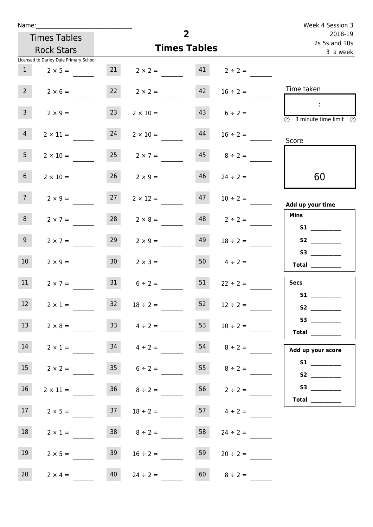| Name:           |                                        |                 |                                   | $\overline{2}$ |                          | Week 4 Session 3                                                          |
|-----------------|----------------------------------------|-----------------|-----------------------------------|----------------|--------------------------|---------------------------------------------------------------------------|
|                 | <b>Times Tables</b>                    |                 |                                   |                | 2018-19<br>2s 5s and 10s |                                                                           |
|                 | <b>Rock Stars</b>                      |                 | <b>Times Tables</b>               | 3 a week       |                          |                                                                           |
|                 | Licensed to Darley Dale Primary School |                 |                                   |                |                          |                                                                           |
|                 | $1 \t 2 \times 5 =$                    |                 | 21 $2 \times 2 =$ 41 $2 \div 2 =$ |                |                          |                                                                           |
| $2^{\circ}$     | $2 \times 6 =$                         |                 | $22 \t 2 \times 2 =$              | 42             | $16 \div 2 =$            | Time taken                                                                |
| 3 <sup>7</sup>  | $2 \times 9 =$                         | 23              | $2 \times 10 =$                   |                | $43 \t 6 \div 2 =$       | $\sim 10$<br>$\overline{\circledcirc}$ 3 minute time limit $\circledcirc$ |
| $\overline{4}$  | $2 \times 11 =$                        | 24              | $2 \times 10 =$                   | 44             | $16 \div 2 =$            | Score                                                                     |
| 5 <sub>1</sub>  | $2 \times 10 =$                        |                 | $25 \t 2 \times 7 =$              |                | $45 \t 8 \div 2 =$       |                                                                           |
| 6 <sup>1</sup>  | $2 \times 10 =$                        |                 | $26 \t 2 \times 9 =$              | 46             | $24 \div 2 =$            | 60                                                                        |
| 7 <sup>7</sup>  | $2 \times 9 =$                         | 27              | $2 \times 12 =$                   |                | $47 \t10 \div 2 =$       | Add up your time                                                          |
| 8               | $2 \times 7 =$                         | 28              | $2 \times 8 =$                    |                | $48$ $2 \div 2 =$        | <b>Mins</b><br>S1                                                         |
| 9 <sub>o</sub>  | $2 \times 7 =$                         | 29              | $2 \times 9 =$                    | 49             | $18 \div 2 =$            | S3                                                                        |
| 10 <sup>°</sup> | $2 \times 9 =$                         | 30 <sup>°</sup> | $2 \times 3 =$                    |                | $50 \t 4 \div 2 =$       | $\begin{tabular}{c} Total \end{tabular}$                                  |
| 11              | $2 \times 7 =$                         |                 | $31 \t 6 \div 2 =$                | 51             | $22 \div 2 =$            | <b>Secs</b><br><b>S1</b>                                                  |
| 12 <sub>2</sub> | $2 \times 1 =$                         | 32              | $18 \div 2 =$                     | 52             | $12 \div 2 =$            |                                                                           |
| 13              | $2 \times 8 =$                         |                 | $33 \t 4 \div 2 =$                | 53             | $10 \div 2 =$            | Total $\qquad$                                                            |
| 14              | $2 \times 1 =$                         | 34              | $4 \div 2 =$                      | 54             | $8 \div 2 =$             | Add up your score                                                         |
| 15              | $2 \times 2 =$                         |                 | $35 \t 6 \div 2 =$                |                | 55 $8 \div 2 =$          |                                                                           |
| 16              | $2 \times 11 =$                        |                 | $36 \t 8 \div 2 =$                |                | $56 \t 2 \div 2 =$       |                                                                           |
| 17              | $2 \times 5 =$                         | 37              | $18 \div 2 =$                     |                | $57 \t 4 \div 2 =$       |                                                                           |
| 18              | $2 \times 1 =$                         |                 | $38 \t 8 \div 2 =$                | 58             | $24 \div 2 =$            |                                                                           |
| 19              | $2 \times 5 =$                         | 39              | $16 \div 2 =$                     | 59             | $20 \div 2 =$            |                                                                           |
| 20              | $2 \times 4 =$                         | 40              | $24 \div 2 =$                     | 60             | $8 \div 2 =$             |                                                                           |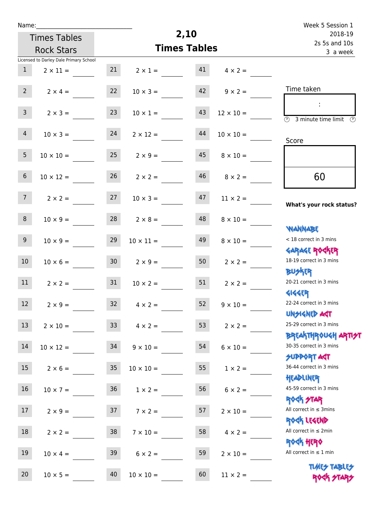| Week 5 Session 1                                                   |                     |                   |                  | Name:           |                                        |                   |  |  |
|--------------------------------------------------------------------|---------------------|-------------------|------------------|-----------------|----------------------------------------|-------------------|--|--|
| 2018-19                                                            |                     | 2,10              |                  |                 | <b>Times Tables</b>                    |                   |  |  |
| 2s 5s and 10s<br>3 a week                                          | <b>Times Tables</b> | <b>Rock Stars</b> |                  |                 |                                        |                   |  |  |
|                                                                    |                     |                   |                  |                 | Licensed to Darley Dale Primary School |                   |  |  |
|                                                                    | $4 \times 2 =$      | 41                | $2 \times 1 =$   | 21              | $2 \times 11 =$                        | $\mathbf{1}$      |  |  |
| Time taken                                                         | $9 \times 2 =$      | 42                | $10 \times 3 =$  | 22              | $2 \times 4 =$                         | $2^{\circ}$       |  |  |
| $\overline{(\mathcal{V})}$<br>3 minute time limit<br>$\mathcal{O}$ | $12 \times 10 =$    | 43                | $10 \times 1 =$  | 23              | $2 \times 3 =$                         | $\mathbf{3}$      |  |  |
| Score                                                              | $10 \times 10 =$    | 44                | $2 \times 12 =$  | 24              | $10 \times 3 =$                        | $\overline{4}$    |  |  |
|                                                                    | $8 \times 10 =$     | 45                | $2 \times 9 =$   | 25              | $10 \times 10 =$                       | 5                 |  |  |
| 60                                                                 | $8 \times 2 =$      | 46                | $2 \times 2 =$   | 26              | $10 \times 12 =$                       | $6\,$             |  |  |
| What's your rock status?                                           | $11 \times 2 =$     | 47                | $10 \times 3 =$  | 27              | $2 \times 2 =$                         | 7 <sup>7</sup>    |  |  |
| <b>JARNARY</b>                                                     | $8 \times 10 =$     | 48                | $2 \times 8 =$   | 28              | $10 \times 9 =$                        | 8                 |  |  |
| < 18 correct in 3 mins<br><b>GARAGE ROGKER</b>                     | $8 \times 10 =$     | 49                | $10 \times 11 =$ | 29              | $10 \times 9 =$                        | 9                 |  |  |
| 18-19 correct in 3 mins<br><b>BUSKER</b>                           | $2 \times 2 =$      | 50                | $2 \times 9 =$   | 30 <sub>o</sub> | $10 \times 6 =$                        | $10\,$            |  |  |
| 20-21 correct in 3 mins<br><b>4144EP</b>                           | $2 \times 2 =$      | 51                | $10 \times 2 =$  | 31              | $2 \times 2 =$                         | 11                |  |  |
| 22-24 correct in 3 mins<br><b>UNSIGNED AGT</b>                     | $9 \times 10 =$     | 52                | $4 \times 2 =$   | 32              | $2 \times 9 =$                         | $12 \overline{ }$ |  |  |
| 25-29 correct in 3 mins<br><b>BREAKTHROUGH ARTI<del>S</del>T</b>   | $2 \times 2 =$      | 53                | $4 \times 2 =$   | 33 <sup>°</sup> | $2 \times 10 =$                        | 13                |  |  |
| 30-35 correct in 3 mins<br><b>SUPPORT ART</b>                      | $6 \times 10 =$     | 54                | $9 \times 10 =$  |                 | $10 \times 12 = 34$                    | $14\,$            |  |  |
| 36-44 correct in 3 mins<br>HEADLINER                               | $1 \times 2 =$      | 55                | $10 \times 10 =$ | 35              | $2 \times 6 =$                         | 15                |  |  |
| 45-59 correct in 3 mins<br><b>ROCK STAR</b>                        | $6 \times 2 =$      | 56                | $1 \times 2 =$   | 36 <sub>2</sub> | $10 \times 7 =$                        | 16                |  |  |
| All correct in $\leq$ 3mins<br>ROCK LEGEND                         | $2 \times 10 =$     | 57                | $7 \times 2 =$   | 37              | $2 \times 9 =$                         | 17                |  |  |
| All correct in $\leq 2$ min<br><b>ROGH HERO</b>                    | $4 \times 2 =$      | 58                | $7 \times 10 =$  | 38              | $2 \times 2 =$                         | 18                |  |  |
| All correct in $\leq 1$ min                                        | $2 \times 10 =$     | 59                | $6 \times 2 =$   | 39              | $10 \times 4 =$                        | 19                |  |  |
| <b>TUARS TABLES</b><br>ROCK STARS                                  | $11 \times 2 =$     | 60                | $10 \times 10 =$ | 40              | $10 \times 5 =$                        | 20                |  |  |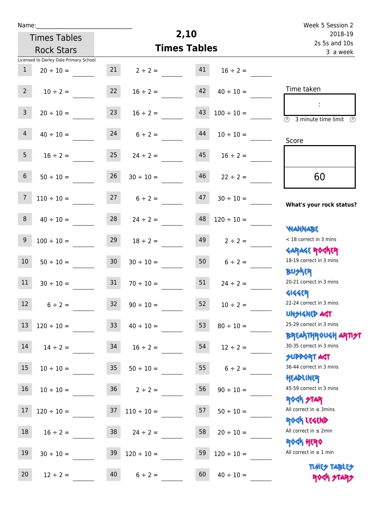| u | am |  |  |
|---|----|--|--|
|   |    |  |  |

| Name:            |                                        |                 |                          | 2,10                |                   | Week 5 Session 2                                                 |
|------------------|----------------------------------------|-----------------|--------------------------|---------------------|-------------------|------------------------------------------------------------------|
|                  | <b>Times Tables</b>                    |                 | 2018-19<br>2s 5s and 10s |                     |                   |                                                                  |
|                  | <b>Rock Stars</b>                      |                 |                          | <b>Times Tables</b> | 3 a week          |                                                                  |
|                  | Licensed to Darley Dale Primary School |                 |                          |                     |                   |                                                                  |
| $\mathbf{1}$     | $20 \div 10 =$                         | 21              | $2 \div 2 =$             | 41                  | $16 \div 2 =$     |                                                                  |
| $2^{\circ}$      | $10 \div 2 =$                          | 22              | $16 \div 2 =$            | 42                  | $40 \div 10 =$    | Time taken                                                       |
| $\overline{3}$   | $20 \div 10 =$                         | 23              | $16 \div 2 =$            | 43                  | $100 \div 10 =$   | ÷<br>$\overline{(\mathcal{V})}$<br>3 minute time limit<br>⊙      |
| $\overline{4}$   | $40 \div 10 =$                         | 24              | $6 \div 2 =$             | 44                  | $10 \div 10 =$    | Score                                                            |
| 5 <sub>1</sub>   | $16 \div 2 =$                          | 25              | $24 \div 2 =$            | 45                  | $16 \div 2 =$     |                                                                  |
| 6 <sup>1</sup>   | $50 \div 10 =$                         | 26              | $30 \div 10 =$           | 46                  | $22 \div 2 =$     | 60                                                               |
| $\overline{7}$   | $110 \div 10 =$                        | 27              | $6 \div 2 =$             | 47                  | $30 \div 10 =$    | What's your rock status?                                         |
| 8                | $40 \div 10 =$                         | 28              | $24 \div 2 =$            | 48                  | $120 \div 10 =$   | <b>NANNABE</b>                                                   |
| 9                | $100 \div 10 =$                        | 29              | $18 \div 2 =$            | 49                  | $2 \div 2 =$      | < 18 correct in 3 mins                                           |
| 10 <sup>°</sup>  | $50 \div 10 =$                         | 30 <sup>°</sup> | $30 \div 10 =$           | 50                  | $6 \div 2 =$      | <b>GARAGE ROCKER</b><br>18-19 correct in 3 mins                  |
| 11               | $30 \div 10 =$                         | 31              | $70 \div 10 =$           | 51                  | $24 \div 2 =$     | <b>BUSKER</b><br>20-21 correct in 3 mins                         |
| 12               | $6 \div 2 =$                           | 32              | $90 \div 10 =$           | 52                  | $10 \div 2 =$     | <b>4144EP</b><br>22-24 correct in 3 mins<br><b>UNSIGNED AST</b>  |
| 13               | $120 \div 10 =$                        | 33 <sup>°</sup> | $40 \div 10 =$           | 53                  | $80 \div 10 =$    | 25-29 correct in 3 mins                                          |
| 14               | $14 \div 2 =$                          | 34              | $16 \div 2 =$            | 54                  | $12 \div 2 =$     | <b>BREAKTHROUGH ARTI<del>S</del>T</b><br>30-35 correct in 3 mins |
| 15 <sup>15</sup> | $10 \div 10 = 35$                      |                 |                          | $50 \div 10 =$      | $55$ $6 \div 2 =$ | <b>SUPPORT AGT</b><br>36-44 correct in 3 mins                    |
| 16 <sup>1</sup>  | $10 \div 10 =$                         |                 | $36 \t 2 \div 2 =$       | 56                  | $90 \div 10 =$    | HEADLINER<br>45-59 correct in 3 mins                             |
| 17               | $120 \div 10 = 37$                     |                 | $110 \div 10 =$          | 57                  | $50 \div 10 =$    | <b>ROCK STAR</b><br>All correct in $\leq$ 3mins                  |
| 18               | $16 \div 2 = 38$ $24 \div 2 =$         |                 |                          | 58                  | $20 \div 10 =$    | ROCK LEGEND<br>All correct in $\leq 2$ min                       |
| 19               | $30 \div 10 =$                         | 39              | $120 \div 10 =$          | 59                  | $120 \div 10 =$   | <b>ROGH HERO</b><br>All correct in $\leq 1$ min                  |
| 20               | $12 \div 2 =$                          | 40              | $6 \div 2 =$             | 60                  | $40 \div 10 =$    | <b>TUARS TABLES</b><br>ROCK STARS                                |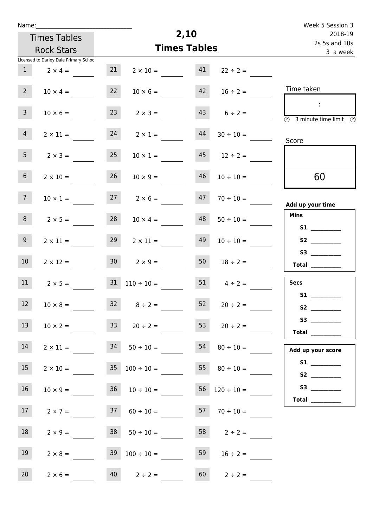| Name:           |                                           |    |                          |                           |                          | Week 5 Session 3                               |
|-----------------|-------------------------------------------|----|--------------------------|---------------------------|--------------------------|------------------------------------------------|
|                 | <b>Times Tables</b>                       |    |                          | 2,10                      |                          | 2018-19                                        |
|                 | <b>Rock Stars</b>                         |    | <b>Times Tables</b>      | 2s 5s and 10s<br>3 a week |                          |                                                |
|                 | Licensed to Darley Dale Primary School    |    |                          |                           |                          |                                                |
| $\mathbf{1}$    | $2 \times 4 =$                            | 21 | $2 \times 10 =$          | 41                        | $22 \div 2 =$            |                                                |
| 2 <sup>7</sup>  | $10 \times 4 =$                           | 22 | $10 \times 6 =$          | 42                        | $16 \div 2 =$            | Time taken                                     |
| 3 <sup>7</sup>  | $10 \times 6 =$                           | 23 | $2 \times 3 =$           | 43                        | $6 \div 2 =$             | ÷<br><b>3</b> minute time limit <b>3</b>       |
| $\overline{4}$  | $2 \times 11 =$                           | 24 | $2 \times 1 =$           | 44                        | $30 \div 10 =$           | Score                                          |
| 5 <sub>1</sub>  | $2 \times 3 =$                            | 25 | $10 \times 1 =$          |                           | $12 \div 2 =$            |                                                |
| 6 <sup>1</sup>  | $2 \times 10 =$                           | 26 | $10 \times 9 =$          | 46                        | $10 \div 10 =$           | 60                                             |
| 7 <sup>7</sup>  | $10 \times 1 =$                           | 27 | $2 \times 6 =$           | 47                        | $70 \div 10 =$           | Add up your time                               |
| 8               | $2 \times 5 =$                            | 28 | $10 \times 4 =$          | 48                        | $50 \div 10 =$           | <b>Mins</b>                                    |
| 9 <sub>o</sub>  | $2 \times 11 =$                           | 29 | $2 \times 11 =$          | 49                        | $10 \div 10 =$           | S2                                             |
| 10 <sup>°</sup> | $2 \times 12 =$                           |    | $30 \t 2 \times 9 =$     | 50                        | $18 \div 2 =$            | Total $\qquad$                                 |
| 11              | $2 \times 5 =$                            | 31 | $110 \div 10 =$          | 51                        | $4 \div 2 =$             | <b>Secs</b>                                    |
| 12              | $10 \times 8 =$                           |    | $32 \t 8 \div 2 =$       |                           | 52 $20 \div 2 =$         | <b>S1</b>                                      |
| 13              | $10 \times 2 =$                           |    | $33 \t 20 \div 2 =$      |                           | $53$ $20 \div 2 =$       | S3<br>$\begin{tabular}{c} Total \end{tabular}$ |
| 14              | $2 \times 11 =$ 34 50 ÷ 10 = 54 80 ÷ 10 = |    |                          |                           |                          | Add up your score                              |
| 15              | $2 \times 10 =$                           |    | $35 \quad 100 \div 10 =$ |                           | 55 $80 \div 10 =$        |                                                |
| 16              | $10 \times 9 =$                           |    | $36 \t 10 \div 10 =$     |                           | $56 \quad 120 \div 10 =$ |                                                |
| 17              | $2 \times 7 =$                            |    | $37 \t 60 \div 10 =$     |                           | $57 \t 70 \div 10 =$     | <b>Total</b> _________                         |
| 18              | $2 \times 9 =$                            |    | $38 \t 50 \div 10 =$     |                           | $58$ $2 \div 2 =$        |                                                |
| 19              | $2 \times 8 =$                            |    | $39 \t100 \div 10 =$     | 59                        | $16 \div 2 =$            |                                                |
| 20 <sub>2</sub> | $2 \times 6 =$                            |    | $40 \t 2 \div 2 =$       |                           | $60 \t 2 \div 2 =$       |                                                |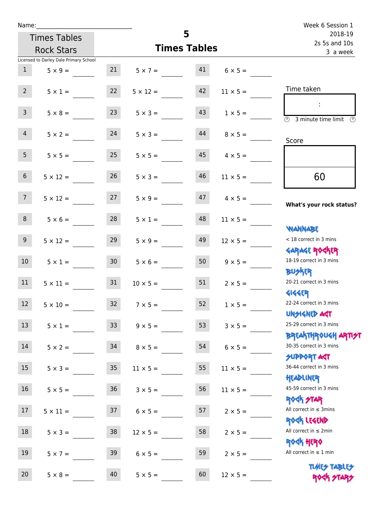| Name:                                  |                     |                         |    |                 | Week 6 Session 1                                                 |
|----------------------------------------|---------------------|-------------------------|----|-----------------|------------------------------------------------------------------|
| <b>Times Tables</b>                    | 5                   |                         |    |                 | 2018-19<br>2s 5s and 10s                                         |
| <b>Rock Stars</b>                      | <b>Times Tables</b> |                         |    |                 | 3 a week                                                         |
| Licensed to Darley Dale Primary School |                     |                         |    |                 |                                                                  |
| 1<br>$5 \times 9 =$                    |                     | $21 \t 5 \times 7 = 41$ |    | $6 \times 5 =$  |                                                                  |
| $2^{\circ}$<br>$5 \times 1 =$          | 22                  | $5 \times 12 =$         | 42 | $11 \times 5 =$ | Time taken                                                       |
| 3 <sup>7</sup><br>$5 \times 8 =$       | 23                  | $5 \times 3 =$          | 43 | $1 \times 5 =$  | $\overline{(\mathcal{V})}$<br>3 minute time limit<br>O)          |
| $5 \times 2 = 24$<br>$\overline{4}$    |                     | $5 \times 3 =$          | 44 | $8 \times 5 =$  | Score                                                            |
| 5 <sub>1</sub><br>$5 \times 5 =$       | 25                  | $5 \times 5 =$          | 45 | $4 \times 5 =$  |                                                                  |
| 6 <sup>1</sup><br>$5 \times 12 =$      | 26                  | $5 \times 3 =$          | 46 | $11 \times 5 =$ | 60                                                               |
| 7 <sup>7</sup>                         | $5 \times 12 = 27$  | $5 \times 9 =$          | 47 | $4 \times 5 =$  | What's your rock status?                                         |
| 8<br>$5 \times 6 =$                    | 28                  | $5 \times 1 =$          | 48 | $11 \times 5 =$ | <b>NANNABE</b>                                                   |
| 9 <sub>o</sub><br>$5 \times 12 =$      | 29                  | $5 \times 9 =$          | 49 | $12 \times 5 =$ | < 18 correct in 3 mins<br><b>GARAGE ROGKER</b>                   |
| 10 <sup>1</sup><br>$5 \times 1 =$      | 30 <sup>°</sup>     | $5 \times 6 =$          | 50 | $9 \times 5 =$  | 18-19 correct in 3 mins<br><b>BU外四</b>                           |
| $5 \times 11 = 31$<br>11               |                     | $10 \times 5 =$         | 51 | $2 \times 5 =$  | 20-21 correct in 3 mins<br><b>4144ER</b>                         |
| 12<br>$5 \times 10 =$                  | 32                  | $7 \times 5 =$          | 52 | $1 \times 5 =$  | 22-24 correct in 3 mins<br><b>UNSIGNED AST</b>                   |
| 13<br>$5 \times 1 =$                   | 33 <sup>°</sup>     | $9 \times 5 =$          | 53 | $3 \times 5 =$  | 25-29 correct in 3 mins<br><b>BREAKTHROUGH ARTI<del>S</del>T</b> |
| 14<br>$5 \times 2 =$                   | 34                  | $8 \times 5 =$          | 54 | $6 \times 5 =$  | 30-35 correct in 3 mins<br><b>SUPPORT AGT</b>                    |
| 15<br>$5 \times 3 =$                   | $35\,$              | $11 \times 5 =$         | 55 | $11 \times 5 =$ | 36-44 correct in 3 mins<br>HEADLINER                             |
| 16<br>$5 \times 5 =$                   | $36\,$              | $3 \times 5 =$          | 56 | $11 \times 5 =$ | 45-59 correct in 3 mins<br>ROCK STAR                             |
| 17<br>$5 \times 11 =$                  | 37                  | $6 \times 5 =$          | 57 | $2 \times 5 =$  | All correct in $\leq$ 3mins<br>ROCK LEGEND                       |
| 18<br>$5 \times 3 =$                   | 38                  | $12 \times 5 =$         | 58 | $2 \times 5 =$  | All correct in $\leq 2$ min<br>ROCK HERO                         |
| 19<br>$5 \times 7 =$                   | 39                  | $6 \times 5 =$          | 59 | $2 \times 5 =$  | All correct in $\leq 1$ min                                      |
| 20<br>$5 \times 8 =$                   | 40                  | $5 \times 5 =$          | 60 | $12 \times 5 =$ | <b>TUARS TABLES</b><br>ROCK STARS                                |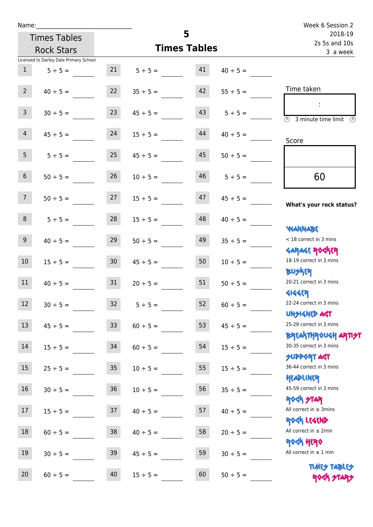| Name:          |                                        |                 |                     | 5        |                          | Week 6 Session 2                                                 |
|----------------|----------------------------------------|-----------------|---------------------|----------|--------------------------|------------------------------------------------------------------|
|                | <b>Times Tables</b>                    |                 |                     |          | 2018-19<br>2s 5s and 10s |                                                                  |
|                | <b>Rock Stars</b>                      |                 | <b>Times Tables</b> | 3 a week |                          |                                                                  |
|                | Licensed to Darley Dale Primary School |                 |                     |          |                          |                                                                  |
| 1              | $5 \div 5 =$                           | 21              | $5 \div 5 =$        | 41       | $40 \div 5 =$            |                                                                  |
| $2^{\circ}$    | $40 \div 5 =$                          | 22              | $35 \div 5 =$       | 42       | $55 \div 5 =$            | Time taken                                                       |
| 3 <sup>7</sup> | $30 \div 5 =$                          | 23              | $45 \div 5 =$       | 43       | $5 \div 5 =$             | $\sim$<br>$\overline{(\mathcal{V})}$<br>3 minute time limit      |
| $\overline{4}$ | $45 \div 5 =$                          | 24              | $15 \div 5 =$       | 44       | $40 \div 5 =$            | Score                                                            |
| 5 <sub>5</sub> | $5 \div 5 =$                           | 25              | $45 \div 5 =$       | 45       | $50 \div 5 =$            |                                                                  |
| 6 <sup>1</sup> | $50 \div 5 =$                          | 26              | $10 \div 5 =$       | 46       | $5 \div 5 =$             | 60                                                               |
| 7 <sup>7</sup> | $50 \div 5 =$                          | 27              | $15 \div 5 =$       | 47       | $45 \div 5 =$            | What's your rock status?                                         |
| 8              | $5 \div 5 =$                           | 28              | $15 \div 5 =$       | 48       | $40 \div 5 =$            | <b>WANNABE</b>                                                   |
| 9 <sup>°</sup> | $40 \div 5 =$                          | 29              | $50 \div 5 =$       | 49       | $35 \div 5 =$            | < 18 correct in 3 mins                                           |
| 10             | $15 \div 5 =$                          | 30 <sub>o</sub> | $45 \div 5 =$       | 50       | $10 \div 5 =$            | <b>GARAGE ROCKER</b><br>18-19 correct in 3 mins<br><b>BUSKER</b> |
| 11             | $40 \div 5 =$                          | 31              | $20 \div 5 =$       | 51       | $50 \div 5 =$            | 20-21 correct in 3 mins                                          |
| 12             | $30 \div 5 =$                          | 32              | $5 \div 5 =$        | 52       | $60 \div 5 =$            | <b>4144ER</b><br>22-24 correct in 3 mins<br><b>UNSIGNED AST</b>  |
| 13             | $45 \div 5 =$                          | 33              | $60 \div 5 =$       | 53       | $45 \div 5 =$            | 25-29 correct in 3 mins<br><b>BREAKTHROUGH ARTI<del>S</del>T</b> |
| 14             | $15 \div 5 =$                          | 34              | $60 \div 5 =$       | 54       | $15 \div 5 =$            | 30-35 correct in 3 mins<br><b>SUPPORT ART</b>                    |
| 15             | $25 \div 5 =$                          | $35\,$          | $10 \div 5 =$       | 55       | $15 \div 5 =$            | 36-44 correct in 3 mins<br>HEADLINER                             |
| 16             | $30 \div 5 =$                          | $36\,$          | $10 \div 5 =$       | 56       | $35 \div 5 =$            | 45-59 correct in 3 mins<br><b>ROCK STAR</b>                      |
| 17             | $15 \div 5 =$                          | 37              | $40 \div 5 =$       | 57       | $40 \div 5 =$            | All correct in $\leq$ 3mins<br>ROCK LEGEND                       |
| $18\,$         | $60 \div 5 =$                          | $38\,$          | $40 \div 5 =$       | 58       | $20 \div 5 =$            | All correct in $\leq 2$ min<br>ROCK HERO                         |
| 19             | $30 \div 5 =$                          | 39              | $45 \div 5 =$       | 59       | $30 \div 5 =$            | All correct in $\leq 1$ min                                      |
| 20             | $60 \div 5 =$                          | 40              | $15 \div 5 =$       | 60       | $50 \div 5 =$            | <b>TUARS TABLES</b><br>ROCK STARS                                |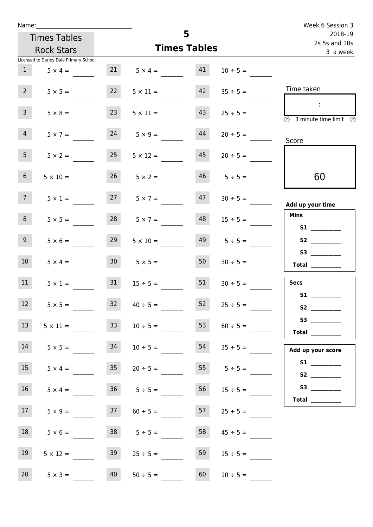| Name:           |                                        |    |                         |                          |                    | Week 6 Session 3                                                                           |
|-----------------|----------------------------------------|----|-------------------------|--------------------------|--------------------|--------------------------------------------------------------------------------------------|
|                 | <b>Times Tables</b>                    |    | 5                       | 2018-19<br>2s 5s and 10s |                    |                                                                                            |
|                 | <b>Rock Stars</b>                      |    |                         | <b>Times Tables</b>      |                    | 3 a week                                                                                   |
|                 | Licensed to Darley Dale Primary School |    |                         |                          |                    |                                                                                            |
| 1               | $5 \times 4 =$                         |    | $21 \t 5 \times 4 = 41$ |                          | $10 \div 5 =$      |                                                                                            |
| $2^{\circ}$     | $5 \times 5 =$                         | 22 | $5 \times 11 =$         | 42                       | $35 \div 5 =$      | Time taken                                                                                 |
| $\overline{3}$  | $5 \times 8 =$                         | 23 | $5 \times 11 =$         | 43                       | $25 \div 5 =$      | $\sim 10$<br>$\overline{\textcircled{1}}$ 3 minute time limit $\overline{\textcircled{1}}$ |
| 4               | $5 \times 7 =$                         |    | $24 \t 5 \times 9 =$    | 44                       | $20 \div 5 =$      | Score                                                                                      |
| 5 <sub>1</sub>  | $5 \times 2 =$                         | 25 | $5 \times 12 =$         | 45                       | $20 \div 5 =$      |                                                                                            |
| 6 <sup>1</sup>  | $5 \times 10 =$                        |    | $26 \t 5 \times 2 =$    |                          | $46$ $5 \div 5 =$  | 60                                                                                         |
| 7 <sup>7</sup>  | $5 \times 1 =$                         |    | $27 \t 5 \times 7 =$    |                          | $47 \t30 \div 5 =$ | Add up your time                                                                           |
| 8               | $5 \times 5 =$                         |    | $28$ $5 \times 7 =$     | 48                       | $15 \div 5 =$      | <b>Mins</b><br>S1                                                                          |
| 9 <sub>o</sub>  | $5 \times 6 =$                         | 29 | $5 \times 10 =$         | 49                       | $5 \div 5 =$       | S2                                                                                         |
| 10 <sup>°</sup> | $5 \times 4 =$                         |    | $30 \t 5 \times 5 =$    | 50                       | $30 \div 5 =$      | S3<br>$\begin{tabular}{c} Total \end{tabular}$                                             |
| 11              | $5 \times 1 =$                         | 31 | $15 \div 5 =$           | 51                       | $30 \div 5 =$      | <b>Secs</b>                                                                                |
| 12              | $5 \times 5 =$                         | 32 | $40 \div 5 =$           | 52                       | $25 \div 5 =$      | <b>S1 S1</b><br>S2                                                                         |
| 13              | $5 \times 11 =$                        | 33 | $10 \div 5 =$           | 53                       | $60 \div 5 =$      | S3<br>Total $\qquad$                                                                       |
| 14              | $5 \times 5 =$                         | 34 | $10 \div 5 =$           | 54                       | $35 \div 5 =$      | Add up your score                                                                          |
| 15              | $5 \times 4 =$                         | 35 | $20 \div 5 =$           | 55                       | $5 \div 5 =$       | S2                                                                                         |
| 16              | $5 \times 4 =$                         |    | $36 \t 5 \div 5 =$      | 56                       | $15 \div 5 =$      |                                                                                            |
| 17 <sup>7</sup> | $5 \times 9 =$                         |    | $37$ $60 \div 5 =$      | 57                       | $25 \div 5 =$      |                                                                                            |
| 18              | $5 \times 6 =$                         |    | $38$ $5 \div 5 =$       | 58                       | $45 \div 5 =$      |                                                                                            |
| 19              | $5 \times 12 =$                        | 39 | $25 \div 5 =$           | 59                       | $15 \div 5 =$      |                                                                                            |
| 20              | $5 \times 3 =$                         | 40 | $50 \div 5 =$           | 60                       | $10 \div 5 =$      |                                                                                            |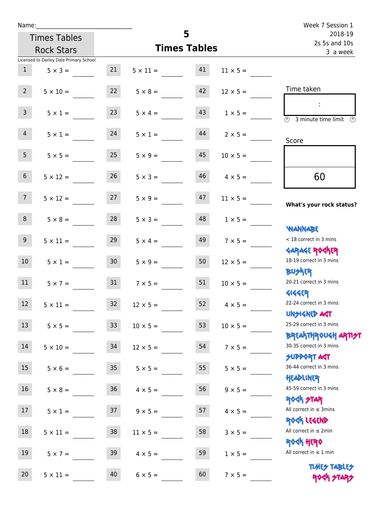| Name:<br>5      |                                        |                 |                    |                          |                 | Week 7 Session 1                                        |
|-----------------|----------------------------------------|-----------------|--------------------|--------------------------|-----------------|---------------------------------------------------------|
|                 | <b>Times Tables</b>                    |                 |                    | 2018-19<br>2s 5s and 10s |                 |                                                         |
|                 | <b>Rock Stars</b>                      |                 | 3 a week           |                          |                 |                                                         |
|                 | Licensed to Darley Dale Primary School |                 |                    |                          |                 |                                                         |
| 1               | $5 \times 3 =$                         | 21              | $5 \times 11 = 41$ |                          | $11 \times 5 =$ |                                                         |
| $2^{\circ}$     | $5 \times 10 =$                        | 22              | $5 \times 8 =$     | 42                       | $12 \times 5 =$ | Time taken                                              |
| $\mathsf{3}$    | $5 \times 1 =$                         | 23              | $5 \times 4 =$     | 43                       | $1 \times 5 =$  | $\overline{(\mathcal{V})}$<br>3 minute time limit<br>O) |
| 4               | $5 \times 1 =$                         | 24              | $5 \times 1 =$     | 44                       | $2 \times 5 =$  | Score                                                   |
| 5 <sub>1</sub>  | $5 \times 5 =$                         | 25              | $5 \times 9 =$     | 45                       | $10 \times 5 =$ |                                                         |
| 6 <sup>1</sup>  | $5 \times 12 =$                        | 26              | $5 \times 3 =$     | 46                       | $4 \times 5 =$  | 60                                                      |
| 7 <sup>7</sup>  | $5 \times 12 = 27$                     |                 | $5 \times 9 =$     | 47                       | $11 \times 5 =$ | What's your rock status?                                |
| 8               | $5 \times 8 =$                         | 28              | $5 \times 3 =$     | 48                       | $1 \times 5 =$  | <b>NANNABE</b>                                          |
| 9 <sub>o</sub>  | $5 \times 11 =$                        | 29              | $5 \times 4 =$     | 49                       | $7 \times 5 =$  | < 18 correct in 3 mins<br><b>GARAGE ROCKER</b>          |
| 10 <sup>°</sup> | $5 \times 1 =$                         | 30 <sup>°</sup> | $5 \times 9 =$     | 50                       | $12 \times 5 =$ | 18-19 correct in 3 mins<br><b>BU外四</b>                  |
| 11              | $5 \times 7 =$                         | 31              | $7 \times 5 =$     | 51                       | $10 \times 5 =$ | 20-21 correct in 3 mins<br><b>4144ER</b>                |
| 12              | $5 \times 11 =$                        | 32              | $12 \times 5 =$    | 52                       | $4 \times 5 =$  | 22-24 correct in 3 mins<br><b>UNSIGNED AST</b>          |
| 13              | $5 \times 5 =$                         | 33              | $10 \times 5 =$    | 53                       | $10 \times 5 =$ | 25-29 correct in 3 mins<br><b>BREAKTHROUGH ARTIST</b>   |
| 14              | $5 \times 10 =$                        | 34              | $12 \times 5 =$    | 54                       | $7 \times 5 =$  | 30-35 correct in 3 mins<br><b>SUPPORT AGT</b>           |
| 15              | $5 \times 6 =$                         | 35 <sub>2</sub> | $5 \times 5 =$     | 55                       | $5 \times 5 =$  | 36-44 correct in 3 mins<br>HEADLINER                    |
| 16              | $5 \times 8 =$                         | 36              | $4 \times 5 =$     | 56                       | $9 \times 5 =$  | 45-59 correct in 3 mins<br><b>ROCK STAR</b>             |
| 17              | $5 \times 1 =$                         | 37              | $9 \times 5 =$     | 57                       | $4 \times 5 =$  | All correct in $\leq$ 3mins<br>ROCK LEGEND              |
| 18              | $5 \times 11 =$                        | 38              | $11 \times 5 =$    | 58                       | $3 \times 5 =$  | All correct in $\leq 2$ min<br><b>ROCK HERO</b>         |
| 19              | $5 \times 7 =$                         | 39              | $4 \times 5 =$     | 59                       | $1 \times 5 =$  | All correct in $\leq 1$ min                             |
| 20              | $5 \times 11 =$                        | 40              | $6 \times 5 =$     | 60                       | $7 \times 5 =$  | <b>TUARS TABLES</b><br>ROCK STARS                       |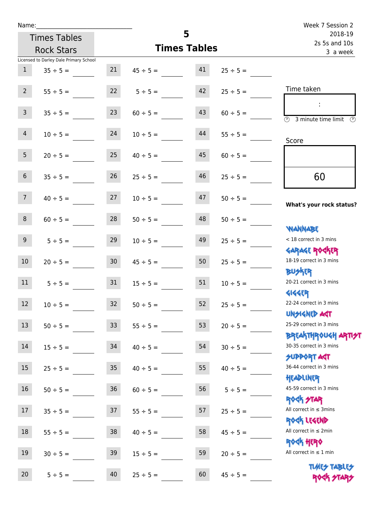| Name:           |                                        |                 |                     |    |                          | Week 7 Session 2                                        |
|-----------------|----------------------------------------|-----------------|---------------------|----|--------------------------|---------------------------------------------------------|
|                 | <b>Times Tables</b>                    |                 | 5                   |    | 2018-19<br>2s 5s and 10s |                                                         |
|                 | <b>Rock Stars</b>                      |                 | <b>Times Tables</b> |    |                          | 3 a week                                                |
|                 | Licensed to Darley Dale Primary School |                 |                     |    |                          |                                                         |
| 1               | $35 \div 5 =$                          | 21              | $45 \div 5 =$       | 41 | $25 \div 5 =$            |                                                         |
| $2^{\circ}$     | $55 \div 5 =$                          |                 | $22 \t 5 \div 5 =$  | 42 | $25 \div 5 =$            | Time taken                                              |
| 3 <sup>7</sup>  | $35 \div 5 =$                          | 23              | $60 \div 5 =$       | 43 | $60 \div 5 =$            | $\overline{\textcircled{2}}$ 3 minute time limit<br>-09 |
| 4               | $10 \div 5 =$                          | 24              | $10 \div 5 =$       | 44 | $55 \div 5 =$            | Score                                                   |
| 5 <sub>5</sub>  | $20 \div 5 =$                          | 25              | $40 \div 5 =$       | 45 | $60 \div 5 =$            |                                                         |
| 6 <sup>1</sup>  | $35 \div 5 =$                          | 26              | $25 \div 5 =$       | 46 | $25 \div 5 =$            | 60                                                      |
| 7 <sup>7</sup>  | $40 \div 5 =$                          | 27              | $10 \div 5 =$       | 47 | $50 \div 5 =$            | What's your rock status?                                |
| 8               | $60 \div 5 =$                          | 28              | $50 \div 5 =$       | 48 | $50 \div 5 =$            | <b>WANNABE</b>                                          |
| 9 <sub>o</sub>  | $5 \div 5 =$                           | 29              | $10 \div 5 =$       | 49 | $25 \div 5 =$            | < 18 correct in 3 mins<br><b>GARAGE ROCKER</b>          |
| 10 <sup>°</sup> | $20 \div 5 =$                          | 30 <sup>°</sup> | $45 \div 5 =$       | 50 | $25 \div 5 =$            | 18-19 correct in 3 mins<br><b>BUSKER</b>                |
| 11              | $5 \div 5 =$                           | 31              | $15 \div 5 =$       | 51 | $10 \div 5 =$            | 20-21 correct in 3 mins<br><b>4144EP</b>                |
| 12              | $10 \div 5 =$                          | 32              | $50 \div 5 =$       | 52 | $25 ÷ 5 =$               | 22-24 correct in 3 mins<br><b>UNSIGNED AGT</b>          |
| 13              | $50 \div 5 =$                          | 33              | $55 \div 5 =$       | 53 | $20 \div 5 =$            | 25-29 correct in 3 mins<br><b>BREAKTHROUGH ARTH</b>     |
| $14\,$          | $15 \div 5 =$                          | 34              | $40 \div 5 =$       | 54 | $30 \div 5 =$            | 30-35 correct in 3 mins<br><b>SUPPORT AGT</b>           |
| 15              | $25 \div 5 =$                          | 35              | $40 \div 5 =$       | 55 | $40 \div 5 =$            | 36-44 correct in 3 mins<br>HEADLINER                    |
| 16              | $50 \div 5 =$                          | $36\,$          | $60 \div 5 =$       | 56 | $5 ÷ 5 =$                | 45-59 correct in 3 mins<br><b>ROCK STAR</b>             |
| 17              | $35 ÷ 5 =$                             | 37              | $55 \div 5 =$       | 57 | $25 \div 5 =$            | All correct in $\leq$ 3mins<br>ROCK LEGEND              |
| 18              | $55 \div 5 =$                          | 38              | $40 \div 5 =$       | 58 | $45 \div 5 =$            | All correct in $\leq 2$ min<br><b>ROCK HERO</b>         |
| 19              | $30 \div 5 =$                          | 39              | $15 \div 5 =$       | 59 | $20 \div 5 =$            | All correct in $\leq 1$ min                             |
| 20              | $5 ÷ 5 =$                              | 40              | $25 ÷ 5 =$          | 60 | $45 \div 5 =$            | <b>TUARS TABLES</b><br>ROCK STARS                       |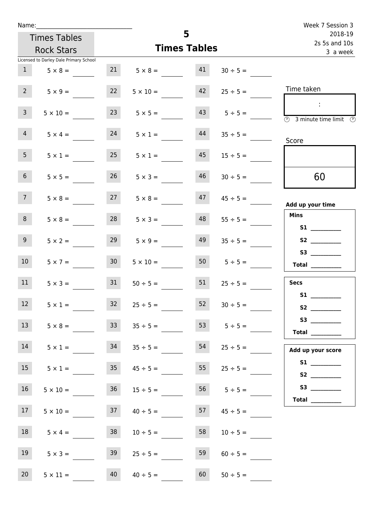| Name:                          |                                        |                 |                         |                     |                     | Week 7 Session 3                                                                           |
|--------------------------------|----------------------------------------|-----------------|-------------------------|---------------------|---------------------|--------------------------------------------------------------------------------------------|
|                                | <b>Times Tables</b>                    | 5               |                         |                     |                     | 2018-19<br>2s 5s and 10s                                                                   |
|                                | <b>Rock Stars</b>                      |                 |                         | <b>Times Tables</b> |                     | 3 a week                                                                                   |
|                                | Licensed to Darley Dale Primary School |                 |                         |                     |                     |                                                                                            |
|                                | $1 \t 5 \times 8 =$                    |                 | $21 \t 5 \times 8 = 41$ |                     | $30 \div 5 =$       |                                                                                            |
| $2^{\circ}$                    | $5 \times 9 =$                         | 22              | $5 \times 10 =$         | 42                  | $25 \div 5 =$       | Time taken                                                                                 |
| 3 <sup>7</sup>                 | $5 \times 10 =$                        | 23              | $5 \times 5 =$          |                     | $43 \t 5 \div 5 =$  | $\sim 10$<br>$\overline{\textcircled{2}}$ 3 minute time limit $\overline{\textcircled{2}}$ |
| $\overline{4}$                 | $5 \times 4 =$                         | 24              | $5 \times 1 =$          | 44                  | $35 \div 5 =$       | Score                                                                                      |
| 5 <sub>1</sub>                 | $5 \times 1 =$                         | 25              | $5 \times 1 =$          | 45                  | $15 \div 5 =$       |                                                                                            |
| 6 <sup>1</sup>                 | $5 \times 5 =$                         | 26              | $5 \times 3 =$          | 46                  | $30 \div 5 =$       | 60                                                                                         |
| 7 <sup>7</sup>                 | $5 \times 8 =$                         |                 | $27 \t 5 \times 8 =$    |                     | $47$ $45 \div 5 =$  | Add up your time                                                                           |
| 8                              | $5 \times 8 =$                         | 28              | $5 \times 3 =$          | 48                  | $55 \div 5 =$       | <b>Mins</b><br><b>S1</b>                                                                   |
| 9 <sub>o</sub>                 | $5 \times 2 =$                         | 29              | $5 \times 9 =$          | 49                  | $35 \div 5 =$       | S2                                                                                         |
| 10 <sup>°</sup>                | $5 \times 7 =$                         | 30 <sup>°</sup> | $5 \times 10 =$         |                     | $50 \t 5 \div 5 =$  | $\begin{tabular}{c} Total \end{tabular}$                                                   |
| 11                             | $5 \times 3 =$                         | 31              | $50 \div 5 =$           | 51                  | $25 \div 5 =$       | <b>Secs</b>                                                                                |
| <b>Contract Contract</b><br>12 | $5 \times 1 =$                         | 32              | $25 \div 5 =$           | 52                  | $30 \div 5 =$       | <b>S1</b><br>S2                                                                            |
| 13                             | $5 \times 8 =$                         | 33              | $35 \div 5 =$           | 53                  | $5 \div 5 =$        | S3<br>Total $\qquad$                                                                       |
| 14                             | $5 \times 1 =$                         | 34              | $35 \div 5 =$           | 54                  | $25 \div 5 =$       | Add up your score                                                                          |
| 15                             | $5 \times 1 =$                         | 35              | $45 \div 5 =$           | 55                  | $25 \div 5 =$       |                                                                                            |
| 16                             | $5 \times 10 =$                        | 36              | $15 \div 5 =$           |                     | 56 $5 \div 5 =$     |                                                                                            |
| 17                             | $5 \times 10 =$                        |                 | $37 \t 40 \div 5 =$     |                     | $57 \t 45 \div 5 =$ |                                                                                            |
| 18                             | $5 \times 4 =$                         | 38              | $10 \div 5 =$           | 58                  | $10 \div 5 =$       |                                                                                            |
| 19                             | $5 \times 3 =$                         | 39              | $25 \div 5 =$           | 59                  | $60 \div 5 =$       |                                                                                            |
| 20 <sub>2</sub>                | $5 \times 11 =$                        | 40              | $40 \div 5 =$           | 60                  | $50 \div 5 =$       |                                                                                            |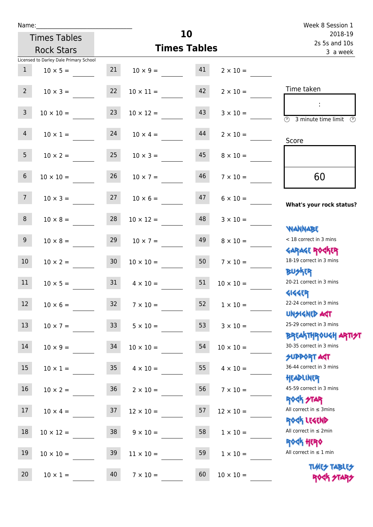| Name:           |                                        |    |                                      |          |                          | Week 8 Session 1                                                 |
|-----------------|----------------------------------------|----|--------------------------------------|----------|--------------------------|------------------------------------------------------------------|
|                 | <b>Times Tables</b>                    | 10 |                                      |          | 2018-19<br>2s 5s and 10s |                                                                  |
|                 | <b>Rock Stars</b>                      |    | <b>Times Tables</b>                  | 3 a week |                          |                                                                  |
|                 | Licensed to Darley Dale Primary School |    |                                      |          |                          |                                                                  |
| 1               | $10 \times 5 =$                        |    | $21 \t 10 \times 9 = 41$             |          | $2 \times 10 =$          |                                                                  |
| $2^{\circ}$     | $10 \times 3 =$                        | 22 | $10 \times 11 =$                     | 42       | $2 \times 10 =$          | Time taken                                                       |
| 3 <sup>7</sup>  | $10 \times 10 =$                       | 23 | $10 \times 12 =$                     | 43       | $3 \times 10 =$          | 3 minute time limit<br>O)                                        |
| 4               | $10 \times 1 = 24$                     |    | $10 \times 4 =$                      | 44       | $2 \times 10 =$          | Score                                                            |
| 5 <sub>1</sub>  | $10 \times 2 =$                        | 25 | $10 \times 3 =$                      | 45       | $8 \times 10 =$          |                                                                  |
| 6               | $10 \times 10 =$                       | 26 | $10 \times 7 =$                      | 46       | $7 \times 10 =$          | 60                                                               |
| 7 <sup>7</sup>  |                                        |    | $10 \times 3 =$ $27$ $10 \times 6 =$ | 47       | $6 \times 10 =$          | What's your rock status?                                         |
| 8               | $10 \times 8 =$                        | 28 | $10 \times 12 =$                     | 48       | $3 \times 10 =$          | <b>NANNABE</b>                                                   |
| 9 <sub>o</sub>  | $10 \times 8 =$                        | 29 | $10 \times 7 =$                      | 49       | $8 \times 10 =$          | < 18 correct in 3 mins<br><b>GARAGE ROGKER</b>                   |
| 10 <sup>°</sup> | $10 \times 2 = 30$                     |    | $10 \times 10 =$                     | 50       | $7 \times 10 =$          | 18-19 correct in 3 mins<br><b>BUSKRA</b>                         |
| 11              | $10 \times 5 = 31$                     |    | $4 \times 10 =$                      | 51       | $10 \times 10 =$         | 20-21 correct in 3 mins<br>41445                                 |
| 12              | $10 \times 6 =$                        | 32 | $7 \times 10 =$                      | 52       | $1\times10=$             | 22-24 correct in 3 mins<br><b>UNSIGNED AGT</b>                   |
| 13              | $10 \times 7 =$                        | 33 | $5 \times 10 =$                      | 53       | $3 \times 10 =$          | 25-29 correct in 3 mins<br><b>BREAKTHROUGH ARTI<del>S</del>T</b> |
| 14              | $10 \times 9 =$                        | 34 | $10 \times 10 =$                     | 54       | $10 \times 10 =$         | 30-35 correct in 3 mins<br><b>SUPPORT AGT</b>                    |
| 15              | $10 \times 1 =$                        | 35 | $4 \times 10 =$                      | 55       | $4 \times 10 =$          | 36-44 correct in 3 mins<br>HEADLINER                             |
| 16              | $10 \times 2 =$                        | 36 | $2 \times 10 =$                      | 56       | $7 \times 10 =$          | 45-59 correct in 3 mins<br><b>ROCK STAR</b>                      |
| 17              | $10 \times 4 =$                        | 37 | $12 \times 10 =$                     | 57       | $12 \times 10 =$         | All correct in $\leq$ 3mins<br>ROCK LEGEND                       |
| $18\,$          | $10 \times 12 =$                       | 38 | $9 \times 10 =$                      | 58       | $1 \times 10 =$          | All correct in $\leq 2$ min<br><b>ROCK HERO</b>                  |
| 19              | $10 \times 10 =$                       | 39 | $11 \times 10 =$                     | 59       | $1 \times 10 =$          | All correct in $\leq 1$ min                                      |
| 20              | $10 \times 1 =$                        | 40 | $7 \times 10 =$                      | 60       | $10 \times 10 =$         | <b>TUARS TABLES</b><br>ROCK STARS                                |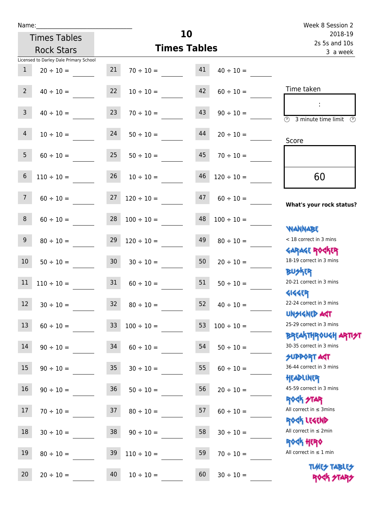| Name:           |                                        |                 |                      |    |                 | Week 8 Session 2<br>2018-19                             |
|-----------------|----------------------------------------|-----------------|----------------------|----|-----------------|---------------------------------------------------------|
|                 | <b>Times Tables</b>                    | 10              |                      |    |                 |                                                         |
|                 | <b>Rock Stars</b>                      |                 | <b>Times Tables</b>  |    |                 | 2s 5s and 10s<br>3 a week                               |
|                 | Licensed to Darley Dale Primary School |                 |                      |    |                 |                                                         |
| $\mathbf{1}$    | $20 \div 10 =$                         | 21              | $70 \div 10 =$       | 41 | $40 \div 10 =$  |                                                         |
| $2^{\circ}$     | $40 \div 10 =$                         | 22              | $10 \div 10 =$       | 42 | $60 \div 10 =$  | Time taken                                              |
| 3 <sup>7</sup>  | $40 \div 10 =$                         | 23              | $70 \div 10 =$       | 43 | $90 \div 10 =$  | $\overline{\textcircled{2}}$ 3 minute time limit<br>-09 |
| 4 <sup>1</sup>  | $10 \div 10 =$                         | 24              | $50 \div 10 =$       | 44 | $20 \div 10 =$  | Score                                                   |
| 5 <sup>5</sup>  | $60 \div 10 = 25$                      |                 | $50 \div 10 =$       | 45 | $70 \div 10 =$  |                                                         |
| 6               | $110 \div 10 =$                        | 26              | $10 \div 10 =$       | 46 | $120 \div 10 =$ | 60                                                      |
| $7\phantom{.}$  | $60 \div 10 =$                         | 27              | $120 \div 10 =$      | 47 | $60 \div 10 =$  | What's your rock status?                                |
| 8               | $60 \div 10 =$                         |                 | $28 \t100 \div 10 =$ | 48 | $100 \div 10 =$ | <b>NANNABE</b>                                          |
| 9 <sub>o</sub>  | $80 \div 10 =$                         | 29              | $120 \div 10 =$      | 49 | $80 \div 10 =$  | < 18 correct in 3 mins<br><b>GARAGE ROCKER</b>          |
| 10 <sup>°</sup> | $50 \div 10 =$                         | 30 <sup>7</sup> | $30 \div 10 =$       | 50 | $20 \div 10 =$  | 18-19 correct in 3 mins<br><b>BUSKER</b>                |
| 11              | $110 \div 10 =$                        | 31              | $60 \div 10 =$       | 51 | $50 \div 10 =$  | 20-21 correct in 3 mins<br><b>4144ER</b>                |
| 12              | $30 \div 10 =$                         | 32              | $80 \div 10 =$       | 52 | $40 \div 10 =$  | 22-24 correct in 3 mins<br><b>UNSIGNED AST</b>          |
| 13              | $60 \div 10 =$                         | 33 <sup>°</sup> | $100 \div 10 =$      | 53 | $100 \div 10 =$ | 25-29 correct in 3 mins<br><b>BREAKTHROUGH ARTH</b>     |
| 14              | $90 \div 10 =$                         | 34              | $60 \div 10 =$       | 54 | $50 \div 10 =$  | 30-35 correct in 3 mins<br><b>SUPPORT AGT</b>           |
| 15              | $90 \div 10 =$                         | $35\phantom{a}$ | $30 \div 10 =$       | 55 | $60 \div 10 =$  | 36-44 correct in 3 mins<br>HEADLINER                    |
| 16              | $90 \div 10 =$                         | $36\,$          | $50 \div 10 =$       | 56 | $20 \div 10 =$  | 45-59 correct in 3 mins<br><b>ROCK STAR</b>             |
| 17              | $70 \div 10 =$                         | 37              | $80 \div 10 =$       | 57 | $60 \div 10 =$  | All correct in $\leq$ 3mins<br>ROCK LEGEND              |
| $18\,$          | $30 \div 10 =$                         | 38              | $90 \div 10 =$       | 58 | $30 \div 10 =$  | All correct in $\leq 2$ min<br><b>ROCK HERO</b>         |
| 19              | $80 \div 10 =$                         | 39              | $110 \div 10 =$      | 59 | $70 \div 10 =$  | All correct in $\leq 1$ min                             |
| 20              | $20 \div 10 =$                         | 40              | $10 \div 10 =$       | 60 | $30 \div 10 =$  | <b>TUARS TABLES</b><br>ROCK STARS                       |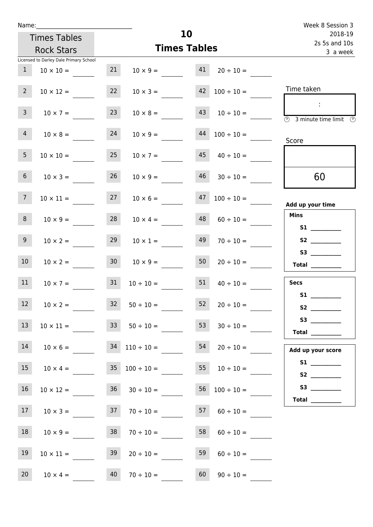| Name:           |                                         |                 |                                                     |                     |                          | Week 8 Session 3                                                                                                                                                                                                                        |
|-----------------|-----------------------------------------|-----------------|-----------------------------------------------------|---------------------|--------------------------|-----------------------------------------------------------------------------------------------------------------------------------------------------------------------------------------------------------------------------------------|
|                 | <b>Times Tables</b>                     |                 |                                                     | 10                  |                          | 2018-19<br>2s 5s and 10s                                                                                                                                                                                                                |
|                 | <b>Rock Stars</b>                       |                 |                                                     | <b>Times Tables</b> | 3 a week                 |                                                                                                                                                                                                                                         |
|                 | Licensed to Darley Dale Primary School  |                 |                                                     |                     |                          |                                                                                                                                                                                                                                         |
| $\mathbf{1}$    | $10 \times 10 =$                        | 21              | $10 \times 9 =$                                     | 41                  | $20 \div 10 =$           |                                                                                                                                                                                                                                         |
| $2^{\circ}$     | $10 \times 12 =$                        | 22              | $10 \times 3 =$                                     |                     | $42 \t100 \div 10 =$     | Time taken                                                                                                                                                                                                                              |
| 3 <sup>1</sup>  | $10 \times 7 =$                         | 23              | $10 \times 8 =$                                     | 43                  | $10 \div 10 =$           | 3 minute time limit<br>-09                                                                                                                                                                                                              |
| 4               | $10 \times 8 =$                         | 24              | $10 \times 9 =$                                     | 44                  | $100 \div 10 =$          | Score                                                                                                                                                                                                                                   |
| 5 <sub>1</sub>  | $10 \times 10 =$                        | 25              | $10 \times 7 =$                                     | 45                  | $40 \div 10 =$           |                                                                                                                                                                                                                                         |
| 6 <sup>1</sup>  | $10 \times 3 =$                         | 26              | $10 \times 9 =$                                     | 46                  | $30 \div 10 =$           | 60                                                                                                                                                                                                                                      |
| 7 <sup>7</sup>  | $10 \times 11 =$                        | 27              | $10 \times 6 =$                                     | 47                  | $100 \div 10 =$          | Add up your time                                                                                                                                                                                                                        |
| 8               | $10 \times 9 =$                         | 28              | $10 \times 4 =$                                     | 48                  | $60 \div 10 =$           | <b>Mins</b>                                                                                                                                                                                                                             |
| 9 <sub>o</sub>  | $10 \times 2 =$                         | 29              | $10 \times 1 =$                                     | 49                  | $70 \div 10 =$           | S <sub>2</sub> and the set of the set of the set of the set of the set of the set of the set of the set of the set of the set of the set of the set of the set of the set of the set of the set of the set of the set of the set of the |
| 10 <sup>°</sup> | $10 \times 2 =$                         | 30 <sub>o</sub> | $10 \times 9 =$                                     | 50                  | $20 \div 10 =$           | Total $\_\_$                                                                                                                                                                                                                            |
| 11              | $10 \times 7 =$                         | 31              | $10 \div 10 =$                                      | 51                  | $40 \div 10 =$           | <b>Secs</b><br>S1                                                                                                                                                                                                                       |
| 12              | $10 \times 2 =$                         |                 | $32 \t 50 \div 10 =$                                | 52                  | $20 \div 10 =$           |                                                                                                                                                                                                                                         |
| 13              | $10 \times 11 =$ $33 \div 50 \div 10 =$ |                 |                                                     | 53                  | $30 \div 10 =$           | Total $\qquad$                                                                                                                                                                                                                          |
| 14              |                                         |                 | $10 \times 6 =$ $34 \quad 110 \div 10 =$            | 54                  | $20 \div 10 =$           | Add up your score                                                                                                                                                                                                                       |
| 15              |                                         |                 | $10 \times 4 = 35$ $100 \div 10 =$                  |                     | $10 \div 10 =$           |                                                                                                                                                                                                                                         |
| 16              | $10 \times 12 =$                        |                 | $36 \t30 \div 10 =$                                 |                     | $56 \quad 100 \div 10 =$ | Total $\_\_$                                                                                                                                                                                                                            |
| 17              |                                         |                 | $10 \times 3 =$ 37 $70 \div 10 =$ 57 $60 \div 10 =$ |                     |                          |                                                                                                                                                                                                                                         |
| 18              | $10 \times 9 =$                         |                 | $38$ $70 \div 10 =$                                 | 58                  | $60 \div 10 =$           |                                                                                                                                                                                                                                         |
| 19              | $10 \times 11 =$                        | 39              | $20 \div 10 =$                                      | 59                  | $60 \div 10 =$           |                                                                                                                                                                                                                                         |
| 20 <sub>2</sub> | $10 \times 4 = 40$                      |                 | $70 \div 10 =$ 60                                   |                     | $90 \div 10 =$           |                                                                                                                                                                                                                                         |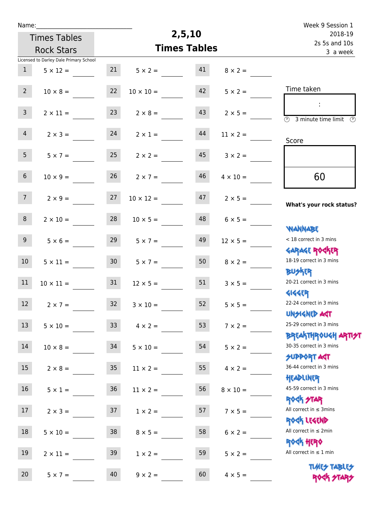| Name:           |                                        |                 |                     | 2,5,10  |                           | Week 9 Session 1                                                                 |
|-----------------|----------------------------------------|-----------------|---------------------|---------|---------------------------|----------------------------------------------------------------------------------|
|                 | <b>Times Tables</b>                    |                 |                     | 2018-19 |                           |                                                                                  |
|                 | <b>Rock Stars</b>                      |                 | <b>Times Tables</b> |         | 2s 5s and 10s<br>3 a week |                                                                                  |
|                 | Licensed to Darley Dale Primary School |                 |                     |         |                           |                                                                                  |
| 1               | $5 \times 12 =$                        | 21              | $5 \times 2 =$      | 41      | $8 \times 2 =$            |                                                                                  |
| 2 <sup>7</sup>  | $10 \times 8 =$                        | 22              | $10 \times 10 =$    | 42      | $5 \times 2 =$            | Time taken                                                                       |
| 3 <sup>7</sup>  | $2 \times 11 =$                        | 23              | $2 \times 8 =$      | 43      | $2 \times 5 =$            | $\mathcal{L}$<br>$\overline{(\mathcal{V})}$<br>3 minute time limit $\circled{0}$ |
| $\overline{4}$  | $2 \times 3 =$                         | 24              | $2 \times 1 =$      | 44      | $11 \times 2 =$           | Score                                                                            |
| 5 <sub>1</sub>  | $5 \times 7 =$                         | 25              | $2 \times 2 =$      | 45      | $3 \times 2 =$            |                                                                                  |
| 6 <sup>1</sup>  | $10 \times 9 =$                        | 26              | $2 \times 7 =$      | 46      | $4 \times 10 =$           | 60                                                                               |
| 7 <sup>7</sup>  | $2 \times 9 =$                         | 27              | $10 \times 12 =$    | 47      | $2 \times 5 =$            | What's your rock status?                                                         |
| 8               | $2 \times 10 =$                        | 28              | $10 \times 5 =$     | 48      | $6 \times 5 =$            | <b>NANNABE</b>                                                                   |
| 9 <sub>o</sub>  | $5 \times 6 =$                         | 29              | $5 \times 7 =$      | 49      | $12 \times 5 =$           | < 18 correct in 3 mins<br><b>GARAGE ROGKER</b>                                   |
| 10 <sup>°</sup> | $5 \times 11 =$                        | 30 <sup>1</sup> | $5 \times 7 =$      | 50      | $8 \times 2 =$            | 18-19 correct in 3 mins<br><b>BUSKRR</b>                                         |
| 11              | $10 \times 11 =$                       | 31              | $12 \times 5 =$     | 51      | $3 \times 5 =$            | 20-21 correct in 3 mins<br><b>4144EP</b>                                         |
| 12 <sup>7</sup> | $2 \times 7 =$                         | 32              | $3 \times 10 =$     | 52      | $5 \times 5 =$            | 22-24 correct in 3 mins<br><b>UNSIGNED AST</b>                                   |
| 13              | $5 \times 10 =$                        | 33              | $4 \times 2 =$      | 53      | $7 \times 2 =$            | 25-29 correct in 3 mins                                                          |
| 14              | $10 \times 8 =$                        | 34              | $5 \times 10 =$     | 54      | $5 \times 2 =$            | <b>BREAKTHROUGH ARTI<del>S</del>T</b><br>30-35 correct in 3 mins                 |
| 15              | $2 \times 8 =$                         | 35 <sub>1</sub> | $11 \times 2 =$     | 55      | $4 \times 2 =$            | <b>SUPPORT AGT</b><br>36-44 correct in 3 mins                                    |
| 16              | $5 \times 1 =$                         | 36              | $11 \times 2 =$     | 56      | $8 \times 10 =$           | HEADLINER<br>45-59 correct in 3 mins                                             |
| 17              | $2 \times 3 =$                         | 37              | $1 \times 2 =$      | 57      | $7 \times 5 =$            | <b>ROCK STAR</b><br>All correct in $\leq$ 3mins<br>ROCK LEGEND                   |
| 18              | $5 \times 10 =$                        | 38              | $8 \times 5 =$      | 58      | $6 \times 2 =$            | All correct in $\leq 2$ min<br><b>ROCK HERO</b>                                  |
| 19              | $2 \times 11 =$                        | 39              | $1 \times 2 =$      | 59      | $5 \times 2 =$            | All correct in $\leq 1$ min                                                      |
| 20              | $5 \times 7 =$                         | 40              | $9 \times 2 =$      | 60      | $4 \times 5 =$            | <b>TUARS TABLES</b><br>ROCK STAP                                                 |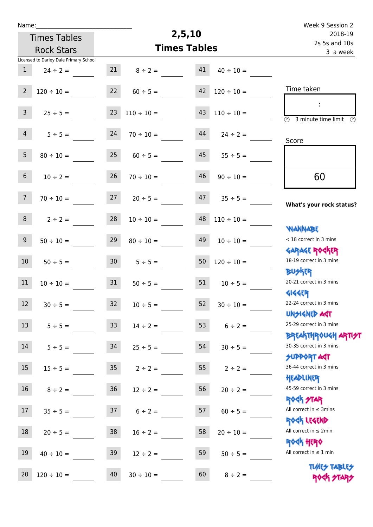| u | am |  |  |
|---|----|--|--|
|   |    |  |  |

Times Tables

## **2,5,10**

|                 | <b>Rock Stars</b>                      |                 | <b>Times Tables</b> | 3 a week |                 |                                                            |
|-----------------|----------------------------------------|-----------------|---------------------|----------|-----------------|------------------------------------------------------------|
|                 | Licensed to Darley Dale Primary School |                 |                     |          |                 |                                                            |
| $\mathbf{1}$    | $24 \div 2 =$                          | 21              | $8 \div 2 =$        | 41       | $40 \div 10 =$  |                                                            |
| $\overline{2}$  | $120 \div 10 =$                        | 22              | $60 \div 5 =$       | 42       | $120 \div 10 =$ | Time taken                                                 |
|                 |                                        |                 |                     |          |                 | ÷                                                          |
| $\mathbf{3}$    | $25 \div 5 =$                          | 23              | $110 \div 10 =$     | 43       | $110 \div 10 =$ | $\overline{\mathcal{O}}$<br>3 minute time limit<br>$\odot$ |
| 4               | $5 \div 5 =$                           | 24              | $70 \div 10 =$      | 44       | $24 \div 2 =$   |                                                            |
|                 |                                        |                 |                     |          |                 | Score                                                      |
| 5 <sup>5</sup>  | $80 \div 10 =$                         | 25              | $60 \div 5 =$       | 45       | $55 \div 5 =$   |                                                            |
| 6 <sup>1</sup>  | $10 \div 2 =$                          | 26              | $70 \div 10 =$      | 46       | $90 \div 10 =$  | 60                                                         |
|                 |                                        |                 |                     |          |                 |                                                            |
| 7 <sup>7</sup>  | $70 \div 10 =$                         | 27              | $20 \div 5 =$       | 47       | $35 \div 5 =$   |                                                            |
|                 |                                        |                 |                     |          |                 | What's your rock status?                                   |
| 8               | $2 \div 2 =$                           | 28              | $10 \div 10 =$      | 48       | $110 \div 10 =$ |                                                            |
|                 |                                        |                 |                     |          |                 | <b>NANNABE</b><br>< 18 correct in 3 mins                   |
| 9 <sup>°</sup>  | $50 \div 10 =$                         | 29              | $80 \div 10 =$      | 49       | $10 \div 10 =$  | <b>GARAGE ROCKER</b>                                       |
| 10 <sub>1</sub> | $50 \div 5 =$                          | 30 <sub>o</sub> | $5 \div 5 =$        | $50\,$   | $120 \div 10 =$ | 18-19 correct in 3 mins                                    |
|                 |                                        |                 |                     |          |                 | <b>BUSKER</b>                                              |
| 11              | $10 \div 10 =$                         | 31              | $50 \div 5 =$       | 51       | $10 \div 5 =$   | 20-21 correct in 3 mins                                    |
|                 |                                        |                 |                     |          |                 | <b>4144ER</b>                                              |
| 12              | $30 \div 5 =$                          | 32              | $10 \div 5 =$       | 52       | $30 \div 10 =$  | 22-24 correct in 3 mins                                    |
|                 |                                        |                 |                     |          |                 | <b>UNSIGNED AGT</b>                                        |
| 13              | $5 \div 5 =$                           | 33 <sup>°</sup> | $14 \div 2 =$       | 53       | $6 \div 2 =$    | 25-29 correct in 3 mins                                    |
|                 |                                        |                 |                     |          |                 | <b>BREAKTHROUGH ARTI<del>S</del>T</b>                      |
| 14              | $5 ÷ 5 =$                              | 34              | $25 \div 5 =$       | 54       | $30 \div 5 =$   | 30-35 correct in 3 mins<br>SUPPORT ART                     |
| 15              | $15 \div 5 =$                          | 35 <sub>1</sub> | $2 \div 2 =$        | 55       | $2 \div 2 =$    | 36-44 correct in 3 mins                                    |
|                 |                                        |                 |                     |          |                 | HEADLINER                                                  |
| 16              | $8 \div 2 =$                           | 36              | $12 \div 2 =$       | 56       | $20 \div 2 =$   | 45-59 correct in 3 mins                                    |
|                 |                                        |                 |                     |          |                 | <b>ROCK STAR</b>                                           |
| 17              | $35 \div 5 =$                          | 37              | $6 \div 2 =$        | 57       | $60 \div 5 =$   | All correct in $\leq$ 3mins                                |
|                 |                                        |                 |                     |          |                 | ROCK LEGEND                                                |
| 18              | $20 \div 5 =$                          | 38              | $16 \div 2 =$       | 58       | $20 \div 10 =$  | All correct in $\leq 2$ min                                |
|                 |                                        |                 |                     |          |                 | <b>ROCK HERO</b><br>All correct in $\leq 1$ min            |
| 19              | $40 \div 10 =$                         | 39              | $12 \div 2 =$       | 59       | $50 \div 5 =$   |                                                            |
| 20              | $120 \div 10 =$                        | 40              | $30 \div 10 =$      | 60       | $8 \div 2 =$    | <b>TUARS TABLES</b>                                        |
|                 |                                        |                 |                     |          |                 | ROCK STARS                                                 |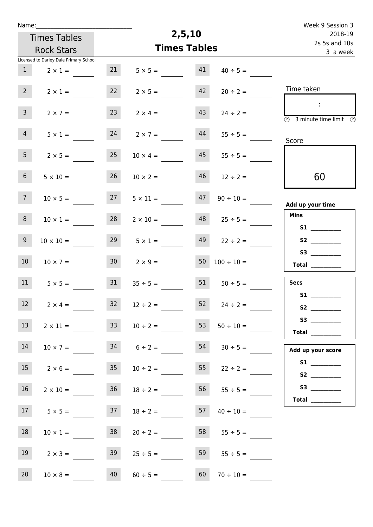| Name:          |                                        |                     |                    |         |                           | Week 9 Session 3                                                                        |
|----------------|----------------------------------------|---------------------|--------------------|---------|---------------------------|-----------------------------------------------------------------------------------------|
|                | <b>Times Tables</b>                    |                     | 2,5,10             | 2018-19 |                           |                                                                                         |
|                | <b>Rock Stars</b>                      | <b>Times Tables</b> |                    |         | 2s 5s and 10s<br>3 a week |                                                                                         |
|                | Licensed to Darley Dale Primary School |                     |                    |         |                           |                                                                                         |
| $\mathbf{1}$   | $2 \times 1 =$                         | 21                  | $5 \times 5 =$     | 41      | $40 \div 5 =$             |                                                                                         |
| $2^{\circ}$    | $2 \times 1 =$                         | 22                  | $2 \times 5 =$     | 42      | $20 \div 2 =$             | Time taken                                                                              |
| 3 <sup>7</sup> | $2 \times 7 =$                         | 23                  | $2 \times 4 =$     | 43      | $24 \div 2 =$             | $\sim$<br>$\overline{\textcircled{2}}$ 3 minute time limit $\overline{\textcircled{2}}$ |
| $\overline{4}$ | $5 \times 1 =$                         | 24                  | $2 \times 7 =$     | 44      | $55 \div 5 =$             | Score                                                                                   |
| 5 <sub>1</sub> | $2 \times 5 =$                         | 25                  | $10 \times 4 =$    | 45      | $55 \div 5 =$             |                                                                                         |
| 6 <sup>1</sup> | $5 \times 10 =$                        | 26                  | $10 \times 2 =$    | 46      | $12 \div 2 =$             | 60                                                                                      |
| 7 <sup>7</sup> | $10 \times 5 =$                        | 27                  | $5 \times 11 =$    | 47      | $90 \div 10 =$            | Add up your time                                                                        |
| 8              | $10 \times 1 =$                        | 28                  | $2 \times 10 =$    | 48      | $25 \div 5 =$             | <b>Mins</b>                                                                             |
| 9 <sup>°</sup> | $10 \times 10 =$                       | 29                  | $5 \times 1 =$     | 49      | $22 \div 2 =$             |                                                                                         |
| 10             | $10 \times 7 =$                        | $30-1$              | $2 \times 9 =$     | 50      | $100 \div 10 =$           | Total $\frac{1}{2}$                                                                     |
| 11             | $5 \times 5 =$                         | 31                  | $35 \div 5 =$      | 51      | $50 \div 5 =$             | <b>Secs</b>                                                                             |
| 12             | $2 \times 4 =$                         | 32                  | $12 \div 2 =$      |         | $52 \t 24 \div 2 =$       | S1                                                                                      |
| 13             | $2 \times 11 =$                        | 33                  | $10 \div 2 =$      | 53      | $50 \div 10 =$            | Total $\qquad$                                                                          |
| 14             | $10 \times 7 =$                        |                     | $34 \t 6 \div 2 =$ | 54      | $30 \div 5 =$             | Add up your score                                                                       |
| 15             | $2 \times 6 = 35$                      |                     | $10 \div 2 =$      |         | $55$ $22 \div 2 =$        |                                                                                         |
| 16             | $2 \times 10 =$                        | 36                  | $18 \div 2 =$      |         | $56 \t 55 \div 5 =$       | S3 __________                                                                           |
| 17             | $5 \times 5 =$                         | 37                  | $18 \div 2 =$      | 57      | $40 \div 10 =$            | Total $\_\_$                                                                            |
| 18             | $10 \times 1 =$                        | 38                  | $20 \div 2 =$      | 58      | $55 \div 5 =$             |                                                                                         |
| 19             | $2 \times 3 =$                         | 39                  | $25 \div 5 =$      | 59      | $55 \div 5 =$             |                                                                                         |
| 20             | $10 \times 8 =$                        | 40                  | $60 \div 5 =$      | 60      | $70 \div 10 =$            |                                                                                         |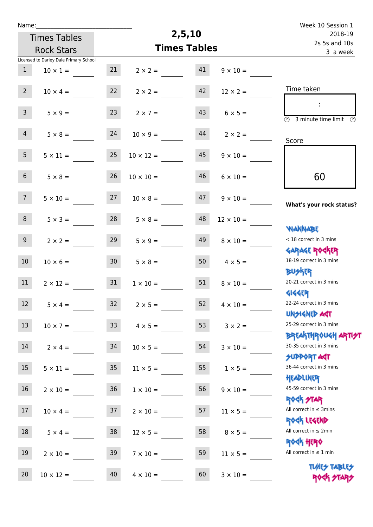| Name:            |                                        |                 |                  |                     |                    | Week 10 Session 1                                                |
|------------------|----------------------------------------|-----------------|------------------|---------------------|--------------------|------------------------------------------------------------------|
|                  | <b>Times Tables</b>                    |                 |                  | 2,5,10              |                    | 2018-19<br>2s 5s and 10s                                         |
|                  | <b>Rock Stars</b>                      |                 |                  | <b>Times Tables</b> |                    | 3 a week                                                         |
|                  | Licensed to Darley Dale Primary School |                 |                  |                     |                    |                                                                  |
| $\mathbf{1}$     | $10 \times 1 =$                        | 21              | $2 \times 2 =$   | 41                  | $9 \times 10 =$    |                                                                  |
| 2 <sup>7</sup>   | $10 \times 4 =$                        | 22              | $2 \times 2 =$   | 42                  | $12 \times 2 =$    | Time taken                                                       |
| 3 <sup>7</sup>   | $5 \times 9 =$                         | 23              | $2 \times 7 =$   | 43                  | $6 \times 5 =$     | $\overline{(\mathcal{V})}$<br>3 minute time limit $\circled{b}$  |
| $\overline{4}$   | $5 \times 8 =$                         | 24              | $10 \times 9 =$  | 44                  | $2 \times 2 =$     | Score                                                            |
| 5 <sub>1</sub>   | $5 \times 11 =$                        | 25              | $10 \times 12 =$ | 45                  | $9 \times 10 =$    |                                                                  |
| 6 <sup>1</sup>   | $5 \times 8 =$                         | 26              | $10 \times 10 =$ | 46                  | $6 \times 10 =$    | 60                                                               |
| 7 <sup>7</sup>   | $5 \times 10 =$                        | 27              | $10 \times 8 =$  | 47                  | $9 \times 10 =$    | What's your rock status?                                         |
| 8                | $5 \times 3 =$                         | 28              | $5 \times 8 =$   | 48                  | $12 \times 10 =$   | <b>NANNABE</b>                                                   |
| 9 <sup>1</sup>   | $2 \times 2 =$                         | 29              | $5 \times 9 =$   | 49                  | $8 \times 10 =$    | < 18 correct in 3 mins<br><b>GARAGE ROCKER</b>                   |
| 10 <sup>°</sup>  | $10 \times 6 =$                        | 30 <sub>2</sub> | $5 \times 8 =$   | 50                  | $4 \times 5 =$     | 18-19 correct in 3 mins<br><b>BUSKRR</b>                         |
| 11               | $2 \times 12 =$                        | 31              | $1 \times 10 =$  | 51                  | $8 \times 10 =$    | 20-21 correct in 3 mins<br><b>4144ER</b>                         |
| 12 <sup>12</sup> | $5 \times 4 =$                         | 32              | $2 \times 5 =$   |                     | 52 $4 \times 10 =$ | 22-24 correct in 3 mins<br><b>UNSIGNED AST</b>                   |
| 13               | $10 \times 7 =$                        | 33 <sup>°</sup> | $4 \times 5 =$   | 53                  | $3 \times 2 =$     | 25-29 correct in 3 mins<br><b>BREAKTHROUGH ARTI<del>S</del>T</b> |
| 14               | $2 \times 4 =$                         | 34              | $10 \times 5 =$  | 54                  | $3 \times 10 =$    | 30-35 correct in 3 mins<br>SUPPORT ART                           |
| 15 <sub>1</sub>  | $5 \times 11 =$                        | 35 <sub>2</sub> | $11 \times 5 =$  | 55                  | $1 \times 5 =$     | 36-44 correct in 3 mins<br>HEADLINER                             |
| 16               | $2 \times 10 =$                        | 36 <sup>°</sup> | $1 \times 10 =$  | 56                  | $9 \times 10 =$    | 45-59 correct in 3 mins<br><b>ROCK STAR</b>                      |
| 17               | $10 \times 4 =$                        | 37              | $2 \times 10 =$  | 57                  | $11 \times 5 =$    | All correct in $\leq$ 3mins<br>ROCK LEGEND                       |
| 18               | $5 \times 4 =$                         | 38              | $12 \times 5 =$  | 58                  | $8 \times 5 =$     | All correct in $\leq 2$ min<br><b>ROCK HERO</b>                  |
| 19               | $2 \times 10 =$                        | 39              | $7 \times 10 =$  | 59                  | $11 \times 5 =$    | All correct in $\leq 1$ min                                      |
| 20               | $10 \times 12 =$                       | 40              | $4 \times 10 =$  | 60                  | $3 \times 10 =$    | <b>TUARS TABLES</b><br>ROCK STARS                                |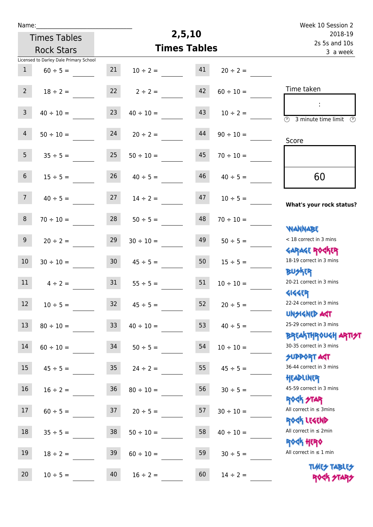| Name:             |                                        |                 |                                   |                           |                | Week 10 Session 2                                                  |
|-------------------|----------------------------------------|-----------------|-----------------------------------|---------------------------|----------------|--------------------------------------------------------------------|
|                   | <b>Times Tables</b>                    |                 | 2,5,10                            | 2018-19                   |                |                                                                    |
| <b>Rock Stars</b> |                                        |                 | <b>Times Tables</b>               | 2s 5s and 10s<br>3 a week |                |                                                                    |
|                   | Licensed to Darley Dale Primary School |                 |                                   |                           |                |                                                                    |
| $\mathbf{1}$      | $60 \div 5 =$                          | 21              | $10 \div 2 =$                     | 41                        | $20 \div 2 =$  |                                                                    |
| 2 <sup>7</sup>    | $18 \div 2 =$                          | 22              | $2 \div 2 =$                      | 42                        | $60 \div 10 =$ | Time taken                                                         |
| 3 <sup>7</sup>    | $40 \div 10 =$                         | 23              | $40 \div 10 =$                    | 43                        | $10 \div 2 =$  | ÷                                                                  |
|                   |                                        |                 |                                   |                           |                | $\overline{(\mathcal{V})}$<br>3 minute time limit<br>$\mathcal{O}$ |
| $\overline{4}$    | $50 \div 10 =$                         | 24              | $20 \div 2 =$                     | 44                        | $90 \div 10 =$ | Score                                                              |
| 5 <sub>1</sub>    | $35 \div 5 =$                          | 25              | $50 \div 10 =$                    | 45                        | $70 \div 10 =$ |                                                                    |
| 6 <sup>1</sup>    | $15 \div 5 =$                          | 26              | $40 \div 5 =$                     | 46                        | $40 \div 5 =$  | 60                                                                 |
| 7 <sup>7</sup>    | $40 \div 5 =$                          | 27              | $14 \div 2 =$                     | 47                        | $10 \div 5 =$  | What's your rock status?                                           |
| 8                 | $70 \div 10 =$                         | 28              | $50 \div 5 =$                     | 48                        | $70 \div 10 =$ |                                                                    |
| 9                 | $20 \div 2 =$                          | 29              | $30 \div 10 =$                    | 49                        | $50 \div 5 =$  | <b>YIANNABE</b><br>< 18 correct in 3 mins                          |
| 10                | $30 \div 10 =$                         | 30 <sub>o</sub> | $45 \div 5 =$                     | 50                        | $15 \div 5 =$  | <b>GARAGE ROCKER</b><br>18-19 correct in 3 mins                    |
| 11                | $4 \div 2 =$                           | 31              | $55 \div 5 =$                     | 51                        | $10 \div 10 =$ | <b>BUSKER</b><br>20-21 correct in 3 mins                           |
| 12                | $10 \div 5 =$                          | 32              | $45 \div 5 =$                     | 52                        | $20 \div 5 =$  | <b>4144EP</b><br>22-24 correct in 3 mins                           |
| 13                | $80 \div 10 =$                         | 33              | $40 \div 10 =$                    | 53                        | $40 \div 5 =$  | <b>UNSIGNED AST</b><br>25-29 correct in 3 mins                     |
| $14\,$            |                                        |                 | $60 \div 10 =$ $34$ $50 \div 5 =$ | 54                        | $10 \div 10 =$ | <b>BREAKTHROUGH ARTI<del>S</del>T</b><br>30-35 correct in 3 mins   |
| 15                | $45 \div 5 =$                          | 35              | $24 \div 2 =$                     | 55                        | $45 \div 5 =$  | <b>SUPPORT AGT</b><br>36-44 correct in 3 mins                      |
| 16                | $16 \div 2 =$                          | 36              | $80 \div 10 =$                    | 56                        | $30 \div 5 =$  | HEADLINER<br>45-59 correct in 3 mins                               |
| 17 <sup>7</sup>   | $60 \div 5 =$                          | 37              | $20 \div 5 =$                     | 57                        | $30 \div 10 =$ | <b>ROCK STAR</b><br>All correct in $\leq$ 3mins                    |
| 18                | $35 \div 5 =$                          | 38              | $50 \div 10 =$                    | 58                        | $40 \div 10 =$ | ROCK LEGEND<br>All correct in $\leq 2$ min                         |
| 19                | $18 \div 2 =$                          | 39              | $60 \div 10 =$                    | 59                        | $30 \div 5 =$  | <b>ROCK HERO</b><br>All correct in $\leq 1$ min                    |
| 20                | $10 \div 5 =$                          | 40              | $16 \div 2 =$                     | 60                        | $14 \div 2 =$  | <b>TUARS TABLES</b><br>ROCK STARS                                  |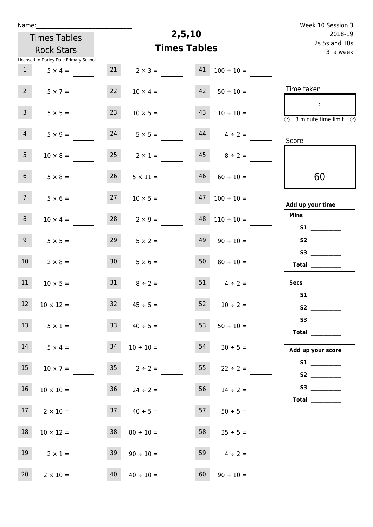| Week 10 Session 3                                                                              |                                 |                     |                                          |                 |                                        | Name:           |  |
|------------------------------------------------------------------------------------------------|---------------------------------|---------------------|------------------------------------------|-----------------|----------------------------------------|-----------------|--|
| 2018-19                                                                                        |                                 | 2,5,10              |                                          |                 |                                        |                 |  |
| 2s 5s and 10s                                                                                  |                                 | <b>Times Tables</b> | <b>Times Tables</b><br><b>Rock Stars</b> |                 |                                        |                 |  |
| 3 a week                                                                                       |                                 |                     |                                          |                 | Licensed to Darley Dale Primary School |                 |  |
|                                                                                                | $100 \div 10 =$                 | 41                  | $2 \times 3 =$                           | 21              | $5 \times 4 =$                         | $\mathbf{1}$    |  |
| Time taken                                                                                     | $50 \div 10 =$                  | 42                  | $10 \times 4 =$                          | 22              | $5 \times 7 =$                         | $2^{\circ}$     |  |
| $\mathcal{L}$<br>$\overline{\textcircled{1}}$ 3 minute time limit $\overline{\textcircled{1}}$ | $43 \quad 110 \div 10 =$        |                     | $10 \times 5 =$                          | 23              | $5 \times 5 =$                         | 3 <sup>7</sup>  |  |
| Score                                                                                          | $44$ $4 \div 2 =$               |                     | $5 \times 5 =$                           | 24              | $5 \times 9 =$                         | 4               |  |
|                                                                                                | $45 \t 8 \div 2 =$              |                     | $25 \t 2 \times 1 =$                     |                 | $10 \times 8 =$                        | 5 <sub>1</sub>  |  |
| 60                                                                                             | $60 \div 10 =$                  | 46                  | $5 \times 11 =$                          | 26              | $5 \times 8 =$                         | 6 <sup>1</sup>  |  |
| Add up your time                                                                               | $100 \div 10 =$                 | 47                  | $10 \times 5 =$                          | 27              | $5 \times 6 =$                         | 7 <sup>7</sup>  |  |
| <b>Mins</b>                                                                                    | $110 \div 10 =$                 | 48                  | $2 \times 9 =$                           | 28              | $10 \times 4 =$                        | 8               |  |
| S2                                                                                             | $90 \div 10 =$                  | 49                  | $5 \times 2 =$                           | 29              | $5 \times 5 =$                         | 9               |  |
| <b>Total</b> __________                                                                        | $80 \div 10 =$                  | 50                  | $5 \times 6 =$                           | 30 <sub>2</sub> | $2 \times 8 =$                         | 10 <sup>°</sup> |  |
| <b>Secs</b>                                                                                    | $51 \t 4 \div 2 =$              |                     | $8 \div 2 =$                             | 31              | $10 \times 5 =$                        | 11              |  |
| S1                                                                                             | $52 \t 10 \div 2 =$             |                     | $32 \t 45 \div 5 =$                      |                 | $12 \t 10 \times 12 =$                 |                 |  |
| <b>Total</b>                                                                                   | $50 \div 10 =$                  | 53                  | $33 \t 40 \div 5 =$                      |                 | $5 \times 1 =$                         | 13              |  |
| Add up your score                                                                              | $10 \div 10 = 54$ $30 \div 5 =$ |                     |                                          |                 | $14 \t 5 \times 4 = 34$                |                 |  |
| S1                                                                                             | $55 \t 22 \div 2 =$             |                     | $10 \times 7 = 35$ $2 \div 2 =$          |                 |                                        | 15              |  |
| Total $\_\_$                                                                                   | $14 \div 2 =$                   | 56                  | $36 \t24 \div 2 =$                       |                 | $10 \times 10 =$                       | 16              |  |
|                                                                                                | $50 \div 5 =$                   |                     | $2 \times 10 =$ 37 $40 \div 5 =$ 57      |                 |                                        | 17              |  |
|                                                                                                | $35 \div 5 =$                   | 58                  | $80 \div 10 =$                           | 38              | $10 \times 12 =$                       | 18              |  |
|                                                                                                | 59 $4 \div 2 =$                 |                     | $90 \div 10 =$                           | 39              | $2 \times 1 =$                         | 19              |  |
|                                                                                                | $90 \div 10 =$                  | 60                  | $40 \div 10 =$                           | 40              | $2 \times 10 =$                        | 20 <sub>2</sub> |  |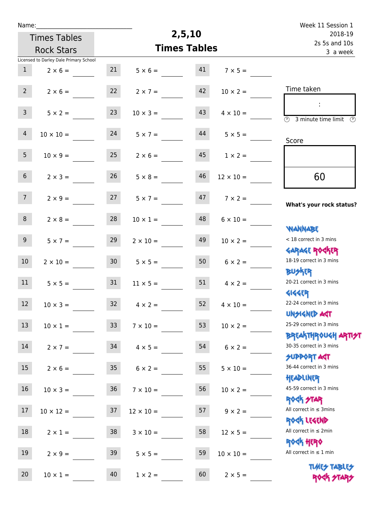| Name:            |                                        |                 |                  |                     |                  | Week 11 Session 1                                                                |
|------------------|----------------------------------------|-----------------|------------------|---------------------|------------------|----------------------------------------------------------------------------------|
|                  | <b>Times Tables</b>                    |                 |                  | 2,5,10              |                  | 2018-19<br>2s 5s and 10s                                                         |
|                  | <b>Rock Stars</b>                      |                 |                  | <b>Times Tables</b> |                  | 3 a week                                                                         |
|                  | Licensed to Darley Dale Primary School |                 |                  |                     |                  |                                                                                  |
| 1                | $2 \times 6 =$                         | 21              | $5 \times 6 =$   | 41                  | $7 \times 5 =$   |                                                                                  |
| 2 <sup>7</sup>   | $2 \times 6 =$                         | 22              | $2 \times 7 =$   | 42                  | $10 \times 2 =$  | Time taken                                                                       |
| 3 <sup>7</sup>   | $5 \times 2 =$                         | 23              | $10 \times 3 =$  | 43                  | $4 \times 10 =$  | $\mathcal{L}$<br>$\overline{(\mathcal{V})}$<br>3 minute time limit $\circled{0}$ |
| $\overline{4}$   | $10 \times 10 =$                       | 24              | $5 \times 7 =$   | 44                  | $5 \times 5 =$   | Score                                                                            |
| 5 <sub>1</sub>   | $10 \times 9 =$                        | 25              | $2 \times 6 =$   | 45                  | $1 \times 2 =$   |                                                                                  |
| 6 <sup>1</sup>   | $2 \times 3 =$                         | 26              | $5 \times 8 =$   | 46                  | $12 \times 10 =$ | 60                                                                               |
| 7 <sup>7</sup>   | $2 \times 9 =$                         | 27              | $5 \times 7 =$   | 47                  | $7 \times 2 =$   | What's your rock status?                                                         |
| 8                | $2 \times 8 =$                         | 28              | $10 \times 1 =$  | 48                  | $6 \times 10 =$  | <b>NANNABE</b>                                                                   |
| 9 <sub>o</sub>   | $5 \times 7 =$                         | 29              | $2 \times 10 =$  | 49                  | $10 \times 2 =$  | < 18 correct in 3 mins<br><b>GARAGE ROCKER</b>                                   |
| 10 <sup>°</sup>  | $2 \times 10 =$                        | 30 <sup>°</sup> | $5 \times 5 =$   | 50                  | $6 \times 2 =$   | 18-19 correct in 3 mins<br><b>BUSKRR</b>                                         |
| 11               | $5 \times 5 =$                         | 31              | $11 \times 5 =$  | 51                  | $4 \times 2 =$   | 20-21 correct in 3 mins<br><b>4144EP</b>                                         |
| 12 <sup>12</sup> | $10 \times 3 =$                        | 32              | $4 \times 2 =$   | 52                  | $4 \times 10 =$  | 22-24 correct in 3 mins<br><b>UNSIGNED AST</b>                                   |
| 13               | $10 \times 1 =$                        | 33 <sup>°</sup> | $7 \times 10 =$  | 53                  | $10 \times 2 =$  | 25-29 correct in 3 mins                                                          |
| 14               | $2 \times 7 =$                         | 34              | $4 \times 5 =$   | 54                  | $6 \times 2 =$   | <b>BREAKTHROUGH ARTI<del>S</del>T</b><br>30-35 correct in 3 mins                 |
| 15               | $2 \times 6 =$                         | 35 <sub>1</sub> | $6 \times 2 =$   | 55                  | $5 \times 10 =$  | <b>SUPPORT AGT</b><br>36-44 correct in 3 mins<br>HEADLINER                       |
| 16               | $10 \times 3 =$                        | 36              | $7 \times 10 =$  | 56                  | $10 \times 2 =$  | 45-59 correct in 3 mins<br>ROCK STAR                                             |
| 17               | $10 \times 12 =$                       | 37              | $12 \times 10 =$ | 57                  | $9 \times 2 =$   | All correct in $\leq$ 3mins<br>ROCK LEGEND                                       |
| 18               | $2 \times 1 =$                         | 38              | $3 \times 10 =$  | 58                  | $12 \times 5 =$  | All correct in $\leq 2$ min<br><b>ROCK HERO</b>                                  |
| 19               | $2 \times 9 =$                         | 39              | $5 \times 5 =$   | 59                  | $10 \times 10 =$ | All correct in $\leq 1$ min                                                      |
| 20               | $10 \times 1 =$                        | 40              | $1 \times 2 =$   | 60                  | $2 \times 5 =$   | <b>TUARS TABLES</b><br>ROCK STA                                                  |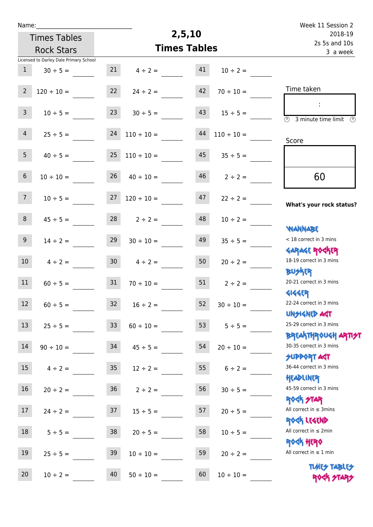| Name:             |                                        |                 |                     |                           |                 | Week 11 Session 2                                               |
|-------------------|----------------------------------------|-----------------|---------------------|---------------------------|-----------------|-----------------------------------------------------------------|
|                   | <b>Times Tables</b>                    |                 | 2,5,10              | 2018-19                   |                 |                                                                 |
| <b>Rock Stars</b> |                                        |                 | <b>Times Tables</b> | 2s 5s and 10s<br>3 a week |                 |                                                                 |
|                   | Licensed to Darley Dale Primary School |                 |                     |                           |                 |                                                                 |
| $\mathbf{1}$      | $30 \div 5 =$                          | 21              | $4 \div 2 =$        | 41                        | $10 \div 2 =$   |                                                                 |
| $\overline{2}$    | $120 \div 10 =$                        | 22              | $24 \div 2 =$       | 42                        | $70 \div 10 =$  | Time taken                                                      |
| $\overline{3}$    | $10 \div 5 =$                          | 23              | $30 \div 5 =$       | 43                        | $15 \div 5 =$   | $\overline{\mathbb{O}}$<br>3 minute time limit<br>$\mathcal{O}$ |
| $\overline{4}$    | $25 \div 5 =$                          | 24              | $110 \div 10 =$     | 44                        | $110 \div 10 =$ | Score                                                           |
| 5 <sub>1</sub>    | $40 \div 5 =$                          | 25              | $110 \div 10 =$     | 45                        | $35 \div 5 =$   |                                                                 |
| $6\phantom{.}$    | $10 \div 10 =$                         | 26              | $40 \div 10 =$      | 46                        | $2 \div 2 =$    | 60                                                              |
| 7 <sup>7</sup>    | $10 \div 5 =$                          | 27              | $120 \div 10 =$     | 47                        | $22 \div 2 =$   | What's your rock status?                                        |
| 8                 | $45 \div 5 =$                          | 28              | $2 \div 2 =$        | 48                        | $10 \div 2 =$   |                                                                 |
| 9 <sup>°</sup>    | $14 \div 2 =$                          | 29              | $30 \div 10 =$      | 49                        | $35 \div 5 =$   | <b>JARNARY</b><br>< 18 correct in 3 mins                        |
| 10 <sup>°</sup>   | $4 \div 2 =$                           | 30 <sub>o</sub> | $4 \div 2 =$        | 50                        | $20 \div 2 =$   | <b>GARAGE ROCKER</b><br>18-19 correct in 3 mins                 |
| 11                | $60 \div 5 =$                          | 31              | $70 \div 10 =$      | 51                        | $2 \div 2 =$    | <b>BUSKER</b><br>20-21 correct in 3 mins                        |
| 12                | $60 \div 5 =$                          | 32              | $16 \div 2 =$       | 52                        | $30 \div 10 =$  | <b>4144EP</b><br>22-24 correct in 3 mins<br><b>UNSIGNED AST</b> |
| 13                | $25 \div 5 =$                          | 33 <sup>°</sup> | $60 \div 10 =$      | 53                        | $5 ÷ 5 =$       | 25-29 correct in 3 mins                                         |
| $14\,$            | $90 \div 10 =$                         | 34              | $45 \div 5 =$       | 54                        | $20 \div 10 =$  | ΒΡΓΑΚΤΗΡΟUGH ΑΡΤΙ <del>2</del> Τ<br>30-35 correct in 3 mins     |
| 15                | $4 \div 2 =$                           | 35 <sub>o</sub> | $12 \div 2 =$       | 55                        | $6 \div 2 =$    | <b>SUPPORT AGT</b><br>36-44 correct in 3 mins                   |
| 16                | $20 \div 2 =$                          | 36              | $2 \div 2 =$        | 56                        | $30 \div 5 =$   | HEADLINER<br>45-59 correct in 3 mins                            |
| 17                | $24 \div 2 =$                          | 37              | $15 \div 5 =$       | 57                        | $20 \div 5 =$   | <b>ROCK STAR</b><br>All correct in $\leq$ 3mins                 |
| 18                | $5 ÷ 5 =$                              | 38              | $20 \div 5 =$       | 58                        | $10 \div 5 =$   | ROCK LEGEND<br>All correct in $\leq 2$ min                      |
| 19                | $25 \div 5 =$                          | 39              | $10 \div 10 =$      | 59                        | $20 \div 2 =$   | <b>ROGH HERO</b><br>All correct in $\leq 1$ min                 |
| 20                | $10 \div 2 =$                          | 40              | $50 \div 10 =$      | 60                        | $10 \div 10 =$  | <b>TUARS TABLES</b><br>ROCK STARS                               |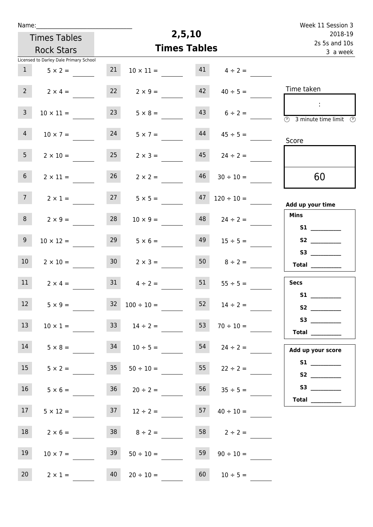| Name:          |                                        |                 |                      |                           |                     | Week 11 Session 3                                                                          |
|----------------|----------------------------------------|-----------------|----------------------|---------------------------|---------------------|--------------------------------------------------------------------------------------------|
|                | <b>Times Tables</b>                    |                 | 2,5,10               | 2018-19                   |                     |                                                                                            |
|                | <b>Rock Stars</b>                      |                 | <b>Times Tables</b>  | 2s 5s and 10s<br>3 a week |                     |                                                                                            |
|                | Licensed to Darley Dale Primary School |                 |                      |                           |                     |                                                                                            |
| 1              | $5 \times 2 =$                         | 21              | $10 \times 11 =$     | 41                        | $4 \div 2 =$        |                                                                                            |
| $2^{\circ}$    | $2 \times 4 =$                         | 22              | $2 \times 9 =$       | 42                        | $40 \div 5 =$       | Time taken                                                                                 |
| $\overline{3}$ | $10 \times 11 =$                       | 23              | $5 \times 8 =$       | 43                        | $6 \div 2 =$        | $\sim 10$<br>$\overline{\textcircled{2}}$ 3 minute time limit $\overline{\textcircled{2}}$ |
| 4 <sup>1</sup> | $10 \times 7 =$                        | 24              | $5 \times 7 =$       | 44                        | $45 \div 5 =$       | Score                                                                                      |
| 5 <sub>1</sub> | $2 \times 10 =$                        | 25              | $2 \times 3 =$       |                           | $45 \t24 \div 2 =$  |                                                                                            |
| 6 <sup>1</sup> | $2 \times 11 =$                        | 26              | $2 \times 2 =$       | 46                        | $30 \div 10 =$      | 60                                                                                         |
| 7 <sup>7</sup> | $2 \times 1 =$                         | 27              | $5 \times 5 =$       | 47                        | $120 \div 10 =$     | Add up your time                                                                           |
| 8              | $2 \times 9 =$                         | 28              | $10 \times 9 =$      | 48                        | $24 \div 2 =$       | <b>Mins</b><br>S1                                                                          |
| 9 <sup>°</sup> | $10 \times 12 =$                       | 29              | $5 \times 6 =$       | 49                        | $15 \div 5 =$       |                                                                                            |
| 10             | $2 \times 10 =$                        | 30 <sup>1</sup> | $2 \times 3 =$       | 50                        | $8 \div 2 =$        | Total                                                                                      |
| 11             | $2 \times 4 =$                         | 31              | $4 \div 2 =$         | 51                        | $55 \div 5 =$       | <b>Secs</b>                                                                                |
| 12             | $5 \times 9 =$                         |                 | $32 \t100 \div 10 =$ |                           | $52 \t 14 \div 2 =$ | S1                                                                                         |
| 13             | $10 \times 1 =$                        |                 | $33 \t 14 \div 2 =$  | 53                        | $70 \div 10 =$      | Total $\qquad$                                                                             |
| 14             | $5 \times 8 = 34$ $10 \div 5 =$        |                 |                      |                           | $54$ $24 \div 2 =$  | Add up your score                                                                          |
| 15             | $5 \times 2 = 35$                      |                 | $50 \div 10 =$       |                           | $55$ $22 \div 2 =$  |                                                                                            |
| 16             | $5 \times 6 =$                         |                 | $36 \t 20 \div 2 =$  |                           | $56$ $35 \div 5 =$  |                                                                                            |
| 17             | $5 \times 12 =$                        |                 | $37 \t 12 \div 2 =$  | 57                        | $40 \div 10 =$      |                                                                                            |
| 18             | $2 \times 6 =$                         |                 | $38 \t 8 \div 2 =$   |                           | $58$ $2 \div 2 =$   |                                                                                            |
| 19             | $10 \times 7 =$                        | 39              | $50 \div 10 =$       | 59                        | $90 \div 10 =$      |                                                                                            |
| 20             | $2 \times 1 =$                         | 40              | $20 \div 10 =$       | 60                        | $10 \div 5 =$       |                                                                                            |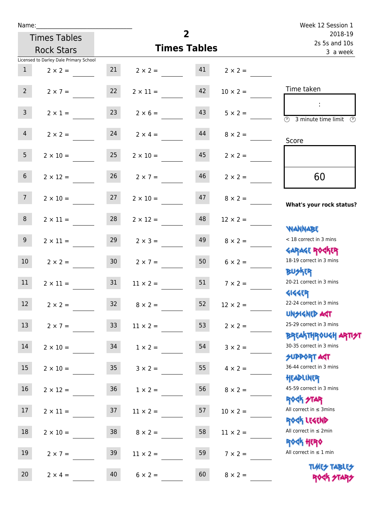| Name:            |                                                    |                 |                                  | $\overline{2}$           |                 | Week 12 Session 1                                                             |
|------------------|----------------------------------------------------|-----------------|----------------------------------|--------------------------|-----------------|-------------------------------------------------------------------------------|
|                  | <b>Times Tables</b>                                |                 |                                  | 2018-19<br>2s 5s and 10s |                 |                                                                               |
|                  | <b>Rock Stars</b>                                  |                 | <b>Times Tables</b>              | 3 a week                 |                 |                                                                               |
|                  | Licensed to Darley Dale Primary School             |                 |                                  |                          |                 |                                                                               |
| 1                | $2 \times 2 =$ 21 $2 \times 2 =$ 41 $2 \times 2 =$ |                 |                                  |                          |                 |                                                                               |
| $2^{\circ}$      | $2 \times 7 =$                                     | 22              | $2 \times 11 =$                  | 42                       | $10 \times 2 =$ | Time taken                                                                    |
| $\mathsf{3}$     | $2 \times 1 =$                                     | 23              | $2 \times 6 =$                   | 43                       | $5 \times 2 =$  | $\overline{\textcircled{1}}$ 3 minute time limit $\overline{\textcircled{1}}$ |
| 4                |                                                    |                 | $2 \times 2 =$ 24 $2 \times 4 =$ | 44                       | $8 \times 2 =$  | Score                                                                         |
| 5 <sub>1</sub>   | $2 \times 10 =$                                    | 25              | $2 \times 10 =$                  | 45                       | $2 \times 2 =$  |                                                                               |
| 6 <sup>1</sup>   | $2 \times 12 =$                                    | 26              | $2 \times 7 =$                   | 46                       | $2 \times 2 =$  | 60                                                                            |
| 7 <sup>7</sup>   | $2 \times 10 =$ 27 $2 \times 10 =$ 47              |                 |                                  |                          | $8 \times 2 =$  | What's your rock status?                                                      |
| 8                | $2 \times 11 =$                                    | 28              | $2 \times 12 =$                  | 48                       | $12 \times 2 =$ | <b>JARNARY</b>                                                                |
| 9 <sub>o</sub>   | $2 \times 11 =$                                    | 29              | $2 \times 3 =$                   | 49                       | $8 \times 2 =$  | < 18 correct in 3 mins                                                        |
| 10 <sup>1</sup>  | $2 \times 2 = 30$                                  |                 | $2 \times 7 = 50$                |                          | $6 \times 2 =$  | <b>GARAGE ROGKER</b><br>18-19 correct in 3 mins<br><b>BUSKER</b>              |
| 11               | $2 \times 11 = 31$                                 |                 | $11 \times 2 =$                  | 51                       | $7 \times 2 =$  | 20-21 correct in 3 mins<br><b>4144EP</b>                                      |
| 12               | $2 \times 2 =$                                     | 32              | $8 \times 2 =$                   | 52                       | $12 \times 2 =$ | 22-24 correct in 3 mins<br><b>UNSIGNED AGT</b>                                |
| 13               | $2 \times 7 =$                                     | 33 <sup>°</sup> | $11 \times 2 =$                  | 53                       | $2 \times 2 =$  | 25-29 correct in 3 mins<br><b>BREAKTHROUGH ARTI<del>S</del>T</b>              |
| 14               | $2 \times 10 =$                                    | 34              | $1 \times 2 =$                   | 54                       | $3 \times 2 =$  | 30-35 correct in 3 mins<br><b>SUPPORT AGT</b>                                 |
| 15 <sub>15</sub> | $2 \times 10 =$                                    | 35 <sub>o</sub> | $3 \times 2 =$                   | 55                       | $4 \times 2 =$  | 36-44 correct in 3 mins<br>HEADLINER                                          |
| 16               | $2 \times 12 =$                                    | 36              | $1 \times 2 =$                   | 56                       | $8 \times 2 =$  | 45-59 correct in 3 mins<br>ROCK STAR                                          |
| 17               | $2 \times 11 =$                                    | 37              | $11 \times 2 =$                  | 57                       | $10 \times 2 =$ | All correct in $\leq$ 3mins<br>ROCK LEGEND                                    |
| 18               | $2 \times 10 =$                                    | 38              | $8 \times 2 =$                   | 58                       | $11 \times 2 =$ | All correct in $\leq 2$ min<br><b>ROCK HERO</b>                               |
| 19               | $2 \times 7 =$                                     | 39              | $11 \times 2 =$                  | 59                       | $7 \times 2 =$  | All correct in $\leq 1$ min                                                   |
| 20               | $2 \times 4 =$                                     | 40              | $6 \times 2 =$                   | 60                       | $8 \times 2 =$  | <b>TUARS TABLES</b><br>ROCK STARS                                             |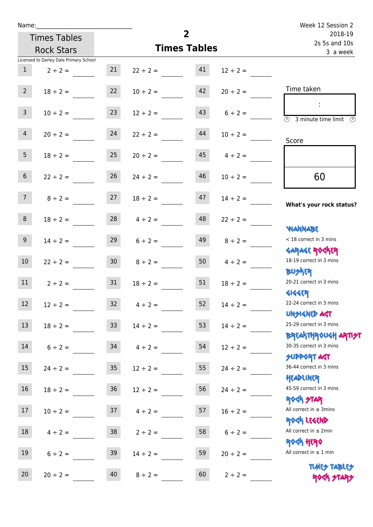| Name:                                  |                                  |                     | $\overline{2}$           |                   | Week 12 Session 2                                                             |
|----------------------------------------|----------------------------------|---------------------|--------------------------|-------------------|-------------------------------------------------------------------------------|
| <b>Times Tables</b>                    |                                  |                     | 2018-19<br>2s 5s and 10s |                   |                                                                               |
| <b>Rock Stars</b>                      |                                  | <b>Times Tables</b> | 3 a week                 |                   |                                                                               |
| Licensed to Darley Dale Primary School |                                  |                     |                          |                   |                                                                               |
| $\mathbf{1}$<br>$2 \div 2 =$           | 21                               | $22 \div 2 =$       | 41                       | $12 \div 2 =$     |                                                                               |
| $2^{\circ}$                            | 22<br>$18 \div 2 =$              | $10 \div 2 =$       | 42                       | $20 \div 2 =$     | Time taken                                                                    |
| 3 <sup>7</sup>                         | 23<br>$10 \div 2 =$              | $12 \div 2 =$       | 43                       | $6 \div 2 =$      | $\overline{\textcircled{2}}$ 3 minute time limit $\overline{\textcircled{2}}$ |
| 4                                      | 24<br>$20 \div 2 =$              | $22 \div 2 =$       | 44                       | $10 \div 2 =$     | Score                                                                         |
| 5 <sub>1</sub>                         | $18 \div 2 = 25$                 | $20 \div 2 =$       |                          | $45$ $4 \div 2 =$ |                                                                               |
| 6 <sup>1</sup>                         | 26<br>$22 \div 2 =$              | $24 \div 2 =$       | 46                       | $10 \div 2 =$     | 60                                                                            |
| 7 <sup>7</sup>                         | 27<br>$8 \div 2 =$               | $18 \div 2 =$       | 47                       | $14 \div 2 =$     | What's your rock status?                                                      |
| 8                                      | $18 \div 2 =$                    | $28 \t 4 \div 2 =$  | 48                       | $22 \div 2 =$     | <b>NANNABE</b>                                                                |
| 9 <sub>o</sub>                         | $14 \div 2 =$                    | $29 \t 6 \div 2 =$  | 49                       | $8 \div 2 =$      | < 18 correct in 3 mins<br><b>GARAGE ROCKER</b>                                |
| 10 <sup>°</sup>                        | 30 <sub>o</sub><br>$22 \div 2 =$ | $8 \div 2 =$        | 50 <sub>o</sub>          | $4 \div 2 =$      | 18-19 correct in 3 mins<br><b>BUSKER</b>                                      |
| 11                                     | $2 \div 2 = 31$                  | $18 \div 2 =$       | 51                       | $18 \div 2 =$     | 20-21 correct in 3 mins<br><b>4144ER</b>                                      |
| 12<br>$12 \div 2 =$                    | 32                               | $4 \div 2 =$        | 52                       | $14 \div 2 =$     | 22-24 correct in 3 mins<br><b>UNSIGNED AGT</b>                                |
| 13<br>$18 \div 2 =$                    | 33                               | $14 \div 2 =$       | 53                       | $14 \div 2 =$     | 25-29 correct in 3 mins<br><b>BREAKTHROUGH ARTH</b>                           |
| 14<br>$6 \div 2 =$                     | 34                               | $4 \div 2 =$        | 54                       | $12 \div 2 =$     | 30-35 correct in 3 mins<br><b>SUPPORT AGT</b>                                 |
| 15<br>$24 \div 2 =$                    | $35\phantom{.0}$                 | $12 \div 2 =$       | 55                       | $24 \div 2 =$     | 36-44 correct in 3 mins<br>HEADLINER                                          |
| 16<br>$18 \div 2 =$                    | $36\,$                           | $12 \div 2 =$       | 56                       | $24 \div 2 =$     | 45-59 correct in 3 mins<br><b>ROCK STAR</b>                                   |
| 17<br>$10 \div 2 =$                    | 37                               | $4 \div 2 =$        | 57                       | $16 \div 2 =$     | All correct in $\leq$ 3mins<br>ROCK LEGEND                                    |
| 18<br>$4 \div 2 =$                     | 38                               | $2 \div 2 =$        | 58                       | $6 \div 2 =$      | All correct in $\leq 2$ min<br><b>ROCK HERO</b>                               |
| 19<br>$6 \div 2 =$                     | 39                               | $14 \div 2 =$       | 59                       | $20 \div 2 =$     | All correct in $\leq 1$ min                                                   |
| 20<br>$20 \div 2 =$                    | 40                               | $8 \div 2 =$        | 60                       | $2 \div 2 =$      | <b>TUARS TABLES</b><br>ROCK STARS                                             |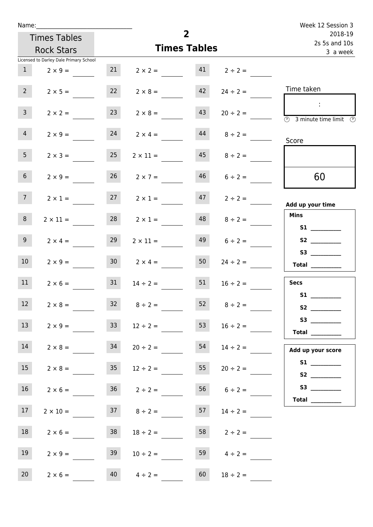| Name:               |                                        |                 |                      | $\overline{2}$           |                    | Week 12 Session 3                                                                                                                                                                                                                                                                                                                                                                                                                                                                                                                                                                                                   |
|---------------------|----------------------------------------|-----------------|----------------------|--------------------------|--------------------|---------------------------------------------------------------------------------------------------------------------------------------------------------------------------------------------------------------------------------------------------------------------------------------------------------------------------------------------------------------------------------------------------------------------------------------------------------------------------------------------------------------------------------------------------------------------------------------------------------------------|
| <b>Times Tables</b> |                                        |                 |                      | 2018-19<br>2s 5s and 10s |                    |                                                                                                                                                                                                                                                                                                                                                                                                                                                                                                                                                                                                                     |
|                     | <b>Rock Stars</b>                      |                 | <b>Times Tables</b>  | 3 a week                 |                    |                                                                                                                                                                                                                                                                                                                                                                                                                                                                                                                                                                                                                     |
|                     | Licensed to Darley Dale Primary School |                 |                      |                          |                    |                                                                                                                                                                                                                                                                                                                                                                                                                                                                                                                                                                                                                     |
| 1                   | $2 \times 9 =$                         | 21              | $2 \times 2 =$       | 41                       | $2 \div 2 =$       |                                                                                                                                                                                                                                                                                                                                                                                                                                                                                                                                                                                                                     |
| 2 <sup>7</sup>      | $2 \times 5 =$                         | 22              | $2 \times 8 =$       | 42                       | $24 \div 2 =$      | Time taken                                                                                                                                                                                                                                                                                                                                                                                                                                                                                                                                                                                                          |
| 3 <sup>7</sup>      | $2 \times 2 =$                         | 23              | $2 \times 8 =$       | 43                       | $20 \div 2 =$      | $\mathbb{R}^n$<br>3 minute time limit<br>$\odot$                                                                                                                                                                                                                                                                                                                                                                                                                                                                                                                                                                    |
| $\overline{4}$      | $2 \times 9 =$                         | 24              | $2 \times 4 =$       | 44                       | $8 \div 2 =$       | Score                                                                                                                                                                                                                                                                                                                                                                                                                                                                                                                                                                                                               |
| 5 <sub>1</sub>      | $2 \times 3 =$                         | 25              | $2 \times 11 =$      | 45                       | $8 \div 2 =$       |                                                                                                                                                                                                                                                                                                                                                                                                                                                                                                                                                                                                                     |
| 6 <sup>1</sup>      | $2 \times 9 =$                         | 26              | $2 \times 7 =$       | 46                       | $6 \div 2 =$       | 60                                                                                                                                                                                                                                                                                                                                                                                                                                                                                                                                                                                                                  |
| 7 <sup>7</sup>      | $2 \times 1 =$                         |                 | $27 \t 2 \times 1 =$ | 47                       | $2 \div 2 =$       | Add up your time                                                                                                                                                                                                                                                                                                                                                                                                                                                                                                                                                                                                    |
| 8                   | $2 \times 11 =$                        | 28              | $2 \times 1 =$       | 48                       | $8 \div 2 =$       | <b>Mins</b><br><b>S1 S1</b>                                                                                                                                                                                                                                                                                                                                                                                                                                                                                                                                                                                         |
| 9 <sub>o</sub>      | $2 \times 4 =$                         | 29              | $2 \times 11 =$      | 49                       | $6 \div 2 =$       |                                                                                                                                                                                                                                                                                                                                                                                                                                                                                                                                                                                                                     |
| 10                  | $2 \times 9 =$                         | 30 <sup>1</sup> | $2 \times 4 =$       | 50                       | $24 \div 2 =$      | $\begin{tabular}{c} Total & \underline{\hspace{1cm}} & \underline{\hspace{1cm}} & \underline{\hspace{1cm}} & \underline{\hspace{1cm}} & \underline{\hspace{1cm}} & \underline{\hspace{1cm}} & \underline{\hspace{1cm}} & \underline{\hspace{1cm}} & \underline{\hspace{1cm}} & \underline{\hspace{1cm}} & \underline{\hspace{1cm}} & \underline{\hspace{1cm}} & \underline{\hspace{1cm}} & \underline{\hspace{1cm}} & \underline{\hspace{1cm}} & \underline{\hspace{1cm}} & \underline{\hspace{1cm}} & \underline{\hspace{1cm}} & \underline{\hspace{1cm}} & \underline{\hspace{1cm}} & \underline{\hspace{1cm}} &$ |
| 11                  | $2 \times 6 =$                         | 31              | $14 \div 2 =$        | 51                       | $16 \div 2 =$      | <b>Secs</b>                                                                                                                                                                                                                                                                                                                                                                                                                                                                                                                                                                                                         |
| $12$                | $2 \times 8 =$                         | 32              | $8 \div 2 =$         | 52                       | $8 \div 2 =$       | S1                                                                                                                                                                                                                                                                                                                                                                                                                                                                                                                                                                                                                  |
| 13                  | $2 \times 9 =$                         | 33              | $12 \div 2 =$        | 53                       | $16 \div 2 =$      | Total $\_\_$                                                                                                                                                                                                                                                                                                                                                                                                                                                                                                                                                                                                        |
| 14                  | $2 \times 8 =$                         | 34              | $20 \div 2 =$        | 54                       | $14 \div 2 =$      | Add up your score                                                                                                                                                                                                                                                                                                                                                                                                                                                                                                                                                                                                   |
| 15                  | $2 \times 8 =$                         | 35              | $12 \div 2 =$        | 55                       | $20 \div 2 =$      |                                                                                                                                                                                                                                                                                                                                                                                                                                                                                                                                                                                                                     |
| 16                  | $2 \times 6 =$                         |                 | $36 \t2 \div 2 =$    |                          | $56 \t 6 \div 2 =$ |                                                                                                                                                                                                                                                                                                                                                                                                                                                                                                                                                                                                                     |
| 17 <sub>1</sub>     | $2 \times 10 =$                        |                 | $37 \t 8 \div 2 =$   | 57                       | $14 \div 2 =$      |                                                                                                                                                                                                                                                                                                                                                                                                                                                                                                                                                                                                                     |
| 18                  | $2 \times 6 =$                         | 38              | $18 \div 2 =$        | 58                       | $2 \div 2 =$       |                                                                                                                                                                                                                                                                                                                                                                                                                                                                                                                                                                                                                     |
| 19                  | $2 \times 9 =$                         | 39              | $10 \div 2 =$        | 59                       | $4 \div 2 =$       |                                                                                                                                                                                                                                                                                                                                                                                                                                                                                                                                                                                                                     |
| 20                  | $2 \times 6 =$                         | 40              | $4 \div 2 =$         | 60                       | $18 \div 2 =$      |                                                                                                                                                                                                                                                                                                                                                                                                                                                                                                                                                                                                                     |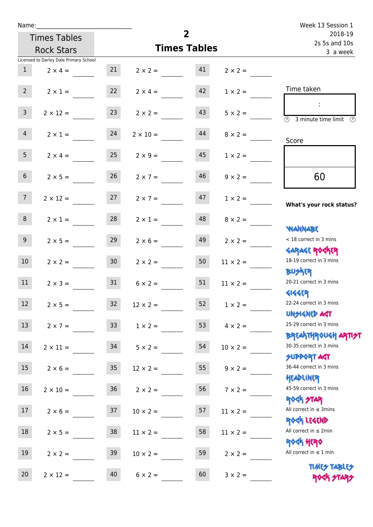| Name:                                  |                    |                 |                     | Week 13 Session 1        |                 |                                                                            |
|----------------------------------------|--------------------|-----------------|---------------------|--------------------------|-----------------|----------------------------------------------------------------------------|
| <b>Times Tables</b>                    |                    |                 |                     | 2018-19<br>2s 5s and 10s |                 |                                                                            |
| <b>Rock Stars</b>                      |                    |                 | <b>Times Tables</b> | 3 a week                 |                 |                                                                            |
| Licensed to Darley Dale Primary School |                    |                 |                     |                          |                 |                                                                            |
| 1                                      | $2 \times 4 =$     | 21              | $2 \times 2 = 41$   |                          | $2 \times 2 =$  |                                                                            |
| $2^{\circ}$                            | $2 \times 1 =$     | 22              | $2 \times 4 =$      | 42                       | $1 \times 2 =$  | Time taken                                                                 |
| 3 <sup>7</sup>                         | $2 \times 12 =$    | 23              | $2 \times 2 =$      | 43                       | $5 \times 2 =$  | - 11<br>$\overline{(\mathcal{V})}$<br>3 minute time limit<br>$\mathcal{O}$ |
| $\overline{4}$                         | $2 \times 1 = 24$  |                 | $2 \times 10 =$     | 44                       | $8 \times 2 =$  | Score                                                                      |
| 5 <sub>1</sub>                         | $2 \times 4 =$     | 25              | $2 \times 9 =$      | 45                       | $1 \times 2 =$  |                                                                            |
| 6 <sup>1</sup>                         | $2 \times 5 =$     | 26              | $2 \times 7 =$      | 46                       | $9 \times 2 =$  | 60                                                                         |
| 7 <sup>7</sup>                         | $2 \times 12 = 27$ |                 | $2 \times 7 =$      | 47                       | $1 \times 2 =$  | What's your rock status?                                                   |
| 8                                      | $2 \times 1 =$     | 28              | $2 \times 1 =$      | 48                       | $8 \times 2 =$  | <b>NANNABE</b>                                                             |
| 9 <sub>o</sub>                         | $2 \times 5 =$     | 29              | $2 \times 6 =$      | 49                       | $2 \times 2 =$  | < 18 correct in 3 mins<br><b>GARAGE ROGKER</b>                             |
| 10 <sup>°</sup>                        | $2 \times 2 = 30$  |                 | $2 \times 2 =$      | 50                       | $11 \times 2 =$ | 18-19 correct in 3 mins<br><b>BUSKER</b>                                   |
| 11                                     | $2 \times 3 =$     | 31              | $6 \times 2 =$      | 51                       | $11 \times 2 =$ | 20-21 correct in 3 mins<br><b>4144EP</b>                                   |
| 12 <sup>7</sup><br>$2 \times 5 =$      |                    | 32              | $12 \times 2 =$     | 52                       | $1 \times 2 =$  | 22-24 correct in 3 mins<br><b>UNSIGNED AST</b>                             |
| 13<br>$2 \times 7 =$                   |                    | 33 <sup>°</sup> | $1 \times 2 =$      | 53                       | $4 \times 2 =$  | 25-29 correct in 3 mins<br><b>BREAKTHROUGH ARTI<del>S</del>T</b>           |
| 14                                     | $2 \times 11 =$    | 34              | $5 \times 2 =$      | 54                       | $10 \times 2 =$ | 30-35 correct in 3 mins<br><b>SUPPORT AGT</b>                              |
| 15<br>$2 \times 6 =$                   |                    | 35              | $12 \times 2 =$     | 55                       | $9 \times 2 =$  | 36-44 correct in 3 mins<br>HEADLINER                                       |
| 16<br>$2 \times 10 =$                  |                    | 36              | $2 \times 2 =$      | 56                       | $7 \times 2 =$  | 45-59 correct in 3 mins<br><b>ROCK STAR</b>                                |
| 17                                     | $2 \times 6 =$     | 37              | $10 \times 2 =$     | 57                       | $11 \times 2 =$ | All correct in $\leq$ 3mins<br>ROCK LEGEND                                 |
| 18                                     | $2 \times 5 =$     | 38              | $11 \times 2 =$     | 58                       | $11 \times 2 =$ | All correct in $\leq 2$ min<br><b>ROCK HERO</b>                            |
| 19<br>$2 \times 2 =$                   |                    | 39              | $10 \times 2 =$     | 59                       | $2 \times 2 =$  | All correct in $\leq 1$ min                                                |
| 20<br>$2 \times 12 =$                  |                    | 40              | $6 \times 2 =$      | 60                       | $3 \times 2 =$  | <b>TUARS TABLES</b><br>ROCK STARS                                          |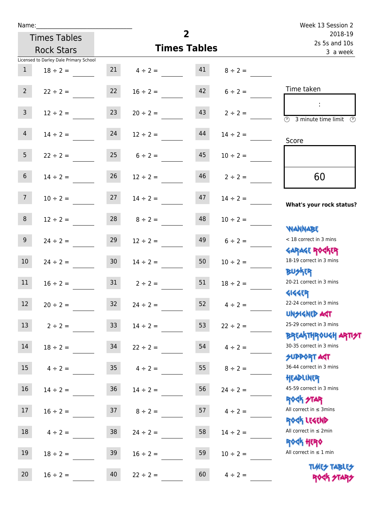| Name:           |                                        |                 |                     | $\overline{2}$           |                    | Week 13 Session 2                                                  |
|-----------------|----------------------------------------|-----------------|---------------------|--------------------------|--------------------|--------------------------------------------------------------------|
|                 | <b>Times Tables</b>                    |                 |                     | 2018-19<br>2s 5s and 10s |                    |                                                                    |
|                 | <b>Rock Stars</b>                      |                 | <b>Times Tables</b> | 3 a week                 |                    |                                                                    |
|                 | Licensed to Darley Dale Primary School |                 |                     |                          |                    |                                                                    |
| $\mathbf{1}$    | $18 \div 2 =$                          |                 | 21 $4 \div 2 =$ 41  |                          | $8 \div 2 =$       |                                                                    |
| $2^{\circ}$     | $22 \div 2 =$                          | 22              | $16 \div 2 =$       |                          | $42 \t 6 \div 2 =$ | Time taken                                                         |
| 3 <sup>7</sup>  | $12 \div 2 =$                          | 23              | $20 \div 2 =$       | 43                       | $2 \div 2 =$       | $\overline{(\mathcal{V})}$<br>3 minute time limit<br>$\mathcal{O}$ |
| $\overline{4}$  | $14 \div 2 =$                          | 24              | $12 \div 2 =$       | 44                       | $14 \div 2 =$      | Score                                                              |
| 5 <sub>1</sub>  | $22 \div 2 = 25$                       |                 | $6 \div 2 =$        | 45                       | $10 \div 2 =$      |                                                                    |
| 6 <sup>1</sup>  | $14 \div 2 =$                          | 26              | $12 \div 2 =$       | 46                       | $2 \div 2 =$       | 60                                                                 |
| 7 <sup>7</sup>  | $10 \div 2 =$                          | 27              | $14 \div 2 =$       | 47                       | $14 \div 2 =$      | What's your rock status?                                           |
| 8               | $12 \div 2 =$                          | 28              | $8 \div 2 =$        | 48                       | $10 \div 2 =$      | <b>NANNABE</b>                                                     |
| 9 <sub>o</sub>  | $24 \div 2 =$                          | 29              | $12 \div 2 =$       | 49                       | $6 \div 2 =$       | < 18 correct in 3 mins<br><b>GARAGE ROGKER</b>                     |
| 10 <sup>1</sup> | $24 \div 2 =$                          | 30 <sub>o</sub> | $14 \div 2 =$       | 50                       | $10 \div 2 =$      | 18-19 correct in 3 mins<br><b>BUSKRY</b>                           |
| 11              | $16 \div 2 = 31$                       |                 | $2 \div 2 =$        | 51                       | $18 \div 2 =$      | 20-21 correct in 3 mins<br><b>4144EP</b>                           |
| 12              | $20 \div 2 =$                          | 32              | $24 \div 2 =$       | 52                       | $4 \div 2 =$       | 22-24 correct in 3 mins<br><b>UNSIGNED AGT</b>                     |
| 13              | $2 \div 2 =$                           | 33              | $14 \div 2 =$       | 53                       | $22 \div 2 =$      | 25-29 correct in 3 mins<br><b>BREAKTHROUGH ARTH</b>                |
| 14              | $18 \div 2 =$                          | 34              | $22 \div 2 =$       | 54                       | $4 \div 2 =$       | 30-35 correct in 3 mins<br><b>SUPPORT AGT</b>                      |
| 15              | $4 \div 2 =$                           | $35\,$          | $4 \div 2 =$        | 55                       | $8 \div 2 =$       | 36-44 correct in 3 mins<br>HEADLINER                               |
| 16              | $14 \div 2 =$                          | $36\,$          | $14 \div 2 =$       | 56                       | $24 \div 2 =$      | 45-59 correct in 3 mins<br><b>ROCK STAR</b>                        |
| 17              | $16 \div 2 =$                          | 37              | $8 \div 2 =$        | 57                       | $4 \div 2 =$       | All correct in $\leq$ 3mins<br>ROCK LEGEND                         |
| 18              | $4 \div 2 =$                           | 38              | $24 \div 2 =$       | 58                       | $14 \div 2 =$      | All correct in $\leq 2$ min<br>ROCK HERO                           |
| 19              | $18 \div 2 =$                          | 39              | $16 \div 2 =$       | 59                       | $10 \div 2 =$      | All correct in $\leq 1$ min<br><b>TUARS TABLES</b>                 |
| 20              | $16 \div 2 =$                          | 40              | $22 \div 2 =$       | 60                       | $4 \div 2 =$       | ROCK STARS                                                         |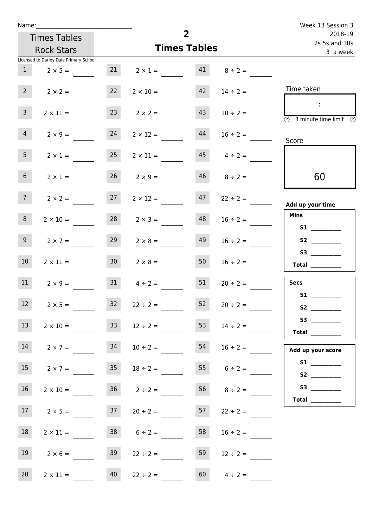| Name:           |                                        |                 |                                   |                | Week 13 Session 3        |                                                                                                 |
|-----------------|----------------------------------------|-----------------|-----------------------------------|----------------|--------------------------|-------------------------------------------------------------------------------------------------|
|                 | <b>Times Tables</b>                    |                 |                                   | $\overline{2}$ | 2018-19<br>2s 5s and 10s |                                                                                                 |
|                 | <b>Rock Stars</b>                      |                 | <b>Times Tables</b>               | 3 a week       |                          |                                                                                                 |
|                 | Licensed to Darley Dale Primary School |                 |                                   |                |                          |                                                                                                 |
|                 | $1 \t 2 \times 5 =$                    |                 | 21 $2 \times 1 =$ 41 $8 \div 2 =$ |                |                          |                                                                                                 |
| $2^{\circ}$     | $2 \times 2 =$                         | 22              | $2 \times 10 =$                   | 42             | $14 \div 2 =$            | Time taken                                                                                      |
| $\mathbf{3}$    | $2 \times 11 =$                        |                 | $23 \t 2 \times 2 =$              | 43             | $10 \div 2 =$            | $\sim 10^{11}$<br>$\overline{\textcircled{2}}$ 3 minute time limit $\overline{\textcircled{2}}$ |
| $\overline{4}$  | $2 \times 9 =$                         | 24              | $2 \times 12 = 44$                |                | $16 \div 2 =$            | Score                                                                                           |
| 5 <sub>1</sub>  | $2 \times 1 =$                         | 25              | $2 \times 11 =$                   |                | $45 \t 4 \div 2 =$       |                                                                                                 |
| 6 <sup>1</sup>  | $2 \times 1 =$                         |                 | $26 \t 2 \times 9 =$              | 46             | $8 \div 2 =$             | 60                                                                                              |
| 7 <sup>7</sup>  | $2 \times 2 =$                         | 27              | $2 \times 12 =$                   |                | $47$ $22 \div 2 =$       | Add up your time                                                                                |
| 8               | $2 \times 10 =$                        |                 | $28$ $2 \times 3 =$               | 48             | $16 \div 2 =$            | <b>Mins</b><br>S1                                                                               |
| 9 <sub>o</sub>  | $2 \times 7 =$                         | 29              | $2 \times 8 =$                    | 49             | $16 \div 2 =$            |                                                                                                 |
| 10 <sup>°</sup> | $2 \times 11 =$                        | 30              | $2 \times 8 =$                    | 50             | $16 \div 2 =$            | $\begin{array}{c}\n\text{Total} \\ \end{array}$                                                 |
| 11              | $2 \times 9 =$                         | 31              | $4 \div 2 =$                      | 51             | $20 \div 2 =$            | <b>Secs</b>                                                                                     |
| 12              | $2 \times 5 =$                         | 32 <sub>2</sub> | $22 \div 2 =$                     | 52             | $20 \div 2 =$            | <b>S1 S1</b>                                                                                    |
| 13              | $2 \times 10 =$                        | 33              | $12 \div 2 =$                     | 53             | $14 \div 2 =$            | S3<br>Total $\_\_$                                                                              |
| 14              | $2 \times 7 =$                         | 34              | $10 \div 2 =$                     | 54             | $16 \div 2 =$            | Add up your score                                                                               |
| 15              | $2 \times 7 =$                         | 35              | $18 \div 2 =$                     |                | 55 $6 \div 2 =$          |                                                                                                 |
| 16              | $2 \times 10 =$                        |                 | $36 \t2 \div 2 =$                 |                | $56 \t 8 \div 2 =$       | S3                                                                                              |
| 17              | $2 \times 5 =$                         | 37              | $20 \div 2 =$                     | 57             | $22 \div 2 =$            |                                                                                                 |
| 18              | $2 \times 11 =$                        |                 | $38$ $6 \div 2 =$                 | 58             | $16 \div 2 =$            |                                                                                                 |
| 19              | $2 \times 6 =$                         | 39              | $22 \div 2 =$                     | 59             | $12 \div 2 =$            |                                                                                                 |
| 20 <sub>2</sub> | $2 \times 11 =$                        | 40              | $22 \div 2 =$                     | 60             | $4 \div 2 =$             |                                                                                                 |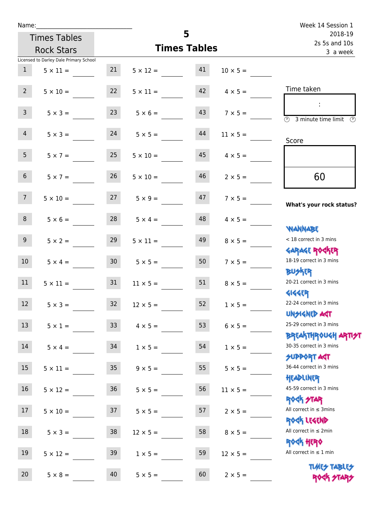| Name:             |                                        |                 |                                     | Week 14 Session 1        |                 |                                                                              |
|-------------------|----------------------------------------|-----------------|-------------------------------------|--------------------------|-----------------|------------------------------------------------------------------------------|
|                   | <b>Times Tables</b>                    |                 |                                     | 2018-19<br>2s 5s and 10s |                 |                                                                              |
| <b>Rock Stars</b> |                                        |                 | <b>Times Tables</b>                 | 3 a week                 |                 |                                                                              |
|                   | Licensed to Darley Dale Primary School |                 |                                     |                          |                 |                                                                              |
| 1                 | $5 \times 11 =$                        | 21              | $5 \times 12 = 41$                  |                          | $10 \times 5 =$ |                                                                              |
| $2^{\circ}$       | $5 \times 10 =$                        | 22              | $5 \times 11 =$                     | 42                       | $4 \times 5 =$  | Time taken                                                                   |
| $\mathsf{3}$      | $5 \times 3 =$                         | 23              | $5 \times 6 =$                      | 43                       | $7 \times 5 =$  | $\sim$<br>$\overline{(\mathcal{V})}$<br>3 minute time limit<br>$\mathcal{O}$ |
| $\overline{4}$    | $5 \times 3 = 24$                      |                 | $5 \times 5 =$                      | 44                       | $11 \times 5 =$ | Score                                                                        |
| 5 <sub>1</sub>    | $5 \times 7 =$                         | 25              | $5 \times 10 =$                     | 45                       | $4 \times 5 =$  |                                                                              |
| 6 <sup>1</sup>    | $5 \times 7 =$                         | 26              | $5 \times 10 =$                     | 46                       | $2 \times 5 =$  | 60                                                                           |
| 7 <sup>7</sup>    |                                        |                 | $5 \times 10 = 27$ $5 \times 9 = 5$ | 47                       | $7 \times 5 =$  | What's your rock status?                                                     |
| 8                 | $5 \times 6 =$                         | 28              | $5 \times 4 =$                      | 48                       | $4 \times 5 =$  | <b>NANNABE</b>                                                               |
| 9 <sub>o</sub>    | $5 \times 2 =$                         | 29              | $5 \times 11 =$                     | 49                       | $8 \times 5 =$  | < 18 correct in 3 mins<br><b>GARAGE ROGKER</b>                               |
| 10 <sup>°</sup>   | $5 \times 4 = 30$                      |                 | $5 \times 5 =$                      | 50                       | $7 \times 5 =$  | 18-19 correct in 3 mins<br><b>BUSKRA</b>                                     |
| 11                | $5 \times 11 =$                        | 31              | $11 \times 5 =$                     | 51                       | $8 \times 5 =$  | 20-21 correct in 3 mins<br><b>4144EP</b>                                     |
| 12 <sup>7</sup>   | $5 \times 3 =$                         | 32              | $12 \times 5 =$                     | 52                       | $1 \times 5 =$  | 22-24 correct in 3 mins<br><b>UNSIGNED AGT</b>                               |
| 13                | $5 \times 1 =$                         | 33 <sup>°</sup> | $4 \times 5 =$                      | 53                       | $6 \times 5 =$  | 25-29 correct in 3 mins<br><b>BREAKTHROUGH ARTIST</b>                        |
| 14                | $5 \times 4 =$                         | 34              | $1 \times 5 =$                      | 54                       | $1 \times 5 =$  | 30-35 correct in 3 mins<br><b>SUPPORT AGT</b>                                |
| 15                | $5 \times 11 =$                        | 35 <sub>2</sub> | $9 \times 5 =$                      | 55                       | $5 \times 5 =$  | 36-44 correct in 3 mins<br>HEADLINER                                         |
| 16 <sup>1</sup>   | $5 \times 12 =$                        | 36              | $5 \times 5 =$                      | 56                       | $11 \times 5 =$ | 45-59 correct in 3 mins<br>ROCK STAR                                         |
| 17                | $5 \times 10 =$                        | 37              | $5 \times 5 =$                      | 57                       | $2 \times 5 =$  | All correct in $\leq$ 3mins<br>ROCK LEGEND                                   |
| 18                | $5 \times 3 =$                         | 38              | $12 \times 5 =$                     | 58                       | $8 \times 5 =$  | All correct in $\leq 2$ min<br><b>ROCK HERO</b>                              |
| 19                | $5 \times 12 =$                        | 39              | $1 \times 5 =$                      | 59                       | $12 \times 5 =$ | All correct in $\leq 1$ min                                                  |
| 20                | $5 \times 8 =$                         | 40              | $5 \times 5 =$                      | 60                       | $2 \times 5 =$  | <b>TUARS TABLES</b><br>ROCK STARS                                            |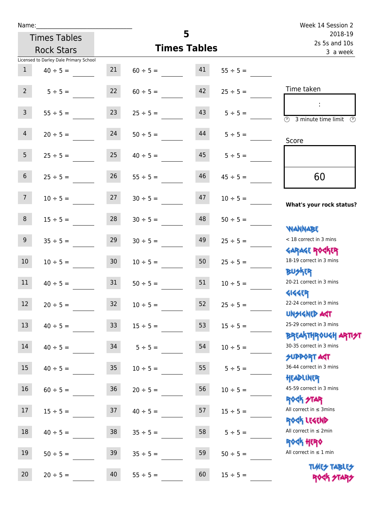| Name:                                  |                 |                     |                          | Week 14 Session 2                                                  |
|----------------------------------------|-----------------|---------------------|--------------------------|--------------------------------------------------------------------|
| <b>Times Tables</b>                    |                 | 5                   | 2018-19<br>2s 5s and 10s |                                                                    |
| <b>Rock Stars</b>                      |                 | <b>Times Tables</b> |                          | 3 a week                                                           |
| Licensed to Darley Dale Primary School |                 |                     |                          |                                                                    |
| 1<br>$40 \div 5 =$                     | 21              | $60 \div 5 =$       | 41<br>$55 \div 5 =$      |                                                                    |
| $2^{\circ}$<br>$5 \div 5 =$            | 22              | $60 \div 5 =$       | 42<br>$25 \div 5 =$      | Time taken                                                         |
| 3 <sup>7</sup><br>$55 \div 5 =$        | 23              | $25 \div 5 =$       | 43<br>$5 \div 5 =$       | $\overline{(\mathcal{V})}$<br>3 minute time limit<br>$\mathcal{O}$ |
| $\overline{4}$<br>$20 \div 5 =$        | 24              | $50 \div 5 =$       | 44<br>$5 \div 5 =$       | Score                                                              |
| 5 <sup>1</sup><br>$25 \div 5 =$        | 25              | $40 \div 5 =$       | $45 \t 5 \div 5 =$       |                                                                    |
| 6 <sup>1</sup><br>$25 \div 5 =$        | 26              | $55 \div 5 =$       | 46<br>$45 \div 5 =$      | 60                                                                 |
| 7 <sup>7</sup><br>$10 \div 5 =$        | 27              | $30 \div 5 =$       | 47<br>$10 \div 5 =$      | What's your rock status?                                           |
| 8<br>$15 \div 5 =$                     | 28              | $30 \div 5 =$       | 48<br>$50 \div 5 =$      | <b>JARNARY</b>                                                     |
| 9 <sub>o</sub><br>$35 \div 5 =$        | 29              | $30 \div 5 =$       | 49<br>$25 \div 5 =$      | < 18 correct in 3 mins<br><b>GARAGE ROCKER</b>                     |
| 10 <sup>°</sup><br>$10 \div 5 =$       | 30 <sup>°</sup> | $10 \div 5 =$       | 50<br>$25 \div 5 =$      | 18-19 correct in 3 mins<br><b>BUSKER</b>                           |
| 11<br>$40 \div 5 =$                    | 31              | $50 \div 5 =$       | 51<br>$10 \div 5 =$      | 20-21 correct in 3 mins<br><b>4144EP</b>                           |
| 12<br>$20 \div 5 =$                    | 32              | $10 \div 5 =$       | 52<br>$25 ÷ 5 =$         | 22-24 correct in 3 mins<br><b>UNSIGNED AGT</b>                     |
| 13<br>$40 \div 5 =$                    | 33              | $15 \div 5 =$       | 53<br>$15 \div 5 =$      | 25-29 correct in 3 mins<br><b>BREAKTHROUGH ARTH</b>                |
| 14<br>$40 \div 5 =$                    | 34              | $5 ÷ 5 =$           | 54<br>$10 \div 5 =$      | 30-35 correct in 3 mins<br><b>SUPPORT AGT</b>                      |
| 15<br>$40 \div 5 =$                    | 35              | $10 \div 5 =$       | 55<br>$5 ÷ 5 =$          | 36-44 correct in 3 mins<br>HEADLINER                               |
| 16<br>$60 \div 5 =$                    | $36\,$          | $20 \div 5 =$       | 56<br>$10 \div 5 =$      | 45-59 correct in 3 mins<br><b>ROCK STAR</b>                        |
| 17<br>$15 ÷ 5 =$                       | 37              | $40 \div 5 =$       | 57<br>$15 \div 5 =$      | All correct in $\leq$ 3mins<br>ROCK LEGEND                         |
| 18<br>$40 \div 5 =$                    | 38              | $35 ÷ 5 =$          | 58<br>$5 ÷ 5 =$          | All correct in $\leq 2$ min<br><b>ROCK HERO</b>                    |
| $19\,$<br>$50 \div 5 =$                | 39              | $35 ÷ 5 =$          | 59<br>$50 \div 5 =$      | All correct in $\leq 1$ min                                        |
| 20<br>$20 \div 5 =$                    | 40              | $55 \div 5 =$       | 60<br>$15 \div 5 =$      | <b>TUARS TABLES</b><br>ROCK STARS                                  |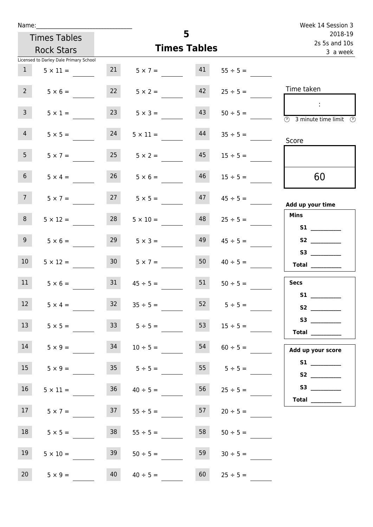| Name:          |                                        |                     |                      |    | Week 14 Session 3  |                                                                                                                                                                                                                                                                                                                                                                                                                                                                                                                                                                                                                     |
|----------------|----------------------------------------|---------------------|----------------------|----|--------------------|---------------------------------------------------------------------------------------------------------------------------------------------------------------------------------------------------------------------------------------------------------------------------------------------------------------------------------------------------------------------------------------------------------------------------------------------------------------------------------------------------------------------------------------------------------------------------------------------------------------------|
|                | <b>Times Tables</b>                    |                     |                      | 5  |                    | 2018-19<br>2s 5s and 10s                                                                                                                                                                                                                                                                                                                                                                                                                                                                                                                                                                                            |
|                | <b>Rock Stars</b>                      | <b>Times Tables</b> |                      |    |                    | 3 a week                                                                                                                                                                                                                                                                                                                                                                                                                                                                                                                                                                                                            |
|                | Licensed to Darley Dale Primary School |                     |                      |    |                    |                                                                                                                                                                                                                                                                                                                                                                                                                                                                                                                                                                                                                     |
| 1              | $5 \times 11 =$                        | 21                  | $5 \times 7 =$       | 41 | $55 \div 5 =$      |                                                                                                                                                                                                                                                                                                                                                                                                                                                                                                                                                                                                                     |
| $2^{\circ}$    | $5 \times 6 =$                         | 22                  | $5 \times 2 =$       | 42 | $25 \div 5 =$      | Time taken                                                                                                                                                                                                                                                                                                                                                                                                                                                                                                                                                                                                          |
| 3 <sup>7</sup> | $5 \times 1 =$                         | 23                  | $5 \times 3 =$       | 43 | $50 \div 5 =$      | $\mathcal{L}$<br>3 minute time limit<br>$\odot$                                                                                                                                                                                                                                                                                                                                                                                                                                                                                                                                                                     |
| $\overline{4}$ | $5 \times 5 =$                         | 24                  | $5 \times 11 =$      | 44 | $35 \div 5 =$      | Score                                                                                                                                                                                                                                                                                                                                                                                                                                                                                                                                                                                                               |
| 5 <sub>1</sub> | $5 \times 7 =$                         | 25                  | $5 \times 2 =$       | 45 | $15 \div 5 =$      |                                                                                                                                                                                                                                                                                                                                                                                                                                                                                                                                                                                                                     |
| 6 <sup>1</sup> | $5 \times 4 =$                         | 26                  | $5 \times 6 =$       | 46 | $15 \div 5 =$      | 60                                                                                                                                                                                                                                                                                                                                                                                                                                                                                                                                                                                                                  |
| 7 <sup>7</sup> | $5 \times 7 =$                         |                     | $27 \t 5 \times 5 =$ | 47 | $45 \div 5 =$      | Add up your time                                                                                                                                                                                                                                                                                                                                                                                                                                                                                                                                                                                                    |
| 8              | $5 \times 12 =$                        | 28                  | $5 \times 10 =$      | 48 | $25 \div 5 =$      | <b>Mins</b><br><b>S1 S1</b>                                                                                                                                                                                                                                                                                                                                                                                                                                                                                                                                                                                         |
| 9 <sub>o</sub> | $5 \times 6 =$                         | 29                  | $5 \times 3 =$       | 49 | $45 \div 5 =$      | <b>S2</b>                                                                                                                                                                                                                                                                                                                                                                                                                                                                                                                                                                                                           |
| 10             | $5 \times 12 =$                        | 30 <sub>1</sub>     | $5 \times 7 =$       | 50 | $40 \div 5 =$      | $\begin{tabular}{c} Total & \underline{\hspace{1cm}} & \underline{\hspace{1cm}} & \underline{\hspace{1cm}} & \underline{\hspace{1cm}} & \underline{\hspace{1cm}} & \underline{\hspace{1cm}} & \underline{\hspace{1cm}} & \underline{\hspace{1cm}} & \underline{\hspace{1cm}} & \underline{\hspace{1cm}} & \underline{\hspace{1cm}} & \underline{\hspace{1cm}} & \underline{\hspace{1cm}} & \underline{\hspace{1cm}} & \underline{\hspace{1cm}} & \underline{\hspace{1cm}} & \underline{\hspace{1cm}} & \underline{\hspace{1cm}} & \underline{\hspace{1cm}} & \underline{\hspace{1cm}} & \underline{\hspace{1cm}} &$ |
| 11             | $5 \times 6 =$                         | 31                  | $45 \div 5 =$        | 51 | $50 \div 5 =$      | <b>Secs</b>                                                                                                                                                                                                                                                                                                                                                                                                                                                                                                                                                                                                         |
| 12             | $5 \times 4 =$                         | 32                  | $35 \div 5 =$        | 52 | $5 \div 5 =$       | S1                                                                                                                                                                                                                                                                                                                                                                                                                                                                                                                                                                                                                  |
| 13             | $5 \times 5 =$                         |                     | $33 \t 5 \div 5 =$   | 53 | $15 \div 5 =$      | Total $\_\_$                                                                                                                                                                                                                                                                                                                                                                                                                                                                                                                                                                                                        |
| 14             | $5 \times 9 =$                         | 34                  | $10 \div 5 =$        | 54 | $60 \div 5 =$      | Add up your score                                                                                                                                                                                                                                                                                                                                                                                                                                                                                                                                                                                                   |
| 15             | $5 \times 9 =$                         |                     | $35 \t 5 \div 5 =$   |    | $55 \t 5 \div 5 =$ |                                                                                                                                                                                                                                                                                                                                                                                                                                                                                                                                                                                                                     |
| 16             | $5 \times 11 =$                        |                     | $36 \t 40 \div 5 =$  | 56 | $25 \div 5 =$      | Total $\_\_$                                                                                                                                                                                                                                                                                                                                                                                                                                                                                                                                                                                                        |
| 17             | $5 \times 7 =$                         | 37                  | $55 \div 5 =$        | 57 | $20 \div 5 =$      |                                                                                                                                                                                                                                                                                                                                                                                                                                                                                                                                                                                                                     |
| 18             | $5 \times 5 =$                         | 38                  | $55 \div 5 =$        | 58 | $50 \div 5 =$      |                                                                                                                                                                                                                                                                                                                                                                                                                                                                                                                                                                                                                     |
| 19             | $5 \times 10 =$                        | 39                  | $50 \div 5 =$        | 59 | $30 \div 5 =$      |                                                                                                                                                                                                                                                                                                                                                                                                                                                                                                                                                                                                                     |
| 20             | $5 \times 9 =$                         | 40                  | $40 \div 5 =$        | 60 | $25 \div 5 =$      |                                                                                                                                                                                                                                                                                                                                                                                                                                                                                                                                                                                                                     |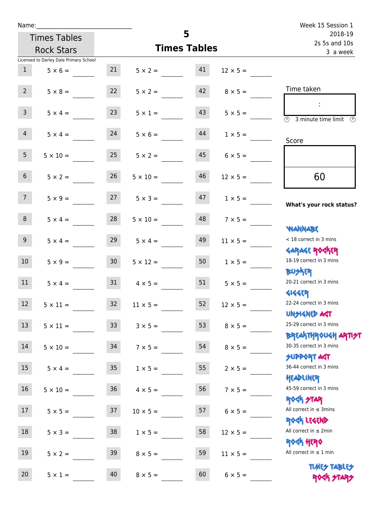| Name:                                  |                                  |                      |                          |                 | Week 15 Session 1                                                            |
|----------------------------------------|----------------------------------|----------------------|--------------------------|-----------------|------------------------------------------------------------------------------|
| <b>Times Tables</b>                    |                                  | 5                    | 2018-19<br>2s 5s and 10s |                 |                                                                              |
| <b>Rock Stars</b>                      |                                  | <b>Times Tables</b>  | 3 a week                 |                 |                                                                              |
| Licensed to Darley Dale Primary School |                                  |                      |                          |                 |                                                                              |
| 1<br>$5 \times 6 =$                    | 21                               | $5 \times 2 = 41$    |                          | $12 \times 5 =$ |                                                                              |
| $2^{\circ}$<br>$5 \times 8 =$          | 22                               | $5 \times 2 =$       | 42                       | $8 \times 5 =$  | Time taken                                                                   |
| $\mathsf{3}$<br>$5 \times 4 =$         | 23                               | $5 \times 1 =$       | 43                       | $5 \times 5 =$  | $\sim$<br>$\overline{(\mathcal{V})}$<br>3 minute time limit<br>$\mathcal{O}$ |
| $\overline{4}$<br>$5 \times 4 =$       | 24                               | $5 \times 6 =$       | 44                       | $1 \times 5 =$  | Score                                                                        |
| 5 <sub>1</sub><br>$5 \times 10 =$      | 25                               | $5 \times 2 =$       | 45                       | $6 \times 5 =$  |                                                                              |
| 6 <sup>1</sup><br>$5 \times 2 =$       | 26                               | $5 \times 10 =$      | 46                       | $12 \times 5 =$ | 60                                                                           |
| 7 <sup>7</sup>                         | $5 \times 9 = 27$ $5 \times 3 =$ |                      | 47                       | $1 \times 5 =$  | What's your rock status?                                                     |
| 8<br>$5 \times 4 =$                    | 28                               | $5 \times 10 =$      | 48                       | $7 \times 5 =$  | <b>JARNAM</b>                                                                |
| 9<br>$5 \times 4 =$                    | 29                               | $5 \times 4 =$       | 49                       | $11 \times 5 =$ | < 18 correct in 3 mins<br><b>GARAGE ROGKER</b>                               |
| 10 <sup>1</sup>                        | $5 \times 9 = 30$                | $5 \times 12 =$      | 50                       | $1 \times 5 =$  | 18-19 correct in 3 mins<br><b>BUSKER</b>                                     |
| 11<br>$5 \times 4 =$                   |                                  | $31 \t 4 \times 5 =$ | 51                       | $5 \times 5 =$  | 20-21 correct in 3 mins<br><b>4144EP</b>                                     |
| 12 <sup>7</sup><br>$5 \times 11 =$     | 32 <sup>7</sup>                  | $11 \times 5 =$      | 52                       | $12 \times 5 =$ | 22-24 correct in 3 mins<br><b>UNSIGNED AGT</b>                               |
| 13<br>$5 \times 11 =$                  | 33 <sup>°</sup>                  | $3 \times 5 =$       | 53                       | $8 \times 5 =$  | 25-29 correct in 3 mins<br><b>BREAKTHROUGH ARTI<del>S</del>T</b>             |
| 14<br>$5 \times 10 =$                  | 34                               | $7 \times 5 =$       | 54                       | $8 \times 5 =$  | 30-35 correct in 3 mins<br><b>SUPPORT AGT</b>                                |
| 15<br>$5 \times 4 =$                   | 35 <sub>o</sub>                  | $1 \times 5 =$       | 55                       | $2 \times 5 =$  | 36-44 correct in 3 mins<br>HEADLINER                                         |
| 16<br>$5 \times 10 =$                  | 36                               | $4 \times 5 =$       | 56                       | $7 \times 5 =$  | 45-59 correct in 3 mins<br>ROCK STAR                                         |
| 17<br>$5 \times 5 =$                   | 37                               | $10 \times 5 =$      | 57                       | $6 \times 5 =$  | All correct in $\leq$ 3mins<br>ROCK LEGEND                                   |
| 18<br>$5 \times 3 =$                   | 38                               | $1 \times 5 =$       | 58                       | $12 \times 5 =$ | All correct in $\leq 2$ min<br><b>ROCK HERO</b>                              |
| 19<br>$5 \times 2 =$                   | 39                               | $8 \times 5 =$       | 59                       | $11 \times 5 =$ | All correct in $\leq 1$ min                                                  |
| 20<br>$5 \times 1 =$                   | 40                               | $8 \times 5 =$       | 60                       | $6 \times 5 =$  | <b>TUARS TABLES</b><br>ROCK STARS                                            |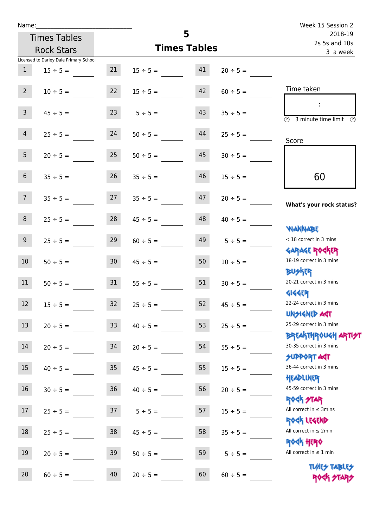| Name:           |                                        |                 |               | 5                   |                          | Week 15 Session 2                                                   |
|-----------------|----------------------------------------|-----------------|---------------|---------------------|--------------------------|---------------------------------------------------------------------|
|                 | <b>Times Tables</b>                    |                 |               |                     | 2018-19<br>2s 5s and 10s |                                                                     |
|                 | <b>Rock Stars</b>                      |                 |               | <b>Times Tables</b> | 3 a week                 |                                                                     |
|                 | Licensed to Darley Dale Primary School |                 |               |                     |                          |                                                                     |
| $\mathbf{1}$    | $15 \div 5 =$                          | 21              | $15 \div 5 =$ | 41                  | $20 \div 5 =$            |                                                                     |
| $2^{\circ}$     | $10 \div 5 =$                          | 22              | $15 \div 5 =$ | 42                  | $60 \div 5 =$            | Time taken                                                          |
| 3 <sup>7</sup>  | $45 \div 5 =$                          | 23              | $5 \div 5 =$  | 43                  | $35 \div 5 =$            | $\mathbb{R}^2$<br>$\overline{(\mathcal{V})}$<br>3 minute time limit |
| $\overline{4}$  | $25 \div 5 =$                          | 24              | $50 \div 5 =$ | 44                  | $25 \div 5 =$            | Score                                                               |
| 5 <sub>1</sub>  | $20 \div 5 =$                          | 25              | $50 \div 5 =$ | 45                  | $30 \div 5 =$            |                                                                     |
| $6\overline{6}$ | $35 \div 5 =$                          | 26              | $35 \div 5 =$ | 46                  | $15 \div 5 =$            | 60                                                                  |
| 7 <sup>7</sup>  | $35 \div 5 =$                          | 27              | $35 \div 5 =$ | 47                  | $20 \div 5 =$            | What's your rock status?                                            |
| 8               | $25 \div 5 =$                          | 28              | $45 \div 5 =$ | 48                  | $40 \div 5 =$            | <b>JARANAM</b>                                                      |
| 9 <sup>°</sup>  | $25 \div 5 =$                          | 29              | $60 \div 5 =$ | 49                  | $5 \div 5 =$             | < 18 correct in 3 mins                                              |
| 10              | $50 \div 5 =$                          | 30 <sup>°</sup> | $45 \div 5 =$ | 50                  | $10 \div 5 =$            | <b>GARAGE ROCKER</b><br>18-19 correct in 3 mins<br><b>BUSKER</b>    |
| 11              | $50 \div 5 =$                          | 31              | $55 \div 5 =$ | 51                  | $30 \div 5 =$            | 20-21 correct in 3 mins                                             |
| 12              | $15 \div 5 =$                          | 32              | $25 \div 5 =$ | 52                  | $45 \div 5 =$            | <b>4144ER</b><br>22-24 correct in 3 mins<br><b>UNSIGNED AST</b>     |
| 13              | $20 \div 5 =$                          | 33              | $40 \div 5 =$ | 53                  | $25 \div 5 =$            | 25-29 correct in 3 mins<br><b>BREAKTHROUGH ARTI<del>S</del>T</b>    |
| 14              | $20 \div 5 =$                          | 34              | $20 \div 5 =$ | 54                  | $55 \div 5 =$            | 30-35 correct in 3 mins<br><b>SUPPORT ART</b>                       |
| 15              | $40 \div 5 =$                          | $35\,$          | $45 \div 5 =$ | 55                  | $15 \div 5 =$            | 36-44 correct in 3 mins<br>HEADLINER                                |
| 16              | $30 \div 5 =$                          | $36\,$          | $40 \div 5 =$ | 56                  | $20 \div 5 =$            | 45-59 correct in 3 mins                                             |
| 17              | $25 \div 5 =$                          | 37              | $5 ÷ 5 =$     | 57                  | $15 \div 5 =$            | <b>ROCK STAR</b><br>All correct in $\leq$ 3mins<br>ROCK LEGEND      |
| $18\,$          | $25 \div 5 =$                          | $38\,$          | $45 \div 5 =$ | 58                  | $35 ÷ 5 =$               | All correct in $\leq 2$ min                                         |
| 19              | $20 \div 5 =$                          | 39              | $50 \div 5 =$ | 59                  | $5 ÷ 5 =$                | <b>ROCK HERO</b><br>All correct in $\leq 1$ min                     |
| 20              | $60 \div 5 =$                          | 40              | $20 \div 5 =$ | 60                  | $60 \div 5 =$            | <b>TUARS TABLES</b><br>ROCK STARS                                   |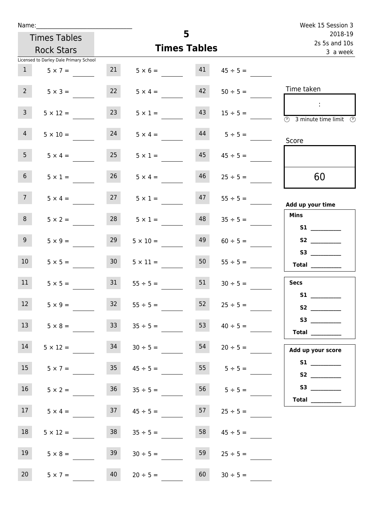| Name:              |                                        |                     |                      | Week 15 Session 3        |                                  |                                                                                                                                                                                                                                                                                                                                                                                                                                                                                                                                                                                                                     |
|--------------------|----------------------------------------|---------------------|----------------------|--------------------------|----------------------------------|---------------------------------------------------------------------------------------------------------------------------------------------------------------------------------------------------------------------------------------------------------------------------------------------------------------------------------------------------------------------------------------------------------------------------------------------------------------------------------------------------------------------------------------------------------------------------------------------------------------------|
|                    | <b>Times Tables</b>                    |                     | 5                    | 2018-19<br>2s 5s and 10s |                                  |                                                                                                                                                                                                                                                                                                                                                                                                                                                                                                                                                                                                                     |
|                    | <b>Rock Stars</b>                      | <b>Times Tables</b> |                      |                          |                                  | 3 a week                                                                                                                                                                                                                                                                                                                                                                                                                                                                                                                                                                                                            |
|                    | Licensed to Darley Dale Primary School |                     |                      |                          |                                  |                                                                                                                                                                                                                                                                                                                                                                                                                                                                                                                                                                                                                     |
|                    | $1 \t 5 \times 7 =$                    | 21                  |                      |                          | $5 \times 6 =$ 41 $45 \div 5 =$  |                                                                                                                                                                                                                                                                                                                                                                                                                                                                                                                                                                                                                     |
| $2^{\circ}$        | $5 \times 3 =$                         | 22                  | $5 \times 4 =$       | 42                       | $50 \div 5 =$                    | Time taken                                                                                                                                                                                                                                                                                                                                                                                                                                                                                                                                                                                                          |
| 3 <sup>7</sup>     | $5 \times 12 =$                        | 23                  | $5 \times 1 =$       | 43                       | $15 \div 5 =$                    | $\sim 10$<br>$\overline{\textcircled{1}}$ 3 minute time limit $\overline{\textcircled{1}}$                                                                                                                                                                                                                                                                                                                                                                                                                                                                                                                          |
| $\overline{4}$     | $5 \times 10 =$                        | 24                  |                      |                          | $5 \times 4 =$ $44$ $5 \div 5 =$ | Score                                                                                                                                                                                                                                                                                                                                                                                                                                                                                                                                                                                                               |
| 5 <sub>1</sub>     | $5 \times 4 =$                         | 25                  | $5 \times 1 =$       | 45                       | $45 \div 5 =$                    |                                                                                                                                                                                                                                                                                                                                                                                                                                                                                                                                                                                                                     |
| 6 <sup>1</sup>     | $5 \times 1 =$                         | 26                  | $5 \times 4 =$       | 46                       | $25 \div 5 =$                    | 60                                                                                                                                                                                                                                                                                                                                                                                                                                                                                                                                                                                                                  |
| 7 <sup>7</sup>     | $5 \times 4 =$                         |                     | $27 \t 5 \times 1 =$ |                          | $47 \t 55 \div 5 =$              | Add up your time                                                                                                                                                                                                                                                                                                                                                                                                                                                                                                                                                                                                    |
| 8                  | $5 \times 2 =$                         | 28                  | $5 \times 1 =$       | 48                       | $35 \div 5 =$                    | <b>Mins</b><br>S1                                                                                                                                                                                                                                                                                                                                                                                                                                                                                                                                                                                                   |
| 9 <sub>o</sub>     | $5 \times 9 =$                         | 29                  | $5 \times 10 =$      | 49                       | $60 \div 5 =$                    |                                                                                                                                                                                                                                                                                                                                                                                                                                                                                                                                                                                                                     |
| 10 <sup>°</sup>    | $5 \times 5 =$                         | 30 <sup>1</sup>     | $5 \times 11 =$      | 50                       | $55 \div 5 =$                    | $\begin{tabular}{c} Total & \underline{\hspace{1cm}} & \underline{\hspace{1cm}} & \underline{\hspace{1cm}} & \underline{\hspace{1cm}} & \underline{\hspace{1cm}} & \underline{\hspace{1cm}} & \underline{\hspace{1cm}} & \underline{\hspace{1cm}} & \underline{\hspace{1cm}} & \underline{\hspace{1cm}} & \underline{\hspace{1cm}} & \underline{\hspace{1cm}} & \underline{\hspace{1cm}} & \underline{\hspace{1cm}} & \underline{\hspace{1cm}} & \underline{\hspace{1cm}} & \underline{\hspace{1cm}} & \underline{\hspace{1cm}} & \underline{\hspace{1cm}} & \underline{\hspace{1cm}} & \underline{\hspace{1cm}} &$ |
| 11                 | $5 \times 5 =$                         | 31                  | $55 \div 5 =$        | 51                       | $30 \div 5 =$                    | <b>Secs</b>                                                                                                                                                                                                                                                                                                                                                                                                                                                                                                                                                                                                         |
| <b>STATE</b><br>12 | $5 \times 9 =$                         | 32                  | $55 \div 5 =$        | 52                       | $25 \div 5 =$                    | <b>S1</b><br>S <sub>2</sub> and the set of the set of the set of the set of the set of the set of the set of the set of the set of the set of the set of the set of the set of the set of the set of the set of the set of the set of the set of the                                                                                                                                                                                                                                                                                                                                                                |
| 13                 | $5 \times 8 =$                         | 33                  | $35 \div 5 =$        | 53                       | $40 \div 5 =$                    | $\begin{tabular}{c} Total & \underline{\hspace{1cm}} & \underline{\hspace{1cm}} & \underline{\hspace{1cm}} & \underline{\hspace{1cm}} & \underline{\hspace{1cm}} & \underline{\hspace{1cm}} & \underline{\hspace{1cm}} & \underline{\hspace{1cm}} & \underline{\hspace{1cm}} & \underline{\hspace{1cm}} & \underline{\hspace{1cm}} & \underline{\hspace{1cm}} & \underline{\hspace{1cm}} & \underline{\hspace{1cm}} & \underline{\hspace{1cm}} & \underline{\hspace{1cm}} & \underline{\hspace{1cm}} & \underline{\hspace{1cm}} & \underline{\hspace{1cm}} & \underline{\hspace{1cm}} & \underline{\hspace{1cm}} &$ |
| 14                 | $5 \times 12 =$                        | 34                  | $30 \div 5 =$        | 54                       | $20 \div 5 =$                    | Add up your score                                                                                                                                                                                                                                                                                                                                                                                                                                                                                                                                                                                                   |
| 15                 | $5 \times 7 =$                         | 35                  | $45 \div 5 =$        | 55                       | $5 \div 5 =$                     |                                                                                                                                                                                                                                                                                                                                                                                                                                                                                                                                                                                                                     |
| 16                 | $5 \times 2 =$                         |                     | $36$ $35 \div 5 =$   |                          | 56 $5 \div 5 =$                  | Total $\frac{1}{\sqrt{1-\frac{1}{2}}\cdot\frac{1}{\sqrt{1-\frac{1}{2}}}}$                                                                                                                                                                                                                                                                                                                                                                                                                                                                                                                                           |
| 17                 | $5 \times 4 =$                         | 37                  | $45 \div 5 =$        | 57                       | $25 \div 5 =$                    |                                                                                                                                                                                                                                                                                                                                                                                                                                                                                                                                                                                                                     |
| 18                 | $5 \times 12 =$                        | 38                  | $35 \div 5 =$        | 58                       | $45 \div 5 =$                    |                                                                                                                                                                                                                                                                                                                                                                                                                                                                                                                                                                                                                     |
| 19                 | $5 \times 8 =$                         | 39                  | $30 \div 5 =$        | 59                       | $25 \div 5 =$                    |                                                                                                                                                                                                                                                                                                                                                                                                                                                                                                                                                                                                                     |
| 20                 | $5 \times 7 =$                         | 40                  | $20 \div 5 =$        | 60                       | $30 \div 5 =$                    |                                                                                                                                                                                                                                                                                                                                                                                                                                                                                                                                                                                                                     |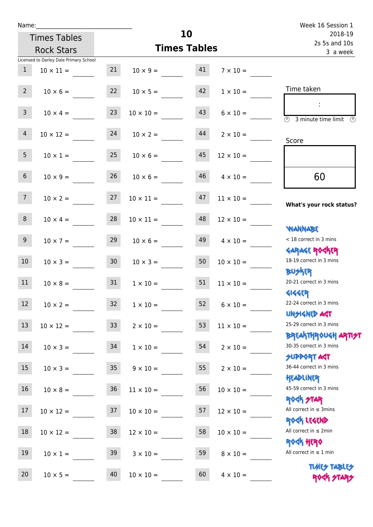| Name:           |                                        |    |                     | Week 16 Session 1        |                  |                                                                  |
|-----------------|----------------------------------------|----|---------------------|--------------------------|------------------|------------------------------------------------------------------|
|                 | <b>Times Tables</b>                    |    | 10                  | 2018-19<br>2s 5s and 10s |                  |                                                                  |
|                 | <b>Rock Stars</b>                      |    | <b>Times Tables</b> | 3 a week                 |                  |                                                                  |
|                 | Licensed to Darley Dale Primary School |    |                     |                          |                  |                                                                  |
| $\mathbf{1}$    | $10 \times 11 =$                       | 21 | $10 \times 9 = 41$  |                          | $7 \times 10 =$  |                                                                  |
| $2^{\circ}$     | $10 \times 6 =$                        | 22 | $10 \times 5 =$     | 42                       | $1 \times 10 =$  | Time taken                                                       |
| 3 <sup>7</sup>  | $10 \times 4 =$                        | 23 | $10 \times 10 =$    | 43                       | $6 \times 10 =$  | $\circled{2}$ 3 minute time limit $\circled{2}$                  |
| $\overline{4}$  | $10 \times 12 =$                       | 24 | $10 \times 2 =$     | 44                       | $2 \times 10 =$  | Score                                                            |
| 5 <sup>5</sup>  | $10 \times 1 =$                        | 25 | $10 \times 6 =$     | 45                       | $12 \times 10 =$ |                                                                  |
| 6 <sup>1</sup>  | $10 \times 9 =$                        | 26 | $10 \times 6 =$     | 46                       | $4 \times 10 =$  | 60                                                               |
| 7 <sup>7</sup>  | $10 \times 2 =$                        | 27 | $10 \times 11 =$    | 47                       | $11 \times 10 =$ | What's your rock status?                                         |
| 8               | $10 \times 4 =$                        | 28 | $10 \times 11 =$    | 48                       | $12 \times 10 =$ | <b>JARNARY</b>                                                   |
| 9 <sub>o</sub>  | $10 \times 7 =$                        | 29 | $10 \times 6 =$     | 49                       | $4 \times 10 =$  | < 18 correct in 3 mins<br><b>GARAGE ROGKER</b>                   |
| 10 <sup>°</sup> | $10 \times 3 =$                        | 30 | $10 \times 3 =$     | 50                       | $10 \times 10 =$ | 18-19 correct in 3 mins<br><b>BUSKER</b>                         |
| 11              | $10 \times 8 =$                        | 31 | $1 \times 10 =$     | 51                       | $11 \times 10 =$ | 20-21 correct in 3 mins<br><b>4144EP</b>                         |
| $12\,$          | $10 \times 2 =$                        | 32 | $1 \times 10 =$     | 52                       | $6 \times 10 =$  | 22-24 correct in 3 mins<br><b>UNSIGNED AGT</b>                   |
| 13              | $10 \times 12 =$                       | 33 | $2 \times 10 =$     | 53                       | $11 \times 10 =$ | 25-29 correct in 3 mins<br><b>BREAKTHROUGH ARTI<del>S</del>T</b> |
| 14              | $10 \times 3 =$                        | 34 | $1 \times 10 =$     | 54                       | $2 \times 10 =$  | 30-35 correct in 3 mins<br><b>SUPPORT AGT</b>                    |
| 15              | $10 \times 3 =$                        | 35 | $9 \times 10 =$     | 55                       | $2 \times 10 =$  | 36-44 correct in 3 mins<br>HEADLINER                             |
| 16              | $10 \times 8 =$                        | 36 | $11 \times 10 =$    | 56                       | $10 \times 10 =$ | 45-59 correct in 3 mins<br><b>ROCK STAR</b>                      |
| 17              | $10 \times 12 =$                       | 37 | $10 \times 10 =$    | 57                       | $12 \times 10 =$ | All correct in $\leq$ 3mins<br>ROCK LEGEND                       |
| $18\,$          | $10 \times 12 =$                       | 38 | $12 \times 10 =$    | 58                       | $10 \times 10 =$ | All correct in $\leq 2$ min                                      |
| 19              | $10 \times 1 =$                        | 39 | $3 \times 10 =$     | 59                       | $8 \times 10 =$  | <b>ROCK HERO</b><br>All correct in $\leq 1$ min                  |
| 20              | $10 \times 5 =$                        | 40 | $10 \times 10 =$    | 60                       | $4 \times 10 =$  | <b>TUARS TABLES</b><br>ROCK STARS                                |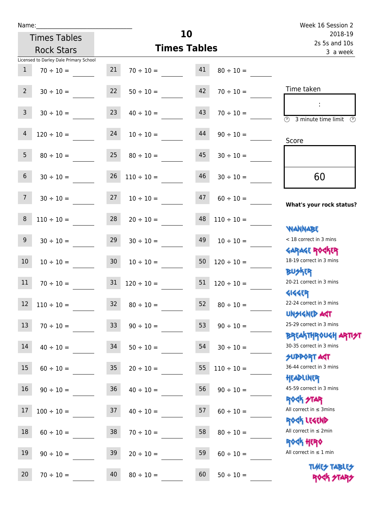| Name:           |                                        |                 |                          | 10                       |                 | Week 16 Session 2                                                |
|-----------------|----------------------------------------|-----------------|--------------------------|--------------------------|-----------------|------------------------------------------------------------------|
|                 | <b>Times Tables</b>                    |                 |                          | 2018-19<br>2s 5s and 10s |                 |                                                                  |
|                 | <b>Rock Stars</b>                      |                 | <b>Times Tables</b>      |                          |                 | 3 a week                                                         |
|                 | Licensed to Darley Dale Primary School |                 |                          |                          |                 |                                                                  |
| $\mathbf{1}$    | $70 \div 10 =$                         | 21              | $70 \div 10 =$           | 41                       | $80 \div 10 =$  |                                                                  |
| $2^{\circ}$     | $30 \div 10 =$                         | 22              | $50 \div 10 =$           | 42                       | $70 \div 10 =$  | Time taken                                                       |
| 3 <sup>7</sup>  | $30 \div 10 =$                         | 23              | $40 \div 10 =$           | 43                       | $70 \div 10 =$  | 3 minute time limit                                              |
| $\overline{4}$  | $120 \div 10 =$                        | 24              | $10 \div 10 =$           | 44                       | $90 \div 10 =$  | Score                                                            |
| 5 <sup>5</sup>  | $80 \div 10 =$                         | 25              | $80 \div 10 =$           | 45                       | $30 \div 10 =$  |                                                                  |
| 6               | $30 \div 10 =$                         |                 | $26 \quad 110 \div 10 =$ | 46                       | $30 \div 10 =$  | 60                                                               |
| $7\overline{ }$ | $30 \div 10 =$                         | 27              | $10 \div 10 =$           | 47                       | $60 \div 10 =$  | What's your rock status?                                         |
| $\, 8$          | $110 \div 10 =$                        |                 | $28 \t 20 \div 10 =$     | 48                       | $110 \div 10 =$ | <b>NANNABE</b>                                                   |
| 9 <sub>o</sub>  | $30 \div 10 =$                         | 29              | $30 \div 10 =$           | 49                       | $10 \div 10 =$  | < 18 correct in 3 mins<br><b>GARAGE ROCKER</b>                   |
| 10 <sup>°</sup> | $10 \div 10 =$                         | 30 <sup>°</sup> | $10 \div 10 =$           | 50                       | $120 \div 10 =$ | 18-19 correct in 3 mins<br><b>BUSKER</b>                         |
| 11              | $70 \div 10 =$                         | 31              | $120 \div 10 =$          | 51                       | $120 \div 10 =$ | 20-21 correct in 3 mins<br><b>4144EP</b>                         |
| 12              | $110 \div 10 =$                        | 32              | $80 \div 10 =$           | 52                       | $80 \div 10 =$  | 22-24 correct in 3 mins<br><b>UNSIGNED AST</b>                   |
| 13              | $70 \div 10 =$                         | 33 <sup>°</sup> | $90 \div 10 =$           | 53                       | $90 \div 10 =$  | 25-29 correct in 3 mins<br><b>BREAKTHROUGH ARTI<del>S</del>T</b> |
| 14              | $40 \div 10 =$                         | 34              | $50 \div 10 =$           | 54                       | $30 \div 10 =$  | 30-35 correct in 3 mins<br><b>SUPPORT AGT</b>                    |
| 15              | $60 \div 10 =$                         | $35\phantom{a}$ | $20 \div 10 =$           | 55                       | $110 \div 10 =$ | 36-44 correct in 3 mins<br>HEADLINER                             |
| 16              | $90 \div 10 =$                         | 36              | $40 \div 10 =$           | 56                       | $90 \div 10 =$  | 45-59 correct in 3 mins<br><b>ROCK STAR</b>                      |
| $17$            | $100 \div 10 =$                        | 37              | $40 \div 10 =$           | 57                       | $60 \div 10 =$  | All correct in $\leq$ 3mins<br>ROCK LEGEND                       |
| 18              | $60 \div 10 =$                         | 38              | $70 \div 10 =$           | 58                       | $80 \div 10 =$  | All correct in $\leq 2$ min<br><b>ROCK HERO</b>                  |
| 19              | $90 \div 10 =$                         | 39              | $20 \div 10 =$           | 59                       | $60 \div 10 =$  | All correct in $\leq 1$ min                                      |
| 20              | $70 \div 10 =$                         | 40              | $80 \div 10 =$           | 60                       | $50 \div 10 =$  | <b>TUARS TABLES</b><br>ROCK STARS                                |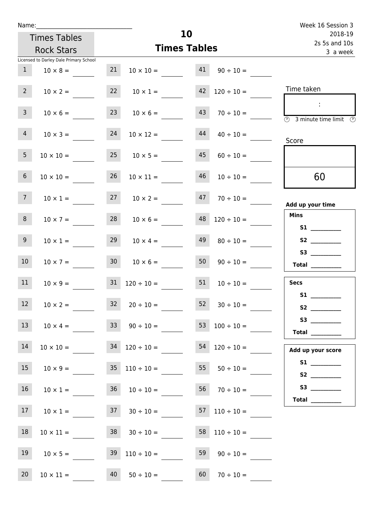| Name:           |                                          |                     |                                          |    |                          | Week 16 Session 3                                                          |
|-----------------|------------------------------------------|---------------------|------------------------------------------|----|--------------------------|----------------------------------------------------------------------------|
|                 | <b>Times Tables</b>                      |                     |                                          | 10 |                          | 2018-19<br>2s 5s and 10s                                                   |
|                 | <b>Rock Stars</b>                        | <b>Times Tables</b> |                                          |    |                          | 3 a week                                                                   |
|                 | Licensed to Darley Dale Primary School   |                     |                                          |    |                          |                                                                            |
| 1               | $10 \times 8 =$                          | 21                  | $10 \times 10 =$ $41 \quad 90 \div 10 =$ |    |                          |                                                                            |
| $2 \quad$       | $10 \times 2 =$                          |                     | $22 \t 10 \times 1 =$                    |    | $42 \quad 120 \div 10 =$ | Time taken                                                                 |
| 3 <sup>7</sup>  | $10 \times 6 =$                          |                     | $23 \t 10 \times 6 =$                    |    | $43 \t 70 \div 10 =$     | $\sim$<br>$\overline{\textcircled{\tiny 2}}$<br>3 minute time limit<br>- O |
| $\overline{4}$  | $10 \times 3 =$                          | 24                  | $10 \times 12 =$                         | 44 | $40 \div 10 =$           | Score                                                                      |
| 5 <sub>5</sub>  | $10 \times 10 =$                         |                     | $25 \t 10 \times 5 =$                    |    | $45 \t 60 \div 10 =$     |                                                                            |
| 6 <sup>1</sup>  | $10 \times 10 =$                         | 26                  | $10 \times 11 =$                         | 46 | $10 \div 10 =$           | 60                                                                         |
| $7\overline{ }$ | $10 \times 1 =$                          |                     | $27 \t 10 \times 2 =$                    | 47 | $70 \div 10 =$           | Add up your time                                                           |
| 8 <sup>1</sup>  | $10 \times 7 =$                          |                     | $28 \t 10 \times 6 =$                    |    | $48$ $120 \div 10 =$     | <b>Mins</b>                                                                |
| 9 <sub>o</sub>  | $10 \times 1 =$                          | 29                  | $10 \times 4 =$                          | 49 | $80 \div 10 =$           |                                                                            |
| 10 <sup>°</sup> | $10 \times 7 =$                          |                     | $30 \t 10 \times 6 =$                    |    | 50 $90 \div 10 =$        | <b>Total</b> _________                                                     |
| 11              | $10 \times 9 = 31$ $120 \div 10 = 51$    |                     |                                          |    | $10 \div 10 =$           | <b>Secs</b>                                                                |
| 12              | $10 \times 2 =$                          |                     | $32 \t20 \div 10 =$                      |    | $52 \t 30 \div 10 =$     | <b>S1</b>                                                                  |
| 13              | $10 \times 4 =$                          |                     | 33 90 ÷ 10 = 53 100 ÷ 10 = ________      |    |                          | Total $\_\_$                                                               |
| 14              | $10 \times 10 =$                         |                     | $34$ $120 \div 10 =$                     |    | $54 \quad 120 \div 10 =$ | Add up your score                                                          |
| 15              | $10 \times 9 =$                          |                     | $35 \quad 110 \div 10 =$                 | 55 | $50 \div 10 =$           |                                                                            |
| 16              | $10 \times 1 =$                          |                     | $36 \t 10 \div 10 =$                     |    | $56 \t 70 \div 10 =$     | Total $\_\_$                                                               |
| 17              | $10 \times 1 =$ $37 \times 30 \div 10 =$ |                     |                                          |    | $57 \quad 110 \div 10 =$ |                                                                            |
| 18              | $10 \times 11 =$                         |                     | $38$ $30 \div 10 =$                      |    | $58$ 110 ÷ 10 =          |                                                                            |
| 19              | $10 \times 5 =$                          |                     | $39 \quad 110 \div 10 =$                 |    | $59 \t 90 \div 10 =$     |                                                                            |
| 20              | $10 \times 11 = 40$                      |                     | $50 \div 10 =$                           |    | $60 \t 70 \div 10 =$     |                                                                            |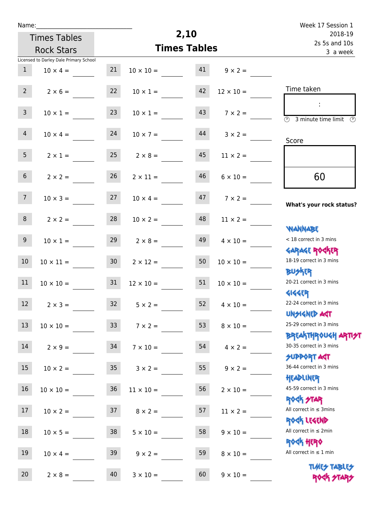| Name: |  |  |  |  |  |
|-------|--|--|--|--|--|
|-------|--|--|--|--|--|

| Week 17 Session 1                               |                                   |      |                                    |                 |                                        |                |  |  |
|-------------------------------------------------|-----------------------------------|------|------------------------------------|-----------------|----------------------------------------|----------------|--|--|
| 2018-19                                         |                                   | 2,10 |                                    |                 | <b>Times Tables</b>                    |                |  |  |
| 2s 5s and 10s<br>3 a week                       | <b>Times Tables</b>               |      | <b>Rock Stars</b>                  |                 |                                        |                |  |  |
|                                                 |                                   |      |                                    |                 | Licensed to Darley Dale Primary School |                |  |  |
|                                                 |                                   |      | $10 \times 10 =$ 41 $9 \times 2 =$ | 21              | $10 \times 4 =$                        | 1              |  |  |
| Time taken                                      | $12 \times 10 =$                  | 42   | $10 \times 1 =$                    | 22              | $2 \times 6 =$                         | $2^{\circ}$    |  |  |
| <b>3</b> minute time limit<br>$\mathcal{O}$     | $143$ $7 \times 2 =$              |      | $10 \times 1 =$                    | 23              | $10 \times 1 =$                        | $\overline{3}$ |  |  |
| Score                                           | $10 \times 7 = 44$ $3 \times 2 =$ |      |                                    |                 | $10 \times 4 = 24$                     | $\overline{4}$ |  |  |
|                                                 | $11 \times 2 =$                   | 45   | $2 \times 8 =$                     | 25              | $2 \times 1 =$                         | 5 <sub>1</sub> |  |  |
| 60                                              | $6 \times 10 =$                   | 46   | $2 \times 11 =$                    | 26              | $2 \times 2 =$                         | 6 <sup>1</sup> |  |  |
| What's your rock status?                        | $10 \times 4 =$ 47 $7 \times 2 =$ |      |                                    | 27              | $10 \times 3 =$                        | 7 <sup>7</sup> |  |  |
|                                                 | $11 \times 2 =$                   | 48   | $10 \times 2 =$                    | 28              | $2 \times 2 =$                         | 8              |  |  |
| <b>NANNABE</b><br>< 18 correct in 3 mins        | $4 \times 10 =$                   | 49   | $2 \times 8 =$                     | 29              | $10 \times 1 =$                        | 9              |  |  |
| <b>GARAGE ROCKER</b><br>18-19 correct in 3 mins | $10 \times 10 =$                  | 50   | $2 \times 12 =$                    | 30 <sub>o</sub> | $10 \times 11 =$                       | 10             |  |  |
| 20-21 correct in 3 mins                         | $10 \times 10 =$                  | 51   | $12 \times 10 =$                   | 31              | $10 \times 10 =$                       | 11             |  |  |
|                                                 |                                   |      |                                    |                 |                                        |                |  |  |

12  $2 \times 3 = 32$   $5 \times 2 = 52$   $4 \times 10 = 52$ 

13  $10 \times 10 =$  33  $7 \times 2 =$  53  $8 \times 10 =$ 

14  $2 \times 9 =$  34  $7 \times 10 =$  54  $4 \times 2 =$ 

15  $10 \times 2 =$  35  $3 \times 2 =$  55  $9 \times 2 =$ 

 $16$   $10 \times 10 =$   $36$   $11 \times 10 =$   $56$   $2 \times 10 =$ 

17  $10 \times 2 =$  37  $8 \times 2 =$  57  $11 \times 2 =$ 

 $18 \t 10 \times 5 = 38 \t 5 \times 10 = 58 \t 9 \times 10 =$ 

 $19 \t 10 \times 4 = 39 \t 39 \times 2 = 59 \t 8 \times 10 =$ 

20  $2 \times 8 = 40$   $3 \times 10 = 60$   $9 \times 10 =$ 

**GIGGER** 22-24 correct in 3 mins

UNSIGNED ACT 25-29 correct in 3 mins

## Breakthrough artist

30-35 correct in 3 mins

SUPPORT AGT 36-44 correct in 3 mins

Headliner 45-59 correct in 3 mins

Rock STAR

All correct in ≤ 3mins

Rock Legend All correct in ≤ 2min

Rock Hero

All correct in  $\leq 1$  min

**TIMES TABLES** ROCK STARS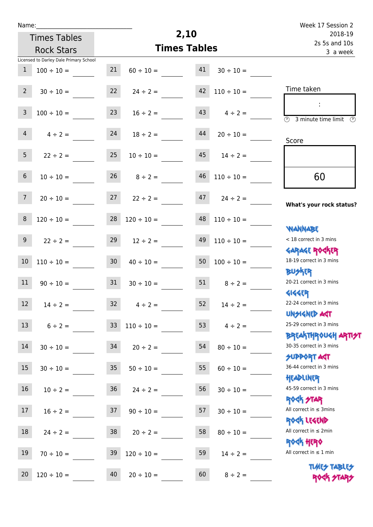| u | ar | ľ |  |
|---|----|---|--|
|   |    |   |  |

## **2,10 Times Tables** Licensed to Darley Dale Primary School Times Tables Rock Stars Week 17 Session 2 2s 5s and 10s 2018-19 3 a week Time taken :  $\overline{\textcircled{3}}$  3 minute time limit  $\overline{\textcircled{5}}$ Score **What's your rock status? WANNABE** Garage Rocker **BUSKER GIGGER** Unsigned Act Breakthrough artist SUPPORT ACT Headliner ROCK STAR Rock Legend Rock Hero **TIMES TABLES** < 18 correct in 3 mins 18-19 correct in 3 mins 20-21 correct in 3 mins 22-24 correct in 3 mins 25-29 correct in 3 mins 30-35 correct in 3 mins 36-44 correct in 3 mins 45-59 correct in 3 mins All correct in ≤ 3mins All correct in ≤ 2min All correct in  $\leq 1$  min 60 1  $100 \div 10 = 21$   $60 \div 10 = 41$   $30 \div 10 =$ 2  $30 \div 10 =$  22  $24 \div 2 =$  42  $110 \div 10 =$ 3  $100 \div 10 = 23$   $16 \div 2 = 43$   $4 \div 2 =$ 4  $4 \div 2 = 24$   $18 \div 2 = 44$   $20 \div 10 =$ 5 22 ÷ 2 = 25 10 ÷ 10 = 45 14 ÷ 2 = 6  $10 \div 10 = 26$   $8 \div 2 = 46$   $110 \div 10 =$ 7 20 ÷ 10 = 27 22 ÷ 2 =  $\frac{47}{24 \div 2}$  =  $\frac{47}{24 \div 2}$ 8  $120 \div 10 =$  28  $120 \div 10 =$  48  $110 \div 10 =$ 9 22 ÷ 2 = 29 12 ÷ 2 = 49 110 ÷ 10 =  $10 \quad 110 \div 10 =$   $30 \quad 40 \div 10 =$   $50 \quad 100 \div 10 =$ 11  $90 \div 10 =$  31  $30 \div 10 =$  51  $8 \div 2 =$ 12  $14 \div 2 = 32$   $4 \div 2 = 52$   $14 \div 2 =$ 13  $6 \div 2 = 33 \div 110 \div 10 = 53 \div 4 \div 2 =$ 14  $30 \div 10 =$  34  $20 \div 2 =$  54  $80 \div 10 =$ 15  $30 \div 10 =$  35  $50 \div 10 =$  55  $60 \div 10 =$  $16$   $10 \div 2 = 36$   $24 \div 2 = 56$   $30 \div 10 =$ 17  $16 \div 2 =$  37  $90 \div 10 =$  57  $30 \div 10 =$ 18  $24 \div 2 = 38$   $20 \div 2 = 58$   $80 \div 10 =$ 19  $70 \div 10 =$  39  $120 \div 10 =$  59  $14 \div 2 =$ 20  $120 \div 10 =$  40  $20 \div 10 =$  60  $8 \div 2 =$

ROCK STARS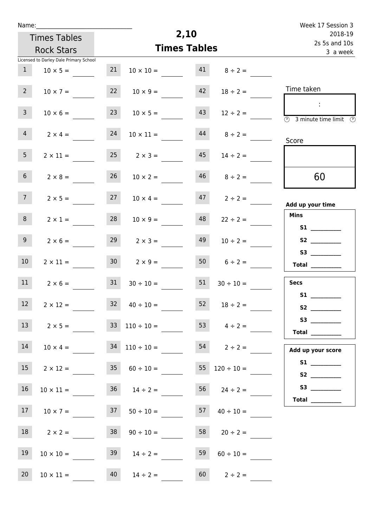| Name:           |                                                    |                 |                      |                           |                                           | Week 17 Session 3                                                                                                                                                                                                                                                                                                                                                                                                                                                                                                                                                                                                   |
|-----------------|----------------------------------------------------|-----------------|----------------------|---------------------------|-------------------------------------------|---------------------------------------------------------------------------------------------------------------------------------------------------------------------------------------------------------------------------------------------------------------------------------------------------------------------------------------------------------------------------------------------------------------------------------------------------------------------------------------------------------------------------------------------------------------------------------------------------------------------|
|                 | <b>Times Tables</b>                                |                 |                      | 2,10                      |                                           | 2018-19                                                                                                                                                                                                                                                                                                                                                                                                                                                                                                                                                                                                             |
|                 | <b>Rock Stars</b>                                  |                 | <b>Times Tables</b>  | 2s 5s and 10s<br>3 a week |                                           |                                                                                                                                                                                                                                                                                                                                                                                                                                                                                                                                                                                                                     |
|                 | Licensed to Darley Dale Primary School             |                 |                      |                           |                                           |                                                                                                                                                                                                                                                                                                                                                                                                                                                                                                                                                                                                                     |
| $\mathbf{1}$    | $10 \times 5 =$                                    | 21              | $10 \times 10 =$     | 41                        | $8 \div 2 =$                              |                                                                                                                                                                                                                                                                                                                                                                                                                                                                                                                                                                                                                     |
| $2^{\circ}$     | $10 \times 7 =$                                    | 22              | $10 \times 9 =$      | 42                        | $18 \div 2 =$                             | Time taken                                                                                                                                                                                                                                                                                                                                                                                                                                                                                                                                                                                                          |
| $\mathbf{3}$    | $10 \times 6 =$                                    | 23              | $10 \times 5 =$      | 43                        | $12 \div 2 =$                             | ÷<br>3 minute time limit<br>$\mathbb{C}$                                                                                                                                                                                                                                                                                                                                                                                                                                                                                                                                                                            |
| $\overline{4}$  | $2 \times 4 =$                                     | 24              | $10 \times 11 =$     | 44                        | $8 \div 2 =$                              | Score                                                                                                                                                                                                                                                                                                                                                                                                                                                                                                                                                                                                               |
| 5 <sub>1</sub>  | $2 \times 11 =$                                    | 25              | $2 \times 3 =$       | 45                        | $14 \div 2 =$                             |                                                                                                                                                                                                                                                                                                                                                                                                                                                                                                                                                                                                                     |
| 6 <sup>1</sup>  | $2 \times 8 =$                                     | 26              | $10 \times 2 =$      | 46                        | $8 \div 2 =$                              | 60                                                                                                                                                                                                                                                                                                                                                                                                                                                                                                                                                                                                                  |
| 7 <sup>7</sup>  | $2 \times 5 =$                                     | 27              | $10 \times 4 =$      | 47                        | $2 \div 2 =$                              | Add up your time                                                                                                                                                                                                                                                                                                                                                                                                                                                                                                                                                                                                    |
| 8               | $2 \times 1 =$                                     | 28              | $10 \times 9 =$      | 48                        | $22 \div 2 =$                             | <b>Mins</b>                                                                                                                                                                                                                                                                                                                                                                                                                                                                                                                                                                                                         |
| 9               | $2 \times 6 =$                                     | 29              | $2 \times 3 =$       | 49                        | $10 \div 2 =$                             |                                                                                                                                                                                                                                                                                                                                                                                                                                                                                                                                                                                                                     |
| 10 <sup>°</sup> | $2 \times 11 =$                                    | 30 <sub>1</sub> | $2 \times 9 =$       | 50                        | $6 \div 2 =$                              | Total $\_\_$                                                                                                                                                                                                                                                                                                                                                                                                                                                                                                                                                                                                        |
| 11              | $2 \times 6 =$                                     | 31              | $30 \div 10 =$       | 51                        | $30 \div 10 =$                            | <b>Secs</b>                                                                                                                                                                                                                                                                                                                                                                                                                                                                                                                                                                                                         |
| 12              | $2 \times 12 =$                                    |                 | $32 \t 40 \div 10 =$ |                           | $52 \t 18 \div 2 =$                       | S1                                                                                                                                                                                                                                                                                                                                                                                                                                                                                                                                                                                                                  |
| 13              | $2 \times 5 =$ $33 \quad 110 \div 10 =$            |                 |                      |                           | $153$ $4 \div 2 =$                        | $\begin{array}{c}\n\text{Total} \\ \end{array}$                                                                                                                                                                                                                                                                                                                                                                                                                                                                                                                                                                     |
| 14              | $10 \times 4 =$ 34 $110 \div 10 =$ 54 $2 \div 2 =$ |                 |                      |                           |                                           | Add up your score                                                                                                                                                                                                                                                                                                                                                                                                                                                                                                                                                                                                   |
| 15              | $2 \times 12 =$                                    |                 |                      |                           | $35 \t 60 \div 10 = 55 \t 120 \div 10 =$  |                                                                                                                                                                                                                                                                                                                                                                                                                                                                                                                                                                                                                     |
| 16              | $10 \times 11 =$                                   |                 | $36 \t 14 \div 2 =$  |                           | $56 \t 24 \div 2 =$                       | S3                                                                                                                                                                                                                                                                                                                                                                                                                                                                                                                                                                                                                  |
| 17              | $10 \times 7 =$                                    |                 |                      |                           | $37 \t 50 \div 10 =$ $57 \t 40 \div 10 =$ | $\begin{tabular}{c} Total & \underline{\hspace{1cm}} & \underline{\hspace{1cm}} & \underline{\hspace{1cm}} & \underline{\hspace{1cm}} & \underline{\hspace{1cm}} & \underline{\hspace{1cm}} & \underline{\hspace{1cm}} & \underline{\hspace{1cm}} & \underline{\hspace{1cm}} & \underline{\hspace{1cm}} & \underline{\hspace{1cm}} & \underline{\hspace{1cm}} & \underline{\hspace{1cm}} & \underline{\hspace{1cm}} & \underline{\hspace{1cm}} & \underline{\hspace{1cm}} & \underline{\hspace{1cm}} & \underline{\hspace{1cm}} & \underline{\hspace{1cm}} & \underline{\hspace{1cm}} & \underline{\hspace{1cm}} &$ |
| 18              | $2 \times 2 =$                                     | 38              | $90 \div 10 =$       |                           | $58$ 20 ÷ 2 =                             |                                                                                                                                                                                                                                                                                                                                                                                                                                                                                                                                                                                                                     |
| 19              | $10 \times 10 =$                                   |                 | $39 \t 14 \div 2 =$  | 59                        | $60 \div 10 =$                            |                                                                                                                                                                                                                                                                                                                                                                                                                                                                                                                                                                                                                     |
| 20              | $10 \times 11 =$                                   |                 | $40 \t 14 \div 2 =$  |                           | $60$ $2 \div 2 =$                         |                                                                                                                                                                                                                                                                                                                                                                                                                                                                                                                                                                                                                     |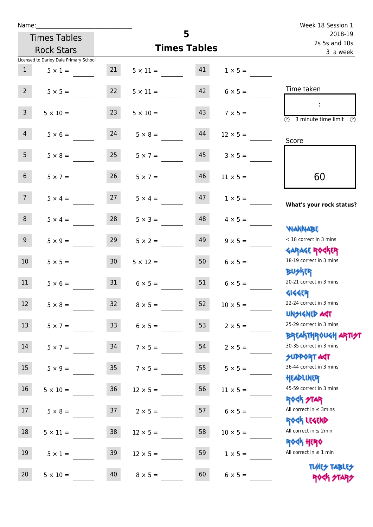| Name:           |                                        |                 |                    |                     |                 | Week 18 Session 1                                                               |
|-----------------|----------------------------------------|-----------------|--------------------|---------------------|-----------------|---------------------------------------------------------------------------------|
|                 | <b>Times Tables</b>                    |                 |                    | 5                   |                 | 2018-19<br>2s 5s and 10s                                                        |
|                 | <b>Rock Stars</b>                      |                 |                    | <b>Times Tables</b> | 3 a week        |                                                                                 |
|                 | Licensed to Darley Dale Primary School |                 |                    |                     |                 |                                                                                 |
| 1               | $5 \times 1 =$                         | 21              | $5 \times 11 = 41$ |                     | $1 \times 5 =$  |                                                                                 |
| $2^{\circ}$     | $5 \times 5 =$                         | 22              | $5 \times 11 =$    | 42                  | $6 \times 5 =$  | Time taken                                                                      |
| $\mathsf{3}$    | $5 \times 10 =$                        | 23              | $5 \times 10 =$    | 43                  | $7 \times 5 =$  | $\sim$ 1.<br>$\overline{(\mathcal{V})}$<br>3 minute time limit<br>$\mathcal{O}$ |
| $\overline{4}$  | $5 \times 6 = 24$                      |                 | $5 \times 8 =$     | 44                  | $12 \times 5 =$ | Score                                                                           |
| 5 <sub>1</sub>  | $5 \times 8 =$                         | 25              | $5 \times 7 =$     | 45                  | $3 \times 5 =$  |                                                                                 |
| 6 <sup>1</sup>  | $5 \times 7 =$                         | 26              | $5 \times 7 =$     | 46                  | $11 \times 5 =$ | 60                                                                              |
| 7 <sup>7</sup>  | $5 \times 4 = 27$                      |                 | $5 \times 4 =$     | 47                  | $1 \times 5 =$  | What's your rock status?                                                        |
| 8               | $5 \times 4 =$                         | 28              | $5 \times 3 =$     | 48                  | $4 \times 5 =$  | <b>JARNAM</b>                                                                   |
| 9               | $5 \times 9 =$                         | 29              | $5 \times 2 =$     | 49                  | $9 \times 5 =$  | < 18 correct in 3 mins<br><b>GARAGE ROGKER</b>                                  |
| 10 <sup>1</sup> | $5 \times 5 = 30$                      |                 | $5 \times 12 =$    | 50                  | $6 \times 5 =$  | 18-19 correct in 3 mins<br><b>BUSKER</b>                                        |
| 11              | $5 \times 6 =$                         | 31              | $6 \times 5 =$     | 51                  | $6 \times 5 =$  | 20-21 correct in 3 mins<br><b>4144EP</b>                                        |
| 12 <sup>7</sup> | $5 \times 8 =$                         | 32 <sup>7</sup> | $8 \times 5 =$     | 52                  | $10 \times 5 =$ | 22-24 correct in 3 mins<br><b>UNSIGNED AGT</b>                                  |
| 13              | $5 \times 7 =$                         | 33 <sup>°</sup> | $6 \times 5 =$     | 53                  | $2 \times 5 =$  | 25-29 correct in 3 mins<br><b>BREAKTHROUGH ARTI<del>S</del>T</b>                |
| 14              | $5 \times 7 =$                         | 34              | $7 \times 5 =$     | 54                  | $2 \times 5 =$  | 30-35 correct in 3 mins<br><b>SUPPORT ART</b>                                   |
| 15              | $5 \times 9 =$                         | 35 <sub>5</sub> | $7 \times 5 =$     | 55                  | $5 \times 5 =$  | 36-44 correct in 3 mins<br>HEADLINER                                            |
| 16              | $5 \times 10 =$                        | 36              | $12 \times 5 =$    | 56                  | $11 \times 5 =$ | 45-59 correct in 3 mins<br>ROCK STAR                                            |
| 17              | $5 \times 8 =$                         | 37              | $2 \times 5 =$     | 57                  | $6 \times 5 =$  | All correct in $\leq$ 3mins<br>ROCK LEGEND                                      |
| 18              | $5 \times 11 =$                        | 38              | $12 \times 5 =$    | 58                  | $10 \times 5 =$ | All correct in $\leq 2$ min<br><b>ROCK HERO</b>                                 |
| 19              | $5 \times 1 =$                         | 39              | $12 \times 5 =$    | 59                  | $1 \times 5 =$  | All correct in $\leq 1$ min                                                     |
| 20              | $5 \times 10 =$                        | 40              | $8 \times 5 =$     | 60                  | $6 \times 5 =$  | <b>TUARS TABLES</b><br>ROCK STARS                                               |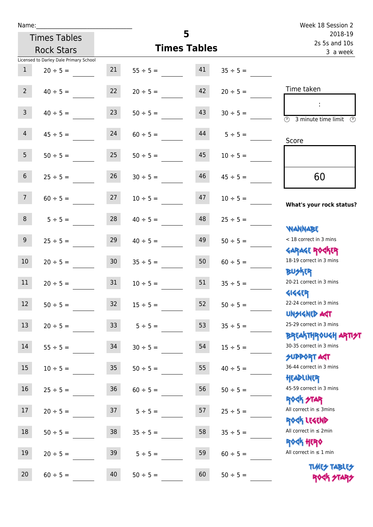| Name:           |                                        |                 |                     |          |                          | Week 18 Session 2                                                |
|-----------------|----------------------------------------|-----------------|---------------------|----------|--------------------------|------------------------------------------------------------------|
|                 | <b>Times Tables</b>                    |                 |                     | 5        | 2018-19<br>2s 5s and 10s |                                                                  |
|                 | <b>Rock Stars</b>                      |                 | <b>Times Tables</b> | 3 a week |                          |                                                                  |
|                 | Licensed to Darley Dale Primary School |                 |                     |          |                          |                                                                  |
| 1               | $20 \div 5 =$                          | 21              | $55 \div 5 =$       | 41       | $35 \div 5 =$            |                                                                  |
| $2^{\circ}$     | $40 \div 5 =$                          | 22              | $20 \div 5 =$       | 42       | $20 \div 5 =$            | Time taken                                                       |
| 3 <sup>7</sup>  | $40 \div 5 =$                          | 23              | $50 \div 5 =$       | 43       | $30 \div 5 =$            | <b>3</b> minute time limit<br>⊙                                  |
| 4               | $45 \div 5 =$                          | 24              | $60 \div 5 =$       | 44       | $5 \div 5 =$             | Score                                                            |
| 5 <sub>1</sub>  | $50 \div 5 =$                          | 25              | $50 \div 5 =$       | 45       | $10 \div 5 =$            |                                                                  |
| 6 <sup>1</sup>  | $25 \div 5 =$                          | 26              | $30 \div 5 =$       | 46       | $45 \div 5 =$            | 60                                                               |
| 7 <sup>7</sup>  | $60 \div 5 =$                          | 27              | $10 \div 5 =$       | 47       | $10 \div 5 =$            | What's your rock status?                                         |
| 8               | $5 \div 5 =$                           | 28              | $40 \div 5 =$       | 48       | $25 \div 5 =$            | <b>JARNARY</b>                                                   |
| 9               | $25 \div 5 =$                          | 29              | $40 \div 5 =$       | 49       | $50 \div 5 =$            | < 18 correct in 3 mins<br><b>GARAGE ROCKER</b>                   |
| 10 <sup>°</sup> | $20 \div 5 =$                          | 30 <sup>°</sup> | $35 \div 5 =$       | 50       | $60 \div 5 =$            | 18-19 correct in 3 mins<br><b>BUSKER</b>                         |
| 11              | $20 \div 5 =$                          | 31              | $10 \div 5 =$       | 51       | $35 \div 5 =$            | 20-21 correct in 3 mins<br><b>4144EP</b>                         |
| 12              | $50 \div 5 =$                          | 32              | $15 \div 5 =$       | 52       | $50 \div 5 =$            | 22-24 correct in 3 mins<br><b>UNSIGNED AST</b>                   |
| 13 <sup>°</sup> | $20 \div 5 =$                          | 33              | $5 ÷ 5 =$           | 53       | $35 \div 5 =$            | 25-29 correct in 3 mins<br><b>BREAKTHROUGH ARTI<del>S</del>T</b> |
| 14              | $55 \div 5 =$                          | 34              | $30 \div 5 =$       | 54       | $15 \div 5 =$            | 30-35 correct in 3 mins<br><b>SUPPORT AGT</b>                    |
| 15              | $10 \div 5 =$                          | $35\,$          | $50 \div 5 =$       | 55       | $40 \div 5 =$            | 36-44 correct in 3 mins<br>HEADLINER                             |
| 16              | $25 \div 5 =$                          | 36              | $60 \div 5 =$       | 56       | $50 \div 5 =$            | 45-59 correct in 3 mins<br><b>ROCK STAR</b>                      |
| 17              | $20 \div 5 =$                          | 37              | $5 ÷ 5 =$           | 57       | $25 \div 5 =$            | All correct in $\leq$ 3mins<br>ROCK LEGEND                       |
| 18              | $50 \div 5 =$                          | 38              | $35 ÷ 5 =$          | 58       | $35 ÷ 5 =$               | All correct in $\leq 2$ min<br><b>ROCK HERO</b>                  |
| 19              | $20 \div 5 =$                          | 39              | $5 ÷ 5 =$           | 59       | $60 \div 5 =$            | All correct in $\leq 1$ min                                      |
| 20              | $60 \div 5 =$                          | 40              | $50 \div 5 =$       | 60       | $50 \div 5 =$            | <b>TUARS TABLES</b><br>ROCK STARS                                |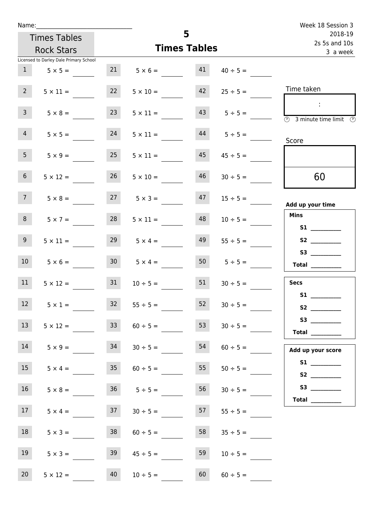| Name:           |                                        |    |                                   |                     |                          | Week 18 Session 3                                                                          |
|-----------------|----------------------------------------|----|-----------------------------------|---------------------|--------------------------|--------------------------------------------------------------------------------------------|
|                 | <b>Times Tables</b>                    | 5  |                                   |                     | 2018-19<br>2s 5s and 10s |                                                                                            |
|                 | <b>Rock Stars</b>                      |    |                                   | <b>Times Tables</b> |                          | 3 a week                                                                                   |
|                 | Licensed to Darley Dale Primary School |    |                                   |                     |                          |                                                                                            |
|                 | $1 \t 5 \times 5 =$                    |    | $21 \t 5 \times 6 = 41$           |                     | $40 \div 5 =$            |                                                                                            |
| $2^{\circ}$     | $5 \times 11 =$                        | 22 | $5 \times 10 =$                   | 42                  | $25 \div 5 =$            | Time taken                                                                                 |
| 3 <sup>7</sup>  | $5 \times 8 =$                         | 23 | $5 \times 11 =$                   | 43                  | $5 \div 5 =$             | $\sim 10$<br>$\overline{\textcircled{1}}$ 3 minute time limit $\overline{\textcircled{1}}$ |
| 4               | $5 \times 5 =$                         | 24 | $5 \times 11 =$ $44$ $5 \div 5 =$ |                     |                          | Score                                                                                      |
| 5 <sub>1</sub>  | $5 \times 9 =$                         | 25 | $5 \times 11 =$                   | 45                  | $45 \div 5 =$            |                                                                                            |
| 6 <sup>1</sup>  | $5 \times 12 =$                        | 26 | $5 \times 10 =$                   | 46                  | $30 \div 5 =$            | 60                                                                                         |
| 7 <sup>7</sup>  |                                        |    | $5 \times 8 = 27$ $5 \times 3 =$  |                     | $47$ $15 \div 5 =$       | Add up your time                                                                           |
| 8               | $5 \times 7 =$                         | 28 | $5 \times 11 =$                   | 48                  | $10 \div 5 =$            | <b>Mins</b>                                                                                |
| 9 <sub>o</sub>  | $5 \times 11 =$                        |    | $29 \t 5 \times 4 =$              | 49                  | $55 \div 5 =$            |                                                                                            |
| 10 <sup>°</sup> | $5 \times 6 =$                         |    | $30 \t 5 \times 4 =$              |                     | $50$ $5 \div 5 =$        | $\begin{tabular}{c} Total \end{tabular}$                                                   |
| 11              | $5 \times 12 =$                        | 31 | $10 \div 5 =$                     | 51                  | $30 \div 5 =$            | <b>Secs</b>                                                                                |
| 12              | $5 \times 1 =$                         | 32 | $55 \div 5 =$                     | 52                  | $30 \div 5 =$            | <b>S1 S1</b><br>S2                                                                         |
| 13              | $5 \times 12 =$                        | 33 | $60 \div 5 =$                     | 53                  | $30 \div 5 =$            | S3<br>Total $\_\_$                                                                         |
| 14              | $5 \times 9 =$                         | 34 | $30 \div 5 =$                     | 54                  | $60 \div 5 =$            | Add up your score                                                                          |
| 15              | $5 \times 4 =$                         | 35 | $60 \div 5 =$                     | 55                  | $50 \div 5 =$            | S2                                                                                         |
| 16              | $5 \times 8 =$                         |    | $36 \t 5 \div 5 =$                | 56                  | $30 \div 5 =$            | Total $\_\_$                                                                               |
| 17 <sup>7</sup> | $5 \times 4 =$                         |    | $37 \t 30 \div 5 =$               | 57                  | $55 \div 5 =$            |                                                                                            |
| 18              | $5 \times 3 =$                         | 38 | $60 \div 5 =$                     | 58                  | $35 \div 5 =$            |                                                                                            |
| 19              | $5 \times 3 =$                         | 39 | $45 \div 5 =$                     | 59                  | $10 \div 5 =$            |                                                                                            |
| 20              | $5 \times 12 =$                        | 40 | $10 \div 5 =$                     | 60                  | $60 \div 5 =$            |                                                                                            |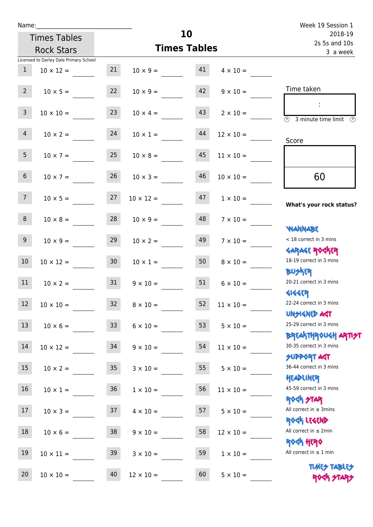| Name:           |                                          |                 |                    |    |                  | Week 19 Session 1                                                |
|-----------------|------------------------------------------|-----------------|--------------------|----|------------------|------------------------------------------------------------------|
|                 | <b>Times Tables</b>                      |                 |                    | 10 |                  | 2018-19<br>2s 5s and 10s                                         |
|                 | <b>Times Tables</b><br><b>Rock Stars</b> |                 |                    |    |                  | 3 a week                                                         |
|                 | Licensed to Darley Dale Primary School   |                 |                    |    |                  |                                                                  |
| $\mathbf{1}$    | $10 \times 12 =$                         | 21              | $10 \times 9 = 41$ |    | $4 \times 10 =$  |                                                                  |
| 2 <sup>7</sup>  | $10 \times 5 =$                          | 22              | $10 \times 9 =$    | 42 | $9 \times 10 =$  | Time taken                                                       |
| $\overline{3}$  | $10 \times 10 =$                         | 23              | $10 \times 4 =$    | 43 | $2 \times 10 =$  | $\overline{\textcircled{2}}$ 3 minute time limit                 |
| $\overline{4}$  | $10 \times 2 =$                          | 24              | $10 \times 1 =$    | 44 | $12 \times 10 =$ | Score                                                            |
| 5 <sub>1</sub>  | $10 \times 7 =$                          | 25              | $10 \times 8 =$    | 45 | $11 \times 10 =$ |                                                                  |
| 6 <sup>1</sup>  | $10 \times 7 =$                          | 26              | $10 \times 3 =$    | 46 | $10 \times 10 =$ | 60                                                               |
| 7 <sup>7</sup>  | $10 \times 5 =$                          | 27              | $10 \times 12 =$   | 47 | $1 \times 10 =$  | What's your rock status?                                         |
| 8               | $10 \times 8 =$                          | 28              | $10 \times 9 =$    | 48 | $7 \times 10 =$  | <b>NANNABE</b>                                                   |
| 9 <sub>o</sub>  | $10 \times 9 =$                          | 29              | $10 \times 2 =$    | 49 | $7 \times 10 =$  | < 18 correct in 3 mins                                           |
| 10 <sup>°</sup> | $10 \times 12 =$                         | 30 <sup>°</sup> | $10 \times 1 =$    | 50 | $8 \times 10 =$  | <b>GARAGE ROGKER</b><br>18-19 correct in 3 mins<br><b>BUSKER</b> |
| 11              | $10 \times 2 =$                          | 31              | $9 \times 10 =$    | 51 | $6 \times 10 =$  | 20-21 correct in 3 mins                                          |
| $\boxed{12}$    | $10 \times 10 =$                         | 32              | $8 \times 10 =$    | 52 | $11 \times 10 =$ | <b>4144EP</b><br>22-24 correct in 3 mins<br><b>UNSIGNED AST</b>  |
| 13              | $10 \times 6 =$                          | 33              | $6 \times 10 =$    | 53 | $5 \times 10 =$  | 25-29 correct in 3 mins<br><b>BREAKTHROUGH ARTI<del>S</del>T</b> |
| 14              | $10 \times 12 =$                         | 34              | $9 \times 10 =$    | 54 | $11 \times 10 =$ | 30-35 correct in 3 mins<br><b>SUPPORT ART</b>                    |
| 15              | $10 \times 2 =$                          | 35              | $3 \times 10 =$    | 55 | $5 \times 10 =$  | 36-44 correct in 3 mins<br>HEADLINER                             |
| 16              | $10 \times 1 = 36$                       |                 | $1 \times 10 =$    | 56 | $11 \times 10 =$ | 45-59 correct in 3 mins<br><b>ROGK STAR</b>                      |
| 17              | $10 \times 3 =$                          | 37              | $4 \times 10 =$    | 57 | $5 \times 10 =$  | All correct in $\leq$ 3mins<br>ROCK LEGEND                       |
| 18              | $10 \times 6 =$                          | 38              | $9 \times 10 =$    | 58 | $12 \times 10 =$ | All correct in $\leq 2$ min<br><b>ROCK HERO</b>                  |
| 19              | $10 \times 11 =$                         | 39              | $3 \times 10 =$    | 59 | $1 \times 10 =$  | All correct in $\leq 1$ min                                      |
| 20              | $10 \times 10 =$                         | 40              | $12 \times 10 =$   | 60 | $5 \times 10 =$  | <b>TUARS TABLES</b><br>ROCK STARS                                |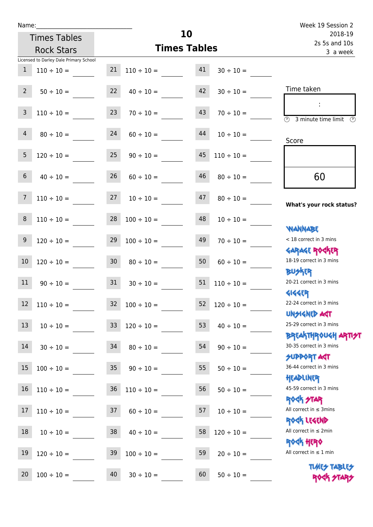| Name:                                  |                      |                                   |                      |                 | Week 19 Session 2                                                |
|----------------------------------------|----------------------|-----------------------------------|----------------------|-----------------|------------------------------------------------------------------|
| <b>Times Tables</b>                    |                      |                                   | 10                   |                 | 2018-19<br>2s 5s and 10s                                         |
| <b>Rock Stars</b>                      |                      |                                   | <b>Times Tables</b>  | 3 a week        |                                                                  |
| Licensed to Darley Dale Primary School |                      |                                   |                      |                 |                                                                  |
| $\mathbf{1}$<br>$110 \div 10 =$        |                      | $21 \quad 110 \div 10 =$          | 41                   | $30 \div 10 =$  |                                                                  |
| $2^{\circ}$<br>$50 \div 10 =$          |                      | 22                                | 42<br>$40 \div 10 =$ | $30 \div 10 =$  | Time taken                                                       |
| 3<br>$110 \div 10 =$                   |                      | 23<br>$70 \div 10 =$              | 43                   | $70 \div 10 =$  | 3 minute time limit<br>$\mathcal{L}$                             |
| 4                                      | 24<br>$80 \div 10 =$ |                                   | 44<br>$60 \div 10 =$ | $10 \div 10 =$  | Score                                                            |
| 5<br>$120 \div 10 =$                   |                      | 25                                | 45<br>$90 \div 10 =$ | $110 \div 10 =$ |                                                                  |
| 6<br>$40 \div 10 =$                    |                      | 26<br>$60 \div 10 =$              | 46                   | $80 \div 10 =$  | 60                                                               |
| $110 \div 10 =$<br>7                   |                      | 27<br>$10 \div 10 =$              | 47                   | $80 \div 10 =$  | What's your rock status?                                         |
| $\bf 8$<br>$110 \div 10 =$             |                      | 28<br>$100 \div 10 =$             | 48                   | $10 \div 10 =$  | <b>WANNABE</b>                                                   |
| $9\,$<br>$120 \div 10 =$               |                      | 29<br>$100 \div 10 =$             | 49                   | $70 \div 10 =$  | < 18 correct in 3 mins<br><b>GARAGE ROGKER</b>                   |
| 10<br>$120 \div 10 =$                  |                      | 30 <sub>o</sub><br>$80 \div 10 =$ | 50                   | $60 \div 10 =$  | 18-19 correct in 3 mins<br><b>BU外界</b>                           |
| 11                                     | $90 \div 10 =$       | 31                                | 51<br>$30 \div 10 =$ | $110 \div 10 =$ | 20-21 correct in 3 mins<br><b>4144EP</b>                         |
| a sa Bara<br>12<br>$110 \div 10 =$     | 32                   | $100 \div 10 =$                   | 52                   | $120 \div 10 =$ | 22-24 correct in 3 mins<br><b>UNSIGNED AGT</b>                   |
| 13                                     | $10 \div 10 =$       | 33<br>$120 \div 10 =$             | 53                   | $40 \div 10 =$  | 25-29 correct in 3 mins                                          |
| 14                                     | $30 \div 10 =$       | 34<br>$80 \div 10 =$              | 54                   | $90 \div 10 =$  | <b>BREAKTHROUGH ARTI<del>S</del>T</b><br>30-35 correct in 3 mins |
| 15<br>$100 \div 10 =$                  |                      | 35 <sub>2</sub><br>$90 \div 10 =$ | 55                   | $50 \div 10 =$  | <b>SUPPORT AGT</b><br>36-44 correct in 3 mins                    |
| 16<br>$110 \div 10 =$                  |                      | 36<br>$110 \div 10 =$             | 56                   | $50 \div 10 =$  | HEADLINER<br>45-59 correct in 3 mins                             |
| 17<br>$110 \div 10 =$                  |                      | 37<br>$60 \div 10 =$              | 57                   | $10 \div 10 =$  | <b>ROCK STAR</b><br>All correct in $\leq$ 3mins                  |
| 18<br>$10 \div 10 =$                   |                      | 38<br>$40 \div 10 =$              | 58                   | $120 \div 10 =$ | ROCK LEGEND<br>All correct in $\leq 2$ min                       |
| 19<br>$120 \div 10 =$                  | 39                   | $100 \div 10 =$                   | 59                   | $20 \div 10 =$  | <b>ROCK HERO</b><br>All correct in $\leq 1$ min                  |
| 20<br>$100 \div 10 =$                  | 40                   | $30 \div 10 =$                    | 60                   | $50 \div 10 =$  | <b>TUARS TABLES</b><br>ROCK STARS                                |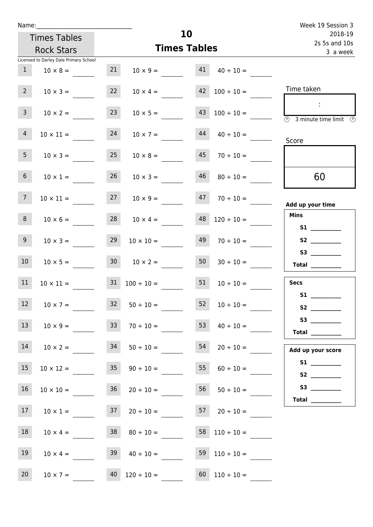| Name:           |                                                |    |                                                       |          |                          | Week 19 Session 3                                                    |
|-----------------|------------------------------------------------|----|-------------------------------------------------------|----------|--------------------------|----------------------------------------------------------------------|
|                 | <b>Times Tables</b>                            |    |                                                       | 10       |                          | 2018-19<br>2s 5s and 10s                                             |
|                 | <b>Rock Stars</b>                              |    | <b>Times Tables</b>                                   | 3 a week |                          |                                                                      |
|                 | Licensed to Darley Dale Primary School         |    |                                                       |          |                          |                                                                      |
| 1               | $10 \times 8 =$                                | 21 | $10 \times 9 = 41$                                    |          | $40 \div 10 =$           |                                                                      |
| $2^{\circ}$     | $10 \times 3 =$                                | 22 | $10 \times 4 =$                                       |          | $42 \quad 100 \div 10 =$ | Time taken                                                           |
| 3 <sup>7</sup>  | $10 \times 2 =$                                | 23 | $10 \times 5 =$                                       | 43       | $100 \div 10 =$          | $\sim$ 1.<br>$\overline{(\mathfrak{h})}$<br>3 minute time limit<br>⊕ |
| $\overline{4}$  | $10 \times 11 =$                               | 24 | $10 \times 7 =$                                       | 44       | $40 \div 10 =$           | Score                                                                |
| 5 <sub>1</sub>  | $10 \times 3 =$                                | 25 | $10 \times 8 =$                                       | 45       | $70 \div 10 =$           |                                                                      |
| 6 <sup>1</sup>  | $10 \times 1 =$                                | 26 | $10 \times 3 =$                                       | 46       | $80 \div 10 =$           | 60                                                                   |
| 7 <sup>7</sup>  | $10 \times 11 =$                               |    | $27 \t 10 \times 9 =$                                 | 47       | $70 \div 10 =$           | Add up your time                                                     |
| 8 <sup>1</sup>  | $10 \times 6 =$                                |    | $28 \t 10 \times 4 =$                                 | 48       | $120 \div 10 =$          | <b>Mins</b><br><b>S1 S1</b>                                          |
| 9 <sub>o</sub>  | $10 \times 3 =$                                | 29 | $10 \times 10 =$                                      | 49       | $70 \div 10 =$           |                                                                      |
| 10 <sup>°</sup> | $10 \times 5 =$                                |    | $30 \t 10 \times 2 =$                                 | 50       | $30 \div 10 =$           | Total $\qquad$                                                       |
| 11              | $10 \times 11 =$ $31 \quad 100 \div 10 =$ $51$ |    |                                                       |          | $10 \div 10 =$           | <b>Secs</b><br>S1                                                    |
| 12              | $10 \times 7 =$                                | 32 | $50 \div 10 =$                                        | 52       | $10 \div 10 =$           |                                                                      |
| 13              | $10 \times 9 =$ 33                             |    | $70 \div 10 =$ 53                                     |          | $40 \div 10 =$           | Total $\_\_$                                                         |
| 14              | $10 \times 2 = 34$                             |    | $50 \div 10 =$                                        | 54       | $20 \div 10 =$           | Add up your score                                                    |
| 15              | $10 \times 12 =$                               | 35 | $90 \div 10 =$                                        | 55       | $60 \div 10 =$           |                                                                      |
| 16              | $10 \times 10 =$                               | 36 | $20 \div 10 =$                                        | 56       | $50 \div 10 =$           | Total $\_\_$                                                         |
| 17              |                                                |    | $10 \times 1 =$ 37 $20 \div 10 =$ 57 $20 \div 10 =$   |          |                          |                                                                      |
| 18              | $10 \times 4 =$                                | 38 | $80 \div 10 =$                                        |          |                          |                                                                      |
| 19              | $10 \times 4 =$                                | 39 | $40 \div 10 = 59$                                     |          | $110 \div 10 =$          |                                                                      |
| 20 <sub>2</sub> |                                                |    | $10 \times 7 =$ 40 $120 \div 10 =$ 60 $110 \div 10 =$ |          |                          |                                                                      |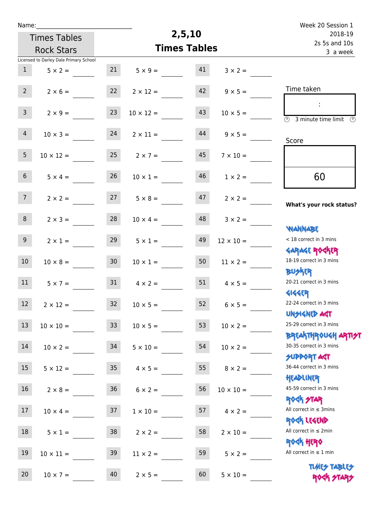| Name:           |                                        |                 |                      |                     |                      | Week 20 Session 1                                                |
|-----------------|----------------------------------------|-----------------|----------------------|---------------------|----------------------|------------------------------------------------------------------|
|                 | <b>Times Tables</b>                    |                 |                      | 2,5,10              |                      | 2018-19                                                          |
|                 | <b>Rock Stars</b>                      |                 |                      | <b>Times Tables</b> |                      | 2s 5s and 10s<br>3 a week                                        |
|                 | Licensed to Darley Dale Primary School |                 |                      |                     |                      |                                                                  |
| $\mathbf{1}$    | $5 \times 2 =$                         | 21              | $5 \times 9 =$       | 41                  | $3 \times 2 =$       |                                                                  |
| $2^{\circ}$     | $2 \times 6 =$                         | 22              | $2 \times 12 =$      | 42                  | $9 \times 5 =$       | Time taken                                                       |
| $\overline{3}$  | $2 \times 9 =$                         | 23              | $10 \times 12 =$     | 43                  | $10 \times 5 =$      | $\overline{(\mathcal{V})}$<br>3 minute time limit $\circled{0}$  |
| $\overline{4}$  | $10 \times 3 =$                        | 24              | $2 \times 11 =$      | 44                  | $9 \times 5 =$       | Score                                                            |
| 5 <sub>1</sub>  | $10 \times 12 =$                       | 25              | $2 \times 7 =$       | 45                  | $7 \times 10 =$      |                                                                  |
| 6 <sup>1</sup>  | $5 \times 4 =$                         | 26              | $10 \times 1 =$      | 46                  | $1 \times 2 =$       | 60                                                               |
| 7 <sup>7</sup>  | $2 \times 2 =$                         | 27              | $5 \times 8 =$       | 47                  | $2 \times 2 =$       | What's your rock status?                                         |
| 8               | $2 \times 3 =$                         | 28              | $10 \times 4 =$      | 48                  | $3 \times 2 =$       | <b>NANNABE</b>                                                   |
| 9 <sup>°</sup>  | $2 \times 1 =$                         | 29              | $5 \times 1 =$       | 49                  | $12 \times 10 =$     | < 18 correct in 3 mins<br><b>GARAGE ROCKER</b>                   |
| 10 <sup>°</sup> | $10 \times 8 =$                        | 30 <sub>2</sub> | $10 \times 1 =$      | 50                  | $11 \times 2 =$      | 18-19 correct in 3 mins<br><b>BUSKRR</b>                         |
| 11              | $5 \times 7 =$                         | 31              | $4 \times 2 =$       | 51                  | $4 \times 5 =$       | 20-21 correct in 3 mins<br><b>4144EP</b>                         |
| 12 <sup>7</sup> | $2 \times 12 =$                        | 32              | $10 \times 5 =$      |                     | $52 \t 6 \times 5 =$ | 22-24 correct in 3 mins<br><b>UNSIGNED AST</b>                   |
| 13              | $10 \times 10 =$                       | 33 <sup>°</sup> | $10 \times 5 =$      | 53                  | $10 \times 2 =$      | 25-29 correct in 3 mins                                          |
| 14              | $10 \times 2 =$                        | 34              | $5 \times 10 =$      | 54                  | $10 \times 2 =$      | <b>BREAKTHROUGH ARTI<del>S</del>T</b><br>30-35 correct in 3 mins |
| 15 <sub>1</sub> | $5 \times 12 =$                        |                 | $35 \t 4 \times 5 =$ | 55                  | $8 \times 2 =$       | <b>SUPPORT AGT</b><br>36-44 correct in 3 mins                    |
| 16              | $2 \times 8 =$                         | 36              | $6 \times 2 =$       | 56                  | $10 \times 10 =$     | HEADLINER<br>45-59 correct in 3 mins                             |
| 17              | $10 \times 4 =$                        | 37              | $1 \times 10 =$      | 57                  | $4 \times 2 =$       | <b>ROCK STAR</b><br>All correct in $\leq$ 3mins                  |
| 18              | $5 \times 1 =$                         | 38              | $2 \times 2 =$       | 58                  | $2 \times 10 =$      | ROCK LEGEND<br>All correct in $\leq 2$ min                       |
| 19              | $10 \times 11 =$                       | 39              | $11 \times 2 =$      | 59                  | $5 \times 2 =$       | <b>ROCK HERO</b><br>All correct in $\leq 1$ min                  |
| 20              | $10 \times 7 =$                        | 40              | $2 \times 5 =$       | 60                  | $5 \times 10 =$      | <b>TUARS TABLES</b><br>ROCK STARS                                |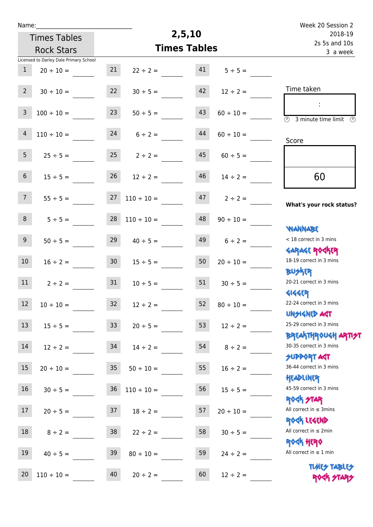| Name:           |                                        |                 |                 |                     |                           | Week 20 Session 2                                                |
|-----------------|----------------------------------------|-----------------|-----------------|---------------------|---------------------------|------------------------------------------------------------------|
|                 | <b>Times Tables</b>                    |                 |                 | 2,5,10              |                           | 2018-19                                                          |
|                 | <b>Rock Stars</b>                      |                 |                 | <b>Times Tables</b> | 2s 5s and 10s<br>3 a week |                                                                  |
|                 | Licensed to Darley Dale Primary School |                 |                 |                     |                           |                                                                  |
| $\mathbf{1}$    | $20 \div 10 =$                         | 21              | $22 \div 2 =$   | 41                  | $5 \div 5 =$              |                                                                  |
| $2^{\circ}$     | $30 \div 10 =$                         | 22              | $30 \div 5 =$   | 42                  | $12 \div 2 =$             | Time taken                                                       |
| 3               | $100 \div 10 =$                        | 23              | $50 \div 5 =$   | 43                  | $60 \div 10 =$            | $\overline{\mathcal{O}}$<br>3 minute time limit<br>$\odot$       |
| $\overline{4}$  | $110 \div 10 =$                        | 24              | $6 \div 2 =$    | 44                  | $60 \div 10 =$            | Score                                                            |
| 5 <sub>1</sub>  | $25 \div 5 =$                          | 25              | $2 \div 2 =$    | 45                  | $60 \div 5 =$             |                                                                  |
| 6 <sup>1</sup>  | $15 \div 5 =$                          | 26              | $12 \div 2 =$   | 46                  | $14 \div 2 =$             | 60                                                               |
| 7 <sup>1</sup>  | $55 \div 5 =$                          | 27              | $110 \div 10 =$ | 47                  | $2 \div 2 =$              | What's your rock status?                                         |
| 8               | $5 ÷ 5 =$                              | 28              | $110 \div 10 =$ | 48                  | $90 \div 10 =$            | WANNABE                                                          |
| 9               | $50 \div 5 =$                          | 29              | $40 \div 5 =$   | 49                  | $6 \div 2 =$              | < 18 correct in 3 mins<br><b>GARAGE ROCKER</b>                   |
| 10 <sup>°</sup> | $16 \div 2 =$                          | 30 <sub>2</sub> | $15 \div 5 =$   | 50                  | $20 \div 10 =$            | 18-19 correct in 3 mins<br>DU外R                                  |
| 11              | $2 \div 2 =$                           | 31              | $10 \div 5 =$   | 51                  | $30 \div 5 =$             | 20-21 correct in 3 mins<br><b>4144EP</b>                         |
| 12              | $10 \div 10 =$                         | 32              | $12 \div 2 =$   |                     | 52 $80 \div 10 =$         | 22-24 correct in 3 mins<br><b>UNSIGNED AST</b>                   |
| 13              | $15 \div 5 =$                          | 33 <sup>°</sup> | $20 \div 5 =$   | 53                  | $12 \div 2 =$             | 25-29 correct in 3 mins                                          |
| 14              | $12 \div 2 = 34$                       |                 | $14 \div 2 =$   | 54                  | $8 \div 2 =$              | <b>BREAKTHROUGH ARTI<del>S</del>T</b><br>30-35 correct in 3 mins |
| 15              | $20 \div 10 =$                         | 35              | $50 \div 10 =$  | 55                  | $16 \div 2 =$             | SUPPORT AGT<br>36-44 correct in 3 mins                           |
| 16              | $30 \div 5 =$                          | 36              | $110 \div 10 =$ | 56                  | $15 \div 5 =$             | HEADLINER<br>45-59 correct in 3 mins                             |
| 17 <sup>7</sup> | $20 \div 5 = 37$                       |                 | $18 \div 2 =$   | 57                  | $20 \div 10 =$            | <b>ROCK STAR</b><br>All correct in $\leq$ 3mins<br>ROCK LEGEND   |
| 18              | $8 \div 2 =$                           | 38              | $22 \div 2 =$   | 58                  | $30 \div 5 =$             | All correct in $\leq 2$ min                                      |
| 19              | $40 \div 5 =$                          | 39              | $80 \div 10 =$  | 59                  | $24 \div 2 =$             | <b>ROCK HERO</b><br>All correct in $\leq 1$ min                  |
| 20              | $110 \div 10 =$                        | 40              | $20 \div 2 =$   | 60                  | $12 \div 2 =$             | <b>TUARS TABLES</b><br>ROCK STARS                                |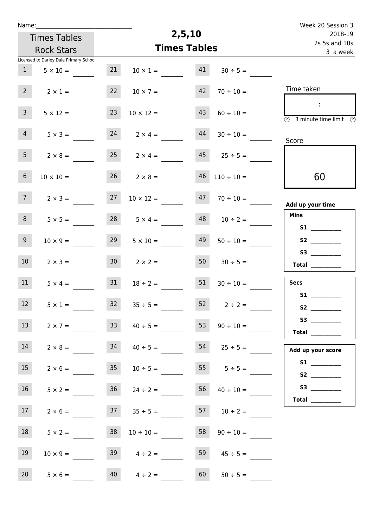| Name:           |                                        |                 |                      |                           |                     | Week 20 Session 3                                                                          |
|-----------------|----------------------------------------|-----------------|----------------------|---------------------------|---------------------|--------------------------------------------------------------------------------------------|
|                 | <b>Times Tables</b>                    |                 | 2,5,10               | 2018-19                   |                     |                                                                                            |
|                 | <b>Rock Stars</b>                      |                 | <b>Times Tables</b>  | 2s 5s and 10s<br>3 a week |                     |                                                                                            |
|                 | Licensed to Darley Dale Primary School |                 |                      |                           |                     |                                                                                            |
| $\mathbf{1}$    | $5 \times 10 =$                        | 21              | $10 \times 1 =$      | 41                        | $30 \div 5 =$       |                                                                                            |
| 2 <sup>7</sup>  | $2 \times 1 =$                         | 22              | $10 \times 7 =$      | 42                        | $70 \div 10 =$      | Time taken                                                                                 |
| 3 <sup>7</sup>  | $5 \times 12 =$                        | 23              | $10 \times 12 =$     | 43                        | $60 \div 10 =$      | $\sim 10$<br>$\overline{\textcircled{2}}$ 3 minute time limit $\overline{\textcircled{2}}$ |
| $\overline{4}$  | $5 \times 3 =$                         | 24              | $2 \times 4 =$       | 44                        | $30 \div 10 =$      | Score                                                                                      |
| 5 <sub>1</sub>  | $2 \times 8 =$                         |                 | $25 \t 2 \times 4 =$ |                           | $45 \t 25 \div 5 =$ |                                                                                            |
| 6 <sup>1</sup>  | $10 \times 10 =$                       |                 | $26 \t 2 \times 8 =$ | 46                        | $110 \div 10 =$     | 60                                                                                         |
| 7 <sup>7</sup>  | $2 \times 3 =$                         | 27              | $10 \times 12 =$     | 47                        | $70 \div 10 =$      | Add up your time                                                                           |
| 8               | $5 \times 5 =$                         | 28              | $5 \times 4 =$       | 48                        | $10 \div 2 =$       | <b>Mins</b><br>S1                                                                          |
| 9 <sub>o</sub>  | $10 \times 9 =$                        | 29              | $5 \times 10 =$      | 49                        | $50 \div 10 =$      |                                                                                            |
| 10 <sup>°</sup> | $2 \times 3 =$                         | 30 <sup>1</sup> | $2 \times 2 =$       | 50                        | $30 \div 5 =$       | Total                                                                                      |
| 11              | $5 \times 4 =$                         | 31              | $18 \div 2 =$        | 51                        | $30 \div 10 =$      | <b>Secs</b>                                                                                |
| 12              | $5 \times 1 =$                         | 32              | $35 \div 5 =$        |                           | $52 \t 2 \div 2 =$  | S1                                                                                         |
| 13              | $2 \times 7 =$                         | 33              | $40 \div 5 =$        | 53                        | $90 \div 10 =$      | $53$ ________<br><b>Total</b> __________                                                   |
| 14              | $2 \times 8 =$                         |                 | $34 \t 40 \div 5 =$  |                           | $54 \t 25 \div 5 =$ | Add up your score                                                                          |
| 15              | $2 \times 6 =$ 35 $10 \div 5 =$        |                 |                      |                           | $55 \t 5 \div 5 =$  |                                                                                            |
| 16              | $5 \times 2 =$                         |                 | $36 \t 24 \div 2 =$  | 56                        | $40 \div 10 =$      | Total $\qquad$                                                                             |
| 17 <sub>1</sub> | $2 \times 6 =$                         |                 | $37 \t35 \div 5 =$   |                           | $57$ $10 \div 2 =$  |                                                                                            |
| 18              | $5 \times 2 =$                         | 38              | $10 \div 10 =$       | 58                        | $90 \div 10 =$      |                                                                                            |
| 19              | $10 \times 9 =$                        |                 | $39 \t 4 \div 2 =$   | 59                        | $45 \div 5 =$       |                                                                                            |
| 20              | $5 \times 6 =$                         |                 | $40 \t 4 \div 2 =$   | 60                        | $50 \div 5 =$       |                                                                                            |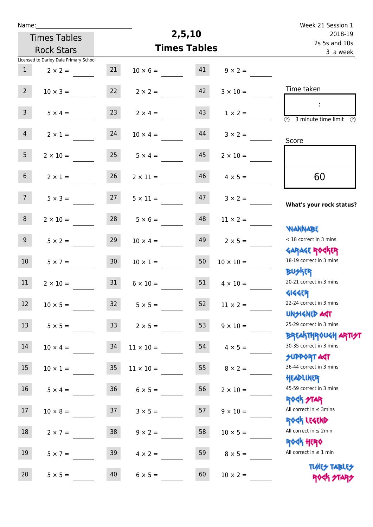| Name:           |                                        |                 |                  |                     |                       | Week 21 Session 1                                                |
|-----------------|----------------------------------------|-----------------|------------------|---------------------|-----------------------|------------------------------------------------------------------|
|                 | <b>Times Tables</b>                    |                 |                  | 2,5,10              |                       | 2018-19                                                          |
|                 | <b>Rock Stars</b>                      |                 |                  | <b>Times Tables</b> |                       | 2s 5s and 10s<br>3 a week                                        |
|                 | Licensed to Darley Dale Primary School |                 |                  |                     |                       |                                                                  |
| $\mathbf{1}$    | $2 \times 2 =$                         | 21              | $10 \times 6 =$  | 41                  | $9 \times 2 =$        |                                                                  |
| $2^{\circ}$     | $10 \times 3 =$                        | 22              | $2 \times 2 =$   | 42                  | $3 \times 10 =$       | Time taken                                                       |
| 3 <sup>7</sup>  | $5 \times 4 =$                         | 23              | $2 \times 4 =$   | 43                  | $1 \times 2 =$        | $\overline{(\mathfrak{h})}$<br>3 minute time limit $\circled{0}$ |
| $\overline{4}$  | $2 \times 1 =$                         | 24              | $10 \times 4 =$  | 44                  | $3 \times 2 =$        | Score                                                            |
| 5 <sub>1</sub>  | $2 \times 10 =$                        | 25              | $5 \times 4 =$   | 45                  | $2 \times 10 =$       |                                                                  |
| 6 <sup>1</sup>  | $2 \times 1 =$                         | 26              | $2 \times 11 =$  | 46                  | $4 \times 5 =$        | 60                                                               |
| 7 <sup>7</sup>  | $5 \times 3 =$                         | 27              | $5 \times 11 =$  | 47                  | $3 \times 2 =$        | What's your rock status?                                         |
| 8               | $2 \times 10 =$                        | 28              | $5 \times 6 =$   | 48                  | $11 \times 2 =$       | <b>NANNABE</b>                                                   |
| 9 <sub>o</sub>  | $5 \times 2 =$                         | 29              | $10 \times 4 =$  | 49                  | $2 \times 5 =$        | < 18 correct in 3 mins                                           |
| 10 <sup>°</sup> | $5 \times 7 =$                         | 30 <sub>o</sub> | $10 \times 1 =$  | 50                  | $10 \times 10 =$      | <b>GARAGE ROCKER</b><br>18-19 correct in 3 mins                  |
| 11              | $2 \times 10 =$                        | 31              | $6 \times 10 =$  | 51                  | $4 \times 10 =$       | <b>BUSKRR</b><br>20-21 correct in 3 mins                         |
| 12 <sup>7</sup> | $10 \times 5 =$                        | 32              | $5 \times 5 =$   |                     | $52 \t 11 \times 2 =$ | <b>4144EP</b><br>22-24 correct in 3 mins<br><b>UNSIGNED AST</b>  |
| 13              | $5 \times 5 =$                         | 33              | $2 \times 5 =$   | 53                  | $9 \times 10 =$       | 25-29 correct in 3 mins                                          |
| 14              | $10 \times 4 =$                        | 34              | $11 \times 10 =$ | 54                  | $4 \times 5 =$        | <b>BREAKTHROUGH ARTI<del>S</del>T</b><br>30-35 correct in 3 mins |
| 15 <sub>1</sub> | $10 \times 1 =$                        | 35              | $11 \times 10 =$ | 55                  | $8 \times 2 =$        | <b>SUPPORT AGT</b><br>36-44 correct in 3 mins                    |
| 16              | $5 \times 4 =$                         | 36              | $6 \times 5 =$   | 56                  | $2 \times 10 =$       | HEADLINER<br>45-59 correct in 3 mins                             |
| 17              | $10 \times 8 =$                        | 37              | $3 \times 5 =$   | 57                  | $9 \times 10 =$       | <b>ROCK STAR</b><br>All correct in $\leq$ 3mins                  |
| 18              | $2 \times 7 =$                         | 38              | $9 \times 2 =$   | 58                  | $10 \times 5 =$       | ROCK LEGEND<br>All correct in $\leq 2$ min                       |
| 19              | $5 \times 7 =$                         | 39              | $4 \times 2 =$   | 59                  | $8 \times 5 =$        | <b>ROCK HERO</b><br>All correct in $\leq 1$ min                  |
| 20              | $5 \times 5 =$                         | 40              | $6 \times 5 =$   | 60                  | $10 \times 2 =$       | <b>TUARS TABLES</b><br>ROCK STARS                                |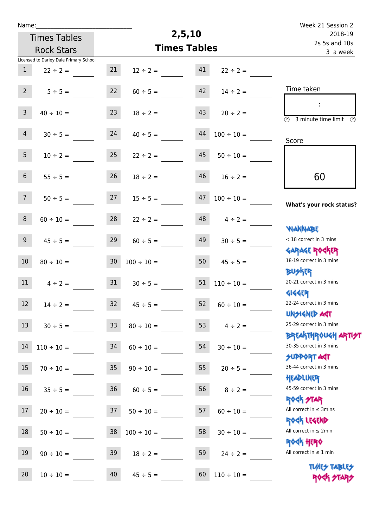| Week 21 Session 2                                                |                 |                     |                  |                     |                                        | Name:           |  |
|------------------------------------------------------------------|-----------------|---------------------|------------------|---------------------|----------------------------------------|-----------------|--|
| 2018-19                                                          |                 | 2,5,10              |                  | <b>Times Tables</b> |                                        |                 |  |
| 2s 5s and 10s<br>3 a week                                        |                 | <b>Times Tables</b> |                  |                     | <b>Rock Stars</b>                      |                 |  |
|                                                                  |                 |                     |                  |                     | Licensed to Darley Dale Primary School |                 |  |
|                                                                  | $22 \div 2 =$   | 41                  | $12 \div 2 =$    | 21                  | $22 \div 2 =$                          | $\mathbf{1}$    |  |
| Time taken                                                       | $14 \div 2 =$   | 42                  | $60 \div 5 =$    | 22                  | $5 \div 5 =$                           | $2^{\circ}$     |  |
| $\overline{\mathcal{O}}$<br>3 minute time limit<br>$\mathcal{O}$ | $20 \div 2 =$   | 43                  | $18 \div 2 =$    | 23                  | $40 \div 10 =$                         | $\overline{3}$  |  |
| Score                                                            | $100 \div 10 =$ | 44                  | $40 \div 5 =$    | 24                  | $30 \div 5 =$                          | $\overline{4}$  |  |
|                                                                  | $50 \div 10 =$  | 45                  | $22 \div 2 =$    | 25                  | $10 \div 2 =$                          | 5 <sub>1</sub>  |  |
| 60                                                               | $16 \div 2 =$   | 46                  | $18 \div 2 =$    | 26                  | $55 \div 5 =$                          | 6 <sup>1</sup>  |  |
| What's your rock status?                                         | $100 \div 10 =$ | 47                  | $15 \div 5 =$    | 27                  | $50 \div 5 =$                          | 7 <sup>7</sup>  |  |
|                                                                  | $4 \div 2 =$    | 48                  | $22 \div 2 =$    | 28                  | $60 \div 10 =$                         | 8               |  |
| <b>YIANNABE</b><br>< 18 correct in 3 mins                        | $30 \div 5 =$   | 49                  | $60 \div 5 =$    | 29                  | $45 \div 5 =$                          | 9               |  |
| <b>GARAGE ROCKER</b><br>18-19 correct in 3 mins                  | $45 \div 5 =$   | 50                  | $100 \div 10 =$  | 30 <sub>o</sub>     | $80 \div 10 =$                         | 10              |  |
| <b>BUSKER</b><br>20-21 correct in 3 mins                         | $110 \div 10 =$ | 51                  | $30 \div 5 =$    | 31                  | $4 \div 2 =$                           | 11              |  |
| <b>4144EP</b><br>22-24 correct in 3 mins<br><b>UNSIGNED AST</b>  | $60 \div 10 =$  | 52                  | $45 \div 5 =$    | 32                  | $14 \div 2 =$                          | 12              |  |
| 25-29 correct in 3 mins                                          | 53 $4 \div 2 =$ |                     | $80 \div 10 =$   | 33                  | $30 \div 5 =$                          | 13 <sup>°</sup> |  |
| <b>BREAKTHROUGH ARTIST</b><br>30-35 correct in 3 mins            | $30 \div 10 =$  | 54                  | $60 \div 10 =$   |                     | $110 \div 10 = 34$                     | 14              |  |
| <b>SUPPORT AGT</b><br>36-44 correct in 3 mins                    | $20 \div 5 =$   | 55                  | $90 \div 10 =$   | 35                  | $70 \div 10 =$                         | 15              |  |
| HEADLINER<br>45-59 correct in 3 mins                             | $8 \div 2 =$    | 56                  | $60 \div 5 =$    |                     | $35 \div 5 = 36$                       | 16              |  |
| <b>ROCK STAR</b><br>All correct in $\leq$ 3mins                  | $60 \div 10 =$  | 57                  | $50 \div 10 =$   |                     | $20 \div 10 = 37$                      | 17              |  |
| ROCK LEGEND<br>All correct in $\leq 2$ min                       | $30 \div 10 =$  | 58                  | $100 \div 10 =$  | 38                  | $50 \div 10 =$                         | 18              |  |
| <b>ROCK HERO</b><br>All correct in $\leq 1$ min                  | $24 \div 2 =$   | 59                  | $18 \div 2 =$    | 39                  | $90 \div 10 =$                         | 19              |  |
| <b>TUARS TABLES</b><br>ROCK STARS                                | $110 \div 10 =$ |                     | $45 \div 5 = 60$ |                     | $10 \div 10 = 40$                      | 20              |  |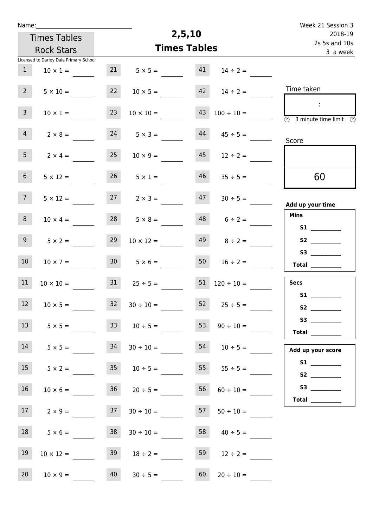| Name:           |                                                  |                 |                      | 2,5,10                    |                     | Week 21 Session 3                                                                          |
|-----------------|--------------------------------------------------|-----------------|----------------------|---------------------------|---------------------|--------------------------------------------------------------------------------------------|
|                 | <b>Times Tables</b>                              |                 |                      | 2018-19                   |                     |                                                                                            |
|                 | <b>Rock Stars</b>                                |                 | <b>Times Tables</b>  | 2s 5s and 10s<br>3 a week |                     |                                                                                            |
|                 | Licensed to Darley Dale Primary School           |                 |                      |                           |                     |                                                                                            |
| 1               | $10 \times 1 =$                                  | 21              | $5 \times 5 =$       | 41                        | $14 \div 2 =$       |                                                                                            |
| 2 <sup>7</sup>  | $5 \times 10 =$                                  | 22              | $10 \times 5 =$      | 42                        | $14 \div 2 =$       | Time taken                                                                                 |
| $\overline{3}$  | $10 \times 1 =$                                  | 23              | $10 \times 10 =$     | 43                        | $100 \div 10 =$     | $\sim 10$<br>$\overline{\textcircled{2}}$ 3 minute time limit $\overline{\textcircled{2}}$ |
| $\overline{4}$  | $2 \times 8 =$                                   | 24              | $5 \times 3 =$       | 44                        | $45 \div 5 =$       | Score                                                                                      |
| 5 <sub>1</sub>  | $2 \times 4 =$                                   | 25              | $10 \times 9 =$      | 45                        | $12 \div 2 =$       |                                                                                            |
| 6 <sup>1</sup>  | $5 \times 12 =$                                  |                 | $26 \t 5 \times 1 =$ | 46                        | $35 \div 5 =$       | 60                                                                                         |
| 7 <sup>7</sup>  | $5 \times 12 =$                                  | 27              | $2 \times 3 =$       | 47                        | $30 \div 5 =$       | Add up your time                                                                           |
| 8               | $10 \times 4 =$                                  | 28              | $5 \times 8 =$       | 48                        | $6 \div 2 =$        | <b>Mins</b><br>S1                                                                          |
| 9 <sub>o</sub>  | $5 \times 2 =$                                   | 29              | $10 \times 12 =$     | 49                        | $8 \div 2 =$        |                                                                                            |
| 10              | $10 \times 7 =$                                  | 30 <sub>2</sub> | $5 \times 6 =$       | 50                        | $16 \div 2 =$       | Total                                                                                      |
| 11              | $10 \times 10 =$                                 | 31              | $25 \div 5 =$        | 51                        | $120 \div 10 =$     | <b>Secs</b>                                                                                |
| 12              | $10 \times 5 =$                                  |                 | $32 \t 30 \div 10 =$ |                           | $52 \t 25 \div 5 =$ | S1                                                                                         |
| 13              | $5 \times 5 =$                                   |                 | $33 \t 10 \div 5 =$  | 53                        | $90 \div 10 =$      | Total $\qquad$                                                                             |
| 14              | $5 \times 5 =$ 34                                |                 | $30 \div 10 =$       |                           |                     | Add up your score                                                                          |
| 15              | $5 \times 2 =$ 35 $10 \div 5 =$ 55 $55 \div 5 =$ |                 |                      |                           |                     |                                                                                            |
| 16              | $10 \times 6 =$                                  |                 | $36 \t 20 \div 5 =$  | 56                        | $60 \div 10 =$      |                                                                                            |
| 17 <sub>1</sub> | $2 \times 9 =$                                   | 37              | $30 \div 10 =$       | 57                        | $50 \div 10 =$      | Total $\_\_$                                                                               |
| 18              | $5 \times 6 =$                                   | 38              | $30 \div 10 =$       |                           | $58 \t 40 \div 5 =$ |                                                                                            |
| 19              | $10 \times 12 =$                                 | 39              | $18 \div 2 =$        | 59                        | $12 \div 2 =$       |                                                                                            |
| 20              | $10 \times 9 =$                                  | 40              | $30 \div 5 =$        | 60                        | $20 \div 10 =$      |                                                                                            |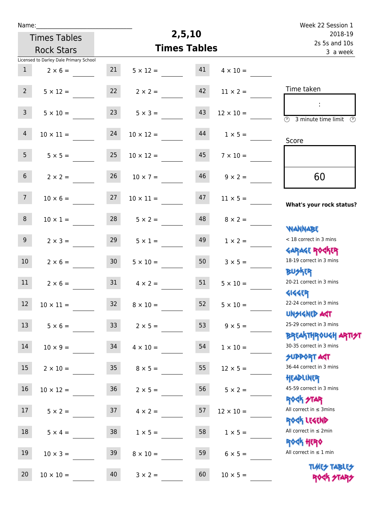| Name:           |                                        |                 |                       | Week 22 Session 1   |                       |                                                                         |
|-----------------|----------------------------------------|-----------------|-----------------------|---------------------|-----------------------|-------------------------------------------------------------------------|
|                 | <b>Times Tables</b>                    |                 |                       | 2,5,10              |                       | 2018-19<br>2s 5s and 10s<br>3 a week                                    |
|                 | <b>Rock Stars</b>                      |                 |                       | <b>Times Tables</b> |                       |                                                                         |
|                 | Licensed to Darley Dale Primary School |                 |                       |                     |                       |                                                                         |
| $\mathbf{1}$    | $2 \times 6 =$                         | 21              | $5 \times 12 =$       | 41                  | $4 \times 10 =$       |                                                                         |
| $2^{\circ}$     | $5 \times 12 =$                        | 22              | $2 \times 2 =$        | 42                  | $11 \times 2 =$       | Time taken                                                              |
| 3 <sup>7</sup>  | $5 \times 10 =$                        | 23              | $5 \times 3 =$        | 43                  | $12 \times 10 =$      | $\overline{\circledcirc}$ 3 minute time limit $\overline{\circledcirc}$ |
| $\overline{4}$  | $10 \times 11 =$                       | 24              | $10 \times 12 =$      | 44                  | $1 \times 5 =$        | Score                                                                   |
| 5 <sub>1</sub>  | $5 \times 5 =$                         | 25              | $10 \times 12 =$      | 45                  | $7 \times 10 =$       |                                                                         |
| 6 <sup>1</sup>  | $2 \times 2 =$                         | 26              | $10 \times 7 =$       | 46                  | $9 \times 2 =$        | 60                                                                      |
| 7 <sup>7</sup>  | $10 \times 6 =$                        | 27              | $10 \times 11 =$      | 47                  | $11 \times 5 =$       | What's your rock status?                                                |
| 8               | $10 \times 1 =$                        | 28              | $5 \times 2 =$        | 48                  | $8 \times 2 =$        | <b>NANNABE</b>                                                          |
| 9 <sub>o</sub>  | $2 \times 3 =$                         | 29              | $5 \times 1 =$        | 49                  | $1 \times 2 =$        | < 18 correct in 3 mins<br><b>GARAGE ROCKER</b>                          |
| 10 <sup>°</sup> | $2 \times 6 =$                         | 30 <sub>o</sub> | $5 \times 10 =$       | 50                  | $3 \times 5 =$        | 18-19 correct in 3 mins<br><b>BUSKER</b>                                |
| 11              | $2 \times 6 =$                         | 31              | $4 \times 2 =$        | 51                  | $5 \times 10 =$       | 20-21 correct in 3 mins<br><b>4144EP</b>                                |
| 12 <sup>7</sup> | $10 \times 11 =$                       |                 | $32 \t 8 \times 10 =$ |                     | $52 \t 5 \times 10 =$ | 22-24 correct in 3 mins<br><b>UNSIGNED AST</b>                          |
| 13              | $5 \times 6 =$                         | 33              | $2 \times 5 =$        | 53                  | $9 \times 5 =$        | 25-29 correct in 3 mins                                                 |
| 14              | $10 \times 9 =$                        | 34              | $4 \times 10 =$       | 54                  | $1 \times 10 =$       | <b>BREAKTHROUGH ARTI<del>S</del>T</b><br>30-35 correct in 3 mins        |
| 15 <sub>1</sub> | $2 \times 10 =$                        | 35 <sub>1</sub> | $8 \times 5 =$        | 55                  | $12 \times 5 =$       | <b>SUPPORT AGT</b><br>36-44 correct in 3 mins                           |
| 16              | $10 \times 12 =$                       | 36              | $2 \times 5 =$        | 56                  | $5 \times 2 =$        | HEADLINER<br>45-59 correct in 3 mins                                    |
| 17 <sup>2</sup> | $5 \times 2 =$                         | 37              | $4 \times 2 =$        | 57                  | $12 \times 10 =$      | <b>ROCK STAR</b><br>All correct in $\leq$ 3mins                         |
| 18              | $5 \times 4 =$                         | 38              | $1 \times 5 =$        | 58                  | $1 \times 5 =$        | ROCK LEGEND<br>All correct in $\leq 2$ min                              |
| 19              | $10 \times 3 =$                        | 39              | $8 \times 10 =$       | 59                  | $6 \times 5 =$        | <b>ROCK HERO</b><br>All correct in $\leq 1$ min                         |
| 20              | $10 \times 10 =$                       | 40              | $3 \times 2 =$        | 60                  | $10 \times 5 =$       | <b>TUARS TABLES</b><br>ROCK STARS                                       |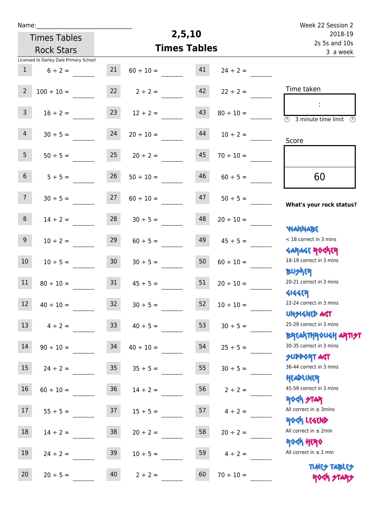| Name:          |                                        |                 |                     |                           |                | Week 22 Session 2                                                                 |
|----------------|----------------------------------------|-----------------|---------------------|---------------------------|----------------|-----------------------------------------------------------------------------------|
|                | <b>Times Tables</b>                    |                 | 2,5,10              | 2018-19                   |                |                                                                                   |
|                | <b>Rock Stars</b>                      |                 | <b>Times Tables</b> | 2s 5s and 10s<br>3 a week |                |                                                                                   |
|                | Licensed to Darley Dale Primary School |                 |                     |                           |                |                                                                                   |
| $\mathbf{1}$   | $6 \div 2 =$                           | 21              | $60 \div 10 =$      | 41                        | $24 \div 2 =$  |                                                                                   |
| $\overline{2}$ | $100 \div 10 =$                        | 22              | $2 \div 2 =$        | 42                        | $22 \div 2 =$  | Time taken                                                                        |
| $\overline{3}$ | $16 \div 2 =$                          | 23              | $12 \div 2 =$       | 43                        | $80 \div 10 =$ | $\overline{\mathbb{O}}$<br>3 minute time limit<br>$\mathcal{O}$                   |
| $\overline{4}$ | $30 \div 5 =$                          | 24              | $20 \div 10 =$      | 44                        | $10 \div 2 =$  | Score                                                                             |
| 5 <sub>1</sub> | $50 \div 5 =$                          | 25              | $20 \div 2 =$       | 45                        | $70 \div 10 =$ |                                                                                   |
| 6 <sup>1</sup> | $5 ÷ 5 =$                              | 26              | $50 \div 10 =$      | 46                        | $60 \div 5 =$  | 60                                                                                |
| 7 <sup>7</sup> | $30 \div 5 =$                          | 27              | $60 \div 10 =$      | 47                        | $50 \div 5 =$  | What's your rock status?                                                          |
| 8              | $14 \div 2 =$                          | 28              | $30 \div 5 =$       | 48                        | $20 \div 10 =$ |                                                                                   |
| 9 <sup>°</sup> | $10 \div 2 =$                          | 29              | $60 \div 5 =$       | 49                        | $45 \div 5 =$  | <b>JARNARY</b><br>< 18 correct in 3 mins                                          |
| 10             | $10 \div 5 =$                          | 30 <sub>o</sub> | $30 \div 5 =$       | 50                        | $60 \div 10 =$ | <b>GARAGE ROGKER</b><br>18-19 correct in 3 mins                                   |
| 11             | $80 \div 10 =$                         | 31              | $45 \div 5 =$       | 51                        | $20 \div 10 =$ | <b>BUSKER</b><br>20-21 correct in 3 mins                                          |
| 12             | $40 \div 10 =$                         | 32              | $30 \div 5 =$       | 52                        | $10 \div 10 =$ | <b>4144EP</b><br>22-24 correct in 3 mins<br><b>UNSIGNED AGT</b>                   |
| 13             | $4 \div 2 =$                           | 33 <sup>°</sup> | $40 \div 5 =$       | 53                        | $30 \div 5 =$  | 25-29 correct in 3 mins                                                           |
| $14\,$         | $90 \div 10 =$                         | 34              | $40 \div 10 =$      | 54                        | $25 \div 5 =$  | ΒΡΓΑΚΤΗΡΟUGH ΑΡΤΙ <del>2</del> Τ<br>30-35 correct in 3 mins<br><b>SUPPORT AGT</b> |
| 15             | $24 \div 2 =$                          | 35 <sub>o</sub> | $35 \div 5 =$       | 55                        | $30 \div 5 =$  | 36-44 correct in 3 mins                                                           |
| 16             | $60 \div 10 =$                         | 36              | $14 \div 2 =$       | 56                        | $2 \div 2 =$   | HEADLINER<br>45-59 correct in 3 mins                                              |
| 17             | $55 \div 5 =$                          | 37              | $15 \div 5 =$       | 57                        | $4 \div 2 =$   | ROCK STAR<br>All correct in $\leq$ 3mins                                          |
| 18             | $14 \div 2 =$                          | 38              | $20 \div 2 =$       | 58                        | $20 \div 2 =$  | ROCK LEGEND<br>All correct in $\leq 2$ min                                        |
| 19             | $24 \div 2 =$                          | 39              | $10 \div 5 =$       | 59                        | $4 \div 2 =$   | <b>ROGH HERO</b><br>All correct in $\leq 1$ min                                   |
| 20             | $20 \div 5 =$                          | 40              | $2 \div 2 =$        | 60                        | $70 \div 10 =$ | <b>TUARS TABLES</b><br>ROCK STARS                                                 |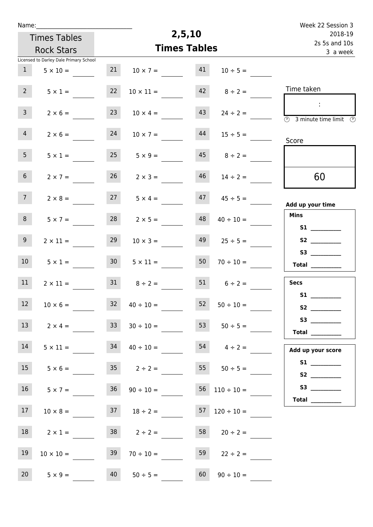| Name:           |                                                 |                 |                                           |                     |                          | Week 22 Session 3                                                                          |
|-----------------|-------------------------------------------------|-----------------|-------------------------------------------|---------------------|--------------------------|--------------------------------------------------------------------------------------------|
|                 | <b>Times Tables</b>                             |                 | 2,5,10                                    | 2018-19             |                          |                                                                                            |
|                 | <b>Rock Stars</b>                               |                 |                                           | <b>Times Tables</b> |                          | 2s 5s and 10s<br>3 a week                                                                  |
|                 | Licensed to Darley Dale Primary School          |                 |                                           |                     |                          |                                                                                            |
| $\mathbf{1}$    | $5 \times 10 =$                                 | 21              | $10 \times 7 =$                           | 41                  | $10 \div 5 =$            |                                                                                            |
| 2 <sup>7</sup>  | $5 \times 1 =$                                  | 22              | $10 \times 11 =$                          | 42                  | $8 \div 2 =$             | Time taken                                                                                 |
| $\mathbf{3}$    | $2 \times 6 =$                                  | 23              | $10 \times 4 =$                           | 43                  | $24 \div 2 =$            | $\sim 10$<br>$\overline{\textcircled{1}}$ 3 minute time limit $\overline{\textcircled{1}}$ |
| $\overline{4}$  | $2 \times 6 =$                                  | 24              | $10 \times 7 =$                           | 44                  | $15 \div 5 =$            | Score                                                                                      |
| 5 <sub>1</sub>  | $5 \times 1 =$                                  |                 | $25 \t 5 \times 9 =$                      |                     | $45 \t 8 \div 2 =$       |                                                                                            |
| 6 <sup>1</sup>  | $2 \times 7 =$                                  | 26              | $2 \times 3 =$                            | 46                  | $14 \div 2 =$            | 60                                                                                         |
| 7 <sup>7</sup>  | $2 \times 8 =$                                  | 27              | $5 \times 4 =$                            | 47                  | $45 \div 5 =$            | Add up your time                                                                           |
| 8               | $5 \times 7 =$                                  | 28              | $2 \times 5 =$                            | 48                  | $40 \div 10 =$           | <b>Mins</b><br>S1                                                                          |
| 9 <sub>o</sub>  | $2 \times 11 =$                                 | 29              | $10 \times 3 =$                           | 49                  | $25 \div 5 =$            |                                                                                            |
| 10 <sup>°</sup> | $5 \times 1 =$                                  | 30 <sup>1</sup> | $5 \times 11 =$                           | 50                  | $70 \div 10 =$           | Total                                                                                      |
| 11              | $2 \times 11 =$                                 | 31              | $8 \div 2 =$                              |                     | $51$ $6 \div 2 =$        | <b>Secs</b>                                                                                |
| 12              | $10 \times 6 =$                                 |                 | $32 \t 40 \div 10 =$                      | 52                  | $50 \div 10 =$           | S2                                                                                         |
| 13              | $2 \times 4 =$                                  | 33              | $30 \div 10 =$                            | 53                  | $50 \div 5 =$            | Total $\qquad$                                                                             |
| 14              | $5 \times 11 = 34$ $40 \div 10 =$               |                 |                                           |                     | $54 \t 4 \div 2 =$       | Add up your score                                                                          |
| 15              | $5 \times 6 =$ 35 $2 \div 2 =$ 55 $50 \div 5 =$ |                 |                                           |                     |                          |                                                                                            |
| 16              | $5 \times 7 =$                                  |                 | $36 \t 90 \div 10 =$                      |                     | $56 \quad 110 \div 10 =$ |                                                                                            |
| 17 <sub>1</sub> | $10 \times 8 =$                                 |                 | $37 \t 18 \div 2 =$ $57 \t 120 \div 10 =$ |                     |                          | Total $\_\_$                                                                               |
| 18              | $2 \times 1 =$                                  |                 | $38$ $2 \div 2 =$                         |                     | $58$ 20 ÷ 2 =            |                                                                                            |
| 19              | $10 \times 10 =$                                | 39              | $70 \div 10 =$                            | 59                  | $22 \div 2 =$            |                                                                                            |
| 20 <sub>2</sub> | $5 \times 9 =$                                  | 40              | $50 \div 5 =$                             | 60                  | $90 \div 10 =$           |                                                                                            |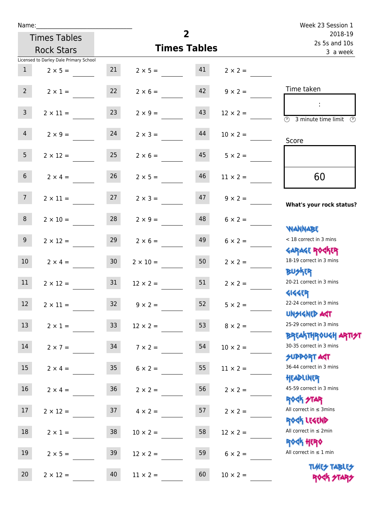| Name:           |                                        |                 |                    | Week 23 Session 1        |                                  |                                                                               |
|-----------------|----------------------------------------|-----------------|--------------------|--------------------------|----------------------------------|-------------------------------------------------------------------------------|
|                 | <b>Times Tables</b>                    |                 |                    | 2018-19<br>2s 5s and 10s |                                  |                                                                               |
|                 | <b>Rock Stars</b>                      |                 |                    | <b>Times Tables</b>      |                                  | 3 a week                                                                      |
|                 | Licensed to Darley Dale Primary School |                 |                    |                          |                                  |                                                                               |
| 1               | $2 \times 5 =$                         | 21              | $2 \times 5 = 41$  |                          | $2 \times 2 =$                   |                                                                               |
| 2               | $2 \times 1 =$                         | 22              | $2 \times 6 =$     |                          | $ 42 $ $9 \times 2 =$            | Time taken                                                                    |
| $\overline{3}$  | $2 \times 11 =$                        | 23              | $2 \times 9 =$     | 43                       | $12 \times 2 =$                  | $\overline{\textcircled{1}}$ 3 minute time limit $\overline{\textcircled{1}}$ |
| $\overline{4}$  | $2 \times 9 = 24$                      |                 | $2 \times 3 =$     | 44                       | $10 \times 2 =$                  | Score                                                                         |
| 5 <sub>1</sub>  | $2 \times 12 =$                        | 25              | $2 \times 6 =$     | 45                       | $5 \times 2 =$                   |                                                                               |
| 6 <sup>1</sup>  | $2 \times 4 =$                         | 26              | $2 \times 5 =$     | 46                       | $11 \times 2 =$                  | 60                                                                            |
| 7 <sup>7</sup>  | $2 \times 11 = 27$                     |                 |                    |                          | $2 \times 3 =$ 47 $9 \times 2 =$ | What's your rock status?                                                      |
| 8               | $2 \times 10 =$                        | 28              | $2 \times 9 =$     | 48                       | $6 \times 2 =$                   | <b>JARNARY</b>                                                                |
| 9 <sub>o</sub>  | $2 \times 12 =$                        | 29              | $2 \times 6 =$     | 49                       | $6 \times 2 =$                   | < 18 correct in 3 mins                                                        |
| 10 <sup>1</sup> | $2 \times 4 = 30$                      |                 | $2 \times 10 = 50$ |                          | $2 \times 2 =$                   | <b>GARAGE ROGKER</b><br>18-19 correct in 3 mins<br><b>BUSKER</b>              |
| 11              | $2 \times 12 = 31$                     |                 | $12 \times 2 =$    | 51                       | $2 \times 2 =$                   | 20-21 correct in 3 mins                                                       |
| 12              | $2\times11=$                           | 32              | $9 \times 2 =$     | 52                       | $5 \times 2 =$                   | <b>4144EP</b><br>22-24 correct in 3 mins<br><b>UNSIGNED AGT</b>               |
| 13              | $2 \times 1 =$                         | 33 <sup>°</sup> | $12 \times 2 =$    | 53                       | $8 \times 2 =$                   | 25-29 correct in 3 mins<br><b>BREAKTHROUGH ARTI<del>S</del>T</b>              |
| 14              | $2 \times 7 =$                         | 34              | $7 \times 2 =$     | 54                       | $10 \times 2 =$                  | 30-35 correct in 3 mins<br><b>SUPPORT AGT</b>                                 |
| 15              | $2 \times 4 =$                         | 35 <sub>o</sub> | $6 \times 2 =$     | 55                       | $11 \times 2 =$                  | 36-44 correct in 3 mins<br>HEADLINER                                          |
| 16              | $2 \times 4 =$                         | 36              | $2 \times 2 =$     | 56                       | $2 \times 2 =$                   | 45-59 correct in 3 mins<br><b>ROCK STAR</b>                                   |
| 17              | $2 \times 12 =$                        | 37              | $4 \times 2 =$     | 57                       | $2 \times 2 =$                   | All correct in $\leq$ 3mins<br>ROCK LEGEND                                    |
| 18              | $2 \times 1 =$                         | 38              | $10 \times 2 =$    | 58                       | $12 \times 2 =$                  | All correct in $\leq 2$ min                                                   |
| 19              | $2 \times 5 =$                         | 39              | $12 \times 2 =$    | 59                       | $6 \times 2 =$                   | <b>ROCK HERO</b><br>All correct in $\leq 1$ min                               |
| 20              | $2 \times 12 =$                        | 40              | $11 \times 2 =$    | 60                       | $10 \times 2 =$                  | <b>TUARS TABLES</b><br>ROCK STARS                                             |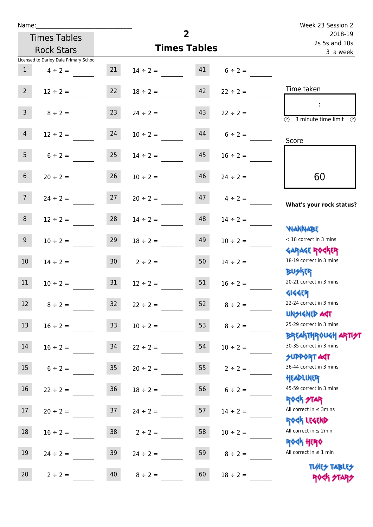| Name:           |                                        |                 |                     |                |                          | Week 23 Session 2                                            |
|-----------------|----------------------------------------|-----------------|---------------------|----------------|--------------------------|--------------------------------------------------------------|
|                 | <b>Times Tables</b>                    |                 |                     | $\overline{2}$ | 2018-19<br>2s 5s and 10s |                                                              |
|                 | <b>Rock Stars</b>                      |                 | <b>Times Tables</b> | 3 a week       |                          |                                                              |
|                 | Licensed to Darley Dale Primary School |                 |                     |                |                          |                                                              |
| 1               | $4 \div 2 =$                           | 21              | $14 \div 2 =$       | 41             | $6 \div 2 =$             |                                                              |
| 2               | $12 \div 2 =$                          | 22              | $18 \div 2 =$       | 42             | $22 \div 2 =$            | Time taken                                                   |
| 3 <sup>1</sup>  | $8 \div 2 =$                           | 23              | $24 \div 2 =$       | 43             | $22 \div 2 =$            | $\overline{\circledcirc}$ 3 minute time limit $\circledcirc$ |
| $\overline{4}$  | $12 \div 2 =$                          | 24              | $10 \div 2 =$       | 44             | $6 \div 2 =$             | Score                                                        |
| 5 <sub>1</sub>  | $6 \div 2 =$                           | 25              | $14 \div 2 =$       | 45             | $16 \div 2 =$            |                                                              |
| 6 <sup>1</sup>  | $20 \div 2 =$                          | 26              | $10 \div 2 =$       | 46             | $24 \div 2 =$            | 60                                                           |
| 7 <sup>7</sup>  | $24 \div 2 =$                          | 27              | $20 \div 2 =$       | 47             | $4 \div 2 =$             | What's your rock status?                                     |
| 8 <sup>1</sup>  | $12 \div 2 =$                          | 28              | $14 \div 2 =$       | 48             | $14 \div 2 =$            | <b>NANNABE</b>                                               |
| 9               | $10 \div 2 =$                          | 29              | $18 \div 2 =$       | 49             | $10 \div 2 =$            | < 18 correct in 3 mins<br><b>GARAGE ROCKER</b>               |
| 10 <sup>°</sup> | $14 \div 2 =$                          |                 | $30 \t 2 \div 2 =$  | 50             | $14 \div 2 =$            | 18-19 correct in 3 mins<br><b>BUSKER</b>                     |
| 11              | $10 \div 2 =$                          | 31              | $12 \div 2 =$       | 51             | $16 \div 2 =$            | 20-21 correct in 3 mins<br><b>4144ER</b>                     |
| 12              | $8 \div 2 =$                           | 32              | $22 \div 2 =$       | 52             | $8 \div 2 =$             | 22-24 correct in 3 mins<br><b>UNSIGNED AGT</b>               |
| 13              | $16 \div 2 =$                          | 33 <sup>°</sup> | $10 \div 2 =$       | 53             | $8 \div 2 =$             | 25-29 correct in 3 mins<br><b>BREAKTHROUGH ARTH</b>          |
| 14              | $16 \div 2 =$                          | 34              | $22 \div 2 =$       | 54             | $10 \div 2 =$            | 30-35 correct in 3 mins<br><b>SUPPORT AGT</b>                |
| 15 <sub>1</sub> | $6 \div 2 =$                           | 35 <sub>o</sub> | $20 \div 2 =$       | 55             | $2 \div 2 =$             | 36-44 correct in 3 mins<br>HEADLINER                         |
| 16              | $22 \div 2 =$                          | 36              | $18 \div 2 =$       | 56             | $6 \div 2 =$             | 45-59 correct in 3 mins<br><b>ROCK STAR</b>                  |
| 17              | $20 \div 2 =$                          | 37              | $24 \div 2 =$       | 57             | $14 \div 2 =$            | All correct in $\leq$ 3mins<br>ROCK LEGEND                   |
| 18              | $16 \div 2 =$                          | 38              | $2 \div 2 =$        | 58             | $10 \div 2 =$            | All correct in $\leq 2$ min<br><b>ROCK HERO</b>              |
| 19              | $24 \div 2 =$                          | 39              | $24 \div 2 =$       | 59             | $8 \div 2 =$             | All correct in $\leq 1$ min                                  |
| 20              | $2 \div 2 =$                           | 40              | $8 \div 2 =$        | 60             | $18 \div 2 =$            | <b>TUARS TABLES</b><br>ROCK STARS                            |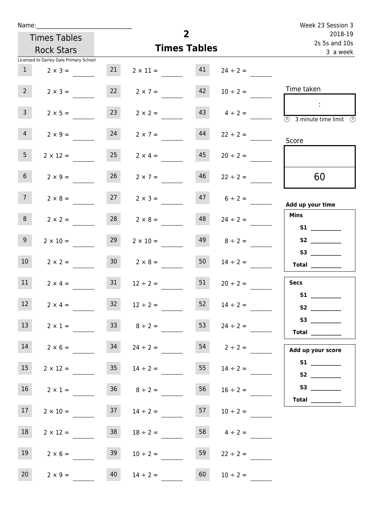| Name:           |                                        |                     |                     | $\overline{2}$ |                          | Week 23 Session 3                                      |
|-----------------|----------------------------------------|---------------------|---------------------|----------------|--------------------------|--------------------------------------------------------|
|                 | <b>Times Tables</b>                    |                     |                     |                | 2018-19<br>2s 5s and 10s |                                                        |
|                 | <b>Rock Stars</b>                      | <b>Times Tables</b> |                     |                |                          | 3 a week                                               |
|                 | Licensed to Darley Dale Primary School |                     |                     |                |                          |                                                        |
| 1               | $2 \times 3 =$                         | 21                  | $2 \times 11 =$     | 41             | $24 \div 2 =$            |                                                        |
| $2^{\circ}$     | $2 \times 3 =$                         | 22                  | $2 \times 7 =$      | 42             | $10 \div 2 =$            | Time taken                                             |
| 3 <sup>7</sup>  | $2 \times 5 =$                         | 23                  | $2 \times 2 =$      | 43             | $4 \div 2 =$             | -11<br>$\circled{r}$<br>3 minute time limit<br>$\odot$ |
| $\overline{4}$  | $2 \times 9 =$                         | 24                  | $2 \times 7 =$      | 44             | $22 \div 2 =$            | Score                                                  |
| 5 <sub>1</sub>  | $2 \times 12 =$                        | 25                  | $2 \times 4 =$      | 45             | $20 \div 2 =$            |                                                        |
| 6 <sup>1</sup>  | $2 \times 9 =$                         | 26                  | $2 \times 7 =$      | 46             | $22 \div 2 =$            | 60                                                     |
| 7 <sup>7</sup>  | $2 \times 8 =$                         | 27                  | $2 \times 3 =$      |                | $47 \t 6 \div 2 =$       | Add up your time                                       |
| 8               | $2 \times 2 =$                         | 28                  | $2 \times 8 =$      | 48             | $24 \div 2 =$            | <b>Mins</b><br><b>S1</b> and the set of $\sim$         |
| 9 <sub>o</sub>  | $2 \times 10 =$                        | 29                  | $2 \times 10 =$     | 49             | $8 \div 2 =$             |                                                        |
| 10 <sup>°</sup> | $2 \times 2 =$                         | 30 <sup>°</sup>     | $2 \times 8 =$      | 50             | $14 \div 2 =$            |                                                        |
| 11              | $2 \times 4 =$                         | 31                  | $12 \div 2 =$       | 51             | $20 \div 2 =$            | <b>Secs</b><br>S1                                      |
| 12              | $2 \times 4 =$                         | 32                  | $12 \div 2 =$       | 52             | $14 \div 2 =$            | <b>S2</b>                                              |
| 13              | $2 \times 1 =$                         |                     | $33 \t 8 \div 2 =$  | 53             | $24 \div 2 =$            | Total $\qquad$                                         |
| 14              | $2 \times 6 =$                         | 34                  | $24 \div 2 =$       |                |                          | Add up your score                                      |
| 15              | $2 \times 12 =$                        |                     | $35 \t 14 \div 2 =$ | 55             | $14 \div 2 =$            |                                                        |
| 16              | $2 \times 1 =$                         |                     | $36 \t 8 \div 2 =$  | 56             | $16 \div 2 =$            |                                                        |
| 17 <sub>1</sub> | $2 \times 10 =$                        |                     | $37 \t 14 \div 2 =$ | 57             | $10 \div 2 =$            |                                                        |
| 18              | $2 \times 12 =$                        | 38                  | $18 \div 2 =$       | 58             | $4 \div 2 =$             |                                                        |
| 19              | $2 \times 6 =$                         | 39                  | $10 \div 2 =$       | 59             | $22 \div 2 =$            |                                                        |
| 20 <sub>2</sub> | $2 \times 9 =$                         | 40                  | $14 \div 2 =$       | 60             | $10 \div 2 =$            |                                                        |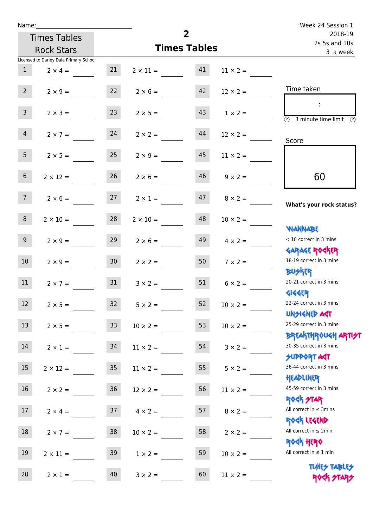| Name:            |                                        |                 |                                  | Week 24 Session 1   |                      |                                                                               |
|------------------|----------------------------------------|-----------------|----------------------------------|---------------------|----------------------|-------------------------------------------------------------------------------|
|                  | <b>Times Tables</b>                    |                 |                                  | 2018-19             |                      |                                                                               |
|                  | <b>Rock Stars</b>                      |                 |                                  | <b>Times Tables</b> |                      | 2s 5s and 10s<br>3 a week                                                     |
|                  | Licensed to Darley Dale Primary School |                 |                                  |                     |                      |                                                                               |
| 1                | $2 \times 4 =$                         | 21              | $2 \times 11 = 41$               |                     | $11 \times 2 =$      |                                                                               |
| $2^{\circ}$      | $2 \times 9 =$                         | 22              | $2 \times 6 =$                   | 42                  | $12 \times 2 =$      | Time taken                                                                    |
| $\mathsf{3}$     | $2 \times 3 =$                         | 23              | $2 \times 5 =$                   | 43                  | $1 \times 2 =$       | $\overline{\textcircled{1}}$ 3 minute time limit $\overline{\textcircled{1}}$ |
| 4                | $2 \times 7 = 24$                      |                 | $2 \times 2 =$                   | 44                  | $12 \times 2 =$      | Score                                                                         |
| 5 <sup>1</sup>   | $2 \times 5 =$                         | 25              | $2 \times 9 =$                   | 45                  | $11 \times 2 =$      |                                                                               |
| 6 <sup>1</sup>   | $2 \times 12 =$                        | 26              | $2 \times 6 =$                   | 46                  | $9 \times 2 =$       | 60                                                                            |
| 7 <sup>7</sup>   |                                        |                 | $2 \times 6 = 27$ $2 \times 1 =$ |                     | $47 \t 8 \times 2 =$ | What's your rock status?                                                      |
| 8                | $2 \times 10 =$                        | 28              | $2 \times 10 =$                  | 48                  | $10 \times 2 =$      | <b>JARNARY</b>                                                                |
| 9 <sub>o</sub>   | $2 \times 9 =$                         | 29              | $2 \times 6 =$                   | 49                  | $4 \times 2 =$       | < 18 correct in 3 mins<br><b>GARAGE ROGKER</b>                                |
| 10 <sup>°</sup>  | $2 \times 9 = 30$                      |                 | $2 \times 2 = 50$                |                     | $7 \times 2 =$       | 18-19 correct in 3 mins<br><b>BUSKER</b>                                      |
| 11               | $2 \times 7 =$                         | 31              | $3 \times 2 =$                   | 51                  | $6 \times 2 =$       | 20-21 correct in 3 mins<br><b>4144EP</b>                                      |
| 12               | $2 \times 5 =$                         | 32              | $5 \times 2 =$                   | 52                  | $10 \times 2 =$      | 22-24 correct in 3 mins<br><b>UNSIGNED AGT</b>                                |
| 13               | $2 \times 5 =$                         | 33 <sup>°</sup> | $10 \times 2 =$                  | 53                  | $10 \times 2 =$      | 25-29 correct in 3 mins<br><b>BREAKTHROUGH ARTI<del>S</del>T</b>              |
| 14               | $2 \times 1 =$                         | 34              | $11 \times 2 =$                  | 54                  | $3 \times 2 =$       | 30-35 correct in 3 mins<br><b>SUPPORT AGT</b>                                 |
| $15\phantom{.0}$ | $2 \times 12 =$                        | 35 <sub>o</sub> | $11 \times 2 =$                  | 55                  | $5 \times 2 =$       | 36-44 correct in 3 mins<br>HEADLINER                                          |
| 16               | $2 \times 2 =$                         | 36              | $12 \times 2 =$                  | 56                  | $11 \times 2 =$      | 45-59 correct in 3 mins<br><b>ROCK STAR</b>                                   |
| 17               | $2 \times 4 =$                         | 37              | $4 \times 2 =$                   | 57                  | $8 \times 2 =$       | All correct in $\leq$ 3mins<br>ROCK LEGEND                                    |
| 18               | $2 \times 7 =$                         | 38              | $10 \times 2 =$                  | 58                  | $2 \times 2 =$       | All correct in $\leq 2$ min<br><b>ROCK HERO</b>                               |
| 19               | $2 \times 11 =$                        | 39              | $1 \times 2 =$                   | 59                  | $10 \times 2 =$      | All correct in $\leq 1$ min                                                   |
| 20               | $2 \times 1 =$                         | 40              | $3 \times 2 =$                   | 60                  | $11 \times 2 =$      | <b>TUARS TABLES</b><br>ROCK STARS                                             |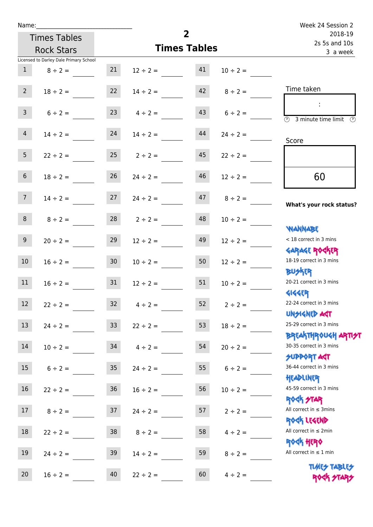| Name:           |                                        |                  |                               | $\overline{2}$           |                    | Week 24 Session 2                                   |
|-----------------|----------------------------------------|------------------|-------------------------------|--------------------------|--------------------|-----------------------------------------------------|
|                 | <b>Times Tables</b>                    |                  |                               | 2018-19<br>2s 5s and 10s |                    |                                                     |
|                 | <b>Rock Stars</b>                      |                  | <b>Times Tables</b>           | 3 a week                 |                    |                                                     |
|                 | Licensed to Darley Dale Primary School |                  |                               |                          |                    |                                                     |
| 1               | $8 \div 2 =$                           |                  | $21 \t 12 \div 2 = 41$        |                          | $10 \div 2 =$      |                                                     |
| $2^{\circ}$     | $18 \div 2 =$                          |                  | $22 \t 14 \div 2 =$           |                          | $42 \t 8 \div 2 =$ | Time taken                                          |
| 3 <sup>1</sup>  | $6 \div 2 =$                           |                  | $23 \t 4 \div 2 =$            |                          | $6 \div 2 =$       | $\circled{r}$<br>3 minute time limit                |
| 4               | $14 \div 2 =$                          | 24               | $14 \div 2 =$                 | 44                       | $24 \div 2 =$      | Score                                               |
| 5 <sub>5</sub>  |                                        |                  | $22 \div 2 = 25$ $2 \div 2 =$ | 45                       | $22 \div 2 =$      |                                                     |
| 6 <sup>1</sup>  | $18 \div 2 =$                          | 26               | $24 \div 2 =$                 | 46                       | $12 \div 2 =$      | 60                                                  |
| 7 <sup>7</sup>  | $14 \div 2 =$                          |                  | $27 \t 24 \div 2 =$           |                          | $47 \t 8 \div 2 =$ | What's your rock status?                            |
| 8               | $8 \div 2 =$                           |                  | $28$ $2 \div 2 =$             | 48                       | $10 \div 2 =$      | <b>NANNABE</b>                                      |
| 9 <sub>o</sub>  | $20 \div 2 =$                          | 29               | $12 \div 2 =$                 | 49                       | $12 \div 2 =$      | < 18 correct in 3 mins<br><b>GARAGE ROCKER</b>      |
| 10 <sup>°</sup> | $16 \div 2 =$                          | 30               | $10 \div 2 =$                 | 50 <sup>7</sup>          | $12 \div 2 =$      | 18-19 correct in 3 mins<br><b>BUSKER</b>            |
| 11              | $16 \div 2 = 31$                       |                  | $12 \div 2 =$                 | 51                       | $10 \div 2 =$      | 20-21 correct in 3 mins<br><b>4144EP</b>            |
| 12              | $22 \div 2 =$                          | 32               | $4 \div 2 =$                  | 52                       | $2 \div 2 =$       | 22-24 correct in 3 mins<br><b>UNSIGNED AST</b>      |
| 13              | $24 \div 2 =$                          | 33               | $22 \div 2 =$                 | 53                       | $18 \div 2 =$      | 25-29 correct in 3 mins<br><b>BREAKTHROUGH ARTH</b> |
| 14              | $10 \div 2 =$                          | 34               | $4 \div 2 =$                  | 54                       | $20 \div 2 =$      | 30-35 correct in 3 mins<br><b>SUPPORT AGT</b>       |
| 15              | $6 \div 2 =$                           | $35\phantom{.0}$ | $24 \div 2 =$                 | 55                       | $6 \div 2 =$       | 36-44 correct in 3 mins<br>HEADLINER                |
| 16              | $22 \div 2 =$                          | $36\,$           | $16 \div 2 =$                 | 56                       | $10 \div 2 =$      | 45-59 correct in 3 mins<br><b>ROCK STAR</b>         |
| 17              | $8 \div 2 =$                           | 37               | $24 \div 2 =$                 | 57                       | $2 \div 2 =$       | All correct in $\leq$ 3mins<br>ROCK LEGEND          |
| 18              | $22 \div 2 =$                          | 38               | $8 \div 2 =$                  | 58                       | $4 \div 2 =$       | All correct in $\leq 2$ min                         |
| 19              | $24 \div 2 =$                          | 39               | $14 \div 2 =$                 | 59                       | $8 \div 2 =$       | <b>ROCK HERO</b><br>All correct in $\leq 1$ min     |
| 20              | $16 \div 2 =$                          | 40               | $22 \div 2 =$                 | 60                       | $4 \div 2 =$       | <b>TUARS TABLES</b><br>ROCK STARS                   |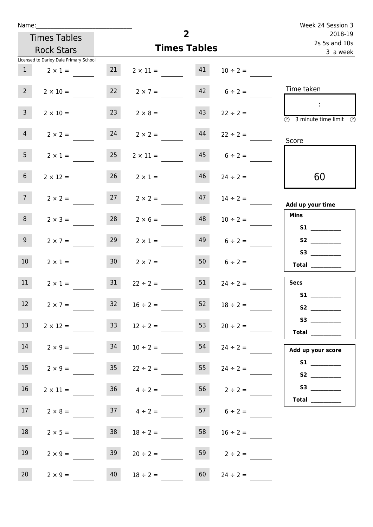| Week 24 Session 3                                                                                                                                                                                                                                                                                                                                                                                                                                                                                                                                                                                                                                           |                           |  |  |
|-------------------------------------------------------------------------------------------------------------------------------------------------------------------------------------------------------------------------------------------------------------------------------------------------------------------------------------------------------------------------------------------------------------------------------------------------------------------------------------------------------------------------------------------------------------------------------------------------------------------------------------------------------------|---------------------------|--|--|
| $\overline{2}$                                                                                                                                                                                                                                                                                                                                                                                                                                                                                                                                                                                                                                              | 2018-19                   |  |  |
| <b>Times Tables</b>                                                                                                                                                                                                                                                                                                                                                                                                                                                                                                                                                                                                                                         | 2s 5s and 10s<br>3 a week |  |  |
|                                                                                                                                                                                                                                                                                                                                                                                                                                                                                                                                                                                                                                                             |                           |  |  |
| 41<br>$2 \times 11 =$<br>$10 \div 2 =$                                                                                                                                                                                                                                                                                                                                                                                                                                                                                                                                                                                                                      |                           |  |  |
| Time taken<br>$42 \t 6 \div 2 =$<br>$2 \times 7 =$                                                                                                                                                                                                                                                                                                                                                                                                                                                                                                                                                                                                          |                           |  |  |
| $\sim$ 10 $\,$<br>43<br>$2 \times 8 =$<br>$22 \div 2 =$<br>3 minute time limit                                                                                                                                                                                                                                                                                                                                                                                                                                                                                                                                                                              | $\odot$                   |  |  |
| 44<br>$2 \times 2 =$<br>$22 \div 2 =$<br>Score                                                                                                                                                                                                                                                                                                                                                                                                                                                                                                                                                                                                              |                           |  |  |
| 45<br>$2 \times 11 =$<br>$6 \div 2 =$                                                                                                                                                                                                                                                                                                                                                                                                                                                                                                                                                                                                                       |                           |  |  |
| 46<br>60<br>$2 \times 1 =$<br>$24 \div 2 =$                                                                                                                                                                                                                                                                                                                                                                                                                                                                                                                                                                                                                 |                           |  |  |
| 47<br>$2 \times 2 =$<br>$14 \div 2 =$<br>Add up your time                                                                                                                                                                                                                                                                                                                                                                                                                                                                                                                                                                                                   |                           |  |  |
| <b>Mins</b><br>48<br>$2 \times 6 =$<br>$10 \div 2 =$<br>S1 <sub>2</sub> and the state of the state of the state of the state of the state of the state of the state of the state of the state of the state of the state of the state of the state of the state of the state of the state of the                                                                                                                                                                                                                                                                                                                                                             |                           |  |  |
| 49<br>$2 \times 1 =$<br>$6 \div 2 =$                                                                                                                                                                                                                                                                                                                                                                                                                                                                                                                                                                                                                        |                           |  |  |
| 50<br>$2 \times 7 =$<br>$6 \div 2 =$<br>$\begin{tabular}{c} Total & \underline{\hspace{1cm}} & \underline{\hspace{1cm}} & \underline{\hspace{1cm}} & \underline{\hspace{1cm}} & \underline{\hspace{1cm}} & \underline{\hspace{1cm}} & \underline{\hspace{1cm}} & \underline{\hspace{1cm}} & \underline{\hspace{1cm}} & \underline{\hspace{1cm}} & \underline{\hspace{1cm}} & \underline{\hspace{1cm}} & \underline{\hspace{1cm}} & \underline{\hspace{1cm}} & \underline{\hspace{1cm}} & \underline{\hspace{1cm}} & \underline{\hspace{1cm}} & \underline{\hspace{1cm}} & \underline{\hspace{1cm}} & \underline{\hspace{1cm}} & \underline{\hspace{1cm}} &$ |                           |  |  |
| 51<br><b>Secs</b><br>$22 \div 2 =$<br>$24 \div 2 =$<br>S1                                                                                                                                                                                                                                                                                                                                                                                                                                                                                                                                                                                                   |                           |  |  |
| 52<br>$16 \div 2 =$<br>$18 \div 2 =$                                                                                                                                                                                                                                                                                                                                                                                                                                                                                                                                                                                                                        |                           |  |  |
| 53<br>$12 \div 2 =$<br>$20 \div 2 =$<br>Total $\_\_$                                                                                                                                                                                                                                                                                                                                                                                                                                                                                                                                                                                                        |                           |  |  |
| 54<br>$10 \div 2 =$<br>$24 \div 2 =$<br>Add up your score                                                                                                                                                                                                                                                                                                                                                                                                                                                                                                                                                                                                   |                           |  |  |
| 55<br>$22 \div 2 =$<br>$24 \div 2 =$                                                                                                                                                                                                                                                                                                                                                                                                                                                                                                                                                                                                                        |                           |  |  |
| $36 \t 4 \div 2 =$<br>$56$ $2 \div 2 =$                                                                                                                                                                                                                                                                                                                                                                                                                                                                                                                                                                                                                     |                           |  |  |
| $6 \div 2 =$<br>$37 \t 4 \div 2 =$                                                                                                                                                                                                                                                                                                                                                                                                                                                                                                                                                                                                                          |                           |  |  |
| 58<br>$18 \div 2 =$<br>$16 \div 2 =$                                                                                                                                                                                                                                                                                                                                                                                                                                                                                                                                                                                                                        |                           |  |  |
| 59<br>$20 \div 2 =$<br>$2 \div 2 =$                                                                                                                                                                                                                                                                                                                                                                                                                                                                                                                                                                                                                         |                           |  |  |
| 60<br>$24 \div 2 =$                                                                                                                                                                                                                                                                                                                                                                                                                                                                                                                                                                                                                                         |                           |  |  |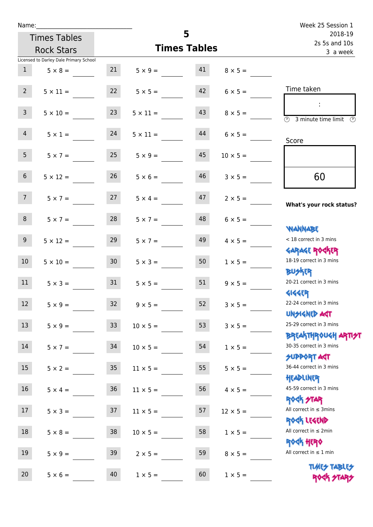| Name:                 |                                        |                 |                   |                     |                 | Week 25 Session 1                                                             |
|-----------------------|----------------------------------------|-----------------|-------------------|---------------------|-----------------|-------------------------------------------------------------------------------|
|                       | <b>Times Tables</b>                    |                 |                   | 5                   |                 | 2018-19<br>2s 5s and 10s                                                      |
|                       | <b>Rock Stars</b>                      |                 |                   | <b>Times Tables</b> |                 | 3 a week                                                                      |
|                       | Licensed to Darley Dale Primary School |                 |                   |                     |                 |                                                                               |
| 1                     | $5 \times 8 =$                         |                 | $5 \times 9 = 41$ |                     | $8 \times 5 =$  |                                                                               |
| $2^{\circ}$           | $5 \times 11 =$                        | 22              | $5 \times 5 =$    | 42                  | $6 \times 5 =$  | Time taken                                                                    |
| 3 <sup>7</sup>        | $5 \times 10 =$                        | 23              | $5 \times 11 =$   | 43                  | $8 \times 5 =$  | $\overline{\textcircled{1}}$ 3 minute time limit $\overline{\textcircled{1}}$ |
| $\overline{4}$        | $5 \times 1 = 24$                      |                 | $5 \times 11 =$   | 44                  | $6 \times 5 =$  | Score                                                                         |
| 5 <sub>1</sub>        | $5 \times 7 =$                         | 25              | $5 \times 9 =$    | 45                  | $10 \times 5 =$ |                                                                               |
| 6 <sup>1</sup>        | $5 \times 12 =$                        | 26              | $5 \times 6 =$    | 46                  | $3 \times 5 =$  | 60                                                                            |
| 7 <sup>7</sup>        | $5 \times 7 = 27$                      |                 | $5 \times 4 =$    | 47                  | $2 \times 5 =$  | What's your rock status?                                                      |
| 8                     | $5 \times 7 =$                         | 28              | $5 \times 7 =$    | 48                  | $6 \times 5 =$  | <b>NANNABE</b>                                                                |
| 9 <sub>o</sub>        | $5 \times 12 =$                        | 29              | $5 \times 7 =$    | 49                  | $4 \times 5 =$  | < 18 correct in 3 mins                                                        |
| 10 <sup>1</sup>       | $5 \times 10 = 30$                     |                 | $5 \times 3 = 50$ |                     | $1 \times 5 =$  | <b>GARAGE ROCKER</b><br>18-19 correct in 3 mins<br><b>BUSKER</b>              |
| 11                    | $5 \times 3 =$                         | 31              | $5 \times 5 =$    | 51                  | $9 \times 5 =$  | 20-21 correct in 3 mins                                                       |
| <b>Contract</b><br>12 | $5 \times 9 =$                         | 32              | $9 \times 5 =$    | 52                  | $3 \times 5 =$  | <b>4144EP</b><br>22-24 correct in 3 mins<br><b>UNSIGNED AGT</b>               |
| 13                    | $5 \times 9 =$                         | 33              | $10 \times 5 =$   | 53                  | $3 \times 5 =$  | 25-29 correct in 3 mins<br><b>BREAKTHROUGH ARTI<del>S</del>T</b>              |
| 14                    | $5 \times 7 =$                         | 34              | $10 \times 5 =$   | 54                  | $1 \times 5 =$  | 30-35 correct in 3 mins<br><b>SUPPORT AGT</b>                                 |
| 15                    | $5 \times 2 =$                         | 35 <sub>5</sub> | $11 \times 5=$    | 55                  | $5 \times 5 =$  | 36-44 correct in 3 mins<br>HEADLINER                                          |
| 16                    | $5 \times 4 =$                         | $36\,$          | $11 \times 5 =$   | 56                  | $4 \times 5 =$  | 45-59 correct in 3 mins<br>ROCK STAR                                          |
| 17                    | $5 \times 3 =$                         | 37              | $11 \times 5 =$   | 57                  | $12 \times 5 =$ | All correct in $\leq$ 3mins<br>ROCK LEGEND                                    |
| 18                    | $5 \times 8 =$                         | 38              | $10 \times 5 =$   | 58                  | $1 \times 5 =$  | All correct in $\leq 2$ min<br><b>ROCK HERO</b>                               |
| 19                    | $5 \times 9 =$                         | 39              | $2 \times 5 =$    | 59                  | $8 \times 5 =$  | All correct in $\leq 1$ min                                                   |
| 20                    | $5 \times 6 =$                         | 40              | $1 \times 5 =$    | 60                  | $1 \times 5 =$  | <b>TUARS TABLES</b><br>ROCK STARS                                             |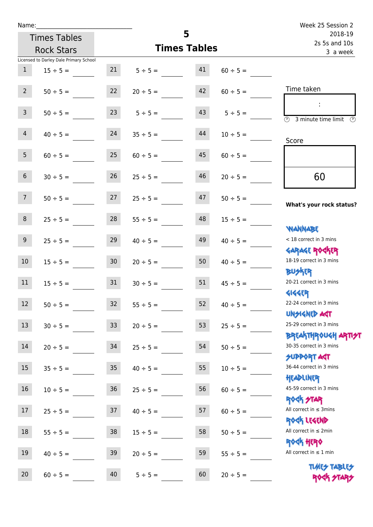| Name:           |                                        |                 |                    |                     |               | Week 25 Session 2                                                |
|-----------------|----------------------------------------|-----------------|--------------------|---------------------|---------------|------------------------------------------------------------------|
|                 | <b>Times Tables</b>                    |                 |                    | 5                   |               | 2018-19<br>2s 5s and 10s                                         |
|                 | <b>Rock Stars</b>                      |                 |                    | <b>Times Tables</b> |               | 3 a week                                                         |
|                 | Licensed to Darley Dale Primary School |                 |                    |                     |               |                                                                  |
| 1               | $15 \div 5 =$                          |                 | $21 \t 5 \div 5 =$ | 41                  | $60 \div 5 =$ |                                                                  |
| $2^{\circ}$     | $50 \div 5 =$                          | 22              | $20 \div 5 =$      | 42                  | $60 \div 5 =$ | Time taken                                                       |
| $\mathbf{3}$    | $50 \div 5 =$                          | 23              | $5 \div 5 =$       | 43                  | $5 \div 5 =$  | (1)<br>3 minute time limit                                       |
| $\overline{4}$  | $40 \div 5 =$                          | 24              | $35 \div 5 =$      | 44                  | $10 \div 5 =$ | Score                                                            |
| 5 <sub>1</sub>  | $60 \div 5 =$                          | 25              | $60 \div 5 =$      | 45                  | $60 \div 5 =$ |                                                                  |
| $6\overline{6}$ | $30 \div 5 =$                          | 26              | $25 \div 5 =$      | 46                  | $20 \div 5 =$ | 60                                                               |
| 7 <sup>7</sup>  | $50 \div 5 =$                          | 27              | $25 \div 5 =$      | 47                  | $50 \div 5 =$ | What's your rock status?                                         |
| 8               | $25 \div 5 =$                          | 28              | $55 \div 5 =$      | 48                  | $15 \div 5 =$ | <b>NANNABE</b>                                                   |
| 9 <sub>o</sub>  | $25 \div 5 =$                          | 29              | $40 \div 5 =$      | 49                  | $40 \div 5 =$ | < 18 correct in 3 mins<br><b>GARAGE ROCKER</b>                   |
| 10 <sup>°</sup> | $15 \div 5 =$                          | 30 <sup>°</sup> | $20 \div 5 =$      | 50                  | $40 \div 5 =$ | 18-19 correct in 3 mins<br><b>BUSKER</b>                         |
| 11              | $15 \div 5 =$                          | 31              | $30 \div 5 =$      | 51                  | $45 \div 5 =$ | 20-21 correct in 3 mins<br><b>4144ER</b>                         |
| 12              | $50 \div 5 =$                          | 32              | $55 \div 5 =$      | 52                  | $40 \div 5 =$ | 22-24 correct in 3 mins<br><b>UNSIGNED AST</b>                   |
| 13              | $30 \div 5 =$                          | 33              | $20 \div 5 =$      | 53                  | $25 \div 5 =$ | 25-29 correct in 3 mins<br><b>BREAKTHROUGH ARTI<del>S</del>T</b> |
| 14              | $20 \div 5 =$                          | 34              | $25 \div 5 =$      | 54                  | $50 \div 5 =$ | 30-35 correct in 3 mins<br><b>SUPPORT AGT</b>                    |
| 15              | $35 \div 5 =$                          | $35\,$          | $40 \div 5 =$      | 55                  | $10 \div 5 =$ | 36-44 correct in 3 mins<br>HEADLINER                             |
| 16              | $10 \div 5 =$                          | $36\,$          | $25 \div 5 =$      | 56                  | $60 \div 5 =$ | 45-59 correct in 3 mins<br><b>ROCK STAR</b>                      |
| 17              | $25 \div 5 =$                          | 37              | $40 \div 5 =$      | 57                  | $60 \div 5 =$ | All correct in $\leq$ 3mins<br>ROCK LEGEND                       |
| $18\,$          | $55 \div 5 =$                          | $38\,$          | $15 \div 5 =$      | 58                  | $50 \div 5 =$ | All correct in $\leq 2$ min<br>ROCK HERO                         |
| 19              | $40 \div 5 =$                          | 39              | $20 \div 5 =$      | 59                  | $55 \div 5 =$ | All correct in $\leq 1$ min                                      |
| 20              | $60 \div 5 =$                          | 40              | $5 ÷ 5 =$          | 60                  | $20 \div 5 =$ | <b>TUARS TABLES</b><br>ROCK STARS                                |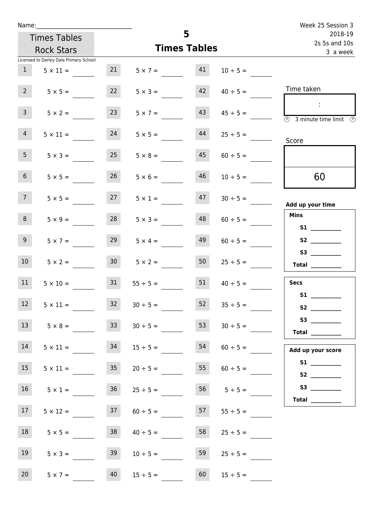| Name:           |                                        |                 |                    |                     |                   | Week 25 Session 3                              |
|-----------------|----------------------------------------|-----------------|--------------------|---------------------|-------------------|------------------------------------------------|
|                 | <b>Times Tables</b>                    |                 |                    | 5                   |                   | 2018-19<br>2s 5s and 10s                       |
|                 | <b>Rock Stars</b>                      |                 |                    | <b>Times Tables</b> |                   | 3 a week                                       |
|                 | Licensed to Darley Dale Primary School |                 |                    |                     |                   |                                                |
| 1               | $5 \times 11 =$                        | 21              | $5 \times 7 = 41$  |                     | $10 \div 5 =$     |                                                |
| $2^{\circ}$     | $5 \times 5 =$                         | 22              | $5 \times 3 =$     | 42                  | $40 \div 5 =$     | Time taken                                     |
| 3 <sup>7</sup>  | $5 \times 2 =$                         | 23              | $5 \times 7 =$     | 43                  | $45 \div 5 =$     | $\sim$<br>3 minute time limit<br>⊕             |
| 4               | $5 \times 11 =$                        | 24              | $5 \times 5 =$     | 44                  | $25 \div 5 =$     | Score                                          |
| 5 <sub>1</sub>  | $5 \times 3 =$                         | 25              | $5 \times 8 =$     | 45                  | $60 \div 5 =$     |                                                |
| 6 <sup>1</sup>  | $5 \times 5 =$                         | 26              | $5 \times 6 =$     | 46                  | $10 \div 5 =$     | 60                                             |
| 7 <sup>7</sup>  | $5 \times 5 =$                         | 27              | $5 \times 1 =$     | 47                  | $30 \div 5 =$     | Add up your time                               |
| 8               | $5 \times 9 =$                         | 28              | $5 \times 3 =$     | 48                  | $60 \div 5 =$     | <b>Mins</b><br><b>S1</b> and the set of $\sim$ |
| 9               | $5 \times 7 =$                         | 29              | $5 \times 4 =$     | 49                  | $60 \div 5 =$     |                                                |
| 10 <sup>°</sup> | $5 \times 2 =$                         | 30 <sup>°</sup> | $5 \times 2 =$     | 50                  | $25 \div 5 =$     | S3<br>Total $\qquad$                           |
| 11              | $5 \times 10 =$                        | 31              | $55 \div 5 =$      | 51                  | $40 \div 5 =$     | <b>Secs</b>                                    |
| 12              | $5 \times 11 =$                        | 32              | $30 \div 5 =$      | 52                  | $35 \div 5 =$     | <b>S1</b>                                      |
| 13              | $5 \times 8 =$                         | 33              | $30 \div 5 =$      | 53                  | $30 \div 5 =$     | Total                                          |
| 14              | $5 \times 11 =$                        | 34              | $15 \div 5 =$      | 54                  | $60 \div 5 =$     | Add up your score                              |
| 15              | $5 \times 11 =$                        | 35              | $20 \div 5 =$      | 55                  | $60 \div 5 =$     | S2                                             |
| 16              | $5 \times 1 =$                         |                 | $36$ $25 \div 5 =$ |                     | $56$ $5 \div 5 =$ | Total $\frac{1}{1}$                            |
| 17 <sub>1</sub> | $5 \times 12 =$                        | 37              | $60 \div 5 =$      | 57                  | $55 \div 5 =$     |                                                |
| 18              | $5 \times 5 =$                         | 38              | $40 \div 5 =$      | 58                  | $25 \div 5 =$     |                                                |
| 19              | $5 \times 3 =$                         | 39              | $10 \div 5 =$      | 59                  | $25 \div 5 =$     |                                                |
| 20              | $5 \times 7 =$                         | 40              | $15 \div 5 =$      | 60                  | $15 \div 5 =$     |                                                |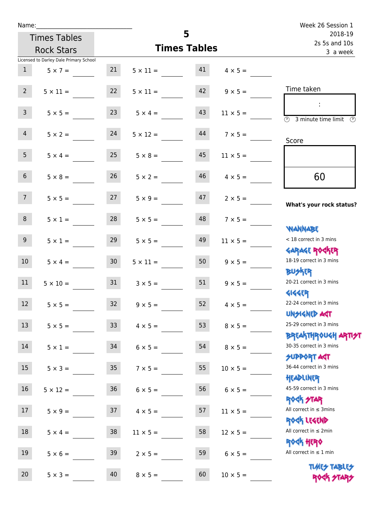| Name:           |                                        |                 |                    |                     |                      | Week 26 Session 1                                                 |
|-----------------|----------------------------------------|-----------------|--------------------|---------------------|----------------------|-------------------------------------------------------------------|
|                 | <b>Times Tables</b>                    |                 |                    | 5                   |                      | 2018-19<br>2s 5s and 10s                                          |
|                 | <b>Rock Stars</b>                      |                 |                    | <b>Times Tables</b> |                      | 3 a week                                                          |
|                 | Licensed to Darley Dale Primary School |                 |                    |                     |                      |                                                                   |
| 1               | $5 \times 7 =$                         | 21              | $5 \times 11 = 41$ |                     | $4 \times 5 =$       |                                                                   |
| $2^{\circ}$     | $5 \times 11 =$                        | 22              | $5 \times 11 =$    |                     | $42 \t 9 \times 5 =$ | Time taken                                                        |
| $\mathbf{3}$    | $5 \times 5 =$                         | 23              | $5 \times 4 =$     | 43                  | $11 \times 5 =$      | $\overline{\textcircled{2}}$ 3 minute time limit<br>$\mathcal{O}$ |
| 4               | $5 \times 2 = 24$                      |                 | $5 \times 12 =$    | 44                  | $7 \times 5 =$       | Score                                                             |
| 5 <sub>1</sub>  | $5 \times 4 =$                         | 25              | $5 \times 8 =$     | 45                  | $11 \times 5 =$      |                                                                   |
| 6 <sup>1</sup>  | $5 \times 8 =$                         | 26              | $5 \times 2 =$     | 46                  | $4 \times 5 =$       | 60                                                                |
| 7 <sup>7</sup>  | $5 \times 5 = 27$                      |                 | $5 \times 9 =$     |                     | $47$ $2 \times 5 =$  | What's your rock status?                                          |
| 8               | $5 \times 1 =$                         | 28              | $5 \times 5 =$     | 48                  | $7 \times 5 =$       | <b>JARNARY</b>                                                    |
| 9 <sub>o</sub>  | $5 \times 1 =$                         | 29              | $5 \times 5 =$     | 49                  | $11 \times 5 =$      | < 18 correct in 3 mins<br><b>GARAGE ROGKER</b>                    |
| 10 <sup>1</sup> | $5 \times 4 = 30$                      |                 | $5 \times 11 =$    | 50                  | $9 \times 5 =$       | 18-19 correct in 3 mins<br><b>BUSKER</b>                          |
| 11              | $5 \times 10 =$                        | 31              | $3 \times 5 =$     | 51                  | $9 \times 5 =$       | 20-21 correct in 3 mins<br><b>4144EP</b>                          |
| 12              | $5 \times 5 =$                         | 32              | $9 \times 5 =$     | 52                  | $4 \times 5 =$       | 22-24 correct in 3 mins<br><b>UNSIGNED AGT</b>                    |
| 13              | $5 \times 5 =$                         | 33 <sup>°</sup> | $4 \times 5 =$     | 53                  | $8 \times 5 =$       | 25-29 correct in 3 mins<br><b>BREAKTHROUGH ARTI<del>S</del>T</b>  |
| 14              | $5 \times 1 =$                         | 34              | $6 \times 5 =$     | 54                  | $8 \times 5 =$       | 30-35 correct in 3 mins<br><b>SUPPORT AGT</b>                     |
| 15              | $5 \times 3 =$                         | 35 <sub>1</sub> | $7 \times 5 =$     | 55                  | $10 \times 5 =$      | 36-44 correct in 3 mins<br>HEADLINER                              |
| 16              | $5 \times 12 =$                        | $36\,$          | $6 \times 5 =$     | 56                  | $6 \times 5 =$       | 45-59 correct in 3 mins<br>ROCK STAR                              |
| 17              | $5 \times 9 =$                         | 37              | $4 \times 5 =$     | 57                  | $11 \times 5 =$      | All correct in $\leq$ 3mins<br>ROCK LEGEND                        |
| 18              | $5 \times 4 =$                         | 38              | $11 \times 5 =$    | 58                  | $12 \times 5 =$      | All correct in $\leq 2$ min<br><b>ROCK HERO</b>                   |
| 19              | $5 \times 6 =$                         | 39              | $2 \times 5 =$     | 59                  | $6 \times 5 =$       | All correct in $\leq 1$ min                                       |
| 20              | $5 \times 3 =$                         | 40              | $8 \times 5 =$     | 60                  | $10 \times 5 =$      | <b>TUARS TABLES</b><br>ROCK STARS                                 |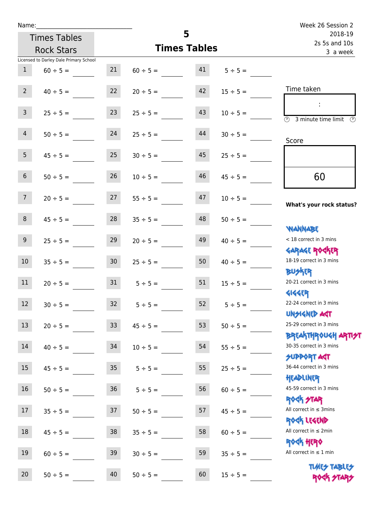| Name:                                  |                     |                     |               | Week 26 Session 2                                       |
|----------------------------------------|---------------------|---------------------|---------------|---------------------------------------------------------|
| <b>Times Tables</b>                    |                     | 5                   |               | 2018-19<br>2s 5s and 10s                                |
| <b>Rock Stars</b>                      |                     | <b>Times Tables</b> |               | 3 a week                                                |
| Licensed to Darley Dale Primary School |                     |                     |               |                                                         |
| $\mathbf{1}$<br>$60 \div 5 =$          | 21                  | 41<br>$60 \div 5 =$ | $5 \div 5 =$  |                                                         |
| $2^{\circ}$<br>$40 \div 5 =$           | 22                  | 42<br>$20 \div 5 =$ | $15 \div 5 =$ | Time taken                                              |
| 3 <sup>7</sup><br>$25 \div 5 =$        | 23                  | 43<br>$25 \div 5 =$ | $10 \div 5 =$ | $\overline{\textcircled{2}}$ 3 minute time limit<br>-09 |
| 4<br>$50 \div 5 =$                     | 24                  | 44<br>$25 \div 5 =$ | $30 \div 5 =$ | Score                                                   |
| 5 <sub>1</sub><br>$45 \div 5 =$        | 25                  | 45<br>$30 \div 5 =$ | $25 \div 5 =$ |                                                         |
| 6 <sup>1</sup><br>$50 \div 5 =$        | 26                  | 46<br>$10 \div 5 =$ | $45 \div 5 =$ | 60                                                      |
| 7 <sup>7</sup><br>$20 \div 5 =$        | 27                  | 47<br>$55 \div 5 =$ | $10 \div 5 =$ | What's your rock status?                                |
| 8<br>$45 \div 5 =$                     | 28                  | 48<br>$35 \div 5 =$ | $50 \div 5 =$ |                                                         |
| 9 <sub>o</sub><br>$25 \div 5 =$        | 29                  | 49<br>$20 \div 5 =$ | $40 \div 5 =$ | <b>WANNABE</b><br>< 18 correct in 3 mins                |
| 10 <sup>°</sup><br>$35 \div 5 =$       | 30 <sup>7</sup>     | 50<br>$25 \div 5 =$ | $40 \div 5 =$ | <b>GARAGE ROCKER</b><br>18-19 correct in 3 mins         |
| 11<br>$20 \div 5 =$                    | $31 \t 5 \div 5 =$  | 51                  | $15 \div 5 =$ | <b>BUSKER</b><br>20-21 correct in 3 mins                |
| 12<br>$30 \div 5 =$                    | 32                  | 52<br>$5 ÷ 5 =$     | $5 ÷ 5 =$     | <b>4144EP</b><br>22-24 correct in 3 mins                |
| 13<br>$20 \div 5 =$                    | 33<br>$45 \div 5 =$ | 53                  | $50 \div 5 =$ | <b>UNSIGNED AGT</b><br>25-29 correct in 3 mins          |
| 14<br>$40 \div 5 =$                    | 34<br>$10 \div 5 =$ | 54                  | $55 \div 5 =$ | <b>BREAKTHROUGH ARTH</b><br>30-35 correct in 3 mins     |
| 15<br>$45 \div 5 =$                    | $35\phantom{.0}$    | 55<br>$5 ÷ 5 =$     | $25 \div 5 =$ | <b>SUPPORT AGT</b><br>36-44 correct in 3 mins           |
| 16<br>$50 \div 5 =$                    | $36\,$              | 56<br>$5 ÷ 5 =$     | $60 \div 5 =$ | HEADLINER<br>45-59 correct in 3 mins                    |
| 17<br>$35 ÷ 5 =$                       | 37<br>$50 \div 5 =$ | 57                  | $45 \div 5 =$ | <b>ROCK STAR</b><br>All correct in $\leq$ 3mins         |
| 18<br>$45 \div 5 =$                    | 38<br>$35 \div 5 =$ | 58                  | $60 \div 5 =$ | ROCK LEGEND<br>All correct in $\leq 2$ min              |
| 19<br>$60 \div 5 =$                    | 39<br>$30 \div 5 =$ | 59                  | $35 ÷ 5 =$    | <b>ROCK HERO</b><br>All correct in $\leq 1$ min         |
| 20<br>$50 \div 5 =$                    | 40<br>$50 \div 5 =$ | 60                  | $15 \div 5 =$ | <b>TUARS TABLES</b><br>ROCK STARS                       |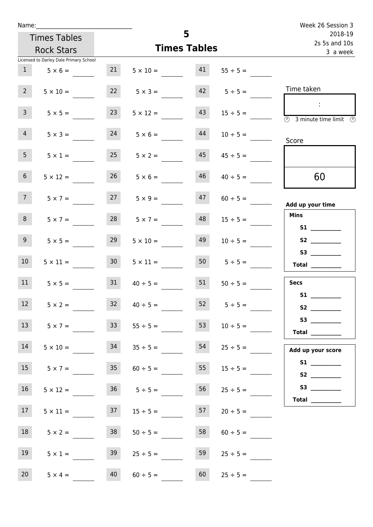| Name:                   |                                        |                 |                      |                     |                                    | Week 26 Session 3                                                                                                                                                                                                                                                                                                                                                                                                                                                                                                                                                                                                   |
|-------------------------|----------------------------------------|-----------------|----------------------|---------------------|------------------------------------|---------------------------------------------------------------------------------------------------------------------------------------------------------------------------------------------------------------------------------------------------------------------------------------------------------------------------------------------------------------------------------------------------------------------------------------------------------------------------------------------------------------------------------------------------------------------------------------------------------------------|
|                         | <b>Times Tables</b>                    |                 |                      | 5                   |                                    | 2018-19<br>2s 5s and 10s                                                                                                                                                                                                                                                                                                                                                                                                                                                                                                                                                                                            |
|                         | <b>Rock Stars</b>                      |                 |                      | <b>Times Tables</b> |                                    | 3 a week                                                                                                                                                                                                                                                                                                                                                                                                                                                                                                                                                                                                            |
|                         | Licensed to Darley Dale Primary School |                 |                      |                     |                                    |                                                                                                                                                                                                                                                                                                                                                                                                                                                                                                                                                                                                                     |
| 1                       | $5 \times 6 =$                         | 21              |                      |                     | $5 \times 10 =$ $41$ $55 \div 5 =$ |                                                                                                                                                                                                                                                                                                                                                                                                                                                                                                                                                                                                                     |
| 2 <sup>7</sup>          | $5 \times 10 =$                        |                 | $22 \t 5 \times 3 =$ |                     | $42 \t 5 \div 5 =$                 | Time taken                                                                                                                                                                                                                                                                                                                                                                                                                                                                                                                                                                                                          |
| $\mathbf{3}$            | $5 \times 5 =$                         | 23              | $5 \times 12 =$      | 43                  | $15 \div 5 =$                      | $\sim 10$<br>$\overline{\textcircled{2}}$ 3 minute time limit $\overline{\textcircled{2}}$                                                                                                                                                                                                                                                                                                                                                                                                                                                                                                                          |
| 4                       | $5 \times 3 =$                         | 24              | $5 \times 6 =$       | 44                  | $10 \div 5 =$                      | Score                                                                                                                                                                                                                                                                                                                                                                                                                                                                                                                                                                                                               |
| 5 <sub>1</sub>          | $5 \times 1 =$                         | 25              | $5 \times 2 =$       | 45                  | $45 \div 5 =$                      |                                                                                                                                                                                                                                                                                                                                                                                                                                                                                                                                                                                                                     |
| 6 <sup>1</sup>          | $5 \times 12 =$                        | 26              | $5 \times 6 =$       | 46                  | $40 \div 5 =$                      | 60                                                                                                                                                                                                                                                                                                                                                                                                                                                                                                                                                                                                                  |
| 7 <sup>7</sup>          | $5 \times 7 =$                         |                 | $27 \t 5 \times 9 =$ | 47                  | $60 \div 5 =$                      | Add up your time                                                                                                                                                                                                                                                                                                                                                                                                                                                                                                                                                                                                    |
| 8                       | $5 \times 7 =$                         | 28              | $5 \times 7 =$       | 48                  | $15 \div 5 =$                      | <b>Mins</b><br>S1                                                                                                                                                                                                                                                                                                                                                                                                                                                                                                                                                                                                   |
| 9 <sub>o</sub>          | $5 \times 5 =$                         | 29              | $5 \times 10 =$      | 49                  | $10 \div 5 =$                      |                                                                                                                                                                                                                                                                                                                                                                                                                                                                                                                                                                                                                     |
| 10 <sup>°</sup>         | $5 \times 11 =$                        | 30 <sup>1</sup> | $5 \times 11 =$      |                     | $50$ $5 \div 5 =$                  | $\begin{tabular}{c} Total \end{tabular}$                                                                                                                                                                                                                                                                                                                                                                                                                                                                                                                                                                            |
| 11                      | $5 \times 5 =$                         | 31              | $40 \div 5 =$        | 51                  | $50 \div 5 =$                      | <b>Secs</b>                                                                                                                                                                                                                                                                                                                                                                                                                                                                                                                                                                                                         |
| <b>STATISTICS</b><br>12 | $5 \times 2 =$                         | 32              | $40 \div 5 =$        | 52                  | $5 \div 5 =$                       | <b>S1</b><br>S <sub>2</sub> and the set of the set of the set of the set of the set of the set of the set of the set of the set of the set of the set of the set of the set of the set of the set of the set of the set of the set of the set of the                                                                                                                                                                                                                                                                                                                                                                |
| 13                      | $5 \times 7 =$                         | 33 <sup>°</sup> | $55 \div 5 =$        | 53                  | $10 \div 5 =$                      | $\begin{tabular}{c} Total & \underline{\hspace{1cm}} & \underline{\hspace{1cm}} & \underline{\hspace{1cm}} & \underline{\hspace{1cm}} & \underline{\hspace{1cm}} & \underline{\hspace{1cm}} & \underline{\hspace{1cm}} & \underline{\hspace{1cm}} & \underline{\hspace{1cm}} & \underline{\hspace{1cm}} & \underline{\hspace{1cm}} & \underline{\hspace{1cm}} & \underline{\hspace{1cm}} & \underline{\hspace{1cm}} & \underline{\hspace{1cm}} & \underline{\hspace{1cm}} & \underline{\hspace{1cm}} & \underline{\hspace{1cm}} & \underline{\hspace{1cm}} & \underline{\hspace{1cm}} & \underline{\hspace{1cm}} &$ |
| 14                      | $5 \times 10 =$                        | 34              | $35 \div 5 =$        | 54                  |                                    | Add up your score                                                                                                                                                                                                                                                                                                                                                                                                                                                                                                                                                                                                   |
| 15                      | $5 \times 7 =$                         | 35              | $60 \div 5 =$        | 55                  | $15 \div 5 =$                      |                                                                                                                                                                                                                                                                                                                                                                                                                                                                                                                                                                                                                     |
| 16                      | $5 \times 12 =$                        |                 | $36 \t 5 \div 5 =$   | 56                  | $25 \div 5 =$                      | Total $\frac{1}{\sqrt{1-\frac{1}{2}}\cdot\frac{1}{\sqrt{1-\frac{1}{2}}}}$                                                                                                                                                                                                                                                                                                                                                                                                                                                                                                                                           |
| 17                      | $5 \times 11 =$                        | 37              | $15 \div 5 =$        | 57                  | $20 \div 5 =$                      |                                                                                                                                                                                                                                                                                                                                                                                                                                                                                                                                                                                                                     |
| 18                      | $5 \times 2 =$                         | 38              | $50 \div 5 =$        | 58                  | $60 \div 5 =$                      |                                                                                                                                                                                                                                                                                                                                                                                                                                                                                                                                                                                                                     |
| 19                      | $5 \times 1 =$                         | 39              | $25 \div 5 =$        | 59                  | $25 \div 5 =$                      |                                                                                                                                                                                                                                                                                                                                                                                                                                                                                                                                                                                                                     |
| 20 <sub>2</sub>         | $5 \times 4 =$                         | 40              | $60 \div 5 =$        | 60                  | $25 \div 5 =$                      |                                                                                                                                                                                                                                                                                                                                                                                                                                                                                                                                                                                                                     |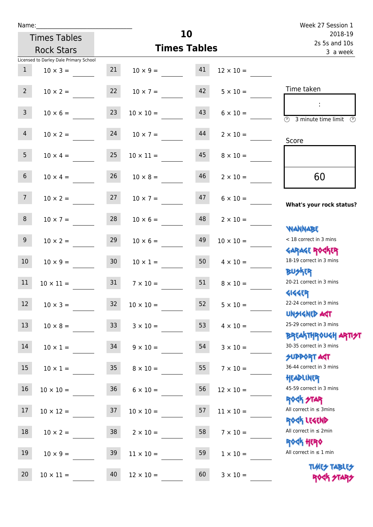| Name:           |                                        |                 |                       |                     |                  | Week 27 Session 1                                                |
|-----------------|----------------------------------------|-----------------|-----------------------|---------------------|------------------|------------------------------------------------------------------|
|                 | <b>Times Tables</b>                    |                 |                       | 10                  |                  | 2018-19<br>2s 5s and 10s                                         |
|                 | <b>Rock Stars</b>                      |                 |                       | <b>Times Tables</b> |                  | 3 a week                                                         |
|                 | Licensed to Darley Dale Primary School |                 |                       |                     |                  |                                                                  |
| 1               | $10 \times 3 =$                        | 21              | $10 \times 9 = 41$    |                     | $12 \times 10 =$ |                                                                  |
| $2^{\circ}$     | $10 \times 2 =$                        |                 | 22 $10 \times 7 =$ 42 |                     | $5 \times 10 =$  | Time taken                                                       |
| 3 <sup>7</sup>  | $10 \times 6 =$                        | 23              | $10 \times 10 =$      | 43                  | $6 \times 10 =$  | <b>3</b> minute time limit<br>$\mathcal{O}$                      |
| 4               | $10 \times 2 = 24$                     |                 | $10 \times 7 =$       | 44                  | $2 \times 10 =$  | Score                                                            |
| 5 <sub>1</sub>  | $10 \times 4 =$                        | 25              | $10 \times 11 =$      | 45                  | $8 \times 10 =$  |                                                                  |
| 6 <sup>1</sup>  | $10 \times 4 =$                        | 26              | $10 \times 8 =$       | 46                  | $2 \times 10 =$  | 60                                                               |
| 7 <sup>7</sup>  | $10 \times 2 = 27$                     |                 | $10 \times 7 =$       | 47                  | $6 \times 10 =$  | What's your rock status?                                         |
| 8               | $10 \times 7 =$                        | 28              | $10 \times 6 =$       | 48                  | $2 \times 10 =$  | <b>NANNABE</b>                                                   |
| 9 <sub>o</sub>  | $10 \times 2 =$                        | 29              | $10 \times 6 =$       | 49                  | $10 \times 10 =$ | < 18 correct in 3 mins<br><b>GARAGE ROCKER</b>                   |
| 10 <sup>°</sup> | $10 \times 9 =$                        | 30              | $10 \times 1 =$       | 50                  | $4 \times 10 =$  | 18-19 correct in 3 mins<br><b>BUSKER</b>                         |
| 11              | $10 \times 11 = 31$                    |                 | $7 \times 10 =$       | 51                  | $8 \times 10 =$  | 20-21 correct in 3 mins<br><b>4144EP</b>                         |
| 12              | $10 \times 3 =$                        | 32              | $10 \times 10 =$      | 52                  | $5 \times 10 =$  | 22-24 correct in 3 mins<br><b>UNSIGNED AGT</b>                   |
| 13              | $10 \times 8 =$                        | 33 <sup>°</sup> | $3 \times 10 =$       | 53                  | $4 \times 10 =$  | 25-29 correct in 3 mins<br><b>BREAKTHROUGH ARTI<del>S</del>T</b> |
| 14              | $10 \times 1 =$                        | 34              | $9 \times 10 =$       | 54                  | $3 \times 10 =$  | 30-35 correct in 3 mins<br><b>SUPPORT AGT</b>                    |
| 15              | $10 \times 1 =$                        | 35              | $8 \times 10 =$       | 55                  | $7 \times 10 =$  | 36-44 correct in 3 mins<br>HEADLINER                             |
| 16              | $10 \times 10 =$                       | 36              | $6 \times 10 =$       | 56                  | $12 \times 10 =$ | 45-59 correct in 3 mins<br><b>ROCK STAR</b>                      |
| 17              | $10 \times 12 =$                       | 37              | $10 \times 10 =$      | 57                  | $11 \times 10 =$ | All correct in $\leq$ 3mins<br>ROCK LEGEND                       |
| 18              | $10 \times 2 =$                        | 38              | $2 \times 10 =$       | 58                  | $7 \times 10 =$  | All correct in $\leq 2$ min<br>ROCK HERO                         |
| 19              | $10 \times 9 =$                        | 39              | $11 \times 10 =$      | 59                  | $1 \times 10 =$  | All correct in $\leq 1$ min                                      |
| 20              | $10 \times 11 =$                       | 40              | $12 \times 10 =$      | 60                  | $3 \times 10 =$  | <b>TUARS TABLES</b><br>ROCK STARS                                |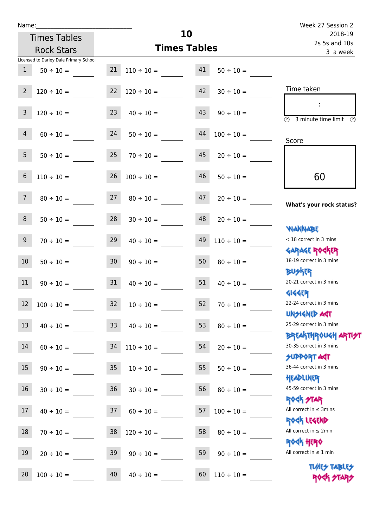Times Tables

|                | <b>Rock Stars</b>                                        |                 | <b>Times Tables</b>  |    |                 | 3 a week                                                         |
|----------------|----------------------------------------------------------|-----------------|----------------------|----|-----------------|------------------------------------------------------------------|
| $\mathbf{1}$   | Licensed to Darley Dale Primary School<br>$50 \div 10 =$ | 21              | $110 \div 10 =$      | 41 | $50 \div 10 =$  |                                                                  |
| $2^{\circ}$    | $120 \div 10 =$                                          | 22              | $120 \div 10 =$      | 42 | $30 \div 10 =$  | Time taken                                                       |
| $\mathsf{3}$   | $120 \div 10 =$                                          | 23              | $40 \div 10 =$       | 43 | $90 \div 10 =$  | ÷<br>$\overline{(\Omega)}$<br>3 minute time limit $\circled{0}$  |
| $\overline{4}$ | $60 \div 10 =$                                           | 24              | $50 \div 10 =$       | 44 | $100 \div 10 =$ | Score                                                            |
| 5 <sub>1</sub> | $50 \div 10 =$                                           | 25              | $70 \div 10 =$       | 45 | $20 \div 10 =$  |                                                                  |
| 6              | $110 \div 10 =$                                          | 26              | $100 \div 10 =$      | 46 | $50 \div 10 =$  | 60                                                               |
| 7 <sup>7</sup> | $80 \div 10 =$                                           | 27              | $80 \div 10 =$       | 47 | $20 \div 10 =$  | What's your rock status?                                         |
| 8              | $50 \div 10 =$                                           | 28              | $30 \div 10 =$       | 48 | $20 \div 10 =$  | <b>NANNABE</b>                                                   |
| 9 <sup>°</sup> | $70 \div 10 =$                                           | 29              | $40 \div 10 =$       | 49 | $110 \div 10 =$ | < 18 correct in 3 mins                                           |
| 10             | $50 \div 10 =$                                           | 30 <sub>o</sub> | $90 \div 10 =$       | 50 | $80 \div 10 =$  | <b>GARAGE ROGKER</b><br>18-19 correct in 3 mins<br><b>BUSKRR</b> |
| 11             | $90 \div 10 =$                                           | 31              | $40 \div 10 =$       | 51 | $40 \div 10 =$  | 20-21 correct in 3 mins                                          |
| 12             | $100 \div 10 =$                                          | 32              | $10 \div 10 =$       | 52 | $70 \div 10 =$  | <b>4144ER</b><br>22-24 correct in 3 mins                         |
|                | $13 \t 40 \div 10 =$                                     |                 | $33 \t 40 \div 10 =$ | 53 | $80 \div 10 =$  | <b>UNSIGNED AGT</b><br>25-29 correct in 3 mins                   |
| $14\,$         | $60 \div 10 =$                                           | 34              | $110 \div 10 =$      | 54 | $20 \div 10 =$  | <b>BREAKTHROUGH ARTI<del>S</del>T</b><br>30-35 correct in 3 mins |
| 15             | $90 \div 10 =$                                           | 35 <sub>1</sub> | $10 \div 10 =$       | 55 | $50 \div 10 =$  | <b>SUPPORT AGT</b><br>36-44 correct in 3 mins                    |
| 16             | $30 \div 10 =$                                           | 36              | $30 \div 10 =$       | 56 | $80 \div 10 =$  | HEADLINER<br>45-59 correct in 3 mins                             |
| 17             | $40 \div 10 =$                                           | 37              | $60 \div 10 =$       | 57 | $100 \div 10 =$ | <b>ROCK STAR</b><br>All correct in $\leq$ 3mins                  |
| 18             | $70 \div 10 =$                                           | 38              | $120 \div 10 =$      | 58 | $80 \div 10 =$  | ROCK LEGEND<br>All correct in $\leq 2$ min                       |
| 19             | $20 \div 10 =$                                           | 39              | $90 \div 10 =$       | 59 | $90 \div 10 =$  | <b>ROCK HERO</b><br>All correct in $\leq 1$ min                  |
| 20             | $100 \div 10 =$                                          | 40              | $40 \div 10 =$       | 60 | $110 \div 10 =$ | <b>TUARY TABLEY</b><br>ROCK STAP                                 |

**10**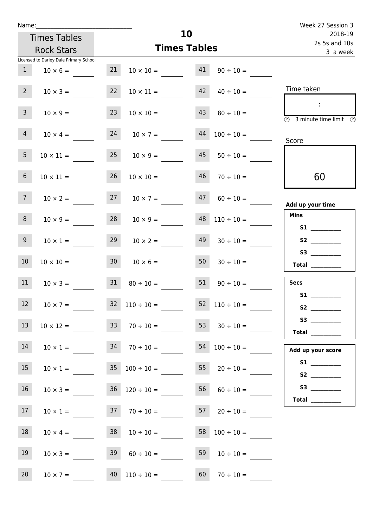| Name:           |                                                                    |    |                                       |                     |                          | Week 27 Session 3                                                   |
|-----------------|--------------------------------------------------------------------|----|---------------------------------------|---------------------|--------------------------|---------------------------------------------------------------------|
|                 | <b>Times Tables</b>                                                |    |                                       | 10                  |                          | 2018-19<br>2s 5s and 10s                                            |
|                 | <b>Rock Stars</b>                                                  |    |                                       | <b>Times Tables</b> |                          | 3 a week                                                            |
|                 | Licensed to Darley Dale Primary School                             |    |                                       |                     |                          |                                                                     |
| 1               | $10 \times 6 =$                                                    |    | 21 $10 \times 10 =$ 41 $90 \div 10 =$ |                     |                          |                                                                     |
| $2^{\circ}$     | $10 \times 3 =$                                                    | 22 | $10 \times 11 =$                      |                     | $42 \t 40 \div 10 =$     | Time taken                                                          |
| 3 <sup>7</sup>  | $10 \times 9 =$                                                    | 23 | $10 \times 10 =$                      | 43                  | $80 \div 10 =$           | $\sim$ 1.<br>$\overline{\mathcal{O}}$<br>3 minute time limit<br>- O |
| 4               | $10 \times 4 =$                                                    | 24 | $10 \times 7 =$                       | 44                  | $100 \div 10 =$          | Score                                                               |
| 5 <sub>1</sub>  | $10 \times 11 = 25$ $10 \times 9 =$                                |    |                                       |                     | $45 \t 50 \div 10 =$     |                                                                     |
| 6 <sup>1</sup>  | $10 \times 11 =$                                                   | 26 | $10 \times 10 =$                      | 46                  | $70 \div 10 =$           | 60                                                                  |
| 7 <sup>7</sup>  | $10 \times 2 = 27$ $10 \times 7 =$                                 |    |                                       | 47                  | $60 \div 10 =$           | Add up your time                                                    |
| 8 <sup>1</sup>  | $10 \times 9 = 28$ $10 \times 9 =$                                 |    |                                       |                     | $48$ 110 ÷ 10 =          | <b>Mins</b><br><b>S1 S1</b>                                         |
| 9 <sub>o</sub>  | $10 \times 1 =$                                                    | 29 | $10 \times 2 =$                       | 49                  | $30 \div 10 =$           |                                                                     |
| 10 <sup>°</sup> | $10 \times 10 =$                                                   | 30 | $10 \times 6 =$                       | 50                  | $30 \div 10 =$           | Total $\_\_$                                                        |
| 11              | $10 \times 3 = 31$                                                 |    | $80 \div 10 = 51$                     |                     | $90 \div 10 =$           | <b>Secs</b><br>S1                                                   |
| 12 <sup>2</sup> | $10 \times 7 =$                                                    |    | $32 \quad 110 \div 10 =$              |                     | $52 \quad 110 \div 10 =$ |                                                                     |
| 13              | $10 \times 12 =$ $33 \times 70 \div 10 =$ $53 \times 30 \div 10 =$ |    |                                       |                     |                          | S3<br>Total $\_\_$                                                  |
| 14              | $10 \times 1 =$ $34 \times 70 \div 10 =$                           |    |                                       |                     | $54 \quad 100 \div 10 =$ | Add up your score                                                   |
| 15              | $10 \times 1 =$                                                    |    | $35 \quad 100 \div 10 =$              |                     | 55 $20 \div 10 =$        | S2                                                                  |
| 16              | $10 \times 3 =$                                                    |    | $36 \quad 120 \div 10 =$              |                     | $56 \t 60 \div 10 =$     | S3<br>Total $\_\_$                                                  |
| 17              | $10 \times 1 =$ 37 $70 \div 10 =$ 57 $20 \div 10 =$                |    |                                       |                     |                          |                                                                     |
| 18              | $10 \times 4 =$                                                    |    | $38 \t10 \div 10 =$                   |                     | $58 \quad 100 \div 10 =$ |                                                                     |
| 19              | $10 \times 3 =$                                                    |    | $39 \t 60 \div 10 =$                  | 59                  | $10 \div 10 =$           |                                                                     |
| 20 <sub>2</sub> | $10 \times 7 =$ 40 $110 \div 10 =$ 60 $70 \div 10 =$               |    |                                       |                     |                          |                                                                     |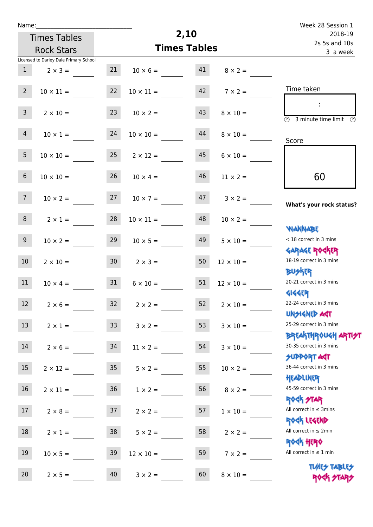| v | am |  |  |
|---|----|--|--|
|   |    |  |  |

Times Tables

|                 | <b>Rock Stars</b>                      |                 | <b>Times Tables</b> |    |                  | 3 a week                                                                        |
|-----------------|----------------------------------------|-----------------|---------------------|----|------------------|---------------------------------------------------------------------------------|
|                 | Licensed to Darley Dale Primary School |                 |                     |    |                  |                                                                                 |
| $\mathbf{1}$    | $2 \times 3 =$                         | 21              | $10 \times 6 =$     | 41 | $8 \times 2 =$   |                                                                                 |
| $2^{\circ}$     | $10 \times 11 =$                       | 22              | $10 \times 11 =$    | 42 | $7 \times 2 =$   | Time taken                                                                      |
| 3 <sup>7</sup>  | $2 \times 10 =$                        | 23              | $10 \times 2 =$     | 43 | $8 \times 10 =$  | ÷<br>$\overline{(\mathcal{V})}$<br>3 minute time limit $\circled{0}$            |
| $\overline{4}$  | $10 \times 1 =$                        | 24              | $10 \times 10 =$    | 44 | $8 \times 10 =$  | Score                                                                           |
| 5 <sub>1</sub>  | $10 \times 10 =$                       | 25              | $2 \times 12 =$     | 45 | $6 \times 10 =$  |                                                                                 |
| $6\overline{6}$ | $10 \times 10 =$                       | 26              | $10 \times 4 =$     | 46 | $11 \times 2 =$  | 60                                                                              |
| 7 <sup>7</sup>  | $10 \times 2 =$                        | 27              | $10 \times 7 =$     | 47 | $3 \times 2 =$   | What's your rock status?                                                        |
| 8               | $2 \times 1 =$                         | 28              | $10 \times 11 =$    | 48 | $10 \times 2 =$  | <b>NANNABE</b>                                                                  |
| 9 <sub>o</sub>  | $10 \times 2 =$                        | 29              | $10 \times 5 =$     | 49 | $5 \times 10 =$  | < 18 correct in 3 mins                                                          |
| $10\,$          | $2 \times 10 =$                        | 30 <sub>o</sub> | $2 \times 3 =$      | 50 | $12 \times 10 =$ | <b>GARAGE ROCKER</b><br>18-19 correct in 3 mins                                 |
| 11              | $10 \times 4 =$                        | 31              | $6 \times 10 =$     | 51 | $12 \times 10 =$ | <b>BUSKRR</b><br>20-21 correct in 3 mins                                        |
| 12              | $2 \times 6 =$                         | 32              | $2 \times 2 =$      | 52 | $2 \times 10 =$  | <b>4144EP</b><br>22-24 correct in 3 mins                                        |
| 13              | $2 \times 1 =$                         | $\mathsf{33}$   | $3 \times 2 =$      | 53 | $3 \times 10 =$  | <b>UNSIGNED AST</b><br>25-29 correct in 3 mins                                  |
| 14              | $2 \times 6 =$                         | 34              | $11 \times 2 =$     | 54 | $3 \times 10 =$  | <b>BREAKTHROUGH ARTI<del>S</del>T</b><br>30-35 correct in 3 mins<br>SUPPORT ART |
| 15              | $2 \times 12 =$                        | 35              | $5 \times 2 =$      | 55 | $10 \times 2 =$  | 36-44 correct in 3 mins                                                         |
| $16\,$          | $2 \times 11 =$                        | 36 <sup>°</sup> | $1 \times 2 =$      | 56 | $8 \times 2 =$   | HEADLINER<br>45-59 correct in 3 mins                                            |
| 17              | $2 \times 8 =$                         | 37              | $2 \times 2 =$      | 57 | $1 \times 10 =$  | <b>ROCK STAR</b><br>All correct in $\leq$ 3mins                                 |
| 18              | $2 \times 1 =$                         | 38              | $5 \times 2 =$      | 58 | $2 \times 2 =$   | ROCK LEGEND<br>All correct in $\leq 2$ min                                      |
| 19              | $10 \times 5 =$                        | 39              | $12 \times 10 =$    | 59 | $7 \times 2 =$   | <b>ROCK HERO</b><br>All correct in $\leq 1$ min                                 |
| 20              | $2 \times 5 =$                         | 40              | $3 \times 2 =$      | 60 | $8 \times 10 =$  | <b>TUARS TABLES</b><br>ROCK STA                                                 |

**2,10**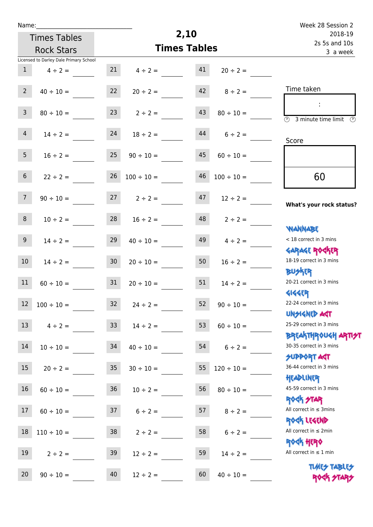| u | am |  |  |
|---|----|--|--|
|   |    |  |  |

Times Tables Rock Stars

## Week 28 Session 2 2s 5s and 10s 2018-19 3 a week

|                 | Licensed to Darley Dale Primary School |                 |                     |    |                    |                                                                  |
|-----------------|----------------------------------------|-----------------|---------------------|----|--------------------|------------------------------------------------------------------|
| 1               | $4 \div 2 =$                           |                 | $21 \t 4 \div 2 =$  | 41 | $20 \div 2 =$      |                                                                  |
| $2^{\circ}$     | $40 \div 10 =$                         | 22              | $20 \div 2 =$       |    | $42 \t 8 \div 2 =$ | Time taken                                                       |
| 3 <sup>7</sup>  | $80 \div 10 =$                         |                 | $23 \t2 \div 2 =$   | 43 | $80 \div 10 =$     | 3 minute time limit<br>⊕                                         |
| $\overline{4}$  | $14 \div 2 =$                          | 24              | $18 \div 2 =$       | 44 | $6 \div 2 =$       | Score                                                            |
| 5 <sub>1</sub>  | $16 \div 2 = 25$                       |                 | $90 \div 10 =$      | 45 | $60 \div 10 =$     |                                                                  |
| 6 <sup>1</sup>  | $22 \div 2 =$                          | 26              | $100 \div 10 =$     | 46 | $100 \div 10 =$    | 60                                                               |
| 7 <sup>7</sup>  | $90 \div 10 =$                         |                 | $27$ $2 \div 2 =$   | 47 | $12 \div 2 =$      | What's your rock status?                                         |
| 8               | $10 \div 2 =$                          |                 | $28 \t 16 \div 2 =$ |    | $48$ $2 \div 2 =$  |                                                                  |
| 9               | $14 \div 2 =$                          | 29              | $40 \div 10 =$      | 49 | $4 \div 2 =$       | WANNABE<br>< 18 correct in 3 mins                                |
| 10 <sup>1</sup> | $14 \div 2 =$                          | 30 <sub>o</sub> | $20 \div 10 =$      | 50 | $16 \div 2 =$      | <b>GARAGE ROGKER</b><br>18-19 correct in 3 mins<br><b>BUSKER</b> |
| 11              | $60 \div 10 =$                         | 31              | $20 \div 10 =$      | 51 | $14 \div 2 =$      | 20-21 correct in 3 mins                                          |
| 12              | $100 \div 10 =$                        | 32              | $24 \div 2 =$       | 52 | $90 \div 10 =$     | <b>4144ER</b><br>22-24 correct in 3 mins<br><b>UNSIGNED AGT</b>  |
| 13              | $4 \div 2 =$                           | 33 <sup>°</sup> | $14 \div 2 =$       | 53 | $60 \div 10 =$     | 25-29 correct in 3 mins                                          |
| 14              | $10 \div 10 =$                         | 34              | $40 \div 10 =$      | 54 | $6 \div 2 =$       | <b>ΒΡΓΑΚΤΗΡΟUGH ΑΡΠ<del>2</del>Τ</b><br>30-35 correct in 3 mins  |
| 15              | $20 \div 2 =$                          | $35\,$          | $30 \div 10 =$      | 55 | $120 \div 10 =$    | <b>SUPPORT AGT</b><br>36-44 correct in 3 mins<br>HEADLINER       |
| 16              | $60 \div 10 =$                         | $36\phantom{.}$ | $10 \div 2 =$       | 56 | $80 \div 10 =$     | 45-59 correct in 3 mins                                          |
| 17              | $60 \div 10 =$                         | 37              | $6 \div 2 =$        | 57 | $8 \div 2 =$       | <b>ROCK STAR</b><br>All correct in $\leq$ 3mins                  |
| 18              | $110 \div 10 =$                        | $38\,$          | $2 \div 2 =$        | 58 | $6 \div 2 =$       | ROCK LEGEND<br>All correct in $\leq 2$ min                       |
| 19              | $2 \div 2 =$                           | 39              | $12 \div 2 =$       | 59 | $14 \div 2 =$      | <b>ROCK HERO</b><br>All correct in $\leq 1$ min                  |
| 20              | $90 \div 10 =$                         | 40              | $12 \div 2 =$       | 60 | $40 \div 10 =$     | <b>TUARS TABLES</b><br>ROCK STARS                                |

**2,10**

**Times Tables**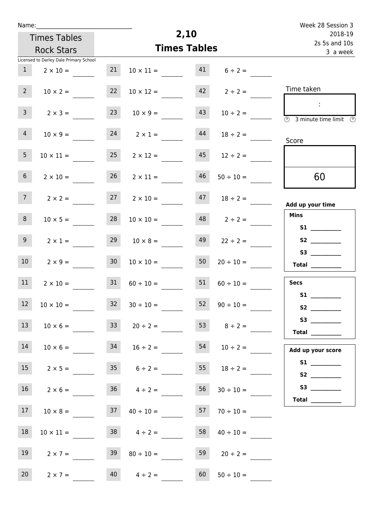| Name:                                    |                                        |                 |                      |                           |                      | Week 28 Session 3                                                                                                                                                                                                                                                                                                                                                                                                                                                                                                                                                                                                         |
|------------------------------------------|----------------------------------------|-----------------|----------------------|---------------------------|----------------------|---------------------------------------------------------------------------------------------------------------------------------------------------------------------------------------------------------------------------------------------------------------------------------------------------------------------------------------------------------------------------------------------------------------------------------------------------------------------------------------------------------------------------------------------------------------------------------------------------------------------------|
| <b>Times Tables</b><br><b>Rock Stars</b> |                                        |                 |                      | 2,10                      |                      | 2018-19                                                                                                                                                                                                                                                                                                                                                                                                                                                                                                                                                                                                                   |
|                                          |                                        |                 | <b>Times Tables</b>  | 2s 5s and 10s<br>3 a week |                      |                                                                                                                                                                                                                                                                                                                                                                                                                                                                                                                                                                                                                           |
|                                          | Licensed to Darley Dale Primary School |                 |                      |                           |                      |                                                                                                                                                                                                                                                                                                                                                                                                                                                                                                                                                                                                                           |
| $\mathbf{1}$                             | $2 \times 10 =$                        | 21              | $10 \times 11 =$     | 41                        | $6 \div 2 =$         |                                                                                                                                                                                                                                                                                                                                                                                                                                                                                                                                                                                                                           |
| 2 <sup>7</sup>                           | $10 \times 2 =$                        | 22              | $10 \times 12 =$     | 42                        | $2 \div 2 =$         | Time taken                                                                                                                                                                                                                                                                                                                                                                                                                                                                                                                                                                                                                |
| 3 <sup>7</sup>                           | $2 \times 3 =$                         | 23              | $10 \times 9 =$      | 43                        | $10 \div 2 =$        | ÷<br>$\overline{(\mathcal{V})}$<br>3 minute time limit<br>$\mathbb{C}$                                                                                                                                                                                                                                                                                                                                                                                                                                                                                                                                                    |
| $\overline{4}$                           | $10 \times 9 =$                        | 24              | $2 \times 1 =$       | 44                        | $18 \div 2 =$        | Score                                                                                                                                                                                                                                                                                                                                                                                                                                                                                                                                                                                                                     |
| 5 <sub>1</sub>                           | $10 \times 11 =$                       | 25              | $2 \times 12 =$      | 45                        | $12 \div 2 =$        |                                                                                                                                                                                                                                                                                                                                                                                                                                                                                                                                                                                                                           |
| 6 <sup>1</sup>                           | $2 \times 10 =$                        | 26              | $2 \times 11 =$      | 46                        | $50 \div 10 =$       | 60                                                                                                                                                                                                                                                                                                                                                                                                                                                                                                                                                                                                                        |
| 7 <sup>7</sup>                           | $2 \times 2 =$                         | 27              | $2 \times 10 =$      | 47                        | $18 \div 2 =$        | Add up your time                                                                                                                                                                                                                                                                                                                                                                                                                                                                                                                                                                                                          |
| 8                                        | $10 \times 5 =$                        | 28              | $10 \times 10 =$     | 48                        | $2 \div 2 =$         | <b>Mins</b>                                                                                                                                                                                                                                                                                                                                                                                                                                                                                                                                                                                                               |
| 9 <sup>1</sup>                           | $2 \times 1 =$                         | 29              | $10 \times 8 =$      | 49                        | $22 \div 2 =$        | S2                                                                                                                                                                                                                                                                                                                                                                                                                                                                                                                                                                                                                        |
| 10 <sup>°</sup>                          | $2 \times 9 =$                         | 30 <sub>o</sub> | $10 \times 10 =$     | 50                        | $20 \div 10 =$       | Total                                                                                                                                                                                                                                                                                                                                                                                                                                                                                                                                                                                                                     |
| 11                                       | $2 \times 10 =$                        | 31              | $60 \div 10 =$       | 51                        | $60 \div 10 =$       | <b>Secs</b>                                                                                                                                                                                                                                                                                                                                                                                                                                                                                                                                                                                                               |
| 12                                       | $10 \times 10 =$                       |                 | $32 \t30 \div 10 =$  |                           | $52 \t 90 \div 10 =$ | S1<br>S2                                                                                                                                                                                                                                                                                                                                                                                                                                                                                                                                                                                                                  |
| 13                                       | $10 \times 6 =$                        | 33              | $20 \div 2 =$        |                           | 53 $8 \div 2 =$      | S3<br>$\begin{tabular}{c} Total & \underline{\hspace{1cm}} & \underline{\hspace{1cm}} & \underline{\hspace{1cm}} & \underline{\hspace{1cm}} & \underline{\hspace{1cm}} & \underline{\hspace{1cm}} & \underline{\hspace{1cm}} & \underline{\hspace{1cm}} & \underline{\hspace{1cm}} & \underline{\hspace{1cm}} & \underline{\hspace{1cm}} & \underline{\hspace{1cm}} & \underline{\hspace{1cm}} & \underline{\hspace{1cm}} & \underline{\hspace{1cm}} & \underline{\hspace{1cm}} & \underline{\hspace{1cm}} & \underline{\hspace{1cm}} & \underline{\hspace{1cm}} & \underline{\hspace{1cm}} & \underline{\hspace{1cm}} &$ |
| 14                                       | $10 \times 6 =$                        |                 | $34$ $16 \div 2 =$   |                           | $54$ $10 \div 2 =$   | Add up your score                                                                                                                                                                                                                                                                                                                                                                                                                                                                                                                                                                                                         |
| 15                                       | $2 \times 5 =$                         |                 | $35 \t 6 \div 2 =$   |                           | 55 $18 \div 2 =$     | S2                                                                                                                                                                                                                                                                                                                                                                                                                                                                                                                                                                                                                        |
| 16                                       | $2 \times 6 =$                         |                 | $36 \t 4 \div 2 =$   | 56                        | $30 \div 10 =$       |                                                                                                                                                                                                                                                                                                                                                                                                                                                                                                                                                                                                                           |
| 17                                       | $10 \times 8 =$                        |                 | $37 \t 40 \div 10 =$ | 57                        | $70 \div 10 =$       | $\begin{tabular}{c} Total & \underline{\hspace{1cm}} & \underline{\hspace{1cm}} & \underline{\hspace{1cm}} & \underline{\hspace{1cm}} & \underline{\hspace{1cm}} & \underline{\hspace{1cm}} & \underline{\hspace{1cm}} & \underline{\hspace{1cm}} & \underline{\hspace{1cm}} & \underline{\hspace{1cm}} & \underline{\hspace{1cm}} & \underline{\hspace{1cm}} & \underline{\hspace{1cm}} & \underline{\hspace{1cm}} & \underline{\hspace{1cm}} & \underline{\hspace{1cm}} & \underline{\hspace{1cm}} & \underline{\hspace{1cm}} & \underline{\hspace{1cm}} & \underline{\hspace{1cm}} & \underline{\hspace{1cm}} &$       |
| 18                                       | $10 \times 11 =$                       |                 | $38 \t 4 \div 2 =$   | 58                        | $40 \div 10 =$       |                                                                                                                                                                                                                                                                                                                                                                                                                                                                                                                                                                                                                           |
| 19                                       | $2 \times 7 =$                         | 39              | $80 \div 10 =$       | 59                        | $20 \div 2 =$        |                                                                                                                                                                                                                                                                                                                                                                                                                                                                                                                                                                                                                           |
| 20 <sub>2</sub>                          | $2 \times 7 =$                         |                 | $40 \t 4 \div 2 =$   | 60                        | $50 \div 10 =$       |                                                                                                                                                                                                                                                                                                                                                                                                                                                                                                                                                                                                                           |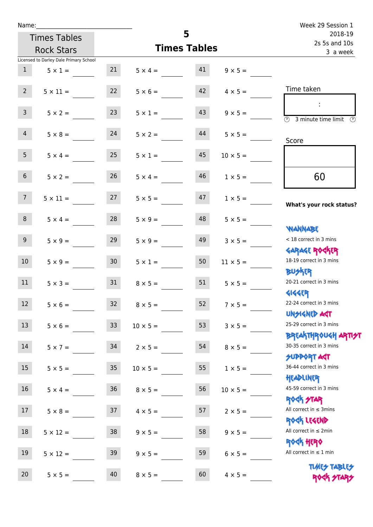| Name:           |                                        |                  |                   | 5                        |                 | Week 29 Session 1                                                               |
|-----------------|----------------------------------------|------------------|-------------------|--------------------------|-----------------|---------------------------------------------------------------------------------|
|                 | <b>Times Tables</b>                    |                  |                   | 2018-19<br>2s 5s and 10s |                 |                                                                                 |
|                 | <b>Rock Stars</b>                      |                  |                   | <b>Times Tables</b>      |                 | 3 a week                                                                        |
|                 | Licensed to Darley Dale Primary School |                  |                   |                          |                 |                                                                                 |
| 1               | $5 \times 1 =$                         | 21               | $5 \times 4 = 41$ |                          | $9 \times 5 =$  |                                                                                 |
| $2^{\circ}$     | $5 \times 11 =$                        | 22               | $5 \times 6 =$    | 42                       | $4 \times 5 =$  | Time taken                                                                      |
| 3 <sup>7</sup>  | $5 \times 2 =$                         | 23               | $5 \times 1 =$    | 43                       | $9 \times 5 =$  | $\sim 10$<br>$\overline{(\mathcal{V})}$<br>3 minute time limit<br>$\mathcal{O}$ |
| $\overline{4}$  | $5 \times 8 =$                         | 24               | $5 \times 2 =$    | 44                       | $5 \times 5 =$  | Score                                                                           |
| 5 <sub>1</sub>  | $5 \times 4 =$                         | 25               | $5 \times 1 =$    | 45                       | $10 \times 5 =$ |                                                                                 |
| 6 <sup>1</sup>  | $5 \times 2 =$                         | 26               | $5 \times 4 =$    | 46                       | $1 \times 5 =$  | 60                                                                              |
| 7 <sup>7</sup>  | $5 \times 11 = 27$                     |                  | $5 \times 5 =$    | 47                       | $1 \times 5 =$  | What's your rock status?                                                        |
| 8               | $5 \times 4 =$                         | 28               | $5 \times 9 =$    | 48                       | $5 \times 5 =$  | <b>JARNARY</b>                                                                  |
| 9 <sub>o</sub>  | $5 \times 9 =$                         | 29               | $5 \times 9 =$    | 49                       | $3 \times 5 =$  | < 18 correct in 3 mins<br><b>GARAGE ROGKER</b>                                  |
| 10 <sup>1</sup> | $5 \times 9 =$                         | 30 <sup>°</sup>  | $5 \times 1 =$    | 50                       | $11 \times 5 =$ | 18-19 correct in 3 mins<br><b>BUSKER</b>                                        |
| 11              | $5 \times 3 =$                         | 31               | $8 \times 5 =$    | 51                       | $5 \times 5 =$  | 20-21 correct in 3 mins<br><b>4144EP</b>                                        |
| 12 <sup>7</sup> | $5 \times 6 =$                         | 32 <sup>°</sup>  | $8 \times 5 =$    | 52                       | $7 \times 5 =$  | 22-24 correct in 3 mins<br><b>UNSIGNED AGT</b>                                  |
| 13              | $5 \times 6 =$                         | 33 <sup>°</sup>  | $10 \times 5 =$   | 53                       | $3 \times 5 =$  | 25-29 correct in 3 mins<br><b>ΒΡΓΑΛΤΗΡΟU&lt;Η ΑΡΠ<del>2</del>Τ</b>              |
| 14              | $5 \times 7 =$                         | 34               | $2 \times 5 =$    | 54                       | $8 \times 5 =$  | 30-35 correct in 3 mins<br>SUPPORT AGT                                          |
| 15              | $5 \times 5 =$                         | $35\phantom{.0}$ | $10 \times 5 =$   | 55                       | $1 \times 5 =$  | 36-44 correct in 3 mins<br>HEADLINER                                            |
| 16              | $5 \times 4 =$                         | $36\,$           | $8 \times 5 =$    | 56                       | $10 \times 5 =$ | 45-59 correct in 3 mins<br><b>ROCK STAR</b>                                     |
| 17              | $5 \times 8 =$                         | 37               | $4 \times 5 =$    | 57                       | $2 \times 5 =$  | All correct in $\leq$ 3mins<br>ROCK LEGEND                                      |
| 18              | $5 \times 12 =$                        | 38               | $9 \times 5 =$    | 58                       | $9 \times 5 =$  | All correct in $\leq 2$ min<br><b>ROCK HERO</b>                                 |
| 19              | $5 \times 12 =$                        | 39               | $9 \times 5 =$    | 59                       | $6 \times 5 =$  | All correct in $\leq 1$ min                                                     |
| 20              | $5 \times 5 =$                         | 40               | $8 \times 5 =$    | 60                       | $4 \times 5 =$  | <b>TUARS TABLES</b><br>ROCK STARS                                               |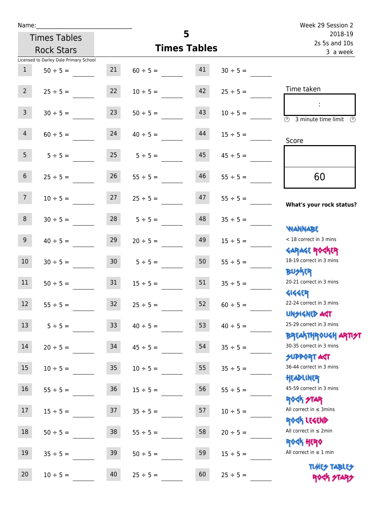| Name:                                  |                 |                     |                          |               | Week 29 Session 2                                       |
|----------------------------------------|-----------------|---------------------|--------------------------|---------------|---------------------------------------------------------|
| <b>Times Tables</b>                    |                 | 5                   | 2018-19<br>2s 5s and 10s |               |                                                         |
| <b>Rock Stars</b>                      |                 | <b>Times Tables</b> |                          |               | 3 a week                                                |
| Licensed to Darley Dale Primary School |                 |                     |                          |               |                                                         |
| 1<br>$50 \div 5 =$                     | 21              | $60 \div 5 =$       | 41                       | $30 \div 5 =$ |                                                         |
| $2^{\circ}$<br>$25 \div 5 =$           | 22              | $10 \div 5 =$       | 42                       | $25 \div 5 =$ | Time taken                                              |
| 3 <sup>7</sup><br>$30 \div 5 =$        | 23              | $50 \div 5 =$       | 43                       | $10 \div 5 =$ | $\overline{\textcircled{2}}$ 3 minute time limit<br>(P) |
| $\overline{4}$<br>$60 \div 5 =$        | 24              | $40 \div 5 =$       | 44                       | $15 \div 5 =$ | Score                                                   |
| 5 <sup>1</sup><br>$5 \div 5 =$         | 25              | $5 \div 5 =$        | 45                       | $45 \div 5 =$ |                                                         |
| 6 <sup>1</sup><br>$25 \div 5 =$        | 26              | $55 \div 5 =$       | 46                       | $55 \div 5 =$ | 60                                                      |
| 7 <sup>7</sup><br>$10 \div 5 =$        | 27              | $25 \div 5 =$       | 47                       | $55 \div 5 =$ | What's your rock status?                                |
| 8<br>$30 \div 5 =$                     |                 | $28$ $5 \div 5 =$   | 48                       | $35 \div 5 =$ | <b>NANNABE</b>                                          |
| 9<br>$40 \div 5 =$                     | 29              | $20 \div 5 =$       | 49                       | $15 \div 5 =$ | < 18 correct in 3 mins<br><b>GARAGE ROCKER</b>          |
| 10 <sup>°</sup><br>$30 \div 5 =$       | 30 <sub>o</sub> | $5 \div 5 =$        | 50                       | $55 \div 5 =$ | 18-19 correct in 3 mins<br><b>BUSKER</b>                |
| 11<br>$50 \div 5 =$                    | 31              | $15 \div 5 =$       | 51                       | $35 \div 5 =$ | 20-21 correct in 3 mins<br><b>4144EP</b>                |
| 12<br>$55 \div 5 =$                    | 32              | $25 \div 5 =$       | 52                       | $60 \div 5 =$ | 22-24 correct in 3 mins<br><b>UNSIGNED AST</b>          |
| 13<br>$5 ÷ 5 =$                        | 33              | $40 \div 5 =$       | 53                       | $40 \div 5 =$ | 25-29 correct in 3 mins<br><b>BREAKTHROUGH ARTH</b>     |
| 14<br>$20 \div 5 =$                    | 34              | $45 \div 5 =$       | 54                       | $35 ÷ 5 =$    | 30-35 correct in 3 mins<br><b>SUPPORT AGT</b>           |
| 15<br>$10 \div 5 =$                    | 35              | $10 \div 5 =$       | 55                       | $35 \div 5 =$ | 36-44 correct in 3 mins<br>HEADLINER                    |
| 16<br>$55 \div 5 =$                    | 36              | $15 \div 5 =$       | 56                       | $55 \div 5 =$ | 45-59 correct in 3 mins<br><b>ROCK STAR</b>             |
| 17<br>$15 ÷ 5 =$                       | 37              | $35 ÷ 5 =$          | 57                       | $10 \div 5 =$ | All correct in $\leq$ 3mins<br>ROCK LEGEND              |
| $18\,$<br>$50 \div 5 =$                | 38              | $55 \div 5 =$       | 58                       | $20 \div 5 =$ | All correct in $\leq 2$ min<br><b>ROCK HERO</b>         |
| 19<br>$35 ÷ 5 =$                       | 39              | $50 \div 5 =$       | 59                       | $15 \div 5 =$ | All correct in $\leq 1$ min                             |
| 20<br>$10 \div 5 =$                    | 40              | $25 \div 5 =$       | 60                       | $25 ÷ 5 =$    | <b>TUARS TABLES</b><br>ROCK STARS                       |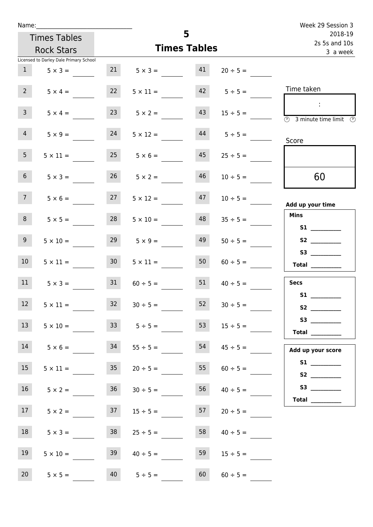| Name:           |                                        |                 |                         |                     |                                   | Week 29 Session 3                                                         |
|-----------------|----------------------------------------|-----------------|-------------------------|---------------------|-----------------------------------|---------------------------------------------------------------------------|
|                 | <b>Times Tables</b>                    |                 |                         | 5                   | 2018-19<br>2s 5s and 10s          |                                                                           |
|                 | <b>Rock Stars</b>                      |                 |                         | <b>Times Tables</b> |                                   | 3 a week                                                                  |
|                 | Licensed to Darley Dale Primary School |                 |                         |                     |                                   |                                                                           |
| 1               | $5 \times 3 =$                         |                 | $21 \t 5 \times 3 = 41$ |                     | $20 \div 5 =$                     |                                                                           |
| 2 <sup>7</sup>  | $5 \times 4 =$                         | 22              | $5 \times 11 =$         |                     | $42 \t 5 \div 5 =$                | Time taken                                                                |
| $\overline{3}$  | $5 \times 4 =$                         |                 | $23 \t 5 \times 2 =$    | 43                  | $15 \div 5 =$                     | $\sim$<br>$\overline{\textcircled{3}}$ 3 minute time limit<br>- O         |
| $\overline{4}$  | $5 \times 9 =$                         | 24              |                         |                     | $5 \times 12 =$ $44$ $5 \div 5 =$ | Score                                                                     |
| 5 <sub>1</sub>  | $5 \times 11 =$                        | 25              | $5 \times 6 =$          | 45                  | $25 \div 5 =$                     |                                                                           |
| 6 <sup>1</sup>  | $5 \times 3 =$                         | 26              | $5 \times 2 =$          | 46                  | $10 \div 5 =$                     | 60                                                                        |
| 7 <sup>7</sup>  | $5 \times 6 =$                         | 27              | $5 \times 12 =$         | 47                  | $10 \div 5 =$                     | Add up your time                                                          |
| 8               | $5 \times 5 =$                         | 28              | $5 \times 10 =$         | 48                  | $35 \div 5 =$                     | <b>Mins</b><br><b>S1 S1</b>                                               |
| 9 <sub>o</sub>  | $5 \times 10 =$                        | 29              | $5 \times 9 =$          | 49                  | $50 \div 5 =$                     |                                                                           |
| 10 <sup>°</sup> | $5 \times 11 =$                        | 30 <sup>°</sup> | $5 \times 11 =$         | 50                  | $60 \div 5 =$                     | Total $\qquad$                                                            |
| 11              | $5 \times 3 =$                         | 31              | $60 \div 5 =$           | 51                  | $40 \div 5 =$                     | <b>Secs</b>                                                               |
| 12              | $5 \times 11 =$                        | 32              | $30 \div 5 =$           | 52                  | $30 \div 5 =$                     | <b>S1</b>                                                                 |
| 13              | $5 \times 10 =$                        |                 | $33 \t 5 \div 5 =$      | 53                  | $15 \div 5 =$                     | Total $\_\_$                                                              |
| 14              | $5 \times 6 =$                         | 34              | $55 \div 5 =$           | 54                  | $45 \div 5 =$                     | Add up your score                                                         |
| 15              | $5 \times 11 =$                        | 35              | $20 \div 5 =$           | 55                  | $60 \div 5 =$                     | S2                                                                        |
| 16              | $5 \times 2 =$                         | 36              | $30 \div 5 =$           | 56                  | $40 \div 5 =$                     | Total $\frac{1}{\sqrt{1-\frac{1}{2}}\cdot\frac{1}{\sqrt{1-\frac{1}{2}}}}$ |
| 17 <sub>1</sub> | $5 \times 2 =$                         | 37              | $15 \div 5 =$           | 57                  | $20 \div 5 =$                     |                                                                           |
| 18              | $5 \times 3 =$                         | 38              | $25 \div 5 =$           | 58                  | $40 \div 5 =$                     |                                                                           |
| 19              | $5 \times 10 =$                        | 39              | $40 \div 5 =$           | 59                  | $15 \div 5 =$                     |                                                                           |
| 20              | $5 \times 5 =$                         | 40              | $5 ÷ 5 =$               | 60                  | $60 \div 5 =$                     |                                                                           |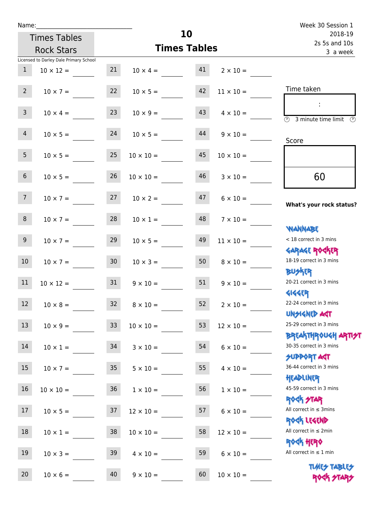| Name:                                  |                 |                        |                          | Week 30 Session 1                                                |
|----------------------------------------|-----------------|------------------------|--------------------------|------------------------------------------------------------------|
| <b>Times Tables</b>                    |                 | 10                     | 2018-19<br>2s 5s and 10s |                                                                  |
| <b>Rock Stars</b>                      |                 | <b>Times Tables</b>    |                          | 3 a week                                                         |
| Licensed to Darley Dale Primary School |                 |                        |                          |                                                                  |
| $\mathbf{1}$<br>$10 \times 12 =$       | 21              | $10 \times 4 = 41$     | $2 \times 10 =$          |                                                                  |
| $2^{\circ}$<br>$10 \times 7 =$         | 22              | 42<br>$10 \times 5 =$  | $11 \times 10 =$         | Time taken                                                       |
| 3 <sup>7</sup><br>$10 \times 4 =$      | 23              | 43<br>$10 \times 9 =$  | $4 \times 10 =$          | 3 minute time limit<br>$\mathcal{O}$                             |
| $\overline{4}$<br>$10 \times 5 =$      | 24              | 44<br>$10 \times 5 =$  | $9 \times 10 =$          | Score                                                            |
| 5 <sub>1</sub><br>$10 \times 5 =$      | 25              | 45<br>$10 \times 10 =$ | $10 \times 10 =$         |                                                                  |
| 6 <sup>1</sup><br>$10 \times 5 =$      | 26              | 46<br>$10 \times 10 =$ | $3 \times 10 =$          | 60                                                               |
| 7 <sup>7</sup><br>$10 \times 7 =$      | 27              | 47<br>$10 \times 2 =$  | $6 \times 10 =$          | What's your rock status?                                         |
| 8<br>$10 \times 7 =$                   | 28              | 48<br>$10 \times 1 =$  | $7 \times 10 =$          | <b>NANNABE</b>                                                   |
| 9 <sub>o</sub><br>$10 \times 7 =$      | 29              | 49<br>$10 \times 5 =$  | $11 \times 10 =$         | < 18 correct in 3 mins<br><b>GARAGE ROGKER</b>                   |
| 10 <sup>°</sup><br>$10 \times 7 =$     | 30              | 50<br>$10 \times 3 =$  | $8 \times 10 =$          | 18-19 correct in 3 mins<br><b>BUSKR</b>                          |
| 11<br>$10 \times 12 =$                 | 31              | 51<br>$9 \times 10 =$  | $9 \times 10 =$          | 20-21 correct in 3 mins<br><b>4144EP</b>                         |
| $12\,$<br>$10 \times 8 =$              | 32              | 52<br>$8 \times 10 =$  | $2 \times 10 =$          | 22-24 correct in 3 mins<br><b>UNSIGNED AGT</b>                   |
| 13<br>$10 \times 9 =$                  | 33              | 53<br>$10 \times 10 =$ | $12 \times 10 =$         | 25-29 correct in 3 mins                                          |
| 14<br>$10 \times 1 =$                  | 34              | 54<br>$3 \times 10 =$  | $6 \times 10 =$          | <b>BREAKTHROUGH ARTI<del>S</del>T</b><br>30-35 correct in 3 mins |
| 15<br>$10 \times 7 =$                  | 35 <sub>1</sub> | 55<br>$5 \times 10 =$  | $4 \times 10 =$          | <b>SUPPORT AGT</b><br>36-44 correct in 3 mins<br>HEADLINER       |
| 16<br>$10 \times 10 =$                 | 36              | 56<br>$1 \times 10 =$  | $1 \times 10 =$          | 45-59 correct in 3 mins<br><b>ROCK STAR</b>                      |
| 17<br>$10 \times 5 =$                  | 37              | 57<br>$12 \times 10 =$ | $6 \times 10 =$          | All correct in $\leq$ 3mins<br>ROCK LEGEND                       |
| 18<br>$10 \times 1 =$                  | 38              | 58<br>$10 \times 10 =$ | $12 \times 10 =$         | All correct in $\leq 2$ min<br><b>ROCK HERO</b>                  |
| 19<br>$10 \times 3 =$                  | 39              | 59<br>$4 \times 10 =$  | $6 \times 10 =$          | All correct in $\leq 1$ min                                      |
| 20<br>$10 \times 6 =$                  | 40              | 60<br>$9 \times 10 =$  | $10 \times 10 =$         | <b>TUARS TABLES</b><br>ROCK STARS                                |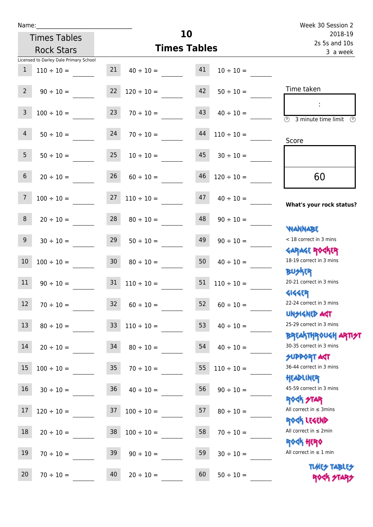ľ

| Name:          |                                        |                 |                          |                          |                 | Week 30 Session 2                               |
|----------------|----------------------------------------|-----------------|--------------------------|--------------------------|-----------------|-------------------------------------------------|
|                | <b>Times Tables</b>                    |                 | 10                       | 2018-19<br>2s 5s and 10s |                 |                                                 |
|                | <b>Rock Stars</b>                      |                 | <b>Times Tables</b>      |                          |                 | 3 a week                                        |
|                | Licensed to Darley Dale Primary School |                 |                          |                          |                 |                                                 |
| $\mathbf{1}$   | $110 \div 10 =$                        | 21              | $40 \div 10 =$           | 41                       | $10 \div 10 =$  |                                                 |
| $2^{\circ}$    |                                        |                 |                          | 42                       |                 | Time taken                                      |
|                | $90 \div 10 =$                         |                 | $22 \t 120 \div 10 =$    |                          | $50 \div 10 =$  |                                                 |
| 3              | $100 \div 10 =$                        | 23              | $70 \div 10 =$           | 43                       | $40 \div 10 =$  |                                                 |
|                |                                        |                 |                          |                          |                 | $\circled{1}$ 3 minute time limit $\circled{1}$ |
| $\overline{4}$ | $50 \div 10 =$                         | 24              | $70 \div 10 =$           | 44                       | $110 \div 10 =$ |                                                 |
|                |                                        |                 |                          |                          |                 | Score                                           |
| 5 <sub>1</sub> | $50 \div 10 =$                         | 25              | $10 \div 10 =$           | 45                       | $30 \div 10 =$  |                                                 |
|                |                                        |                 |                          |                          |                 |                                                 |
| 6              | $20 \div 10 =$                         | 26              | $60 \div 10 =$           | 46                       | $120 \div 10 =$ | 60                                              |
| $\overline{7}$ |                                        | 27              | $110 \div 10 =$          | 47                       |                 |                                                 |
|                | $100 \div 10 =$                        |                 |                          |                          | $40 \div 10 =$  | What's your rock status?                        |
| 8              | $20 \div 10 =$                         |                 | $28 \t 80 \div 10 =$     | 48                       | $90 \div 10 =$  |                                                 |
|                |                                        |                 |                          |                          |                 | <b>NANNABE</b>                                  |
| 9 <sub>o</sub> | $30 \div 10 =$                         | 29              | $50 \div 10 =$           | 49                       | $90 \div 10 =$  | < 18 correct in 3 mins                          |
|                |                                        |                 |                          |                          |                 | <b>GARAGE ROCKER</b>                            |
| 10             | $100 \div 10 =$                        | 30 <sub>o</sub> | $80 \div 10 =$           | 50                       | $40 \div 10 =$  | 18-19 correct in 3 mins                         |
|                |                                        |                 |                          |                          |                 | <b>BUSKER</b>                                   |
| 11             | $90 \div 10 =$                         |                 | $31 \quad 110 \div 10 =$ | 51                       | $110 \div 10 =$ | 20-21 correct in 3 mins                         |
|                |                                        |                 |                          |                          |                 | <b>4144ER</b>                                   |
| 12             | $70 \div 10 =$                         | 32              | $60 \div 10 =$           | 52                       | $60 \div 10 =$  | 22-24 correct in 3 mins                         |
| 13             |                                        |                 |                          | 53                       |                 | <b>UNSIGNED AST</b><br>25-29 correct in 3 mins  |
|                | $80 \div 10 =$                         | 33 <sup>°</sup> | $110 \div 10 =$          |                          | $40 \div 10 =$  | <b>BREAKTHROUGH ARTI<del>S</del>T</b>           |
| 14             | $20 \div 10 =$                         | 34              | $80 \div 10 =$           | 54                       | $40 \div 10 =$  | 30-35 correct in 3 mins                         |
|                |                                        |                 |                          |                          |                 | <b>SUPPORT AGT</b>                              |
| 15             | $100 \div 10 =$                        | 35              | $70 \div 10 =$           | 55                       | $110 \div 10 =$ | 36-44 correct in 3 mins                         |
|                |                                        |                 |                          |                          |                 | HEADLINER                                       |
| 16             | $30 \div 10 =$                         | 36              | $40 \div 10 =$           | 56                       | $90 \div 10 =$  | 45-59 correct in 3 mins                         |
|                |                                        |                 |                          |                          |                 | <b>ROCK STAR</b>                                |
| 17             | $120 \div 10 =$                        | 37              | $100 \div 10 =$          | 57                       | $80 \div 10 =$  | All correct in $\leq$ 3mins                     |
|                |                                        |                 |                          |                          |                 | ROCK LEGEND                                     |
| 18             | $20 \div 10 =$                         | 38              | $100 \div 10 =$          | 58                       | $70 \div 10 =$  | All correct in $\leq 2$ min<br><b>ROCK HERO</b> |
| 19             |                                        | 39              |                          | 59                       |                 | All correct in $\leq 1$ min                     |
|                | $70 \div 10 =$                         |                 | $90 \div 10 =$           |                          | $30 \div 10 =$  |                                                 |

20  $70 \div 10 =$   $40$   $20 \div 10 =$   $60$   $50 \div 10 =$ 

**TIMES TABLES** ROCK STARS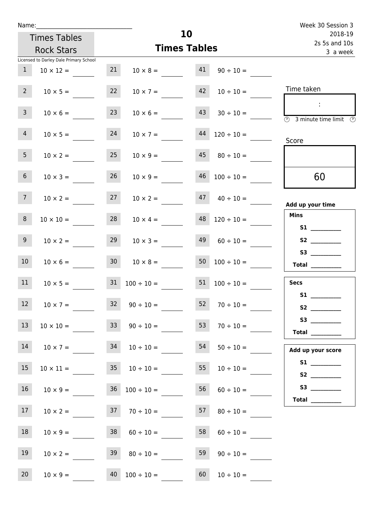| u | am |  |  |
|---|----|--|--|
|   |    |  |  |

|                 | Name: and the state of the state of the state of the state of the state of the state of the state of the state |                 |                                                 |    |                      | Week 30 Session 3                                              |
|-----------------|----------------------------------------------------------------------------------------------------------------|-----------------|-------------------------------------------------|----|----------------------|----------------------------------------------------------------|
|                 | <b>Times Tables</b>                                                                                            |                 |                                                 | 10 | 2018-19              |                                                                |
|                 | <b>Rock Stars</b>                                                                                              |                 | <b>Times Tables</b>                             |    |                      | 2s 5s and 10s                                                  |
|                 | Licensed to Darley Dale Primary School                                                                         |                 |                                                 |    |                      | 3 a week                                                       |
| 1               | $10 \times 12 =$                                                                                               | 21              | $10 \times 8 = 41$                              |    | $90 \div 10 =$       |                                                                |
| $2^{\circ}$     | $10 \times 5 =$                                                                                                | 22              | $10 \times 7 =$                                 | 42 | $10 \div 10 =$       | Time taken                                                     |
| 3 <sup>7</sup>  | $10 \times 6 =$                                                                                                | 23              | $10 \times 6 =$                                 | 43 | $30 \div 10 =$       | $\sim 10$<br>$\overline{(\mathcal{V})}$<br>3 minute time limit |
| $\overline{4}$  | $10 \times 5 =$                                                                                                | 24              | $10 \times 7 =$                                 |    | $44$ $120 \div 10 =$ | Score                                                          |
| 5 <sub>1</sub>  | $10 \times 2 =$                                                                                                | 25              | $10 \times 9 =$                                 |    | $45 \t 80 \div 10 =$ |                                                                |
| 6 <sup>1</sup>  | $10 \times 3 =$                                                                                                | 26              | $10 \times 9 =$                                 | 46 | $100 \div 10 =$      | 60                                                             |
| 7 <sup>7</sup>  | $10 \times 2 =$                                                                                                | 27              | $10 \times 2 =$                                 |    | $47 \t 40 \div 10 =$ | Add up your time                                               |
| 8               | $10 \times 10 =$                                                                                               | 28              | $10 \times 4 =$                                 |    | $48$ $120 \div 10 =$ | <b>Mins</b>                                                    |
| 9 <sub>o</sub>  | $10 \times 2 =$                                                                                                | 29              | $10 \times 3 =$                                 |    | $49 \t 60 \div 10 =$ | S2                                                             |
| 10 <sup>°</sup> | $10 \times 6 =$                                                                                                | 30 <sub>2</sub> | $10 \times 8 =$                                 |    | $50 \t100 \div 10 =$ | Total $\qquad$                                                 |
| 11              | $10 \times 5 =$                                                                                                |                 | $31 \quad 100 \div 10 = 51 \quad 100 \div 10 =$ |    |                      | <b>Secs</b>                                                    |
| <b>Contract</b> |                                                                                                                |                 |                                                 |    |                      | <b>S1 S1</b>                                                   |

| 12 | $10 \times 7 =$  | 32 | $90 \div 10 =$  | 52 | $70 \div 10 =$ |
|----|------------------|----|-----------------|----|----------------|
| 13 | $10 \times 10 =$ | 33 | $90 \div 10 =$  | 53 | $70 \div 10 =$ |
| 14 | $10 \times 7 =$  | 34 | $10 \div 10 =$  | 54 | $50 \div 10 =$ |
| 15 | $10 \times 11 =$ | 35 | $10 \div 10 =$  | 55 | $10 \div 10 =$ |
| 16 | $10 \times 9 =$  | 36 | $100 \div 10 =$ | 56 | $60 \div 10 =$ |
| 17 | $10 \times 2 =$  | 37 | $70 \div 10 =$  | 57 | $80 \div 10 =$ |
| 18 | $10 \times 9 =$  | 38 | $60 \div 10 =$  | 58 | $60 \div 10 =$ |
| 19 | $10 \times 2 =$  | 39 | $80 \div 10 =$  | 59 | $90 \div 10 =$ |

20  $10 \times 9 =$   $40 \times 100 \div 10 =$   $60 \times 10 \div 10 =$ 

| ι υιαι                 | <u> Louis Communication (Communication (Communication)</u> |
|------------------------|------------------------------------------------------------|
| <b>Secs</b>            |                                                            |
| $\overline{\text{S1}}$ |                                                            |
|                        |                                                            |
| S3                     |                                                            |
| Total                  |                                                            |
| Add up your score      |                                                            |
| S1                     |                                                            |
| S2                     |                                                            |
| S3                     |                                                            |

 **Total \_\_\_\_\_\_\_\_\_\_\_\_**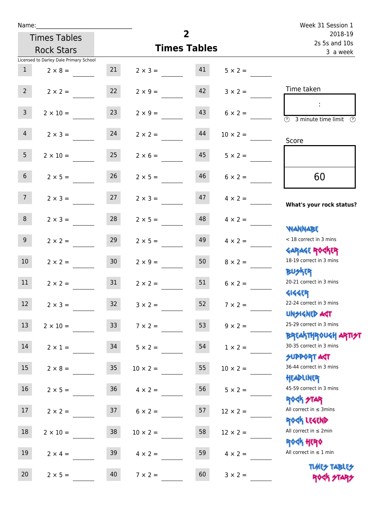| Name:            |                                        |                 |                   | $\overline{2}$           |                 | Week 31 Session 1                                                               |
|------------------|----------------------------------------|-----------------|-------------------|--------------------------|-----------------|---------------------------------------------------------------------------------|
|                  | <b>Times Tables</b>                    |                 |                   | 2018-19<br>2s 5s and 10s |                 |                                                                                 |
|                  | <b>Rock Stars</b>                      |                 |                   | <b>Times Tables</b>      |                 | 3 a week                                                                        |
|                  | Licensed to Darley Dale Primary School |                 |                   |                          |                 |                                                                                 |
| 1                | $2 \times 8 =$                         | 21              | $2 \times 3 = 41$ |                          | $5 \times 2 =$  |                                                                                 |
| $2^{\circ}$      | $2 \times 2 =$                         | 22              | $2 \times 9 =$    | 42                       | $3 \times 2 =$  | Time taken                                                                      |
| 3 <sup>7</sup>   | $2 \times 10 =$                        | 23              | $2 \times 9 =$    | 43                       | $6 \times 2 =$  | $\sim 10$<br>$\overline{(\mathcal{V})}$<br>3 minute time limit<br>$\mathcal{O}$ |
| 4                | $2 \times 3 = 24$                      |                 | $2 \times 2 =$    | 44                       | $10 \times 2 =$ | Score                                                                           |
| 5 <sub>1</sub>   | $2 \times 10 =$                        | 25              | $2 \times 6 =$    | 45                       | $5 \times 2 =$  |                                                                                 |
| 6 <sup>1</sup>   | $2 \times 5 =$                         | 26              | $2 \times 5 =$    | 46                       | $6 \times 2 =$  | 60                                                                              |
| 7 <sup>7</sup>   | $2 \times 3 = 27$                      |                 | $2 \times 3 =$    | 47                       | $4 \times 2 =$  | What's your rock status?                                                        |
| 8 <sup>1</sup>   | $2 \times 3 =$                         | 28              | $2 \times 5 =$    | 48                       | $4 \times 2 =$  | <b>NANNABE</b>                                                                  |
| 9 <sub>o</sub>   | $2 \times 2 =$                         | 29              | $2 \times 5 =$    | 49                       | $4 \times 2 =$  | < 18 correct in 3 mins<br><b>GARAGE ROGKER</b>                                  |
| 10 <sup>°</sup>  | $2 \times 2 = 30$                      |                 | $2 \times 9 =$    | 50                       | $8 \times 2 =$  | 18-19 correct in 3 mins<br><b>BUSKER</b>                                        |
| 11               | $2 \times 2 =$                         | 31              | $2 \times 2 =$    | 51                       | $6 \times 2 =$  | 20-21 correct in 3 mins<br><b>4144EP</b>                                        |
| 12 <sup>7</sup>  | $2 \times 3 =$                         | 32 <sup>°</sup> | $3 \times 2 =$    | 52                       | $7 \times 2 =$  | 22-24 correct in 3 mins<br><b>UNSIGNED AGT</b>                                  |
| 13               | $2 \times 10 =$                        | 33 <sup>°</sup> | $7 \times 2 =$    | 53                       | $9 \times 2 =$  | 25-29 correct in 3 mins<br><b>BREAKTHROUGH ARTI<del>S</del>T</b>                |
| 14               | $2 \times 1 =$                         | 34              | $5 \times 2 =$    | 54                       | $1 \times 2 =$  | 30-35 correct in 3 mins<br><b>SUPPORT ART</b>                                   |
| 15 <sub>15</sub> | $2 \times 8 =$                         | 35 <sub>o</sub> | $10 \times 2 =$   | 55                       | $10 \times 2 =$ | 36-44 correct in 3 mins<br>HEADLINER                                            |
| 16               | $2 \times 5 =$                         | 36              | $4 \times 2 =$    | 56                       | $5 \times 2 =$  | 45-59 correct in 3 mins<br><b>ROCK STAR</b>                                     |
| 17               | $2 \times 2 =$                         | 37              | $6 \times 2 =$    | 57                       | $12 \times 2 =$ | All correct in $\leq$ 3mins<br>ROCK LEGEND                                      |
| 18               | $2 \times 10 =$                        | 38              | $10 \times 2 =$   | 58                       | $12 \times 2 =$ | All correct in $\leq 2$ min<br><b>ROCK HERO</b>                                 |
| 19               | $2 \times 4 =$                         | 39              | $4 \times 2 =$    | 59                       | $4 \times 2 =$  | All correct in $\leq 1$ min                                                     |
| 20               | $2 \times 5 =$                         | 40              | $7 \times 2 =$    | 60                       | $3 \times 2 =$  | <b>TUARS TABLES</b><br>ROCK STARS                                               |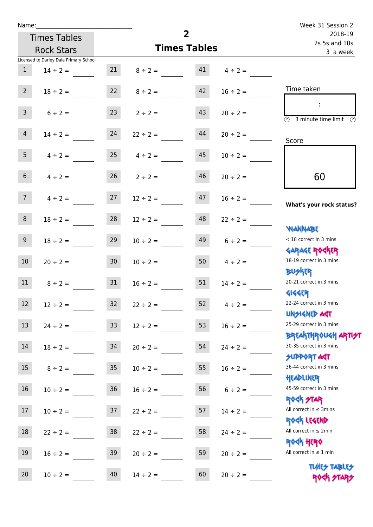| Name:           |                                        |                  |                                 | $\overline{2}$           |                 | Week 31 Session 2                                                |
|-----------------|----------------------------------------|------------------|---------------------------------|--------------------------|-----------------|------------------------------------------------------------------|
|                 | <b>Times Tables</b>                    |                  |                                 | 2018-19<br>2s 5s and 10s |                 |                                                                  |
|                 | <b>Rock Stars</b>                      |                  | <b>Times Tables</b>             | 3 a week                 |                 |                                                                  |
|                 | Licensed to Darley Dale Primary School |                  |                                 |                          |                 |                                                                  |
| 1               | $14 \div 2 =$                          |                  | 21 $8 \div 2 =$ 41 $4 \div 2 =$ |                          |                 |                                                                  |
| $2^{\circ}$     | $18 \div 2 =$                          |                  | $22 \t 8 \div 2 =$              | 42                       | $16 \div 2 =$   | Time taken                                                       |
| 3 <sup>1</sup>  | $6 \div 2 =$                           | 23               | $2 \div 2 =$                    | 43                       | $20 \div 2 =$   | $\overline{(\mathcal{V})}$<br>3 minute time limit                |
| $\overline{4}$  | $14 \div 2 =$                          | 24               | $22 \div 2 =$                   | 44                       | $20 \div 2 =$   | Score                                                            |
| 5 <sub>5</sub>  |                                        |                  | $4 \div 2 = 25$ $4 \div 2 =$    | 45                       | $10 \div 2 =$   |                                                                  |
| 6 <sup>1</sup>  | $4 \div 2 =$                           |                  | $26 \t 2 \div 2 =$              | 46                       | $20 \div 2 =$   | 60                                                               |
| 7 <sup>7</sup>  | $4 \div 2 = 27$                        |                  | $12 \div 2 =$                   | 47                       | $16 \div 2 =$   | What's your rock status?                                         |
| 8               | $18 \div 2 =$                          | 28               | $12 \div 2 =$                   | 48                       | $22 \div 2 =$   | <b>NANNABE</b>                                                   |
| 9 <sub>o</sub>  | $18 \div 2 =$                          | 29               | $10 \div 2 =$                   | 49                       | $6 \div 2 =$    | < 18 correct in 3 mins<br><b>GARAGE ROGKER</b>                   |
| 10 <sup>°</sup> | $20 \div 2 =$                          | 30 <sup>°</sup>  | $10 \div 2 =$                   |                          | 50 $4 \div 2 =$ | 18-19 correct in 3 mins<br><b>BUSKER</b>                         |
| 11              | $8 \div 2 = 31$                        |                  | $16 \div 2 =$                   | 51                       | $14 \div 2 =$   | 20-21 correct in 3 mins<br><b>4144EP</b>                         |
| 12              | $12 \div 2 =$                          | 32               | $22 \div 2 =$                   | 52                       | $4 \div 2 =$    | 22-24 correct in 3 mins<br><b>UNSIGNED AST</b>                   |
| 13              | $24 \div 2 =$                          | 33 <sup>°</sup>  | $12 \div 2 =$                   | 53                       | $16 \div 2 =$   | 25-29 correct in 3 mins<br><b>BREAKTHROUGH ARTI<del>S</del>T</b> |
| 14              | $18 \div 2 =$                          | 34               | $20 \div 2 =$                   | 54                       | $24 \div 2 =$   | 30-35 correct in 3 mins<br><b>SUPPORT AGT</b>                    |
| 15              | $8 \div 2 =$                           | $35\phantom{.0}$ | $10 \div 2 =$                   | 55                       | $16 \div 2 =$   | 36-44 correct in 3 mins<br>HEADLINER                             |
| 16              | $10 \div 2 =$                          | $36\,$           | $16 \div 2 =$                   | 56                       | $6 \div 2 =$    | 45-59 correct in 3 mins<br><b>ROCK STAR</b>                      |
| 17              | $10 \div 2 =$                          | 37               | $22 \div 2 =$                   | 57                       | $14 \div 2 =$   | All correct in $\leq$ 3mins<br>ROCK LEGEND                       |
| 18              | $22 \div 2 =$                          | 38               | $22 \div 2 =$                   | 58                       | $24 \div 2 =$   | All correct in $\leq 2$ min<br>ROCK HERO                         |
| 19              | $16 \div 2 =$                          | 39               | $20 \div 2 =$                   | 59                       | $20 \div 2 =$   | All correct in $\leq 1$ min<br><b>TUARS TABLES</b>               |
| 20              | $10 \div 2 =$                          | 40               | $14 \div 2 =$                   | 60                       | $20 \div 2 =$   | ROCK STARS                                                       |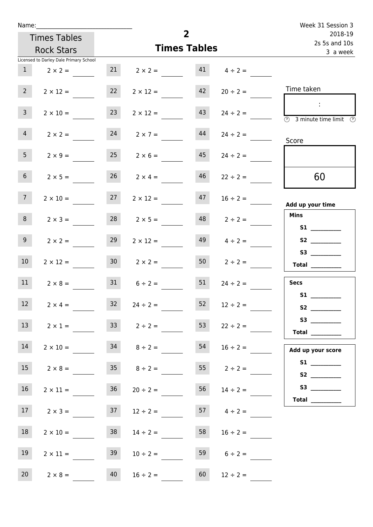| Name:           |                                        |    |                                   |                     |                     | Week 31 Session 3                                                                          |
|-----------------|----------------------------------------|----|-----------------------------------|---------------------|---------------------|--------------------------------------------------------------------------------------------|
|                 | <b>Times Tables</b>                    |    |                                   | $\overline{2}$      |                     | 2018-19<br>2s 5s and 10s                                                                   |
|                 | <b>Rock Stars</b>                      |    |                                   | <b>Times Tables</b> |                     | 3 a week                                                                                   |
|                 | Licensed to Darley Dale Primary School |    |                                   |                     |                     |                                                                                            |
|                 | $2 \times 2 =$                         |    | 21 $2 \times 2 =$ 41 $4 \div 2 =$ |                     |                     |                                                                                            |
| $2^{\circ}$     | $2 \times 12 =$                        | 22 | $2 \times 12 =$                   | 42                  | $20 \div 2 =$       | Time taken                                                                                 |
| $\mathbf{3}$    | $2 \times 10 =$                        | 23 | $2 \times 12 =$                   | 43                  | $24 \div 2 =$       | $\sim 10$<br>$\overline{\textcircled{1}}$ 3 minute time limit $\overline{\textcircled{1}}$ |
| 4               | $2 \times 2 =$                         | 24 | $2 \times 7 =$                    | 44                  | $24 \div 2 =$       | Score                                                                                      |
| 5 <sub>1</sub>  | $2 \times 9 =$                         | 25 | $2 \times 6 =$                    | 45                  | $24 \div 2 =$       |                                                                                            |
| 6 <sup>1</sup>  | $2 \times 5 =$                         |    | $26 \t 2 \times 4 =$              | 46                  | $22 \div 2 =$       | 60                                                                                         |
| 7 <sup>7</sup>  | $2 \times 10 =$                        |    | $27 \t 2 \times 12 =$             | 47                  | $16 \div 2 =$       | Add up your time                                                                           |
| 8               | $2 \times 3 =$                         |    | $28$ $2 \times 5 =$               |                     | $48$ $2 \div 2 =$   | <b>Mins</b><br>S1                                                                          |
| 9 <sub>o</sub>  | $2 \times 2 =$                         | 29 | $2 \times 12 =$                   | 49                  | $4 \div 2 =$        |                                                                                            |
| 10 <sup>°</sup> | $2 \times 12 =$                        |    | $30 \t 2 \times 2 =$              |                     | $50 \t 2 \div 2 =$  | $\begin{array}{c}\n\text{Total} \\ \end{array}$                                            |
| 11              | $2 \times 8 =$                         |    | $31 \t 6 \div 2 =$                | 51                  | $24 \div 2 =$       | <b>Secs</b>                                                                                |
| 12              | $2 \times 4 =$                         | 32 | $24 \div 2 =$                     | 52                  | $12 \div 2 =$       | <b>S1 S1</b><br><b>S2</b>                                                                  |
| 13              | $2 \times 1 =$                         |    | $33 \t2 \div 2 =$                 | 53                  | $22 \div 2 =$       | S3<br>Total $\qquad$                                                                       |
| 14              | $2 \times 10 =$                        |    | $34 \t 8 \div 2 =$                | 54                  | $16 \div 2 =$       | Add up your score                                                                          |
| 15              | $2 \times 8 =$                         |    | $35 \t 8 \div 2 =$                |                     | $55$ $2 \div 2 =$   |                                                                                            |
| 16              | $2 \times 11 =$                        | 36 | $20 \div 2 =$                     |                     | $56 \t 14 \div 2 =$ | Total _________                                                                            |
| 17 <sup>7</sup> | $2 \times 3 =$                         | 37 | $12 \div 2 =$                     |                     | $57 \t 4 \div 2 =$  |                                                                                            |
| 18              | $2 \times 10 =$                        | 38 | $14 \div 2 =$                     | 58                  | $16 \div 2 =$       |                                                                                            |
| 19              | $2 \times 11 =$                        | 39 | $10 \div 2 =$                     | 59                  | $6 \div 2 =$        |                                                                                            |
| 20 <sub>2</sub> | $2 \times 8 =$                         | 40 | $16 \div 2 =$                     | 60                  | $12 \div 2 =$       |                                                                                            |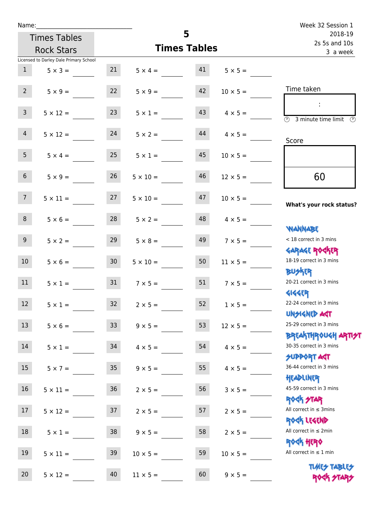| Name:           |                                        |                 |                 | 5                        |                                  | Week 32 Session 1                                                             |
|-----------------|----------------------------------------|-----------------|-----------------|--------------------------|----------------------------------|-------------------------------------------------------------------------------|
|                 | <b>Times Tables</b>                    |                 |                 | 2018-19<br>2s 5s and 10s |                                  |                                                                               |
|                 | <b>Rock Stars</b>                      |                 |                 | <b>Times Tables</b>      |                                  | 3 a week                                                                      |
|                 | Licensed to Darley Dale Primary School |                 |                 |                          |                                  |                                                                               |
| 1               | $5 \times 3 =$                         | 21              |                 |                          | $5 \times 4 = 41$ $5 \times 5 =$ |                                                                               |
| 2               | $5 \times 9 =$                         | 22              | $5 \times 9 =$  | 42                       | $10 \times 5 =$                  | Time taken                                                                    |
| $\mathsf{3}$    | $5 \times 12 =$                        | 23              | $5 \times 1 =$  | 43                       | $4 \times 5 =$                   | $\overline{\textcircled{1}}$ 3 minute time limit $\overline{\textcircled{1}}$ |
| 4               | $5 \times 12 = 24$                     |                 | $5 \times 2 =$  | 44                       | $4 \times 5 =$                   | Score                                                                         |
| 5 <sub>1</sub>  | $5 \times 4 =$                         | 25              | $5 \times 1 =$  | 45                       | $10 \times 5 =$                  |                                                                               |
| 6 <sup>1</sup>  | $5 \times 9 =$                         | 26              | $5 \times 10 =$ | 46                       | $12 \times 5 =$                  | 60                                                                            |
| 7 <sup>7</sup>  | $5 \times 11 = 27$                     |                 | $5 \times 10 =$ | 47                       | $10 \times 5 =$                  | What's your rock status?                                                      |
| 8               | $5 \times 6 =$                         | 28              | $5 \times 2 =$  | 48                       | $4 \times 5 =$                   | <b>JARNARY</b>                                                                |
| 9 <sub>o</sub>  | $5 \times 2 =$                         | 29              | $5 \times 8 =$  | 49                       | $7 \times 5 =$                   | < 18 correct in 3 mins<br><b>GARAGE ROCKER</b>                                |
| 10 <sup>°</sup> | $5 \times 6 = 30$                      |                 | $5 \times 10 =$ | 50                       | $11 \times 5 =$                  | 18-19 correct in 3 mins<br><b>BUSKER</b>                                      |
| 11              | $5 \times 1 =$                         | 31              | $7 \times 5 =$  | 51                       | $7 \times 5 =$                   | 20-21 correct in 3 mins<br><b>4144EP</b>                                      |
| 12              | $5 \times 1 =$                         | 32              | $2 \times 5 =$  | 52                       | $1 \times 5 =$                   | 22-24 correct in 3 mins<br><b>UNSIGNED AGT</b>                                |
| 13              | $5 \times 6 =$                         | 33 <sup>°</sup> | $9 \times 5 =$  | 53                       | $12 \times 5 =$                  | 25-29 correct in 3 mins<br><b>BREAKTHROUGH ARTI<del>S</del>T</b>              |
| 14              | $5 \times 1 =$                         | 34              | $4 \times 5 =$  | 54                       | $4 \times 5 =$                   | 30-35 correct in 3 mins<br><b>SUPPORT AGT</b>                                 |
| 15              | $5 \times 7 =$                         | 35 <sub>o</sub> | $9 \times 5 =$  | 55                       | $4 \times 5 =$                   | 36-44 correct in 3 mins<br>HEADLINER                                          |
| 16              | $5 \times 11 =$                        | 36              | $2 \times 5 =$  | 56                       | $3 \times 5 =$                   | 45-59 correct in 3 mins<br><b>ROCK STAR</b>                                   |
| 17              | $5 \times 12 =$                        | 37              | $2 \times 5 =$  | 57                       | $2 \times 5 =$                   | All correct in $\leq$ 3mins<br>ROCK LEGEND                                    |
| 18              | $5 \times 1 =$                         | 38              | $9 \times 5 =$  | 58                       | $2 \times 5 =$                   | All correct in $\leq 2$ min<br><b>ROCK HERO</b>                               |
| 19              | $5 \times 11 =$                        | 39              | $10 \times 5 =$ | 59                       | $10 \times 5 =$                  | All correct in $\leq 1$ min                                                   |
| 20              | $5 \times 12 =$                        | 40              | $11 \times 5 =$ | 60                       | $9 \times 5 =$                   | <b>TUARS TABLES</b><br>ROCK STARS                                             |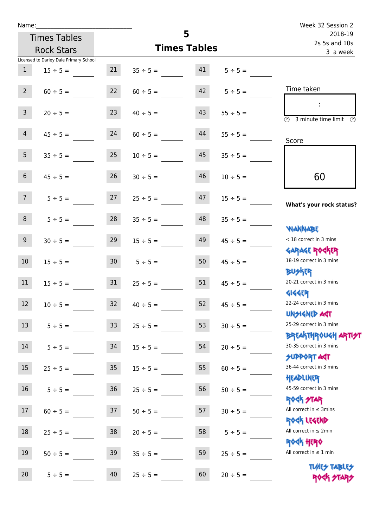| Name:           |                                        |                 |                     | 5                        |                    | Week 32 Session 2                                                |
|-----------------|----------------------------------------|-----------------|---------------------|--------------------------|--------------------|------------------------------------------------------------------|
|                 | <b>Times Tables</b>                    |                 |                     | 2018-19<br>2s 5s and 10s |                    |                                                                  |
|                 | <b>Rock Stars</b>                      |                 | <b>Times Tables</b> | 3 a week                 |                    |                                                                  |
|                 | Licensed to Darley Dale Primary School |                 |                     |                          |                    |                                                                  |
| 1               | $15 \div 5 =$                          | 21              | $35 \div 5 =$       | 41                       | $5 \div 5 =$       |                                                                  |
| $2^{\circ}$     | $60 \div 5 =$                          | 22              | $60 \div 5 =$       |                          | $42 \t 5 \div 5 =$ | Time taken                                                       |
| 3 <sup>7</sup>  | $20 \div 5 =$                          | 23              | $40 \div 5 =$       | 43                       | $55 \div 5 =$      | $\overline{\mathcal{O}}$<br>3 minute time limit<br>$\mathcal{O}$ |
| $\overline{4}$  | $45 \div 5 =$                          | 24              | $60 \div 5 =$       | 44                       | $55 \div 5 =$      | Score                                                            |
| 5 <sub>1</sub>  | $35 \div 5 =$                          | 25              | $10 \div 5 =$       | 45                       | $35 \div 5 =$      |                                                                  |
| 6 <sup>1</sup>  | $45 \div 5 =$                          | 26              | $30 \div 5 =$       | 46                       | $10 \div 5 =$      | 60                                                               |
| 7 <sup>7</sup>  | $5 \div 5 =$                           | 27              | $25 \div 5 =$       | 47                       | $15 \div 5 =$      | What's your rock status?                                         |
| 8               | $5 \div 5 =$                           | 28              | $35 \div 5 =$       | 48                       | $35 \div 5 =$      | <b>NANNABE</b>                                                   |
| 9 <sub>o</sub>  | $30 \div 5 =$                          | 29              | $15 \div 5 =$       | 49                       | $45 \div 5 =$      | < 18 correct in 3 mins<br><b>GARAGE ROCKER</b>                   |
| 10 <sup>°</sup> | $15 \div 5 =$                          | 30 <sub>o</sub> | $5 \div 5 =$        | 50                       | $45 \div 5 =$      | 18-19 correct in 3 mins<br><b>BUSKER</b>                         |
| 11              | $15 \div 5 =$                          | 31              | $25 \div 5 =$       | 51                       | $45 \div 5 =$      | 20-21 correct in 3 mins<br><b>4144ER</b>                         |
| 12              | $10 \div 5 =$                          | 32              | $40 \div 5 =$       | 52                       | $45 \div 5 =$      | 22-24 correct in 3 mins<br><b>UNSIGNED AGT</b>                   |
| 13              | $5 ÷ 5 =$                              | 33              | $25 \div 5 =$       | 53                       | $30 \div 5 =$      | 25-29 correct in 3 mins<br><b>BREAKTHROUGH ARTI<del>S</del>T</b> |
| 14              | $5 ÷ 5 =$                              | 34              | $15 \div 5 =$       | 54                       | $20 \div 5 =$      | 30-35 correct in 3 mins<br><b>SUPPORT AGT</b>                    |
| 15              | $25 \div 5 =$                          | $35\,$          | $15 \div 5 =$       | 55                       | $60 \div 5 =$      | 36-44 correct in 3 mins<br>HEADLINER                             |
| 16              | $5 ÷ 5 =$                              | 36              | $25 ÷ 5 =$          | 56                       | $50 \div 5 =$      | 45-59 correct in 3 mins<br><b>ROCK STAR</b>                      |
| 17              | $60 \div 5 =$                          | 37              | $50 \div 5 =$       | 57                       | $30 \div 5 =$      | All correct in $\leq$ 3mins<br>ROCK LEGEND                       |
| 18              | $25 \div 5 =$                          | 38              | $20 \div 5 =$       | 58                       | $5 ÷ 5 =$          | All correct in $\leq 2$ min<br><b>ROCK HERO</b>                  |
| 19              | $50 \div 5 =$                          | 39              | $35 ÷ 5 =$          | 59                       | $25 ÷ 5 =$         | All correct in $\leq 1$ min                                      |
| 20              | $5 ÷ 5 =$                              | 40              | $25 ÷ 5 =$          | 60                       | $20 \div 5 =$      | <b>TUARS TABLES</b><br>ROCK STARS                                |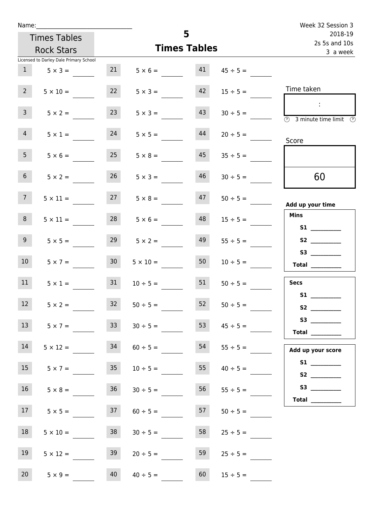| Name:           |                                        |                     |                   | 5  |                          | Week 32 Session 3                                                                                                                                                                                                                       |
|-----------------|----------------------------------------|---------------------|-------------------|----|--------------------------|-----------------------------------------------------------------------------------------------------------------------------------------------------------------------------------------------------------------------------------------|
|                 | <b>Times Tables</b>                    |                     |                   |    | 2018-19<br>2s 5s and 10s |                                                                                                                                                                                                                                         |
|                 | <b>Rock Stars</b>                      | <b>Times Tables</b> |                   |    |                          | 3 a week                                                                                                                                                                                                                                |
|                 | Licensed to Darley Dale Primary School |                     |                   |    |                          |                                                                                                                                                                                                                                         |
| 1               | $5 \times 3 =$                         | 21                  | $5 \times 6 = 41$ |    | $45 \div 5 =$            |                                                                                                                                                                                                                                         |
| 2 <sup>7</sup>  | $5 \times 10 =$                        | 22                  | $5 \times 3 =$    | 42 | $15 \div 5 =$            | Time taken                                                                                                                                                                                                                              |
| 3 <sup>7</sup>  | $5 \times 2 =$                         | 23                  | $5 \times 3 =$    | 43 | $30 \div 5 =$            | $\sim 10$<br>$\overline{\circledcirc}$ 3 minute time limit $\circledcirc$                                                                                                                                                               |
| $\overline{4}$  | $5 \times 1 =$                         | 24                  | $5 \times 5 =$    | 44 | $20 \div 5 =$            | Score                                                                                                                                                                                                                                   |
| 5 <sub>1</sub>  | $5 \times 6 =$                         | 25                  | $5 \times 8 =$    | 45 | $35 \div 5 =$            |                                                                                                                                                                                                                                         |
| 6 <sup>1</sup>  | $5 \times 2 =$                         | 26                  | $5 \times 3 =$    | 46 | $30 \div 5 =$            | 60                                                                                                                                                                                                                                      |
| 7 <sup>7</sup>  | $5 \times 11 =$                        | 27                  | $5 \times 8 =$    | 47 | $50 \div 5 =$            | Add up your time                                                                                                                                                                                                                        |
| 8               | $5 \times 11 =$                        | 28                  | $5 \times 6 =$    | 48 | $15 \div 5 =$            | <b>Mins</b><br>S1                                                                                                                                                                                                                       |
| 9 <sub>o</sub>  | $5 \times 5 =$                         | 29                  | $5 \times 2 =$    | 49 | $55 \div 5 =$            |                                                                                                                                                                                                                                         |
| 10 <sup>°</sup> | $5 \times 7 =$                         | 30 <sup>°</sup>     | $5 \times 10 =$   | 50 | $10 \div 5 =$            | S3<br>$\begin{tabular}{c} Total \end{tabular}$                                                                                                                                                                                          |
| 11              | $5 \times 1 =$                         | 31                  | $10 \div 5 =$     | 51 | $50 \div 5 =$            | <b>Secs</b><br><b>S1</b>                                                                                                                                                                                                                |
| 12 <sub>2</sub> | $5 \times 2 =$                         | 32                  | $50 \div 5 =$     | 52 | $50 \div 5 =$            | S <sub>2</sub> and the set of the set of the set of the set of the set of the set of the set of the set of the set of the set of the set of the set of the set of the set of the set of the set of the set of the set of the set of the |
| 13              | $5 \times 7 =$                         | 33                  | $30 \div 5 =$     | 53 | $45 \div 5 =$            | Total $\_\_$                                                                                                                                                                                                                            |
| 14              | $5 \times 12 =$                        | 34                  | $60 \div 5 =$     | 54 |                          | Add up your score                                                                                                                                                                                                                       |
| 15              | $5 \times 7 =$                         | 35                  | $10 \div 5 =$     | 55 | $40 \div 5 =$            | S2                                                                                                                                                                                                                                      |
| 16              | $5 \times 8 =$                         | 36                  | $30 \div 5 =$     | 56 | $55 \div 5 =$            |                                                                                                                                                                                                                                         |
| 17 <sub>1</sub> | $5 \times 5 =$                         | 37                  | $60 \div 5 =$     | 57 | $50 \div 5 =$            |                                                                                                                                                                                                                                         |
| 18              | $5 \times 10 =$                        | 38                  | $30 \div 5 =$     | 58 | $25 \div 5 =$            |                                                                                                                                                                                                                                         |
| 19              | $5 \times 12 =$                        | 39                  | $20 \div 5 =$     | 59 | $25 \div 5 =$            |                                                                                                                                                                                                                                         |
| 20 <sub>2</sub> | $5 \times 9 =$                         | 40                  | $40 \div 5 =$     | 60 | $15 \div 5 =$            |                                                                                                                                                                                                                                         |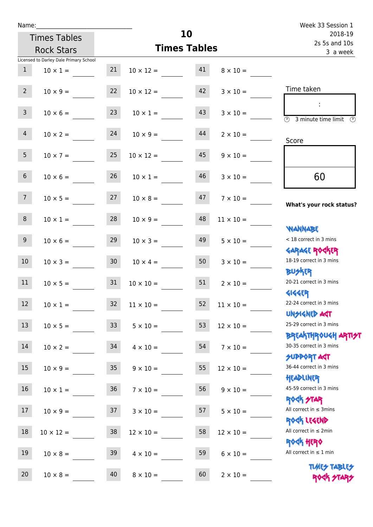| Name:           |                                        |                 |                       | 10                       |                  | Week 33 Session 1                                                |
|-----------------|----------------------------------------|-----------------|-----------------------|--------------------------|------------------|------------------------------------------------------------------|
|                 | <b>Times Tables</b>                    |                 |                       | 2018-19<br>2s 5s and 10s |                  |                                                                  |
|                 | <b>Rock Stars</b>                      |                 | <b>Times Tables</b>   | 3 a week                 |                  |                                                                  |
|                 | Licensed to Darley Dale Primary School |                 |                       |                          |                  |                                                                  |
| 1               | $10 \times 1 =$                        | 21              | $10 \times 12 = 41$   |                          | $8 \times 10 =$  |                                                                  |
| $2^{\circ}$     | $10 \times 9 =$                        | 22              | $10 \times 12 =$      | 42                       | $3 \times 10 =$  | Time taken                                                       |
| 3 <sup>7</sup>  | $10 \times 6 =$                        |                 | $23 \t 10 \times 1 =$ | 43                       | $3 \times 10 =$  | $(\Gamma)$<br>3 minute time limit<br>O)                          |
| $\overline{4}$  | $10 \times 2 = 24$                     |                 | $10 \times 9 =$       | 44                       | $2 \times 10 =$  | Score                                                            |
| 5 <sub>1</sub>  | $10 \times 7 = 25$                     |                 | $10 \times 12 =$      | 45                       | $9 \times 10 =$  |                                                                  |
| 6 <sup>1</sup>  | $10 \times 6 =$                        | 26              | $10 \times 1 =$       | 46                       | $3 \times 10 =$  | 60                                                               |
| 7 <sup>7</sup>  | $10 \times 5 = 27$ $10 \times 8 =$     |                 |                       | 47                       | $7 \times 10 =$  | What's your rock status?                                         |
| 8               | $10 \times 1 = 28$                     |                 | $10 \times 9 =$       | 48                       | $11 \times 10 =$ | <b>WANNABE</b>                                                   |
| 9               | $10 \times 6 =$                        | 29              | $10 \times 3 =$       | 49                       | $5 \times 10 =$  | < 18 correct in 3 mins<br><b>GARAGE ROCKER</b>                   |
| 10 <sup>°</sup> | $10 \times 3 = 30$                     |                 | $10 \times 4 =$       | 50                       | $3 \times 10 =$  | 18-19 correct in 3 mins<br><b>BUSKER</b>                         |
| 11              | $10 \times 5 = 31$                     |                 | $10 \times 10 =$      | 51                       | $2 \times 10 =$  | 20-21 correct in 3 mins<br><b>4144EP</b>                         |
| 12              | $10 \times 1 =$                        | 32              | $11 \times 10 =$      | 52                       | $11\times10=$    | 22-24 correct in 3 mins<br><b>UNSIGNED AGT</b>                   |
| 13              | $10 \times 5 =$                        | 33 <sup>°</sup> | $5 \times 10 =$       | 53                       | $12 \times 10 =$ | 25-29 correct in 3 mins<br><b>BREAKTHROUGH ARTI<del>S</del>T</b> |
| 14              | $10 \times 2 =$                        | 34              | $4 \times 10 =$       | 54                       | $7 \times 10 =$  | 30-35 correct in 3 mins<br><b>SUPPORT ART</b>                    |
| 15              | $10 \times 9 =$                        | 35              | $9 \times 10 =$       | 55                       | $12 \times 10 =$ | 36-44 correct in 3 mins<br>HEADLINER                             |
| 16              | $10 \times 1 =$                        | 36 <sup>°</sup> | $7 \times 10 =$       | 56                       | $9 \times 10 =$  | 45-59 correct in 3 mins<br><b>ROCK STAR</b>                      |
| 17              | $10 \times 9 =$                        | 37              | $3 \times 10 =$       | 57                       | $5 \times 10 =$  | All correct in $\leq$ 3mins<br>ROCK LEGEND                       |
| $18\,$          | $10 \times 12 =$                       | 38              | $12 \times 10 =$      | 58                       | $12 \times 10 =$ | All correct in $\leq 2$ min<br><b>ROCK HERO</b>                  |
| 19              | $10 \times 8 =$                        | 39              | $4 \times 10 =$       | 59                       | $6 \times 10 =$  | All correct in $\leq 1$ min                                      |
| 20              | $10 \times 8 =$                        | 40              | $8 \times 10 =$       | 60                       | $2 \times 10 =$  | <b>TUARS TABLES</b><br>ROCK STARS                                |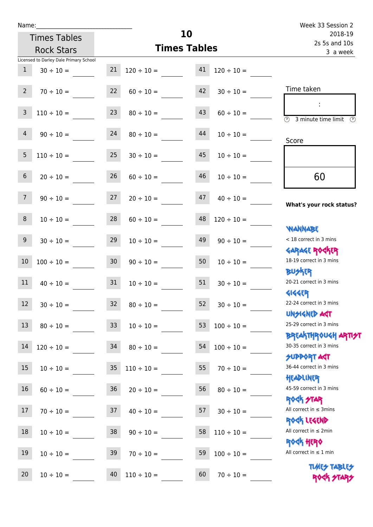| Name:           |                                        |                 |                          | 10                       |                 | Week 33 Session 2                                                |
|-----------------|----------------------------------------|-----------------|--------------------------|--------------------------|-----------------|------------------------------------------------------------------|
|                 | <b>Times Tables</b>                    |                 |                          | 2018-19<br>2s 5s and 10s |                 |                                                                  |
|                 | <b>Rock Stars</b>                      |                 | <b>Times Tables</b>      | 3 a week                 |                 |                                                                  |
|                 | Licensed to Darley Dale Primary School |                 |                          |                          |                 |                                                                  |
| $\mathbf{1}$    | $30 \div 10 =$                         |                 | $21 \t 120 \div 10 = 41$ |                          | $120 \div 10 =$ |                                                                  |
| $2^{\circ}$     | $70 \div 10 =$                         |                 | $22 \t 60 \div 10 =$     | 42                       | $30 \div 10 =$  | Time taken                                                       |
| $\overline{3}$  | $110 \div 10 =$                        | 23              | $80 \div 10 =$           | 43                       | $60 \div 10 =$  | $\overline{\textcircled{1}}$ 3 minute time limit<br>⊕            |
| 4               | $90 \div 10 =$                         | 24              | $80 \div 10 =$           | 44                       | $10 \div 10 =$  | Score                                                            |
| $5\phantom{.}$  | $110 \div 10 =$                        | 25              | $30 \div 10 =$           | 45                       | $10 \div 10 =$  |                                                                  |
| $6\overline{6}$ | $20 \div 10 =$                         | 26              | $60 \div 10 =$           | 46                       | $10 \div 10 =$  | 60                                                               |
| 7 <sup>7</sup>  | $90 \div 10 =$                         | 27              | $20 \div 10 =$           | 47                       | $40 \div 10 =$  | What's your rock status?                                         |
| 8               | $10 \div 10 =$                         | 28              | $60 \div 10 =$           | 48                       | $120 \div 10 =$ | <b>NANNABE</b>                                                   |
| 9               | $30 \div 10 =$                         | 29              | $10 \div 10 =$           | 49                       | $90 \div 10 =$  | < 18 correct in 3 mins<br><b>GARAGE ROCKER</b>                   |
| 10              | $100 \div 10 =$                        | 30              | $90 \div 10 =$           | 50                       | $10 \div 10 =$  | 18-19 correct in 3 mins<br><b>BUSKRY</b>                         |
| 11              | $40 \div 10 = 31$                      |                 | $10 \div 10 =$           | 51                       | $30 \div 10 =$  | 20-21 correct in 3 mins<br><b>4144EP</b>                         |
| 12              | $30 \div 10 =$                         | 32              | $80 \div 10 =$           | 52                       | $30 \div 10 =$  | 22-24 correct in 3 mins<br><b>UNSIGNED AGT</b>                   |
| 13              | $80 \div 10 =$                         | 33 <sup>°</sup> | $10 \div 10 =$           | 53                       | $100 \div 10 =$ | 25-29 correct in 3 mins<br><b>BREAKTHROUGH ARTI<del>S</del>T</b> |
| 14              | $120 \div 10 =$                        | 34              | $80 \div 10 =$           | 54                       | $100 \div 10 =$ | 30-35 correct in 3 mins<br><b>SUPPORT AGT</b>                    |
| 15              | $10 \div 10 =$                         | 35 <sub>5</sub> | $110 \div 10 =$          | 55                       | $70 \div 10 =$  | 36-44 correct in 3 mins<br>HEADLINER                             |
| 16              | $60 \div 10 =$                         | 36              | $20 \div 10 =$           | 56                       | $80 \div 10 =$  | 45-59 correct in 3 mins<br><b>ROCK STAR</b>                      |
| 17              | $70 \div 10 =$                         | 37              | $40 \div 10 =$           | 57                       | $30 \div 10 =$  | All correct in $\leq$ 3mins<br>ROCK LEGEND                       |
| 18              | $10 \div 10 =$                         | 38              | $90 \div 10 =$           | 58                       | $110 \div 10 =$ | All correct in $\leq 2$ min<br><b>ROCK HERO</b>                  |
| 19              | $10 \div 10 =$                         | 39              | $70 \div 10 =$           | 59                       | $100 \div 10 =$ | All correct in $\leq 1$ min                                      |
| 20              | $10 \div 10 =$                         | 40              | $110 \div 10 =$          | 60                       | $70 \div 10 =$  | <b>TUARS TABLES</b><br>ROCK STARS                                |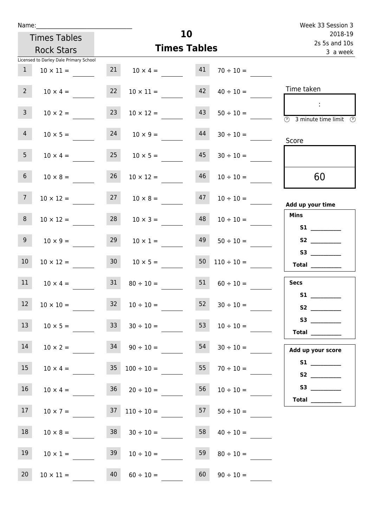| Name:             |                                        |                 |                                    | 10                       |                      | Week 33 Session 3                       |
|-------------------|----------------------------------------|-----------------|------------------------------------|--------------------------|----------------------|-----------------------------------------|
|                   | <b>Times Tables</b>                    |                 |                                    | 2018-19<br>2s 5s and 10s |                      |                                         |
|                   | <b>Rock Stars</b>                      |                 | <b>Times Tables</b>                | 3 a week                 |                      |                                         |
|                   | Licensed to Darley Dale Primary School |                 |                                    |                          |                      |                                         |
| $\mathbf{1}$      | $10 \times 11 =$                       |                 | $21 \t 10 \times 4 = 41$           |                          | $70 \div 10 =$       |                                         |
| $2^{\circ}$       | $10 \times 4 =$                        | 22              | $10 \times 11 =$                   |                          | $42 \t 40 \div 10 =$ | Time taken                              |
| 3 <sup>7</sup>    | $10 \times 2 =$                        | 23              | $10 \times 12 =$                   | 43                       | $50 \div 10 =$       | $\sim 10$<br>3 minute time limit<br>- O |
| 4                 | $10 \times 5 =$                        |                 | $24 \t 10 \times 9 =$              | 44                       | $30 \div 10 =$       | Score                                   |
| 5 <sup>5</sup>    | $10 \times 4 =$                        | 25              | $10 \times 5 =$                    | 45                       | $30 \div 10 =$       |                                         |
| 6 <sup>1</sup>    | $10 \times 8 =$                        | 26              | $10 \times 12 =$                   | 46                       | $10 \div 10 =$       | 60                                      |
| $\overline{7}$    | $10 \times 12 =$                       |                 | $27 \t 10 \times 8 =$              | 47                       | $10 \div 10 =$       | Add up your time                        |
| 8                 | $10 \times 12 =$                       | 28              | $10 \times 3 =$                    |                          | $48 \t 10 \div 10 =$ | <b>Mins</b>                             |
| 9 <sub>o</sub>    | $10 \times 9 =$                        | 29              | $10 \times 1 =$                    |                          | $49 \t 50 \div 10 =$ | S2                                      |
| 10 <sup>°</sup>   | $10 \times 12 =$                       | 30 <sub>o</sub> | $10 \times 5 =$                    |                          | 50 $110 \div 10 =$   | <b>Total</b> _________                  |
| 11                | $10 \times 4 =$                        | 31              | $80 \div 10 =$                     | 51                       | $60 \div 10 =$       | <b>Secs</b>                             |
| $12 \overline{ }$ | $10 \times 10 =$                       | 32              | $10 \div 10 =$                     | 52                       | $30 \div 10 =$       | <b>S1</b>                               |
| 13                | $10 \times 5 =$                        | 33              | $30 \div 10 =$                     | 53                       | $10 \div 10 =$       | S3<br>Total $\_\_$                      |
| 14                | $10 \times 2 =$                        |                 | $34 \t 90 \div 10 =$               | 54                       | $30 \div 10 =$       | Add up your score                       |
| 15                | $10 \times 4 =$                        |                 | $35 \t100 \div 10 =$               | 55                       | $70 \div 10 =$       |                                         |
| 16                | $10 \times 4 =$                        |                 | $36 \t 20 \div 10 =$               | 56                       | $10 \div 10 =$       | Total $\_\_$                            |
| 17                |                                        |                 | $10 \times 7 = 37$ $110 \div 10 =$ | 57                       | $50 \div 10 =$       |                                         |
| 18                | $10 \times 8 =$                        |                 | $38$ $30 \div 10 =$                | 58                       | $40 \div 10 =$       |                                         |
| 19                | $10 \times 1 =$                        | 39              | $10 \div 10 =$                     | 59                       | $80 \div 10 =$       |                                         |
| 20                | $10 \times 11 =$                       | 40              | $60 \div 10 =$                     | 60                       | $90 \div 10 =$       |                                         |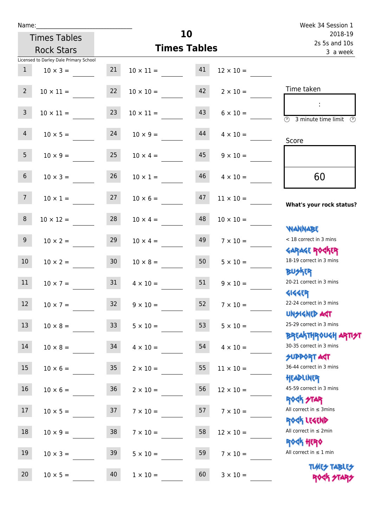| Name:           |                                        |      |                     | 10                        |                  | Week 34 Session 1                                                |
|-----------------|----------------------------------------|------|---------------------|---------------------------|------------------|------------------------------------------------------------------|
|                 | <b>Times Tables</b>                    |      |                     | 2018-19                   |                  |                                                                  |
|                 | <b>Rock Stars</b>                      |      | <b>Times Tables</b> | 2s 5s and 10s<br>3 a week |                  |                                                                  |
|                 | Licensed to Darley Dale Primary School |      |                     |                           |                  |                                                                  |
| 1               | $10 \times 3 =$                        | 21   | $10 \times 11 = 41$ |                           | $12 \times 10 =$ |                                                                  |
| $2^{\circ}$     | $10 \times 11 =$                       | 22   | $10 \times 10 =$    | 42                        | $2 \times 10 =$  | Time taken                                                       |
| 3 <sup>7</sup>  | $10 \times 11 =$                       | 23   | $10 \times 11 =$    | 43                        | $6 \times 10 =$  | $\overline{\bigcirc}$ 3 minute time limit<br>$\mathcal{O}$       |
| 4               | $10 \times 5 = 24$                     |      | $10 \times 9 =$     | 44                        | $4 \times 10 =$  | Score                                                            |
| 5 <sub>5</sub>  | $10 \times 9 =$                        | 25   | $10 \times 4 =$     | 45                        | $9 \times 10 =$  |                                                                  |
| 6 <sup>1</sup>  | $10 \times 3 =$                        | 26   | $10 \times 1 =$     | 46                        | $4 \times 10 =$  | 60                                                               |
| 7 <sup>7</sup>  | $10 \times 1 = 27$                     |      | $10 \times 6 =$     | 47                        | $11 \times 10 =$ | What's your rock status?                                         |
| 8               | $10 \times 12 =$                       | 28   | $10 \times 4 =$     | 48                        | $10 \times 10 =$ | <b>NANNABE</b>                                                   |
| 9 <sub>o</sub>  | $10 \times 2 =$                        | 29   | $10 \times 4 =$     | 49                        | $7 \times 10 =$  | < 18 correct in 3 mins<br><b>GARAGE ROCKER</b>                   |
| 10 <sup>°</sup> | $10 \times 2 = 30$                     |      | $10 \times 8 =$     | 50                        | $5 \times 10 =$  | 18-19 correct in 3 mins<br><b>BUSKR</b>                          |
| 11              | $10 \times 7 = 31$                     |      | $4 \times 10 =$     | 51                        | $9 \times 10 =$  | 20-21 correct in 3 mins<br><b>4144EP</b>                         |
| 12              | $10 \times 7 =$                        | 32   | $9 \times 10 =$     | 52                        | $7\times10=$     | 22-24 correct in 3 mins<br><b>UNSIGNED AGT</b>                   |
| 13              | $10 \times 8 = 33$                     |      | $5 \times 10 =$     | 53                        | $5 \times 10 =$  | 25-29 correct in 3 mins<br><b>BREAKTHROUGH ARTI<del>S</del>T</b> |
| 14              | $10 \times 8 =$                        | 34   | $4 \times 10 =$     | 54                        | $4 \times 10 =$  | 30-35 correct in 3 mins<br><b>SUPPORT AGT</b>                    |
| 15              | $10 \times 6 =$                        | 35   | $2 \times 10 =$     | 55                        | $11 \times 10 =$ | 36-44 correct in 3 mins<br>HEADLINER                             |
| 16              | $10 \times 6 =$                        | $36$ | $2 \times 10 =$     | 56                        | $12 \times 10 =$ | 45-59 correct in 3 mins<br><b>ROCK STAR</b>                      |
| 17              | $10 \times 5 =$                        | 37   | $7 \times 10 =$     | 57                        | $7 \times 10 =$  | All correct in $\leq$ 3mins<br>ROCK LEGEND                       |
| 18              | $10 \times 9 =$                        | 38   | $7 \times 10 =$     | 58                        | $12 \times 10 =$ | All correct in $\leq 2$ min<br><b>ROCK HERO</b>                  |
| 19              | $10 \times 3 =$                        | 39   | $5 \times 10 =$     | 59                        | $7 \times 10 =$  | All correct in $\leq 1$ min                                      |
| 20              | $10 \times 5 =$                        | 40   | $1 \times 10 =$     | 60                        | $3 \times 10 =$  | <b>TUARS TABLES</b><br>ROCK STARS                                |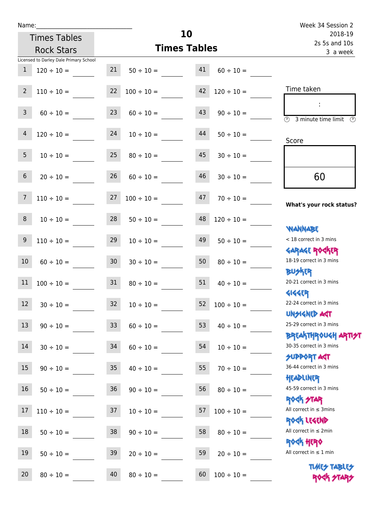Times Tables Rock Stars

|                 | Licensed to Darley Dale Primary School |                 |                          |    |                 |                                                                 |
|-----------------|----------------------------------------|-----------------|--------------------------|----|-----------------|-----------------------------------------------------------------|
| $\mathbf{1}$    | $120 \div 10 =$                        | 21              | $50 \div 10 =$           | 41 | $60 \div 10 =$  |                                                                 |
| $2^{\circ}$     | $110 \div 10 =$                        | 22              | $100 \div 10 =$          | 42 | $120 \div 10 =$ | Time taken                                                      |
| 3 <sup>7</sup>  | $60 \div 10 =$                         | 23              | $60 \div 10 =$           | 43 | $90 \div 10 =$  | (1)<br>3 minute time limit                                      |
| $\overline{4}$  | $120 \div 10 =$                        | 24              | $10 \div 10 =$           | 44 | $50 \div 10 =$  | Score                                                           |
| 5 <sub>1</sub>  | $10 \div 10 =$                         | 25              | $80 \div 10 =$           | 45 | $30 \div 10 =$  |                                                                 |
| 6 <sup>1</sup>  | $20 \div 10 =$                         | 26              | $60 \div 10 =$           | 46 | $30 \div 10 =$  | 60                                                              |
| 7 <sup>7</sup>  | $110 \div 10 =$                        |                 | $27 \quad 100 \div 10 =$ | 47 | $70 \div 10 =$  | What's your rock status?                                        |
| 8               | $10 \div 10 =$                         | 28              | $50 \div 10 =$           | 48 | $120 \div 10 =$ | <b>JARNARY</b>                                                  |
| 9 <sup>°</sup>  | $110 \div 10 =$                        | 29              | $10 \div 10 =$           | 49 | $50 \div 10 =$  | < 18 correct in 3 mins                                          |
| 10 <sup>°</sup> | $60 \div 10 =$                         | 30 <sup>°</sup> | $30 \div 10 =$           | 50 | $80 \div 10 =$  | <b>GARAGE ROCKER</b><br>18-19 correct in 3 mins<br><b>BUSKR</b> |
| 11              | $100 \div 10 =$                        | 31              | $80 \div 10 =$           | 51 | $40 \div 10 =$  | 20-21 correct in 3 mins                                         |
| 12              | $30 \div 10 =$                         | 32              | $10 \div 10 =$           | 52 | $100 \div 10 =$ | <b>4144EP</b><br>22-24 correct in 3 mins                        |
| 13              | $90 \div 10 =$                         | 33              | $60 \div 10 =$           | 53 | $40 \div 10 =$  | <b>UNSIGNED AST</b><br>25-29 correct in 3 mins                  |
| 14              | $30 \div 10 =$                         | 34              | $60 \div 10 =$           | 54 | $10 \div 10 =$  | <b>BREAKTHROUGH ARTIST</b><br>30-35 correct in 3 mins           |
| 15              | $90 \div 10 =$                         | 35 <sub>2</sub> | $40 \div 10 =$           | 55 | $70 \div 10 =$  | <b>SUPPORT AGT</b><br>36-44 correct in 3 mins                   |
| 16              | $50 \div 10 =$                         | 36              | $90 \div 10 =$           | 56 | $80 \div 10 =$  | HEADLINER<br>45-59 correct in 3 mins                            |
| 17              | $110 \div 10 =$                        | 37              | $10 \div 10 =$           | 57 | $100 \div 10 =$ | <b>ROCK STAR</b><br>All correct in $\leq$ 3mins                 |
| 18              | $50 \div 10 =$                         | 38              | $90 \div 10 =$           | 58 | $80 \div 10 =$  | ROCK LEGEND<br>All correct in $\leq 2$ min                      |
| 19              | $50 \div 10 =$                         | 39              | $20 \div 10 =$           | 59 | $20 \div 10 =$  | <b>ROCK HERO</b><br>All correct in $\leq 1$ min                 |
| 20              | $80 \div 10 =$                         | 40              | $80 \div 10 =$           | 60 | $100 \div 10 =$ | <b>TUARS TABLES</b><br>ROCK STARS                               |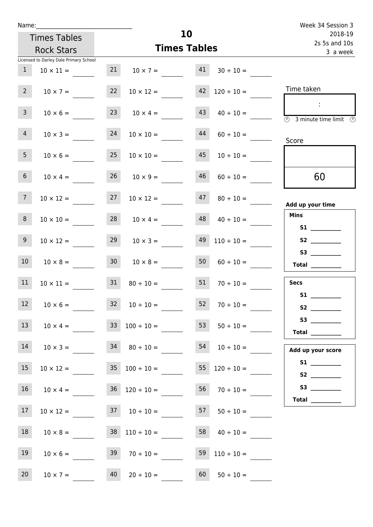| Name:           |                                                      |                 |                                            | 10                       |                          | Week 34 Session 3          |
|-----------------|------------------------------------------------------|-----------------|--------------------------------------------|--------------------------|--------------------------|----------------------------|
|                 | <b>Times Tables</b>                                  |                 |                                            | 2018-19<br>2s 5s and 10s |                          |                            |
|                 | <b>Rock Stars</b>                                    |                 | <b>Times Tables</b>                        |                          | 3 a week                 |                            |
|                 | Licensed to Darley Dale Primary School               |                 |                                            |                          |                          |                            |
| $\mathbf{1}$    | $10 \times 11 =$                                     | 21              | $10 \times 7 =$                            | 41                       | $30 \div 10 =$           |                            |
| $2^{\circ}$     | $10 \times 7 =$                                      |                 | $22 \t 10 \times 12 = 42 \t 120 \div 10 =$ |                          |                          | Time taken                 |
| 3 <sup>7</sup>  | $10 \times 6 =$                                      |                 | $23 \t 10 \times 4 =$                      | 43                       | $40 \div 10 =$           | 3 minute time limit<br>-09 |
| $\overline{4}$  | $10 \times 3 =$                                      | 24              | $10 \times 10 =$                           | 44                       | $60 \div 10 =$           | Score                      |
| 5 <sub>1</sub>  | $10 \times 6 = 25$                                   |                 | $10 \times 10 =$                           | 45                       | $10 \div 10 =$           |                            |
| 6 <sup>1</sup>  | $10 \times 4 =$                                      | 26              | $10 \times 9 =$                            | 46                       | $60 \div 10 =$           | 60                         |
| 7 <sup>7</sup>  | $10 \times 12 =$                                     | 27              | $10 \times 12 =$                           | 47                       | $80 \div 10 =$           | Add up your time           |
| 8               | $10 \times 10 =$                                     |                 | $28$ $10 \times 4 =$                       | 48                       | $40 \div 10 =$           | <b>Mins</b>                |
| 9 <sub>o</sub>  | $10 \times 12 =$                                     | 29              | $10 \times 3 =$                            | 49                       | $110 \div 10 =$          | S2                         |
| 10 <sup>°</sup> | $10 \times 8 =$                                      | 30 <sub>o</sub> | $10 \times 8 =$                            | 50 <sup>7</sup>          | $60 \div 10 =$           | Total $\_\_$               |
| 11              | $10 \times 11 =$                                     | 31              | $80 \div 10 =$                             | 51                       | $70 \div 10 =$           | <b>Secs</b><br><b>S1</b>   |
| 12              | $10 \times 6 =$                                      |                 | $32 \t10 \div 10 =$                        | 52                       | $70 \div 10 =$           |                            |
| 13              |                                                      |                 | $10 \times 4 =$ $33 \div 100 \div 10 =$    |                          | 53 $50 \div 10 =$        | S3<br>Total $\_\_$         |
| 14              |                                                      |                 | $10 \times 3 = 34$ $80 \div 10 =$          |                          | $54 \t 10 \div 10 =$     | Add up your score          |
| 15              | $10 \times 12 =$                                     |                 | $35 \quad 100 \div 10 =$                   |                          | $55 \quad 120 \div 10 =$ |                            |
| 16              | $10 \times 4 =$                                      |                 | $36 \quad 120 \div 10 =$                   |                          | $56 \t 70 \div 10 =$     |                            |
| 17              | $10 \times 12 =$ 37 $10 \div 10 =$ 57 $50 \div 10 =$ |                 |                                            |                          |                          |                            |
| 18              |                                                      |                 | $10 \times 8 = 38$ $110 \div 10 =$         |                          | $58 \t 40 \div 10 =$     |                            |
| 19              | $10 \times 6 =$                                      |                 | $39 \t 70 \div 10 =$                       |                          | $59 \quad 110 \div 10 =$ |                            |
| 20 <sub>2</sub> |                                                      |                 | $10 \times 7 = 40$ $20 \div 10 = 60$       |                          | $50 \div 10 =$           |                            |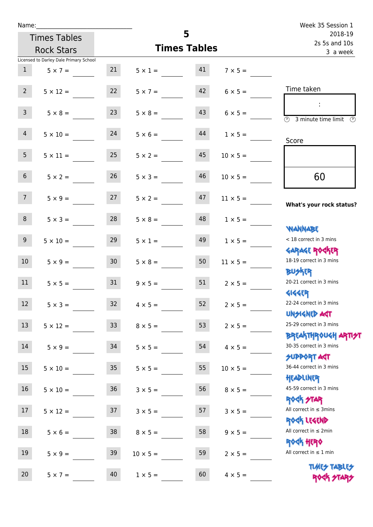| Name:            |                                        |                 |                   |                          |                 | Week 35 Session 1                                                 |
|------------------|----------------------------------------|-----------------|-------------------|--------------------------|-----------------|-------------------------------------------------------------------|
|                  | <b>Times Tables</b>                    |                 | 5                 | 2018-19<br>2s 5s and 10s |                 |                                                                   |
|                  | <b>Rock Stars</b>                      |                 |                   | <b>Times Tables</b>      | 3 a week        |                                                                   |
|                  | Licensed to Darley Dale Primary School |                 |                   |                          |                 |                                                                   |
| 1                | $5 \times 7 =$                         | 21              | $5 \times 1 =$ 41 |                          | $7 \times 5 =$  |                                                                   |
| $2^{\circ}$      | $5 \times 12 =$                        | 22              | $5 \times 7 =$    | 42                       | $6 \times 5 =$  | Time taken                                                        |
| 3 <sup>7</sup>   | $5 \times 8 =$                         | 23              | $5 \times 8 =$    | 43                       | $6 \times 5 =$  | $\overline{\textcircled{1}}$ 3 minute time limit<br>$\mathcal{O}$ |
| 4                | $5 \times 10 = 24$                     |                 | $5 \times 6 =$    | 44                       | $1 \times 5 =$  | Score                                                             |
| 5 <sub>1</sub>   | $5 \times 11 =$                        | 25              | $5 \times 2 =$    | 45                       | $10 \times 5 =$ |                                                                   |
| 6 <sup>1</sup>   | $5 \times 2 =$                         | 26              | $5 \times 3 =$    | 46                       | $10 \times 5 =$ | 60                                                                |
| 7 <sup>7</sup>   | $5 \times 9 = 27$                      |                 | $5 \times 2 =$    | 47                       | $11 \times 5 =$ | What's your rock status?                                          |
| 8                | $5 \times 3 =$                         | 28              | $5 \times 8 =$    | 48                       | $1 \times 5 =$  | <b>NANNABE</b>                                                    |
| 9                | $5 \times 10 =$                        | 29              | $5 \times 1 =$    | 49                       | $1 \times 5 =$  | < 18 correct in 3 mins                                            |
| 10 <sup>°</sup>  | $5 \times 9 = 30$                      |                 | $5 \times 8 =$    | 50                       | $11 \times 5 =$ | <b>GARAGE ROGKER</b><br>18-19 correct in 3 mins<br><b>BUSKER</b>  |
| 11               | $5 \times 5 =$                         | 31              | $9 \times 5 =$    | 51                       | $2 \times 5 =$  | 20-21 correct in 3 mins<br><b>4144EP</b>                          |
| 12               | $5 \times 3 =$                         | 32              | $4 \times 5 =$    | 52                       | $2 \times 5 =$  | 22-24 correct in 3 mins<br><b>UNSIGNED AGT</b>                    |
| 13               | $5 \times 12 =$                        | 33 <sup>°</sup> | $8 \times 5 =$    | 53                       | $2 \times 5 =$  | 25-29 correct in 3 mins<br><b>BREAKTHROUGH ARTI<del>S</del>T</b>  |
| 14               | $5 \times 9 =$                         | 34              | $5 \times 5 =$    | 54                       | $4 \times 5 =$  | 30-35 correct in 3 mins<br><b>SUPPORT AGT</b>                     |
| 15 <sub>15</sub> | $5 \times 10 =$                        | 35 <sub>5</sub> | $5 \times 5 =$    | 55                       | $10 \times 5 =$ | 36-44 correct in 3 mins<br>HEADLINER                              |
| 16               | $5 \times 10 =$                        | $36\,$          | $3 \times 5 =$    | 56                       | $8 \times 5 =$  | 45-59 correct in 3 mins<br>ROCK STAR                              |
| 17               | $5 \times 12 =$                        | 37              | $3 \times 5 =$    | 57                       | $3 \times 5 =$  | All correct in $\leq$ 3mins<br>ROCK LEGEND                        |
| 18               | $5 \times 6 =$                         | 38              | $8 \times 5 =$    | 58                       | $9 \times 5 =$  | All correct in $\leq 2$ min<br>ROCK HERO                          |
| 19               | $5 \times 9 =$                         | 39              | $10 \times 5 =$   | 59                       | $2 \times 5 =$  | All correct in $\leq 1$ min                                       |
| 20               | $5 \times 7 =$                         | 40              | $1 \times 5 =$    | 60                       | $4 \times 5 =$  | <b>TUARS TABLES</b><br>ROCK STARS                                 |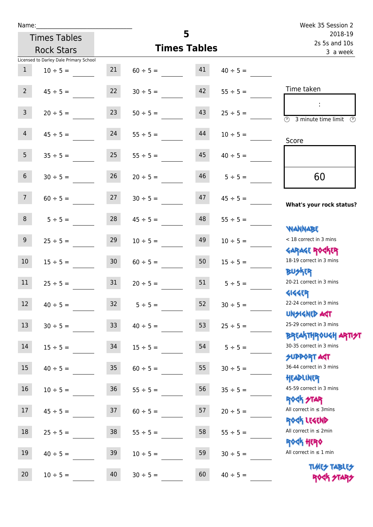| Name:               |                                        |                 |               |                     |                          | Week 35 Session 2                                                |
|---------------------|----------------------------------------|-----------------|---------------|---------------------|--------------------------|------------------------------------------------------------------|
| <b>Times Tables</b> |                                        |                 |               | 5                   | 2018-19<br>2s 5s and 10s |                                                                  |
|                     | <b>Rock Stars</b>                      |                 |               | <b>Times Tables</b> | 3 a week                 |                                                                  |
|                     | Licensed to Darley Dale Primary School |                 |               |                     |                          |                                                                  |
| $\mathbf{1}$        | $10 \div 5 =$                          | 21              | $60 \div 5 =$ | 41                  | $40 \div 5 =$            |                                                                  |
| $2^{\circ}$         | $45 \div 5 =$                          | 22              | $30 \div 5 =$ | 42                  | $55 \div 5 =$            | Time taken                                                       |
| 3 <sup>7</sup>      | $20 \div 5 =$                          | 23              | $50 \div 5 =$ | 43                  | $25 \div 5 =$            | $\sim$<br>$\overline{(\mathcal{V})}$<br>3 minute time limit      |
| $\overline{4}$      | $45 \div 5 =$                          | 24              | $55 \div 5 =$ | 44                  | $10 \div 5 =$            | Score                                                            |
| 5 <sup>1</sup>      | $35 \div 5 =$                          | 25              | $55 \div 5 =$ | 45                  | $40 \div 5 =$            |                                                                  |
| 6 <sup>1</sup>      | $30 \div 5 =$                          | 26              | $20 \div 5 =$ | 46                  | $5 \div 5 =$             | 60                                                               |
| 7 <sup>7</sup>      | $60 \div 5 =$                          | 27              | $30 \div 5 =$ | 47                  | $45 \div 5 =$            | What's your rock status?                                         |
| 8                   | $5 \div 5 =$                           | 28              | $45 \div 5 =$ | 48                  | $55 \div 5 =$            |                                                                  |
| 9 <sub>o</sub>      | $25 \div 5 =$                          | 29              | $10 \div 5 =$ | 49                  | $10 \div 5 =$            | <b>NANNABE</b><br>< 18 correct in 3 mins                         |
| 10 <sup>°</sup>     | $15 \div 5 =$                          | 30 <sup>°</sup> | $60 \div 5 =$ | 50                  | $15 \div 5 =$            | <b>GARAGE ROCKER</b><br>18-19 correct in 3 mins                  |
| 11                  | $25 \div 5 =$                          | 31              | $20 \div 5 =$ |                     | $51 \t 5 \div 5 =$       | <b>BUSKER</b><br>20-21 correct in 3 mins                         |
| 12                  | $40 \div 5 =$                          | 32              | $5 ÷ 5 =$     | 52                  | $30 \div 5 =$            | <b>4144EP</b><br>22-24 correct in 3 mins<br><b>UNSIGNED AGT</b>  |
| 13                  | $30 \div 5 =$                          | 33 <sup>°</sup> | $40 \div 5 =$ | 53                  | $25 \div 5 =$            | 25-29 correct in 3 mins<br><b>BREAKTHROUGH ARTI<del>S</del>T</b> |
| 14                  | $15 \div 5 =$                          | 34              | $15 \div 5 =$ | 54                  | $5 ÷ 5 =$                | 30-35 correct in 3 mins<br>SUPPORT AGT                           |
| 15                  | $40 \div 5 =$                          | $35\,$          | $60 \div 5 =$ | 55                  | $30 \div 5 =$            | 36-44 correct in 3 mins<br>HEADLINER                             |
| 16                  | $10 \div 5 =$                          | 36              | $55 \div 5 =$ | 56                  | $35 \div 5 =$            | 45-59 correct in 3 mins<br><b>ROCK STAR</b>                      |
| 17                  | $45 \div 5 =$                          | 37              | $60 \div 5 =$ | 57                  | $20 \div 5 =$            | All correct in $\leq$ 3mins<br>ROCK LEGEND                       |
| $18\,$              | $25 \div 5 =$                          | $38\,$          | $55 \div 5 =$ | 58                  | $55 \div 5 =$            | All correct in $\leq 2$ min<br><b>ROCK HERO</b>                  |
| 19                  | $40 \div 5 =$                          | 39              | $10 \div 5 =$ | 59                  | $30 \div 5 =$            | All correct in $\leq 1$ min                                      |
| 20                  | $10 \div 5 =$                          | 40              | $30 \div 5 =$ | 60                  | $40 \div 5 =$            | <b>TUARS TABLES</b><br>ROCK STARS                                |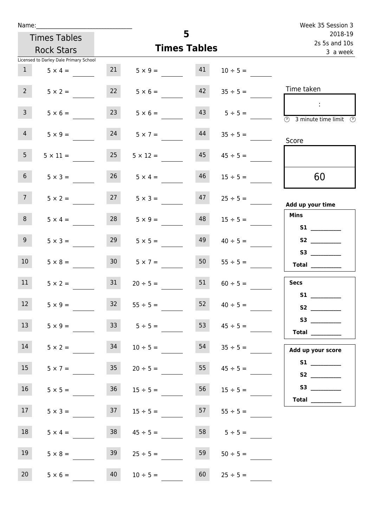| Name:           |                                        |                     |                      |    |                    | Week 35 Session 3                                                                                                                                                                                                                                                                                                                                                                                                                                                                                                                                                                                                   |
|-----------------|----------------------------------------|---------------------|----------------------|----|--------------------|---------------------------------------------------------------------------------------------------------------------------------------------------------------------------------------------------------------------------------------------------------------------------------------------------------------------------------------------------------------------------------------------------------------------------------------------------------------------------------------------------------------------------------------------------------------------------------------------------------------------|
|                 | <b>Times Tables</b>                    | 5                   |                      |    |                    | 2018-19<br>2s 5s and 10s                                                                                                                                                                                                                                                                                                                                                                                                                                                                                                                                                                                            |
|                 | <b>Rock Stars</b>                      | <b>Times Tables</b> |                      |    |                    | 3 a week                                                                                                                                                                                                                                                                                                                                                                                                                                                                                                                                                                                                            |
|                 | Licensed to Darley Dale Primary School |                     |                      |    |                    |                                                                                                                                                                                                                                                                                                                                                                                                                                                                                                                                                                                                                     |
| 1               | $5 \times 4 =$                         | 21                  | $5 \times 9 = 41$    |    | $10 \div 5 =$      |                                                                                                                                                                                                                                                                                                                                                                                                                                                                                                                                                                                                                     |
| 2 <sup>7</sup>  | $5 \times 2 =$                         | 22                  | $5 \times 6 =$       | 42 | $35 \div 5 =$      | Time taken                                                                                                                                                                                                                                                                                                                                                                                                                                                                                                                                                                                                          |
| $\overline{3}$  | $5 \times 6 =$                         | 23                  | $5 \times 6 =$       |    | $43 \t 5 \div 5 =$ | $\sim 10$<br>$\overline{\circledcirc}$ 3 minute time limit $\circledcirc$                                                                                                                                                                                                                                                                                                                                                                                                                                                                                                                                           |
| $\overline{4}$  | $5 \times 9 =$                         | 24                  | $5 \times 7 =$       | 44 | $35 \div 5 =$      | Score                                                                                                                                                                                                                                                                                                                                                                                                                                                                                                                                                                                                               |
| 5 <sub>1</sub>  | $5 \times 11 =$                        | 25                  | $5 \times 12 =$      | 45 | $45 \div 5 =$      |                                                                                                                                                                                                                                                                                                                                                                                                                                                                                                                                                                                                                     |
| 6 <sup>1</sup>  | $5 \times 3 =$                         | 26                  | $5 \times 4 =$       | 46 | $15 \div 5 =$      | 60                                                                                                                                                                                                                                                                                                                                                                                                                                                                                                                                                                                                                  |
| 7 <sup>7</sup>  | $5 \times 2 =$                         |                     | $27 \t 5 \times 3 =$ | 47 | $25 \div 5 =$      | Add up your time                                                                                                                                                                                                                                                                                                                                                                                                                                                                                                                                                                                                    |
| 8               | $5 \times 4 =$                         | 28                  | $5 \times 9 =$       | 48 | $15 \div 5 =$      | <b>Mins</b><br>S1                                                                                                                                                                                                                                                                                                                                                                                                                                                                                                                                                                                                   |
| 9 <sub>o</sub>  | $5 \times 3 =$                         | 29                  | $5 \times 5 =$       | 49 | $40 \div 5 =$      |                                                                                                                                                                                                                                                                                                                                                                                                                                                                                                                                                                                                                     |
| 10 <sup>°</sup> | $5 \times 8 =$                         | 30 <sup>°</sup>     | $5 \times 7 =$       | 50 | $55 \div 5 =$      | $\begin{tabular}{c} Total \end{tabular}$                                                                                                                                                                                                                                                                                                                                                                                                                                                                                                                                                                            |
| 11              | $5 \times 2 =$                         | 31                  | $20 \div 5 =$        | 51 | $60 \div 5 =$      | <b>Secs</b>                                                                                                                                                                                                                                                                                                                                                                                                                                                                                                                                                                                                         |
| 12              | $5 \times 9 =$                         | 32                  | $55 \div 5 =$        | 52 | $40 \div 5 =$      | <b>S1</b>                                                                                                                                                                                                                                                                                                                                                                                                                                                                                                                                                                                                           |
| 13              | $5 \times 9 =$                         |                     | $33 \t 5 \div 5 =$   | 53 | $45 \div 5 =$      | $\begin{tabular}{c} Total & \underline{\hspace{1cm}} & \underline{\hspace{1cm}} & \underline{\hspace{1cm}} & \underline{\hspace{1cm}} & \underline{\hspace{1cm}} & \underline{\hspace{1cm}} & \underline{\hspace{1cm}} & \underline{\hspace{1cm}} & \underline{\hspace{1cm}} & \underline{\hspace{1cm}} & \underline{\hspace{1cm}} & \underline{\hspace{1cm}} & \underline{\hspace{1cm}} & \underline{\hspace{1cm}} & \underline{\hspace{1cm}} & \underline{\hspace{1cm}} & \underline{\hspace{1cm}} & \underline{\hspace{1cm}} & \underline{\hspace{1cm}} & \underline{\hspace{1cm}} & \underline{\hspace{1cm}} &$ |
| 14              | $5 \times 2 =$                         | 34                  | $10 \div 5 =$        | 54 | $35 \div 5 =$      | Add up your score                                                                                                                                                                                                                                                                                                                                                                                                                                                                                                                                                                                                   |
| 15              | $5 \times 7 =$                         | 35                  | $20 \div 5 =$        | 55 | $45 \div 5 =$      |                                                                                                                                                                                                                                                                                                                                                                                                                                                                                                                                                                                                                     |
| 16              | $5 \times 5 =$                         | 36                  | $15 \div 5 =$        | 56 | $15 \div 5 =$      | Total $\_\_$                                                                                                                                                                                                                                                                                                                                                                                                                                                                                                                                                                                                        |
| 17              | $5 \times 3 =$                         | 37                  | $15 \div 5 =$        | 57 | $55 \div 5 =$      |                                                                                                                                                                                                                                                                                                                                                                                                                                                                                                                                                                                                                     |
| 18              | $5 \times 4 =$                         | 38                  | $45 \div 5 =$        | 58 | $5 \div 5 =$       |                                                                                                                                                                                                                                                                                                                                                                                                                                                                                                                                                                                                                     |
| 19              | $5 \times 8 =$                         | 39                  | $25 \div 5 =$        | 59 | $50 \div 5 =$      |                                                                                                                                                                                                                                                                                                                                                                                                                                                                                                                                                                                                                     |
| 20 <sub>2</sub> | $5 \times 6 =$                         | 40                  | $10 \div 5 =$        | 60 | $25 \div 5 =$      |                                                                                                                                                                                                                                                                                                                                                                                                                                                                                                                                                                                                                     |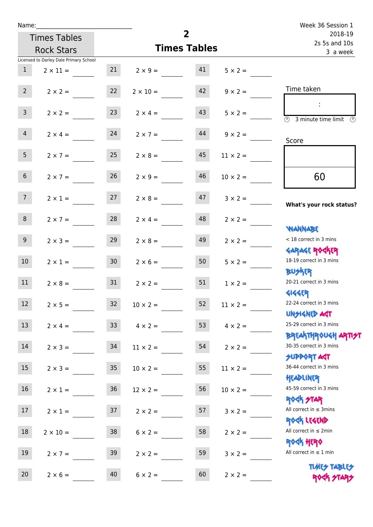| Name:            |                                        |                 |                         | $\overline{2}$                       |                 | Week 36 Session 1                                                            |
|------------------|----------------------------------------|-----------------|-------------------------|--------------------------------------|-----------------|------------------------------------------------------------------------------|
|                  | <b>Times Tables</b>                    |                 |                         | 2018-19<br>2s 5s and 10s<br>3 a week |                 |                                                                              |
|                  | <b>Rock Stars</b>                      |                 | <b>Times Tables</b>     |                                      |                 |                                                                              |
|                  | Licensed to Darley Dale Primary School |                 |                         |                                      |                 |                                                                              |
| 1                | $2 \times 11 =$                        |                 | $21 \t 2 \times 9 = 41$ |                                      | $5 \times 2 =$  |                                                                              |
| $2^{\circ}$      | $2 \times 2 =$                         | 22              | $2 \times 10 =$         | 42                                   | $9 \times 2 =$  | Time taken                                                                   |
| 3 <sup>7</sup>   | $2 \times 2 =$                         | 23              | $2 \times 4 =$          | 43                                   | $5 \times 2 =$  | $\sim$<br>$\overline{(\mathcal{V})}$<br>3 minute time limit<br>$\mathcal{O}$ |
| $\overline{4}$   | $2 \times 4 = 24$                      |                 | $2 \times 7 =$          | 44                                   | $9 \times 2 =$  | Score                                                                        |
| 5 <sub>1</sub>   | $2 \times 7 =$                         | 25              | $2 \times 8 =$          | 45                                   | $11 \times 2 =$ |                                                                              |
| 6 <sup>1</sup>   | $2 \times 7 =$                         | 26              | $2 \times 9 =$          | 46                                   | $10 \times 2 =$ | 60                                                                           |
| 7 <sup>7</sup>   | $2 \times 1 = 27$                      |                 | $2 \times 8 =$          | 47                                   | $3 \times 2 =$  | What's your rock status?                                                     |
| 8                | $2 \times 7 =$                         | 28              | $2 \times 4 =$          | 48                                   | $2 \times 2 =$  | <b>NANNABE</b>                                                               |
| 9 <sub>o</sub>   | $2 \times 3 =$                         | 29              | $2 \times 8 =$          | 49                                   | $2 \times 2 =$  | < 18 correct in 3 mins<br><b>GARAGE ROGKER</b>                               |
| 10 <sup>°</sup>  | $2 \times 1 = 30$                      |                 | $2 \times 6 = 50$       |                                      | $5 \times 2 =$  | 18-19 correct in 3 mins<br><b>BUSKER</b>                                     |
| 11               | $2 \times 8 =$                         | 31              | $2 \times 2 =$          | 51                                   | $1 \times 2 =$  | 20-21 correct in 3 mins<br><b>4144EP</b>                                     |
| 12 <sup>7</sup>  | $2 \times 5 =$                         | 32              | $10 \times 2 =$         | 52                                   | $11 \times 2 =$ | 22-24 correct in 3 mins<br><b>UNSIGNED AGT</b>                               |
| 13               | $2 \times 4 =$                         | 33 <sup>°</sup> | $4 \times 2 =$          | 53                                   | $4 \times 2 =$  | 25-29 correct in 3 mins<br><b>BREAKTHROUGH ARTI<del>S</del>T</b>             |
| 14               | $2 \times 3 =$                         | 34              | $11 \times 2 =$         | 54                                   | $2 \times 2 =$  | 30-35 correct in 3 mins<br><b>SUPPORT ART</b>                                |
| 15 <sub>15</sub> | $2 \times 3 =$                         | 35 <sub>1</sub> | $10 \times 2 =$         | 55                                   | $11 \times 2 =$ | 36-44 correct in 3 mins<br>HEADLINER                                         |
| 16 <sup>1</sup>  | $2 \times 1 =$                         | 36              | $12 \times 2 =$         | 56                                   | $10 \times 2 =$ | 45-59 correct in 3 mins<br><b>ROCK STAR</b>                                  |
| 17               | $2 \times 1 =$                         | 37              | $2 \times 2 =$          | 57                                   | $3 \times 2 =$  | All correct in $\leq$ 3mins<br>ROCK LEGEND                                   |
| 18               | $2 \times 10 =$                        | 38              | $6 \times 2 =$          | 58                                   | $2 \times 2 =$  | All correct in $\leq 2$ min<br><b>ROCK HERO</b>                              |
| 19               | $2 \times 7 =$                         | 39              | $2 \times 2 =$          | 59                                   | $3 \times 2 =$  | All correct in $\leq 1$ min                                                  |
| 20               | $2 \times 6 =$                         | 40              | $6 \times 2 =$          | 60                                   | $2 \times 2 =$  | <b>TUARS TABLES</b><br>ROCK STARS                                            |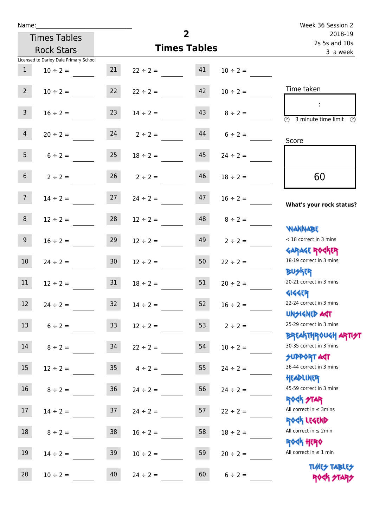| Name:           |                                        |                  |                     | $\overline{2}$           |               | Week 36 Session 2                                                |
|-----------------|----------------------------------------|------------------|---------------------|--------------------------|---------------|------------------------------------------------------------------|
|                 | <b>Times Tables</b>                    |                  |                     | 2018-19<br>2s 5s and 10s |               |                                                                  |
|                 | <b>Rock Stars</b>                      |                  | <b>Times Tables</b> | 3 a week                 |               |                                                                  |
|                 | Licensed to Darley Dale Primary School |                  |                     |                          |               |                                                                  |
| $\mathbf{1}$    | $10 \div 2 =$                          | 21               | $22 \div 2 =$       | 41                       | $10 \div 2 =$ |                                                                  |
| $2^{\circ}$     | $10 \div 2 =$                          | 22               | $22 \div 2 =$       | 42                       | $10 \div 2 =$ | Time taken                                                       |
| 3 <sup>7</sup>  | $16 \div 2 =$                          | 23               | $14 \div 2 =$       | 43                       | $8 \div 2 =$  | $\overline{(\mathcal{V})}$<br>3 minute time limit<br>O)          |
| $\overline{4}$  | $20 \div 2 =$                          |                  | $24$ $2 \div 2 =$   | 44                       | $6 \div 2 =$  | Score                                                            |
| 5 <sub>1</sub>  | $6 \div 2 =$                           | 25               | $18 \div 2 =$       | 45                       | $24 \div 2 =$ |                                                                  |
| 6 <sup>1</sup>  | $2 \div 2 =$                           | 26               | $2 \div 2 =$        | 46                       | $18 \div 2 =$ | 60                                                               |
| 7 <sup>7</sup>  | $14 \div 2 =$                          | 27               | $24 \div 2 =$       | 47                       | $16 \div 2 =$ | What's your rock status?                                         |
| 8               | $12 \div 2 =$                          | 28               | $12 \div 2 =$       | 48                       | $8 \div 2 =$  | <b>NANNABE</b>                                                   |
| 9 <sub>o</sub>  | $16 \div 2 =$                          | 29               | $12 \div 2 =$       | 49                       | $2 \div 2 =$  | < 18 correct in 3 mins<br><b>GARAGE ROCKER</b>                   |
| 10 <sup>1</sup> | $24 \div 2 =$                          | 30 <sub>o</sub>  | $12 \div 2 =$       | 50                       | $22 \div 2 =$ | 18-19 correct in 3 mins<br><b>BU外四</b>                           |
| 11              | $12 \div 2 = 31$                       |                  | $18 \div 2 =$       | 51                       | $20 \div 2 =$ | 20-21 correct in 3 mins<br><b>4144EP</b>                         |
| 12              | $24 \div 2 =$                          | 32               | $14 \div 2 =$       | 52                       | $16 \div 2 =$ | 22-24 correct in 3 mins<br><b>UNSIGNED AGT</b>                   |
| 13              | $6 \div 2 =$                           | 33               | $12 \div 2 =$       | 53                       | $2 \div 2 =$  | 25-29 correct in 3 mins<br><b>BREAKTHROUGH ARTI<del>S</del>T</b> |
| 14              | $8 \div 2 =$                           | 34               | $22 \div 2 =$       | 54                       | $10 \div 2 =$ | 30-35 correct in 3 mins<br><b>SUPPORT AGT</b>                    |
| 15              | $12 \div 2 =$                          | $35\phantom{.0}$ | $4 \div 2 =$        | 55                       | $24 \div 2 =$ | 36-44 correct in 3 mins<br>HEADLINER                             |
| 16              | $8 \div 2 =$                           | $36\,$           | $24 \div 2 =$       | 56                       | $24 \div 2 =$ | 45-59 correct in 3 mins<br><b>ROCK STAR</b>                      |
| 17              | $14 \div 2 =$                          | 37               | $24 \div 2 =$       | 57                       | $22 \div 2 =$ | All correct in $\leq$ 3mins<br>ROCK LEGEND                       |
| 18              | $8 \div 2 =$                           | 38               | $16 \div 2 =$       | 58                       | $18 \div 2 =$ | All correct in $\leq 2$ min<br>ROCK HERO                         |
| 19              | $14 \div 2 =$                          | 39               | $10 \div 2 =$       | 59                       | $20 \div 2 =$ | All correct in $\leq 1$ min<br><b>TUARS TABLES</b>               |
| 20              | $10 \div 2 =$                          | 40               | $24 \div 2 =$       | 60                       | $6 \div 2 =$  | ROCK STARS                                                       |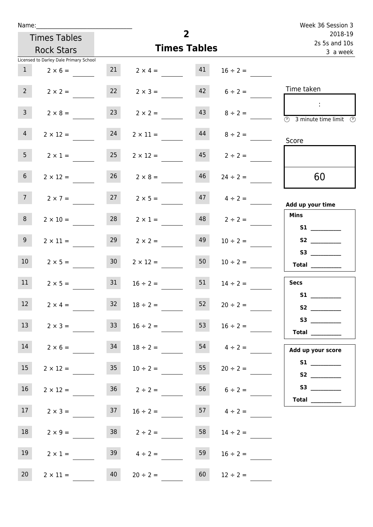| Name:           |                                        |                     |                      |    |                    | Week 36 Session 3                                                                       |
|-----------------|----------------------------------------|---------------------|----------------------|----|--------------------|-----------------------------------------------------------------------------------------|
|                 | <b>Times Tables</b>                    | $\overline{2}$      |                      |    |                    | 2018-19                                                                                 |
|                 | <b>Rock Stars</b>                      | <b>Times Tables</b> |                      |    |                    | 2s 5s and 10s<br>3 a week                                                               |
|                 | Licensed to Darley Dale Primary School |                     |                      |    |                    |                                                                                         |
| 1               | $2 \times 6 =$                         | 21                  | $2 \times 4 =$       | 41 | $16 \div 2 =$      |                                                                                         |
| $2^{\circ}$     | $2 \times 2 =$                         | 22                  | $2 \times 3 =$       | 42 | $6 \div 2 =$       | Time taken                                                                              |
| 3 <sup>7</sup>  | $2 \times 8 =$                         | 23                  | $2 \times 2 =$       | 43 | $8 \div 2 =$       | $\sim$<br>$\overline{\textcircled{2}}$ 3 minute time limit $\overline{\textcircled{2}}$ |
| $\overline{4}$  | $2 \times 12 =$                        | 24                  | $2 \times 11 =$      | 44 | $8 \div 2 =$       | Score                                                                                   |
| 5 <sub>1</sub>  | $2 \times 1 =$                         | 25                  | $2 \times 12 =$      | 45 | $2 \div 2 =$       |                                                                                         |
| 6 <sup>1</sup>  | $2 \times 12 =$                        | 26                  | $2 \times 8 =$       | 46 | $24 \div 2 =$      | 60                                                                                      |
| 7 <sup>7</sup>  | $2 \times 7 =$                         |                     | $27 \t 2 \times 5 =$ |    | $47 \t 4 \div 2 =$ | Add up your time                                                                        |
| 8               | $2 \times 10 =$                        | 28                  | $2 \times 1 =$       | 48 | $2 \div 2 =$       | <b>Mins</b><br>S1                                                                       |
| 9 <sub>o</sub>  | $2 \times 11 =$                        | 29                  | $2 \times 2 =$       | 49 | $10 \div 2 =$      |                                                                                         |
| 10 <sup>°</sup> | $2 \times 5 =$                         | 30 <sup>°</sup>     | $2 \times 12 =$      | 50 | $10 \div 2 =$      | $\begin{tabular}{c} Total \end{tabular}$                                                |
| 11              | $2 \times 5 =$                         | 31                  | $16 \div 2 =$        | 51 | $14 \div 2 =$      | <b>Secs</b>                                                                             |
| $12$            | $2 \times 4 =$                         | 32                  | $18 \div 2 =$        | 52 | $20 \div 2 =$      | S1                                                                                      |
| 13              | $2 \times 3 =$                         | 33 <sup>2</sup>     | $16 \div 2 =$        | 53 | $16 \div 2 =$      | Total $\_\_$                                                                            |
| 14              | $2 \times 6 =$                         | 34                  | $18 \div 2 =$        |    | $54 \t 4 \div 2 =$ | Add up your score                                                                       |
| 15              | $2 \times 12 =$                        | 35                  | $10 \div 2 =$        | 55 | $20 \div 2 =$      |                                                                                         |
| 16              | $2 \times 12 =$                        |                     | $36 \t 2 \div 2 =$   |    | $56 \t 6 \div 2 =$ | Total $\qquad$                                                                          |
| 17              | $2 \times 3 =$                         | 37                  | $16 \div 2 =$        |    | $57 \t 4 \div 2 =$ |                                                                                         |
| 18              | $2 \times 9 =$                         |                     | $38$ $2 \div 2 =$    | 58 | $14 \div 2 =$      |                                                                                         |
| 19              | $2 \times 1 =$                         |                     | $39 \t 4 \div 2 =$   | 59 | $16 \div 2 =$      |                                                                                         |
| 20              | $2 \times 11 =$                        | 40                  | $20 \div 2 =$        | 60 | $12 \div 2 =$      |                                                                                         |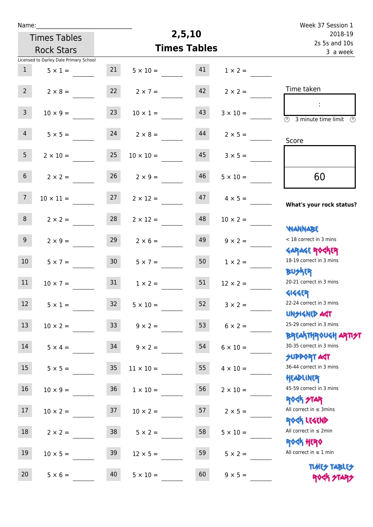| Name:               |                                        |                 |                     | 2,5,10                    |                 | Week 37 Session 1                                                                                   |
|---------------------|----------------------------------------|-----------------|---------------------|---------------------------|-----------------|-----------------------------------------------------------------------------------------------------|
| <b>Times Tables</b> |                                        |                 |                     | 2018-19                   |                 |                                                                                                     |
|                     | <b>Rock Stars</b>                      |                 | <b>Times Tables</b> | 2s 5s and 10s<br>3 a week |                 |                                                                                                     |
|                     | Licensed to Darley Dale Primary School |                 |                     |                           |                 |                                                                                                     |
| $\mathbf{1}$        | $5 \times 1 =$                         | 21              | $5 \times 10 =$     | 41                        | $1 \times 2 =$  |                                                                                                     |
| $2^{\circ}$         | $2 \times 8 =$                         | 22              | $2 \times 7 =$      | 42                        | $2 \times 2 =$  | Time taken                                                                                          |
| 3 <sup>7</sup>      | $10 \times 9 =$                        | 23              | $10 \times 1 =$     | 43                        | $3 \times 10 =$ | ÷<br>$\overline{(\mathcal{V})}$<br>3 minute time limit $\circled{0}$                                |
| $\overline{4}$      | $5 \times 5 =$                         | 24              | $2 \times 8 =$      | 44                        | $2 \times 5 =$  | Score                                                                                               |
| 5 <sub>1</sub>      | $2 \times 10 =$                        | 25              | $10 \times 10 =$    | 45                        | $3 \times 5 =$  |                                                                                                     |
| 6 <sup>1</sup>      | $2 \times 2 =$                         | 26              | $2 \times 9 =$      | 46                        | $5 \times 10 =$ | 60                                                                                                  |
| 7 <sup>7</sup>      | $10 \times 11 =$                       | 27              | $2 \times 12 =$     | 47                        | $4 \times 5 =$  | What's your rock status?                                                                            |
| 8                   | $2 \times 2 =$                         | 28              | $2 \times 12 =$     | 48                        | $10 \times 2 =$ | <b>NANNABE</b>                                                                                      |
| 9 <sub>o</sub>      | $2 \times 9 =$                         | 29              | $2 \times 6 =$      | 49                        | $9 \times 2 =$  | < 18 correct in 3 mins<br><b>GARAGE ROCKER</b>                                                      |
| 10 <sup>°</sup>     | $5 \times 7 =$                         | 30 <sup>°</sup> | $5 \times 7 =$      | 50                        | $1 \times 2 =$  | 18-19 correct in 3 mins<br><b>BUSKRR</b>                                                            |
| 11                  | $10 \times 7 =$                        | 31              | $1 \times 2 =$      | 51                        | $12 \times 2 =$ | 20-21 correct in 3 mins<br><b>4144EP</b>                                                            |
| 12 <sup>7</sup>     | $5 \times 1 =$                         | 32              | $5 \times 10 =$     | 52                        | $3 \times 2 =$  | 22-24 correct in 3 mins<br><b>UNSIGNED AGT</b>                                                      |
| 13                  | $10 \times 2 =$                        | 33 <sup>°</sup> | $9 \times 2 =$      | 53                        | $6 \times 2 =$  | 25-29 correct in 3 mins                                                                             |
| 14                  | $5 \times 4 =$                         | 34              | $9 \times 2 =$      | 54                        | $6 \times 10 =$ | <mark>ΒΡ</mark> ξΑ <mark>\ΤΗΡ</mark> ΦUGH <mark>ΑΡΤΙ<del>2</del>Τ</mark><br>30-35 correct in 3 mins |
| 15                  | $5 \times 5 =$                         | 35 <sub>2</sub> | $11 \times 10 =$    | 55                        | $4 \times 10 =$ | <b>SUPPORT AGT</b><br>36-44 correct in 3 mins                                                       |
| 16                  | $10 \times 9 =$                        | 36              | $1 \times 10 =$     | 56                        | $2 \times 10 =$ | HEADLINER<br>45-59 correct in 3 mins<br><b>ROCK STAR</b>                                            |
| 17                  | $10 \times 2 =$                        | 37              | $10 \times 2 =$     | 57                        | $2 \times 5 =$  | All correct in $\leq$ 3mins<br>ROCK LEGEND                                                          |
| 18                  | $2 \times 2 =$                         | 38              | $5 \times 2 =$      | 58                        | $5 \times 10 =$ | All correct in $\leq 2$ min<br><b>ROCK HERO</b>                                                     |
| 19                  | $10 \times 5 =$                        | 39              | $12 \times 5 =$     | 59                        | $5 \times 2 =$  | All correct in $\leq 1$ min                                                                         |
| 20                  | $5 \times 6 =$                         | 40              | $5 \times 10 =$     | 60                        | $9 \times 5 =$  | <b>TUARY TABLEY</b><br>ROCK STA                                                                     |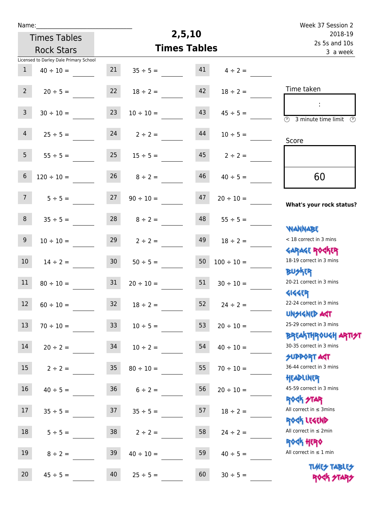| Name:                                  |                 |                     | 2,5,10                               |                     | Week 37 Session 2                                                |
|----------------------------------------|-----------------|---------------------|--------------------------------------|---------------------|------------------------------------------------------------------|
| <b>Times Tables</b>                    |                 |                     | 2018-19<br>2s 5s and 10s<br>3 a week |                     |                                                                  |
| <b>Rock Stars</b>                      |                 | <b>Times Tables</b> |                                      |                     |                                                                  |
| Licensed to Darley Dale Primary School |                 |                     |                                      |                     |                                                                  |
| $\mathbf{1}$<br>$40 \div 10 =$         | 21              | $35 \div 5 =$       | 41                                   | $4 \div 2 =$        |                                                                  |
| $2^{\circ}$<br>$20 \div 5 =$           | 22              | $18 \div 2 =$       | 42                                   | $18 \div 2 =$       | Time taken                                                       |
| $\overline{3}$<br>$30 \div 10 =$       | 23              | $10 \div 10 =$      | 43                                   | $45 \div 5 =$       | $\overline{\odot}$<br>3 minute time limit<br>$\odot$             |
| $\overline{4}$<br>$25 \div 5 =$        | 24              | $2 \div 2 =$        | 44                                   | $10 \div 5 =$       | Score                                                            |
| 5 <sup>1</sup><br>$55 \div 5 =$        | 25              | $15 \div 5 =$       | 45                                   | $2 \div 2 =$        |                                                                  |
| $6\phantom{.}$<br>$120 \div 10 =$      | 26              | $8 \div 2 =$        | 46                                   | $40 \div 5 =$       | 60                                                               |
| 7 <sup>7</sup><br>$5 ÷ 5 =$            | 27              | $90 \div 10 =$      | 47                                   | $20 \div 10 =$      | What's your rock status?                                         |
| 8<br>$35 \div 5 =$                     | 28              | $8 \div 2 =$        | 48                                   | $55 \div 5 =$       | <b>NANNABE</b>                                                   |
| 9<br>$10 \div 10 =$                    | 29              | $2 \div 2 =$        | 49                                   | $18 \div 2 =$       | < 18 correct in 3 mins                                           |
| 10<br>$14 \div 2 =$                    | 30 <sub>o</sub> | $50 \div 5 =$       | 50                                   | $100 \div 10 =$     | <b>GARAGE ROCKER</b><br>18-19 correct in 3 mins                  |
| 11<br>$80 \div 10 =$                   | 31              | $20 \div 10 =$      | 51                                   | $30 \div 10 =$      | DU外R<br>20-21 correct in 3 mins                                  |
| 12<br>$60 \div 10 =$                   | 32              | $18 \div 2 =$       |                                      | $52 \t 24 \div 2 =$ | <b>4144EP</b><br>22-24 correct in 3 mins<br>UNSIGNED ACT         |
| 13<br>$70 \div 10 =$                   | 33              | $10 \div 5 =$       | 53                                   | $20 \div 10 =$      | 25-29 correct in 3 mins<br><b>BREAKTHROUGH ARTI<del>S</del>T</b> |
| 14<br>$20 \div 2 =$                    | 34              | $10 \div 2 =$       | 54                                   | $40 \div 10 =$      | 30-35 correct in 3 mins<br><b>SUPPORT ART</b>                    |
| 15<br>$2 \div 2 =$                     | 35              | $80 \div 10 =$      | 55                                   | $70 \div 10 =$      | 36-44 correct in 3 mins<br>HEADLINER                             |
| 16<br>$40 \div 5 =$                    | 36 <sub>2</sub> | $6 \div 2 =$        | 56                                   | $20 \div 10 =$      | 45-59 correct in 3 mins                                          |
| 17<br>$35 \div 5 =$                    | 37              | $35 \div 5 =$       | 57                                   | $18 \div 2 =$       | <b>ROCK STAR</b><br>All correct in $\leq$ 3mins                  |
| 18<br>$5 \div 5 =$                     | 38              | $2 \div 2 =$        | 58                                   | $24 \div 2 =$       | ROCK LEGEND<br>All correct in $\leq 2$ min                       |
| 19<br>$8 \div 2 =$                     | 39              | $40 \div 10 =$      | 59                                   | $40 \div 5 =$       | <b>ROCK HERO</b><br>All correct in $\leq 1$ min                  |
| 20<br>$45 \div 5 =$                    | 40              | $25 \div 5 =$       | 60                                   | $30 \div 5 =$       | <b>TUARS TABLES</b><br>ROCK STARS                                |